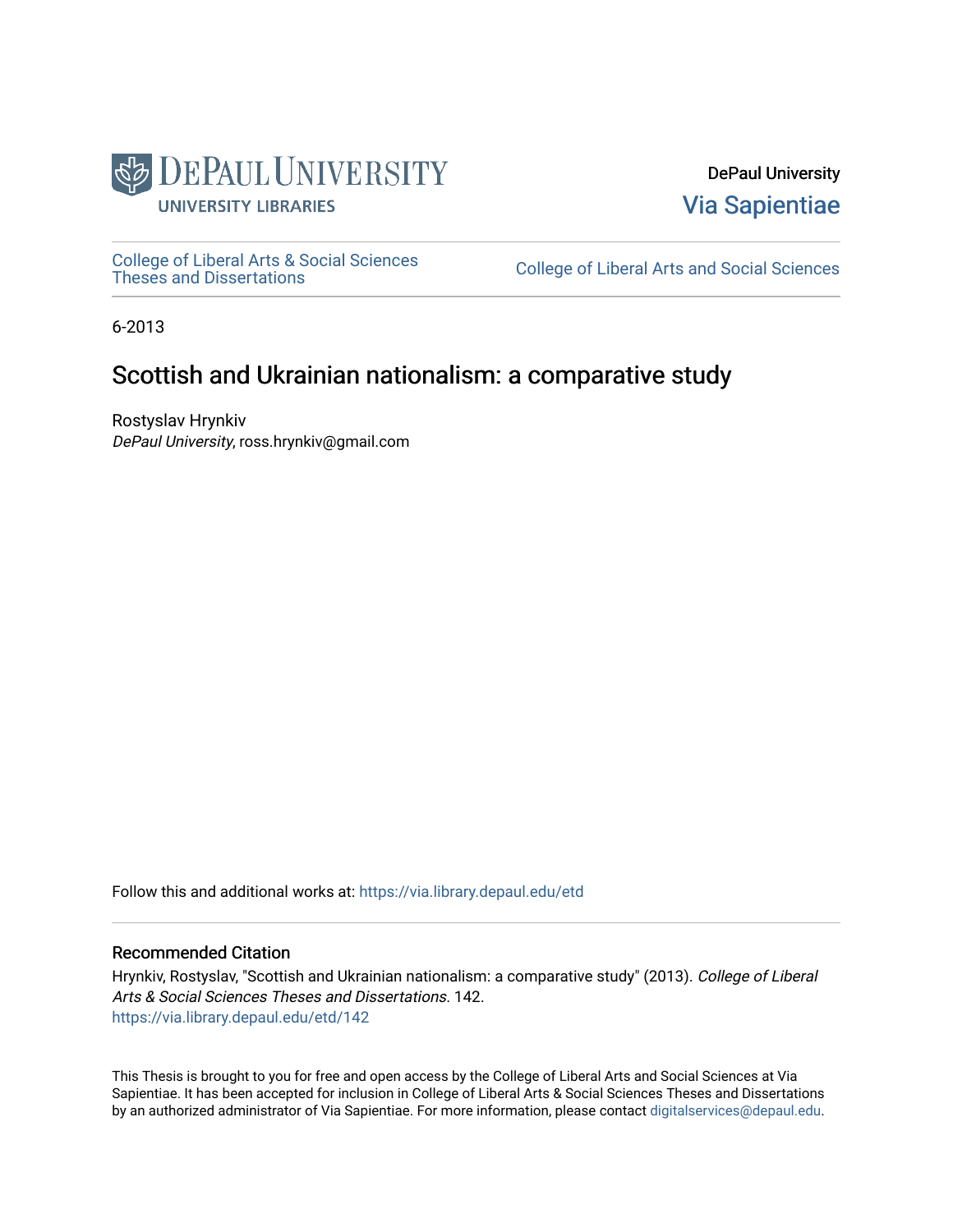

DePaul University [Via Sapientiae](https://via.library.depaul.edu/) 

[College of Liberal Arts & Social Sciences](https://via.library.depaul.edu/etd) 

College of Liberal Arts and Social Sciences

6-2013

# Scottish and Ukrainian nationalism: a comparative study

Rostyslav Hrynkiv DePaul University, ross.hrynkiv@gmail.com

Follow this and additional works at: [https://via.library.depaul.edu/etd](https://via.library.depaul.edu/etd?utm_source=via.library.depaul.edu%2Fetd%2F142&utm_medium=PDF&utm_campaign=PDFCoverPages)

# Recommended Citation

Hrynkiv, Rostyslav, "Scottish and Ukrainian nationalism: a comparative study" (2013). College of Liberal Arts & Social Sciences Theses and Dissertations. 142. [https://via.library.depaul.edu/etd/142](https://via.library.depaul.edu/etd/142?utm_source=via.library.depaul.edu%2Fetd%2F142&utm_medium=PDF&utm_campaign=PDFCoverPages)

This Thesis is brought to you for free and open access by the College of Liberal Arts and Social Sciences at Via Sapientiae. It has been accepted for inclusion in College of Liberal Arts & Social Sciences Theses and Dissertations by an authorized administrator of Via Sapientiae. For more information, please contact [digitalservices@depaul.edu.](mailto:digitalservices@depaul.edu)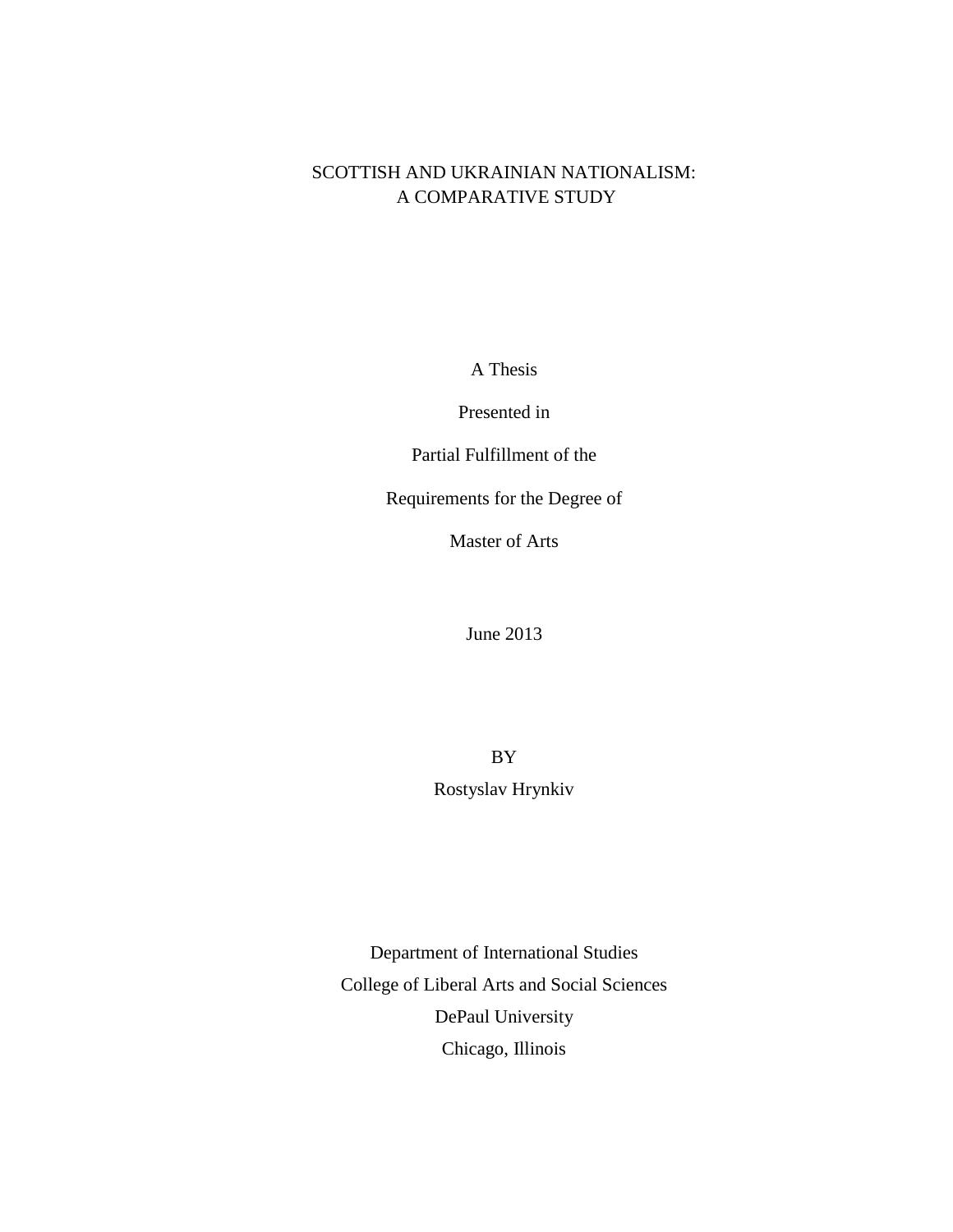# SCOTTISH AND UKRAINIAN NATIONALISM: A COMPARATIVE STUDY

A Thesis

Presented in

Partial Fulfillment of the

Requirements for the Degree of

Master of Arts

June 2013

BY Rostyslav Hrynkiv

Department of International Studies College of Liberal Arts and Social Sciences DePaul University Chicago, Illinois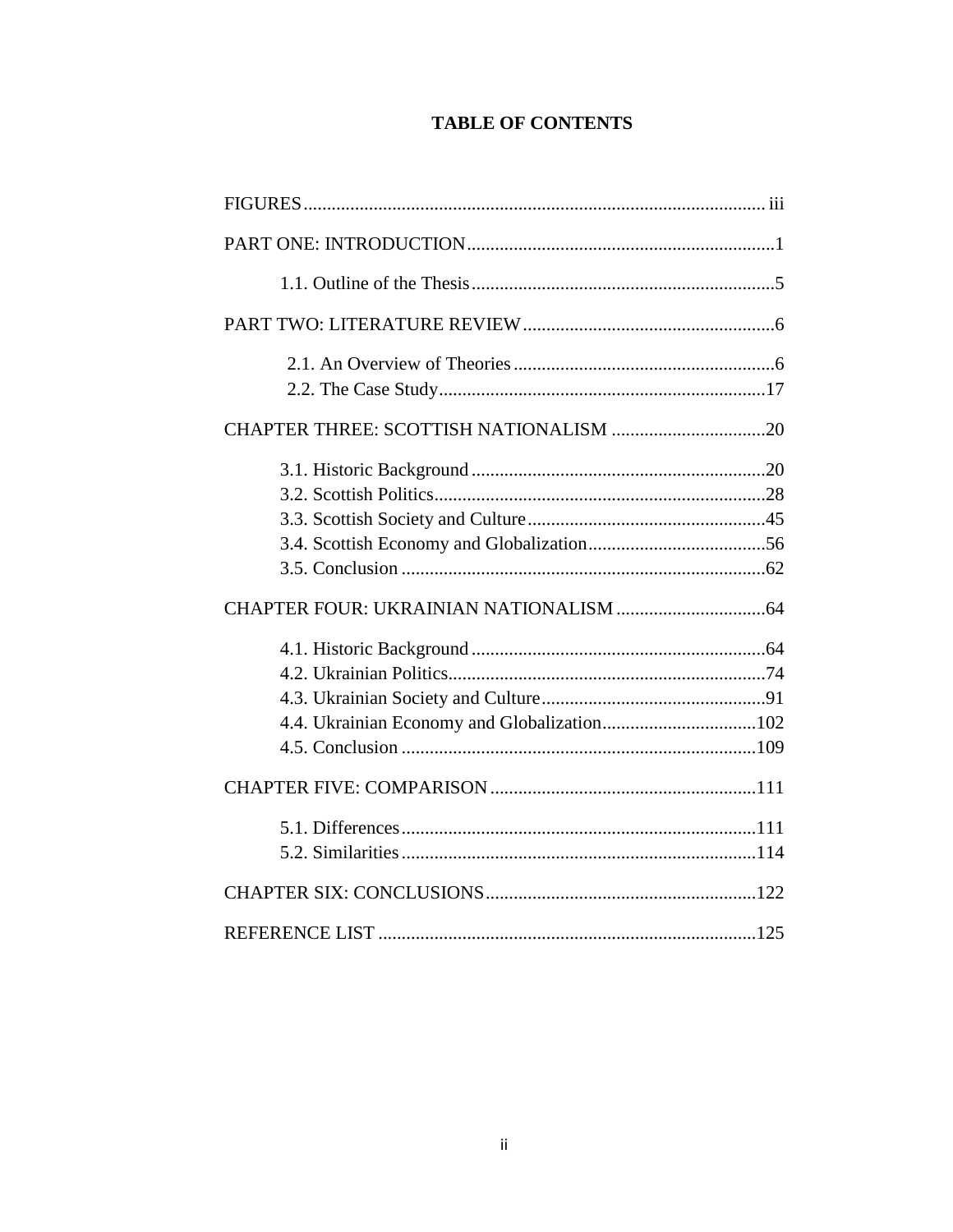# **TABLE OF CONTENTS**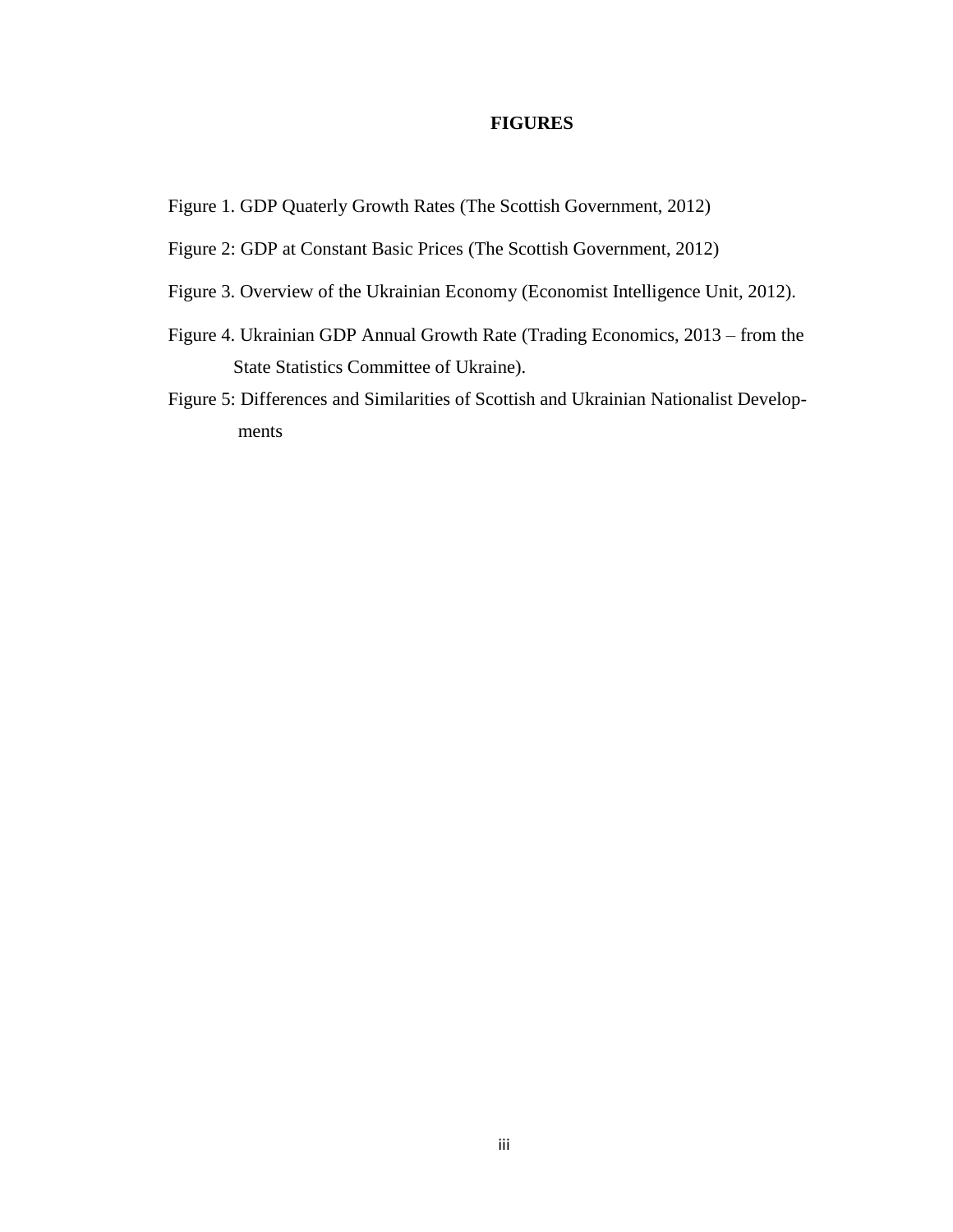# **FIGURES**

Figure 1. GDP Quaterly Growth Rates (The Scottish Government, 2012)

- Figure 2: GDP at Constant Basic Prices (The Scottish Government, 2012)
- Figure 3. Overview of the Ukrainian Economy (Economist Intelligence Unit, 2012).
- Figure 4. Ukrainian GDP Annual Growth Rate (Trading Economics, 2013 from the State Statistics Committee of Ukraine).
- Figure 5: Differences and Similarities of Scottish and Ukrainian Nationalist Develop ments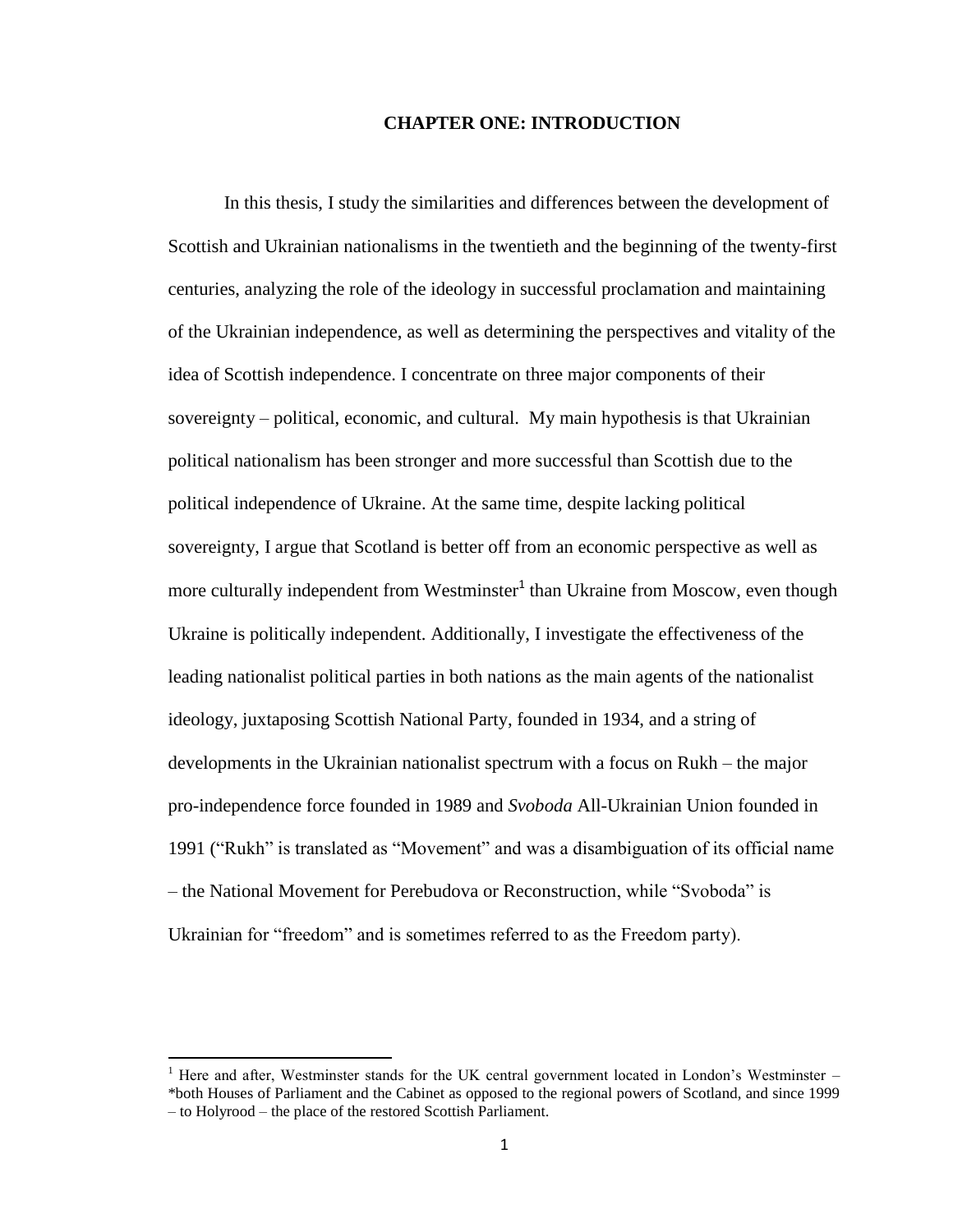### **CHAPTER ONE: INTRODUCTION**

In this thesis, I study the similarities and differences between the development of Scottish and Ukrainian nationalisms in the twentieth and the beginning of the twenty-first centuries, analyzing the role of the ideology in successful proclamation and maintaining of the Ukrainian independence, as well as determining the perspectives and vitality of the idea of Scottish independence. I concentrate on three major components of their sovereignty – political, economic, and cultural. My main hypothesis is that Ukrainian political nationalism has been stronger and more successful than Scottish due to the political independence of Ukraine. At the same time, despite lacking political sovereignty, I argue that Scotland is better off from an economic perspective as well as more culturally independent from Westminster<sup>1</sup> than Ukraine from Moscow, even though Ukraine is politically independent. Additionally, I investigate the effectiveness of the leading nationalist political parties in both nations as the main agents of the nationalist ideology, juxtaposing Scottish National Party, founded in 1934, and a string of developments in the Ukrainian nationalist spectrum with a focus on Rukh – the major pro-independence force founded in 1989 and *Svoboda* All-Ukrainian Union founded in 1991 ("Rukh" is translated as "Movement" and was a disambiguation of its official name – the National Movement for Perebudova or Reconstruction, while "Svoboda" is Ukrainian for "freedom" and is sometimes referred to as the Freedom party).

 $\overline{\phantom{a}}$ 

 $1$  Here and after, Westminster stands for the UK central government located in London's Westminster – \*both Houses of Parliament and the Cabinet as opposed to the regional powers of Scotland, and since 1999 – to Holyrood – the place of the restored Scottish Parliament.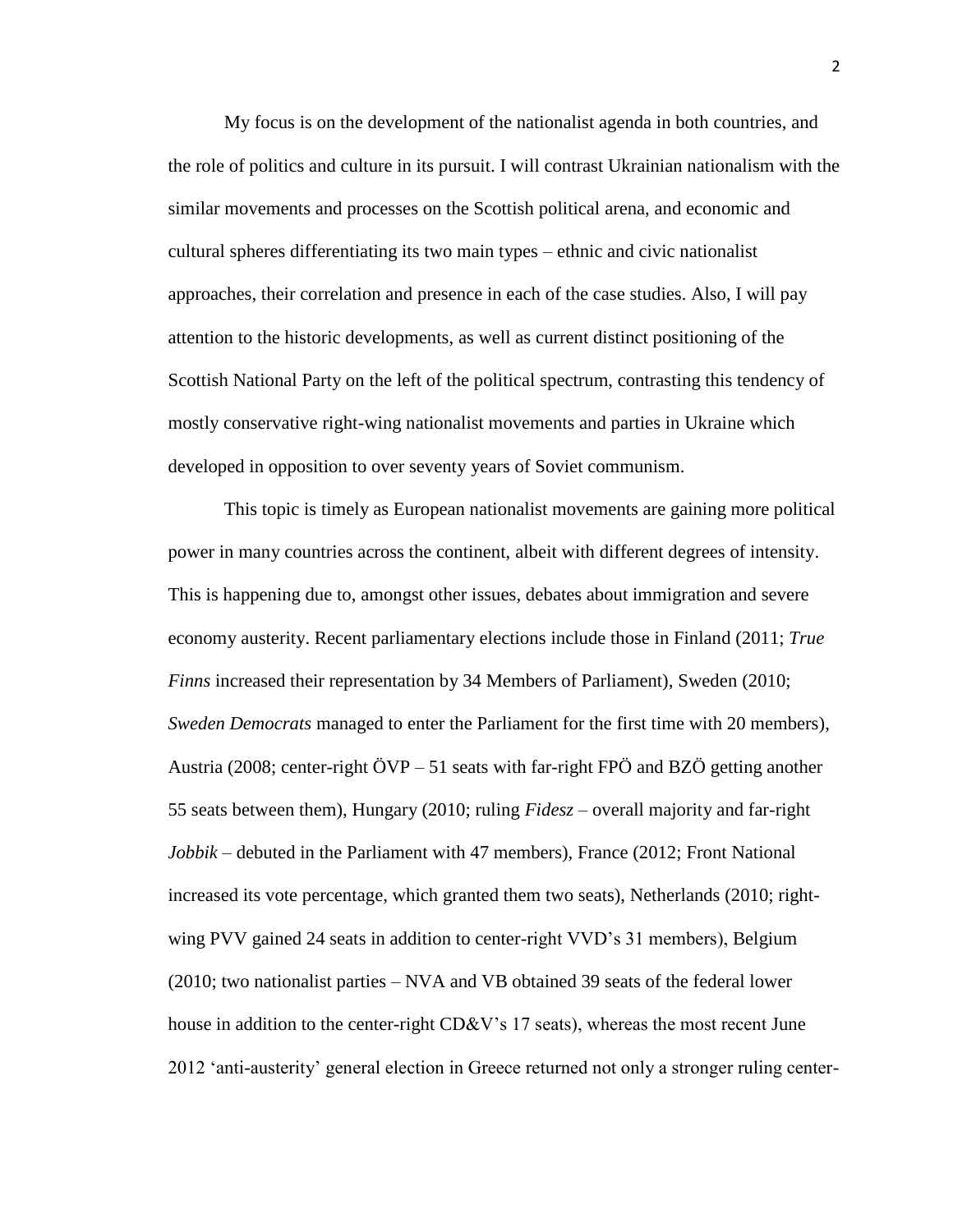My focus is on the development of the nationalist agenda in both countries, and the role of politics and culture in its pursuit. I will contrast Ukrainian nationalism with the similar movements and processes on the Scottish political arena, and economic and cultural spheres differentiating its two main types – ethnic and civic nationalist approaches, their correlation and presence in each of the case studies. Also, I will pay attention to the historic developments, as well as current distinct positioning of the Scottish National Party on the left of the political spectrum, contrasting this tendency of mostly conservative right-wing nationalist movements and parties in Ukraine which developed in opposition to over seventy years of Soviet communism.

This topic is timely as European nationalist movements are gaining more political power in many countries across the continent, albeit with different degrees of intensity. This is happening due to, amongst other issues, debates about immigration and severe economy austerity. Recent parliamentary elections include those in Finland (2011; *True Finns* increased their representation by 34 Members of Parliament), Sweden (2010; *Sweden Democrats* managed to enter the Parliament for the first time with 20 members), Austria (2008; center-right  $\ddot{O}VP - 51$  seats with far-right FP $\ddot{O}$  and BZ $\ddot{O}$  getting another 55 seats between them), Hungary (2010; ruling *Fidesz* – overall majority and far-right *Jobbik* – debuted in the Parliament with 47 members), France (2012; Front National increased its vote percentage, which granted them two seats), Netherlands (2010; rightwing PVV gained 24 seats in addition to center-right VVD's 31 members), Belgium (2010; two nationalist parties – NVA and VB obtained 39 seats of the federal lower house in addition to the center-right CD&V's 17 seats), whereas the most recent June 2012 'anti-austerity' general election in Greece returned not only a stronger ruling center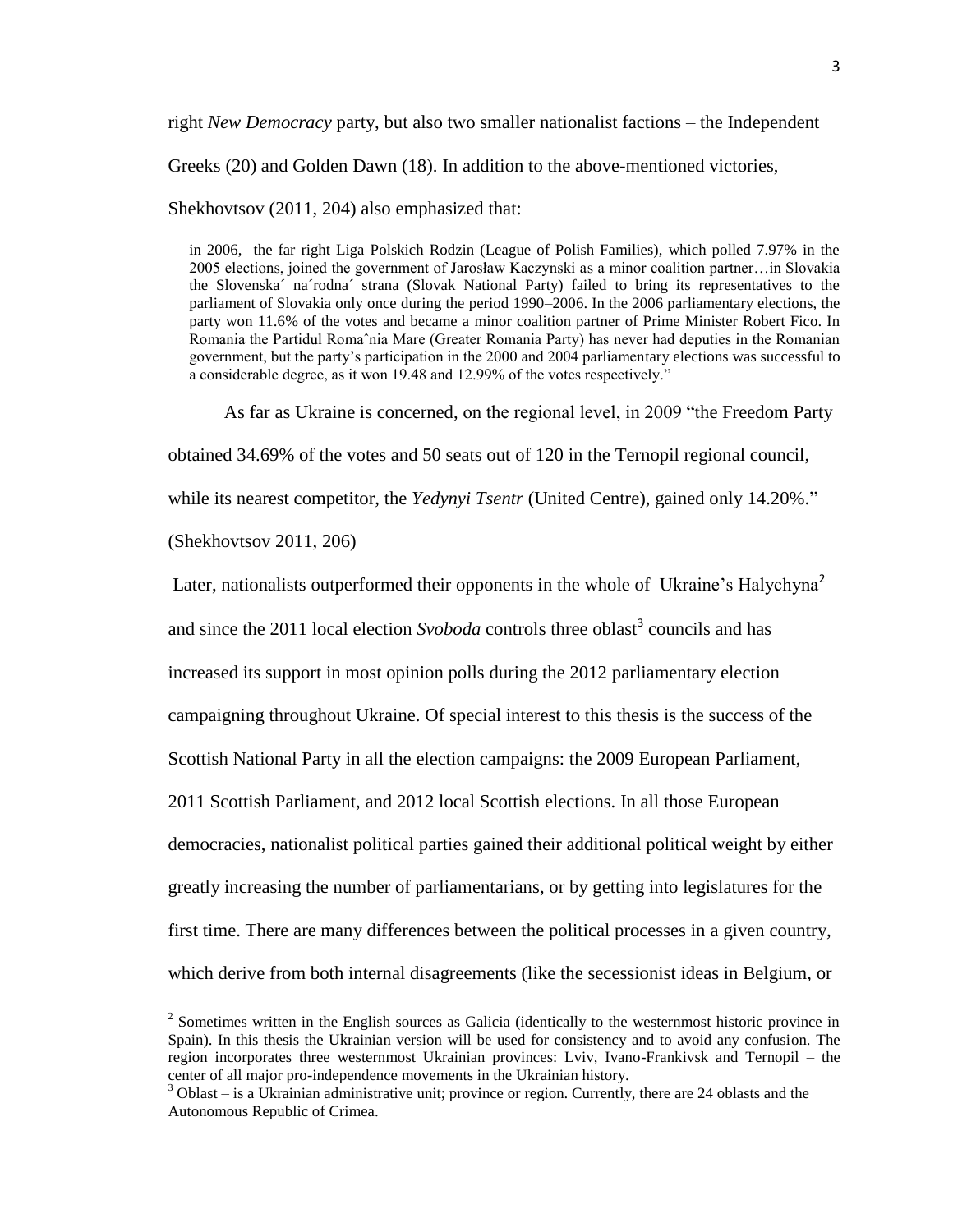right *New Democracy* party, but also two smaller nationalist factions – the Independent

Greeks (20) and Golden Dawn (18). In addition to the above-mentioned victories,

Shekhovtsov (2011, 204) also emphasized that:

in 2006, the far right Liga Polskich Rodzin (League of Polish Families), which polled 7.97% in the 2005 elections, joined the government of Jarosław Kaczynski as a minor coalition partner…in Slovakia the Slovenska´ na´rodna´ strana (Slovak National Party) failed to bring its representatives to the parliament of Slovakia only once during the period 1990–2006. In the 2006 parliamentary elections, the party won 11.6% of the votes and became a minor coalition partner of Prime Minister Robert Fico. In Romania the Partidul Romaˆnia Mare (Greater Romania Party) has never had deputies in the Romanian government, but the party's participation in the 2000 and 2004 parliamentary elections was successful to a considerable degree, as it won 19.48 and 12.99% of the votes respectively."

As far as Ukraine is concerned, on the regional level, in 2009 "the Freedom Party

obtained 34.69% of the votes and 50 seats out of 120 in the Ternopil regional council,

while its nearest competitor, the *Yedynyi Tsentr* (United Centre), gained only 14.20%."

(Shekhovtsov 2011, 206)

l

Later, nationalists outperformed their opponents in the whole of Ukraine's Halychyna<sup>2</sup>

and since the 2011 local election *Svoboda* controls three oblast<sup>3</sup> councils and has

increased its support in most opinion polls during the 2012 parliamentary election

campaigning throughout Ukraine. Of special interest to this thesis is the success of the

Scottish National Party in all the election campaigns: the 2009 European Parliament,

2011 Scottish Parliament, and 2012 local Scottish elections. In all those European

democracies, nationalist political parties gained their additional political weight by either

greatly increasing the number of parliamentarians, or by getting into legislatures for the

first time. There are many differences between the political processes in a given country,

which derive from both internal disagreements (like the secessionist ideas in Belgium, or

 $2^2$  Sometimes written in the English sources as Galicia (identically to the westernmost historic province in Spain). In this thesis the Ukrainian version will be used for consistency and to avoid any confusion. The region incorporates three westernmost Ukrainian provinces: Lviv, Ivano-Frankivsk and Ternopil – the center of all major pro-independence movements in the Ukrainian history.

 $3$  Oblast – is a Ukrainian administrative unit; province or region. Currently, there are 24 oblasts and the Autonomous Republic of Crimea.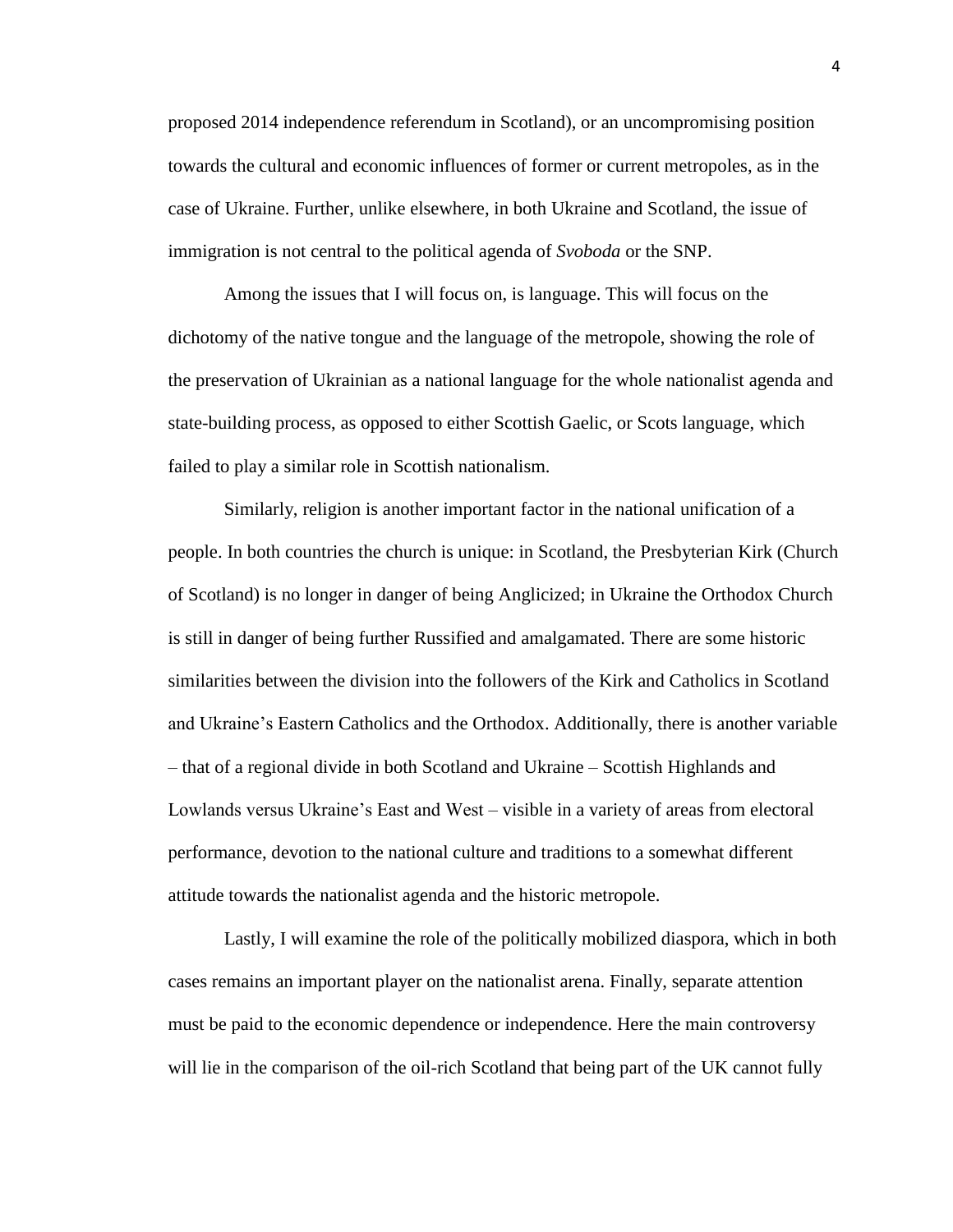proposed 2014 independence referendum in Scotland), or an uncompromising position towards the cultural and economic influences of former or current metropoles, as in the case of Ukraine. Further, unlike elsewhere, in both Ukraine and Scotland, the issue of immigration is not central to the political agenda of *Svoboda* or the SNP.

Among the issues that I will focus on, is language. This will focus on the dichotomy of the native tongue and the language of the metropole, showing the role of the preservation of Ukrainian as a national language for the whole nationalist agenda and state-building process, as opposed to either Scottish Gaelic, or Scots language, which failed to play a similar role in Scottish nationalism.

Similarly, religion is another important factor in the national unification of a people. In both countries the church is unique: in Scotland, the Presbyterian Kirk (Church of Scotland) is no longer in danger of being Anglicized; in Ukraine the Orthodox Church is still in danger of being further Russified and amalgamated. There are some historic similarities between the division into the followers of the Kirk and Catholics in Scotland and Ukraine's Eastern Catholics and the Orthodox. Additionally, there is another variable – that of a regional divide in both Scotland and Ukraine – Scottish Highlands and Lowlands versus Ukraine's East and West – visible in a variety of areas from electoral performance, devotion to the national culture and traditions to a somewhat different attitude towards the nationalist agenda and the historic metropole.

Lastly, I will examine the role of the politically mobilized diaspora, which in both cases remains an important player on the nationalist arena. Finally, separate attention must be paid to the economic dependence or independence. Here the main controversy will lie in the comparison of the oil-rich Scotland that being part of the UK cannot fully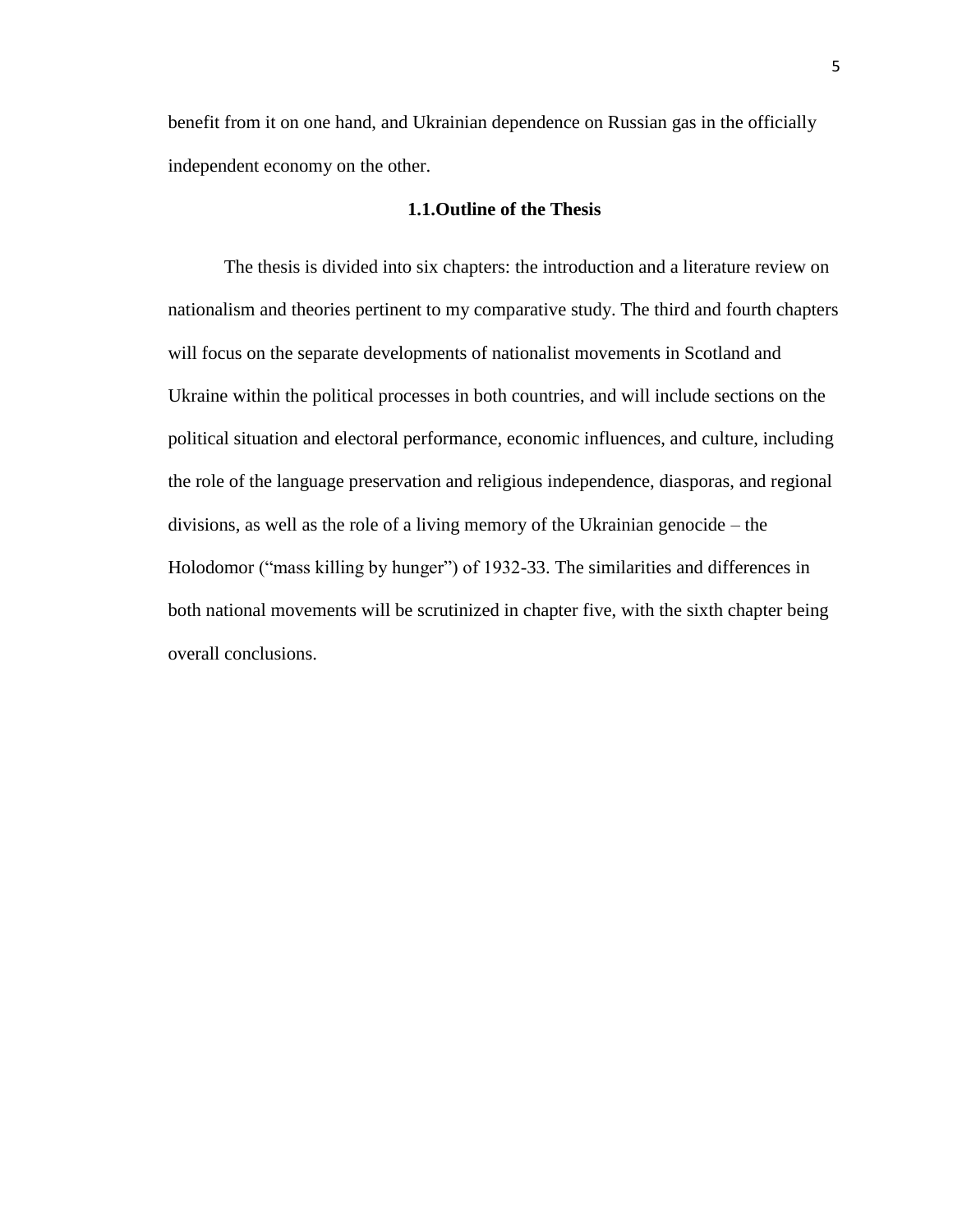benefit from it on one hand, and Ukrainian dependence on Russian gas in the officially independent economy on the other.

# **1.1.Outline of the Thesis**

The thesis is divided into six chapters: the introduction and a literature review on nationalism and theories pertinent to my comparative study. The third and fourth chapters will focus on the separate developments of nationalist movements in Scotland and Ukraine within the political processes in both countries, and will include sections on the political situation and electoral performance, economic influences, and culture, including the role of the language preservation and religious independence, diasporas, and regional divisions, as well as the role of a living memory of the Ukrainian genocide – the Holodomor ("mass killing by hunger") of 1932-33. The similarities and differences in both national movements will be scrutinized in chapter five, with the sixth chapter being overall conclusions.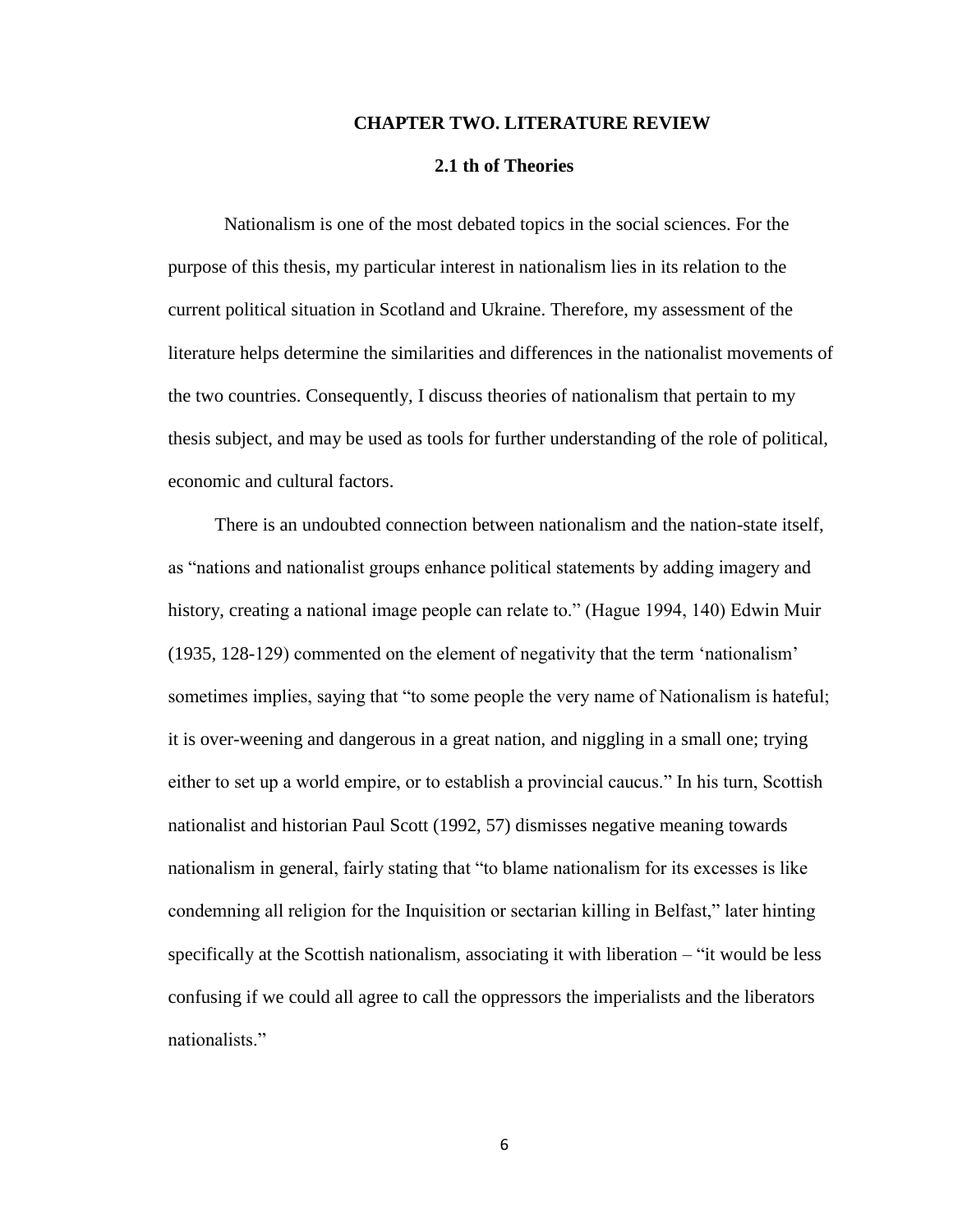#### **CHAPTER TWO. LITERATURE REVIEW**

### **2.1 th of Theories**

Nationalism is one of the most debated topics in the social sciences. For the purpose of this thesis, my particular interest in nationalism lies in its relation to the current political situation in Scotland and Ukraine. Therefore, my assessment of the literature helps determine the similarities and differences in the nationalist movements of the two countries. Consequently, I discuss theories of nationalism that pertain to my thesis subject, and may be used as tools for further understanding of the role of political, economic and cultural factors.

 There is an undoubted connection between nationalism and the nation-state itself, as "nations and nationalist groups enhance political statements by adding imagery and history, creating a national image people can relate to." (Hague 1994, 140) Edwin Muir (1935, 128-129) commented on the element of negativity that the term 'nationalism' sometimes implies, saying that "to some people the very name of Nationalism is hateful; it is over-weening and dangerous in a great nation, and niggling in a small one; trying either to set up a world empire, or to establish a provincial caucus." In his turn, Scottish nationalist and historian Paul Scott (1992, 57) dismisses negative meaning towards nationalism in general, fairly stating that "to blame nationalism for its excesses is like condemning all religion for the Inquisition or sectarian killing in Belfast," later hinting specifically at the Scottish nationalism, associating it with liberation – "it would be less confusing if we could all agree to call the oppressors the imperialists and the liberators nationalists."

6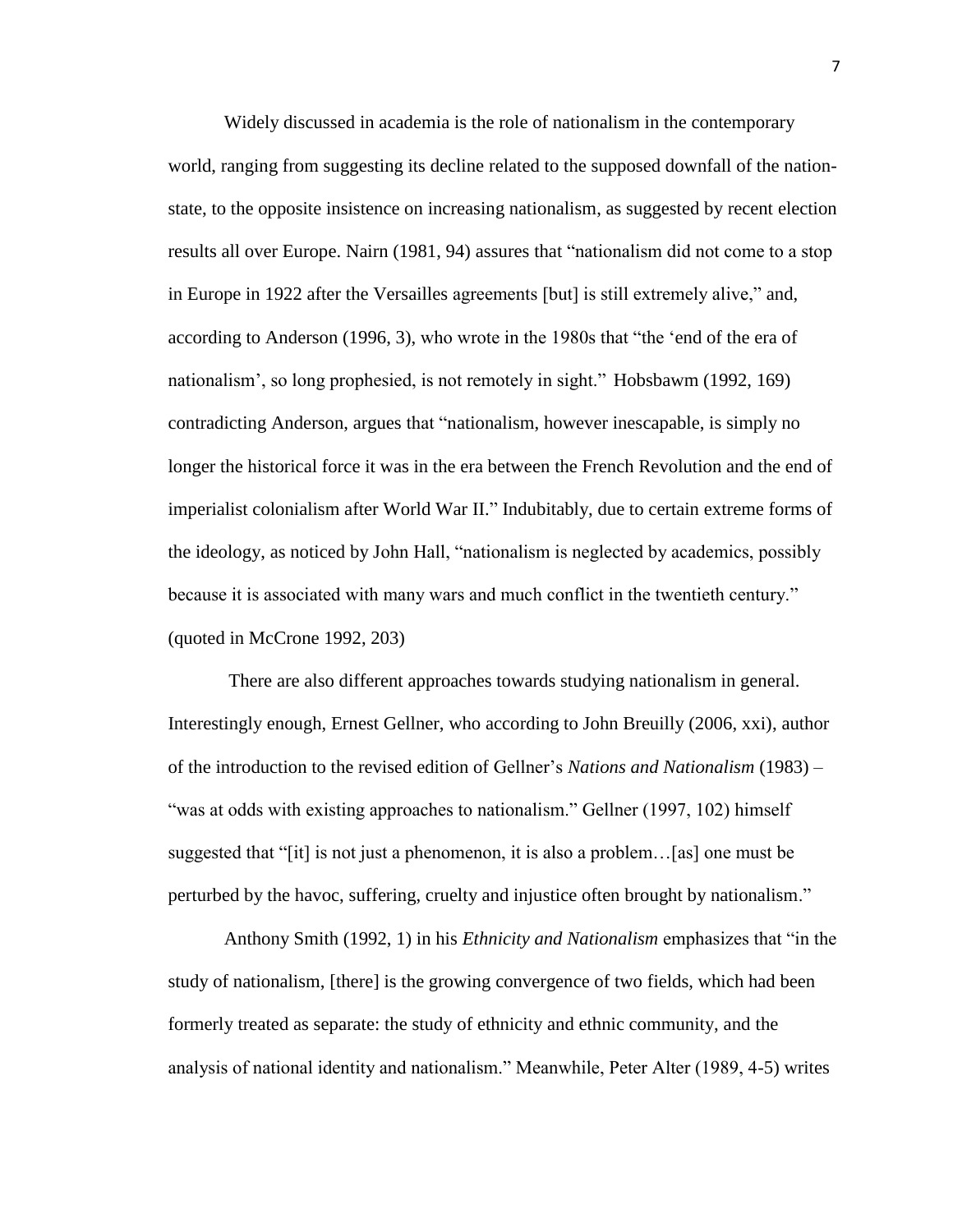Widely discussed in academia is the role of nationalism in the contemporary world, ranging from suggesting its decline related to the supposed downfall of the nationstate, to the opposite insistence on increasing nationalism, as suggested by recent election results all over Europe. Nairn (1981, 94) assures that "nationalism did not come to a stop in Europe in 1922 after the Versailles agreements [but] is still extremely alive," and, according to Anderson (1996, 3), who wrote in the 1980s that "the 'end of the era of nationalism', so long prophesied, is not remotely in sight." Hobsbawm (1992, 169) contradicting Anderson, argues that "nationalism, however inescapable, is simply no longer the historical force it was in the era between the French Revolution and the end of imperialist colonialism after World War II." Indubitably, due to certain extreme forms of the ideology, as noticed by John Hall, "nationalism is neglected by academics, possibly because it is associated with many wars and much conflict in the twentieth century." (quoted in McCrone 1992, 203)

There are also different approaches towards studying nationalism in general. Interestingly enough, Ernest Gellner, who according to John Breuilly (2006, xxi), author of the introduction to the revised edition of Gellner's *Nations and Nationalism* (1983) – "was at odds with existing approaches to nationalism." Gellner (1997, 102) himself suggested that "[it] is not just a phenomenon, it is also a problem…[as] one must be perturbed by the havoc, suffering, cruelty and injustice often brought by nationalism."

Anthony Smith (1992, 1) in his *Ethnicity and Nationalism* emphasizes that "in the study of nationalism, [there] is the growing convergence of two fields, which had been formerly treated as separate: the study of ethnicity and ethnic community, and the analysis of national identity and nationalism." Meanwhile, Peter Alter (1989, 4-5) writes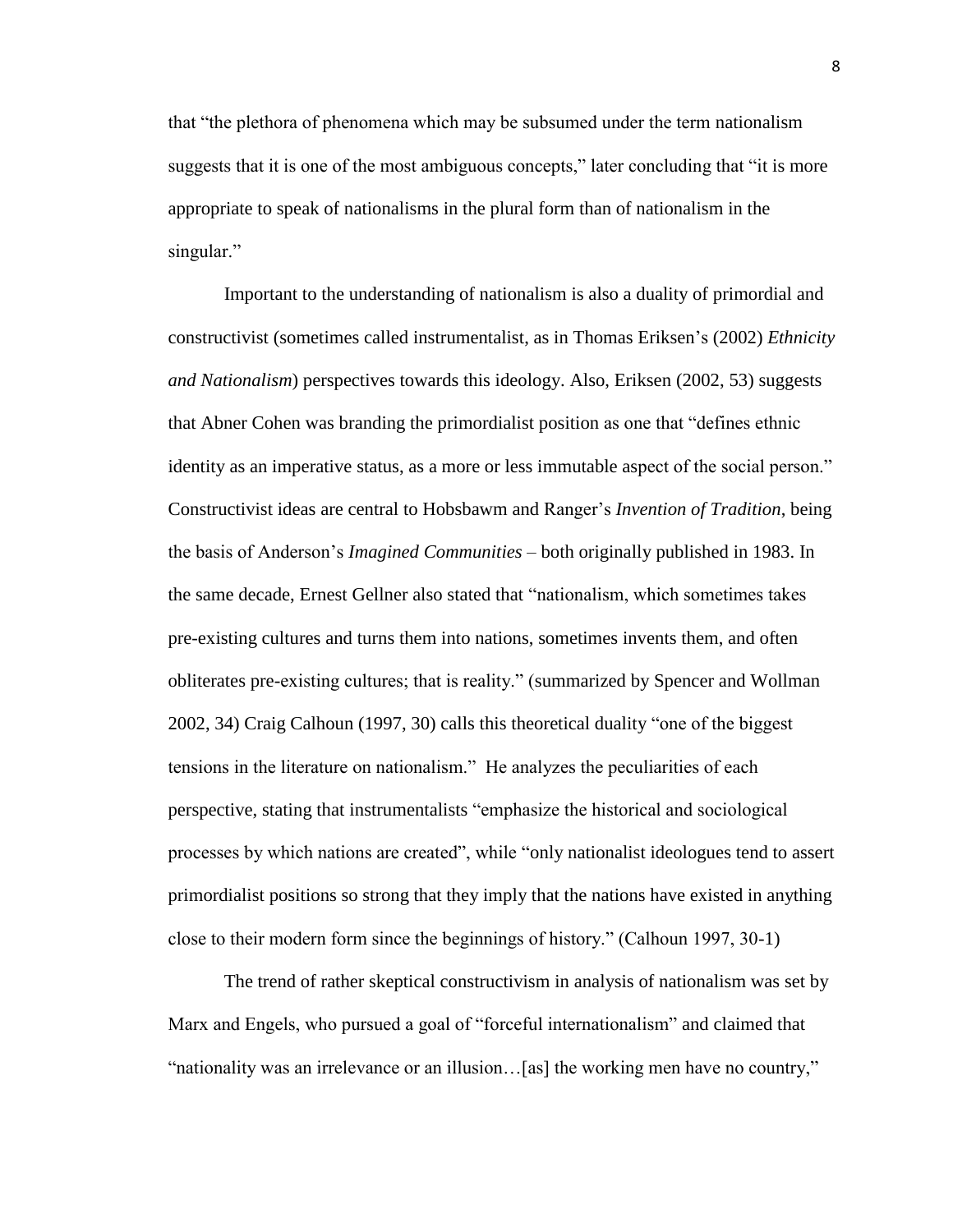that "the plethora of phenomena which may be subsumed under the term nationalism suggests that it is one of the most ambiguous concepts," later concluding that "it is more appropriate to speak of nationalisms in the plural form than of nationalism in the singular."

Important to the understanding of nationalism is also a duality of primordial and constructivist (sometimes called instrumentalist, as in Thomas Eriksen's (2002) *Ethnicity and Nationalism*) perspectives towards this ideology. Also, Eriksen (2002, 53) suggests that Abner Cohen was branding the primordialist position as one that "defines ethnic identity as an imperative status, as a more or less immutable aspect of the social person." Constructivist ideas are central to Hobsbawm and Ranger's *Invention of Tradition*, being the basis of Anderson's *Imagined Communities –* both originally published in 1983. In the same decade, Ernest Gellner also stated that "nationalism, which sometimes takes pre-existing cultures and turns them into nations, sometimes invents them, and often obliterates pre-existing cultures; that is reality." (summarized by Spencer and Wollman 2002, 34) Craig Calhoun (1997, 30) calls this theoretical duality "one of the biggest tensions in the literature on nationalism." He analyzes the peculiarities of each perspective, stating that instrumentalists "emphasize the historical and sociological processes by which nations are created", while "only nationalist ideologues tend to assert primordialist positions so strong that they imply that the nations have existed in anything close to their modern form since the beginnings of history." (Calhoun 1997, 30-1)

The trend of rather skeptical constructivism in analysis of nationalism was set by Marx and Engels, who pursued a goal of "forceful internationalism" and claimed that "nationality was an irrelevance or an illusion…[as] the working men have no country,"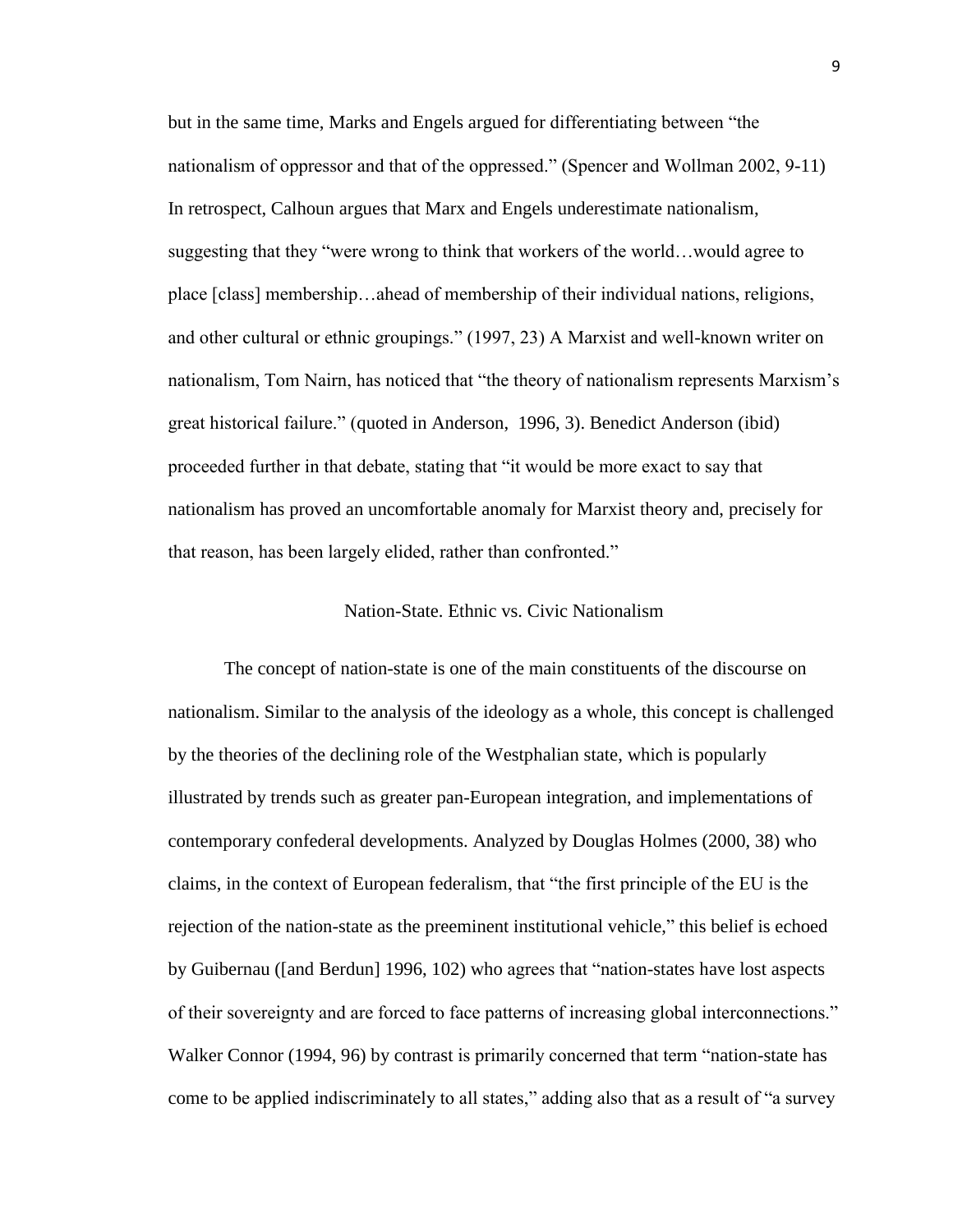but in the same time, Marks and Engels argued for differentiating between "the nationalism of oppressor and that of the oppressed." (Spencer and Wollman 2002, 9-11) In retrospect, Calhoun argues that Marx and Engels underestimate nationalism, suggesting that they "were wrong to think that workers of the world…would agree to place [class] membership…ahead of membership of their individual nations, religions, and other cultural or ethnic groupings." (1997, 23) A Marxist and well-known writer on nationalism, Tom Nairn, has noticed that "the theory of nationalism represents Marxism's great historical failure." (quoted in Anderson, 1996, 3). Benedict Anderson (ibid) proceeded further in that debate, stating that "it would be more exact to say that nationalism has proved an uncomfortable anomaly for Marxist theory and, precisely for that reason, has been largely elided, rather than confronted."

# Nation-State. Ethnic vs. Civic Nationalism

The concept of nation-state is one of the main constituents of the discourse on nationalism. Similar to the analysis of the ideology as a whole, this concept is challenged by the theories of the declining role of the Westphalian state, which is popularly illustrated by trends such as greater pan-European integration, and implementations of contemporary confederal developments. Analyzed by Douglas Holmes (2000, 38) who claims, in the context of European federalism, that "the first principle of the EU is the rejection of the nation-state as the preeminent institutional vehicle," this belief is echoed by Guibernau ([and Berdun] 1996, 102) who agrees that "nation-states have lost aspects of their sovereignty and are forced to face patterns of increasing global interconnections." Walker Connor (1994, 96) by contrast is primarily concerned that term "nation-state has come to be applied indiscriminately to all states," adding also that as a result of "a survey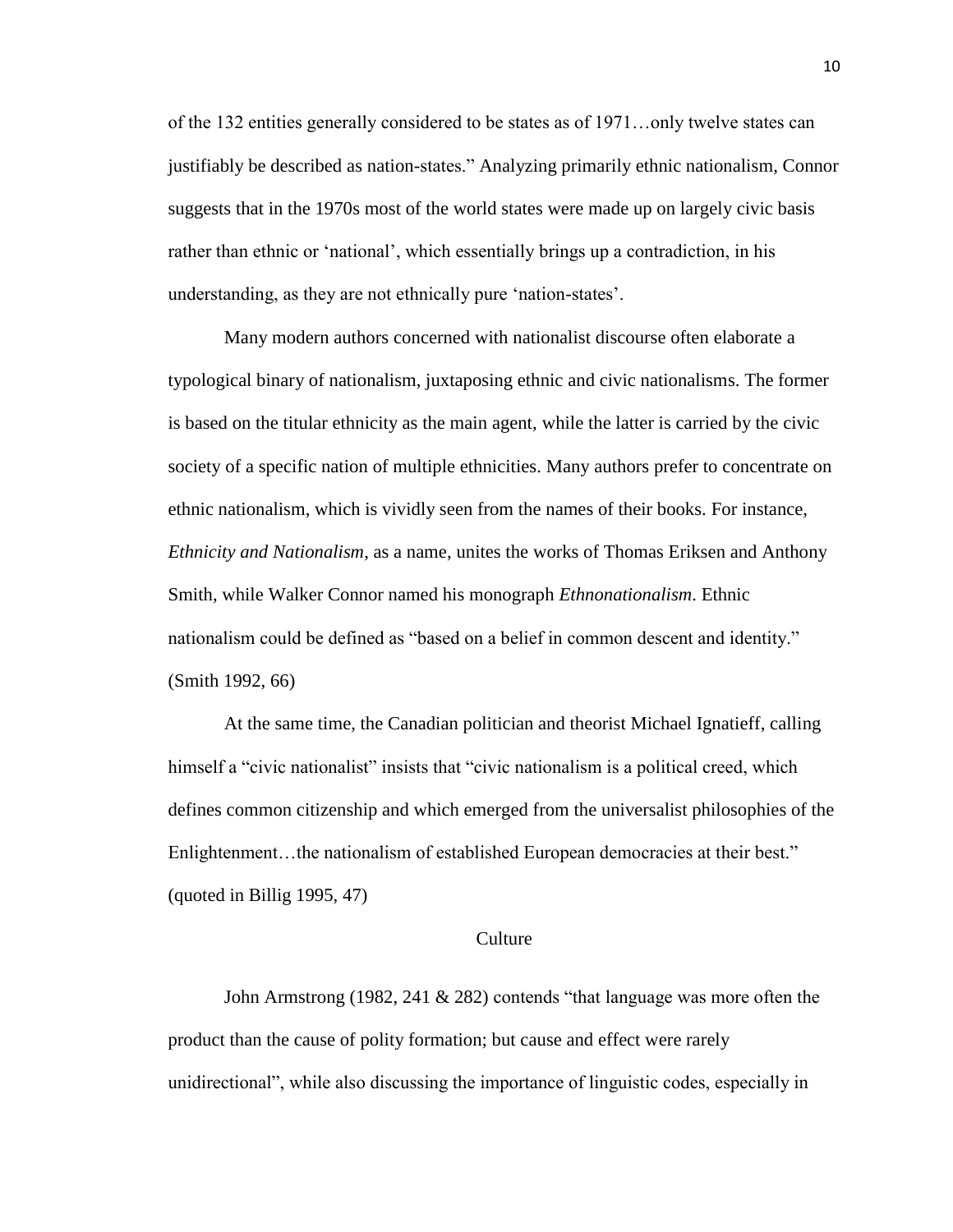of the 132 entities generally considered to be states as of 1971…only twelve states can justifiably be described as nation-states." Analyzing primarily ethnic nationalism, Connor suggests that in the 1970s most of the world states were made up on largely civic basis rather than ethnic or 'national', which essentially brings up a contradiction, in his understanding, as they are not ethnically pure 'nation-states'.

Many modern authors concerned with nationalist discourse often elaborate a typological binary of nationalism, juxtaposing ethnic and civic nationalisms. The former is based on the titular ethnicity as the main agent, while the latter is carried by the civic society of a specific nation of multiple ethnicities. Many authors prefer to concentrate on ethnic nationalism, which is vividly seen from the names of their books. For instance, *Ethnicity and Nationalism*, as a name, unites the works of Thomas Eriksen and Anthony Smith, while Walker Connor named his monograph *Ethnonationalism*. Ethnic nationalism could be defined as "based on a belief in common descent and identity." (Smith 1992, 66)

At the same time, the Canadian politician and theorist Michael Ignatieff, calling himself a "civic nationalist" insists that "civic nationalism is a political creed, which defines common citizenship and which emerged from the universalist philosophies of the Enlightenment...the nationalism of established European democracies at their best." (quoted in Billig 1995, 47)

#### Culture

John Armstrong (1982, 241 & 282) contends "that language was more often the product than the cause of polity formation; but cause and effect were rarely unidirectional", while also discussing the importance of linguistic codes, especially in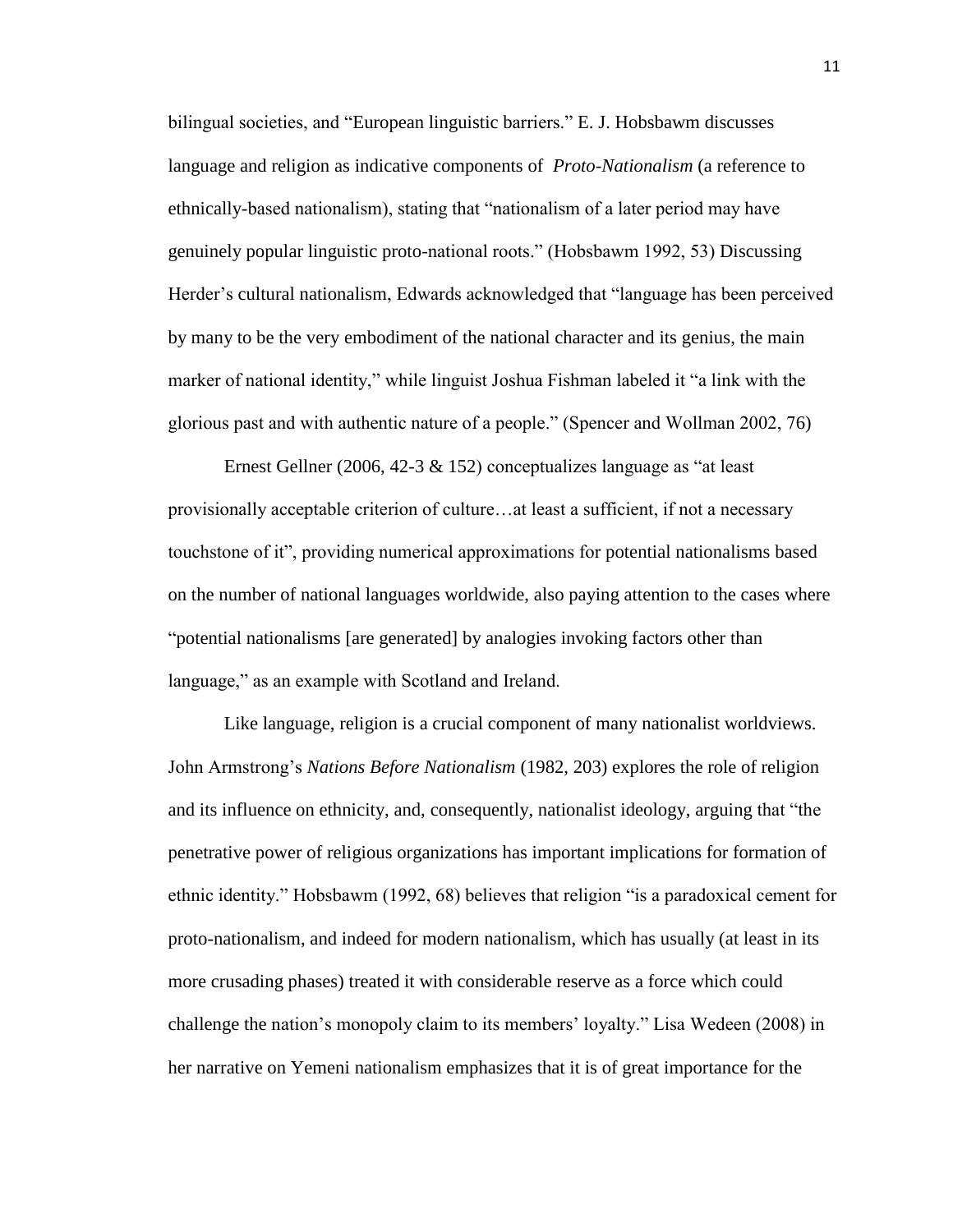bilingual societies, and "European linguistic barriers." E. J. Hobsbawm discusses language and religion as indicative components of *Proto-Nationalism* (a reference to ethnically-based nationalism), stating that "nationalism of a later period may have genuinely popular linguistic proto-national roots." (Hobsbawm 1992, 53) Discussing Herder's cultural nationalism, Edwards acknowledged that "language has been perceived by many to be the very embodiment of the national character and its genius, the main marker of national identity," while linguist Joshua Fishman labeled it "a link with the glorious past and with authentic nature of a people." (Spencer and Wollman 2002, 76)

Ernest Gellner (2006, 42-3 & 152) conceptualizes language as "at least provisionally acceptable criterion of culture…at least a sufficient, if not a necessary touchstone of it", providing numerical approximations for potential nationalisms based on the number of national languages worldwide, also paying attention to the cases where "potential nationalisms [are generated] by analogies invoking factors other than language," as an example with Scotland and Ireland.

Like language, religion is a crucial component of many nationalist worldviews. John Armstrong's *Nations Before Nationalism* (1982, 203) explores the role of religion and its influence on ethnicity, and, consequently, nationalist ideology, arguing that "the penetrative power of religious organizations has important implications for formation of ethnic identity." Hobsbawm (1992, 68) believes that religion "is a paradoxical cement for proto-nationalism, and indeed for modern nationalism, which has usually (at least in its more crusading phases) treated it with considerable reserve as a force which could challenge the nation's monopoly claim to its members' loyalty." Lisa Wedeen (2008) in her narrative on Yemeni nationalism emphasizes that it is of great importance for the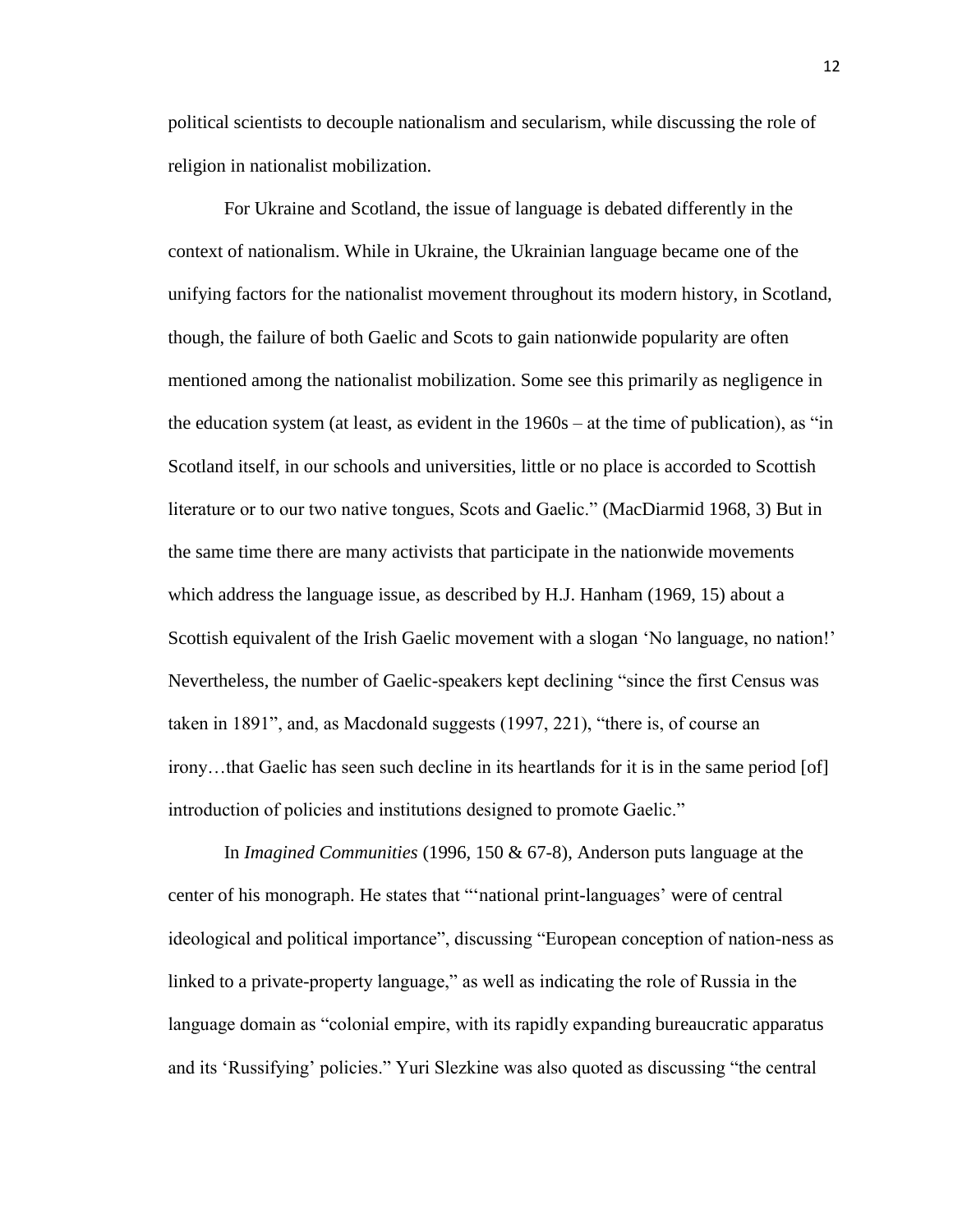political scientists to decouple nationalism and secularism, while discussing the role of religion in nationalist mobilization.

For Ukraine and Scotland, the issue of language is debated differently in the context of nationalism. While in Ukraine, the Ukrainian language became one of the unifying factors for the nationalist movement throughout its modern history, in Scotland, though, the failure of both Gaelic and Scots to gain nationwide popularity are often mentioned among the nationalist mobilization. Some see this primarily as negligence in the education system (at least, as evident in the 1960s – at the time of publication), as "in Scotland itself, in our schools and universities, little or no place is accorded to Scottish literature or to our two native tongues, Scots and Gaelic." (MacDiarmid 1968, 3) But in the same time there are many activists that participate in the nationwide movements which address the language issue, as described by H.J. Hanham (1969, 15) about a Scottish equivalent of the Irish Gaelic movement with a slogan 'No language, no nation!' Nevertheless, the number of Gaelic-speakers kept declining "since the first Census was taken in 1891", and, as Macdonald suggests (1997, 221), "there is, of course an irony…that Gaelic has seen such decline in its heartlands for it is in the same period [of] introduction of policies and institutions designed to promote Gaelic."

In *Imagined Communities* (1996, 150 & 67-8), Anderson puts language at the center of his monograph. He states that "'national print-languages' were of central ideological and political importance", discussing "European conception of nation-ness as linked to a private-property language," as well as indicating the role of Russia in the language domain as "colonial empire, with its rapidly expanding bureaucratic apparatus and its 'Russifying' policies." Yuri Slezkine was also quoted as discussing "the central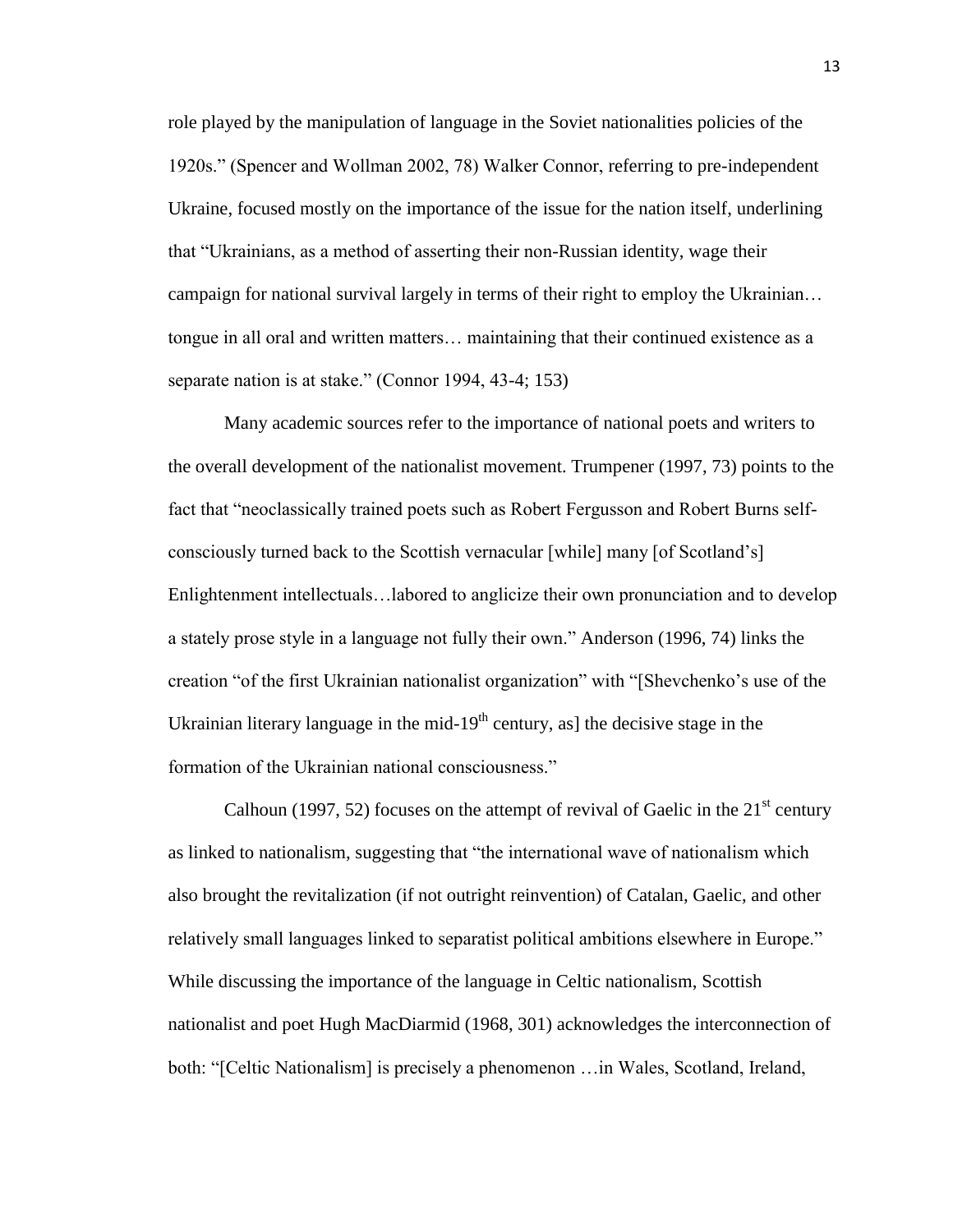role played by the manipulation of language in the Soviet nationalities policies of the 1920s." (Spencer and Wollman 2002, 78) Walker Connor, referring to pre-independent Ukraine, focused mostly on the importance of the issue for the nation itself, underlining that "Ukrainians, as a method of asserting their non-Russian identity, wage their campaign for national survival largely in terms of their right to employ the Ukrainian… tongue in all oral and written matters… maintaining that their continued existence as a separate nation is at stake." (Connor 1994, 43-4; 153)

Many academic sources refer to the importance of national poets and writers to the overall development of the nationalist movement. Trumpener (1997, 73) points to the fact that "neoclassically trained poets such as Robert Fergusson and Robert Burns selfconsciously turned back to the Scottish vernacular [while] many [of Scotland's] Enlightenment intellectuals…labored to anglicize their own pronunciation and to develop a stately prose style in a language not fully their own." Anderson (1996, 74) links the creation "of the first Ukrainian nationalist organization" with "[Shevchenko's use of the Ukrainian literary language in the mid-19<sup>th</sup> century, as] the decisive stage in the formation of the Ukrainian national consciousness."

Calhoun (1997, 52) focuses on the attempt of revival of Gaelic in the  $21<sup>st</sup>$  century as linked to nationalism, suggesting that "the international wave of nationalism which also brought the revitalization (if not outright reinvention) of Catalan, Gaelic, and other relatively small languages linked to separatist political ambitions elsewhere in Europe." While discussing the importance of the language in Celtic nationalism, Scottish nationalist and poet Hugh MacDiarmid (1968, 301) acknowledges the interconnection of both: "[Celtic Nationalism] is precisely a phenomenon …in Wales, Scotland, Ireland,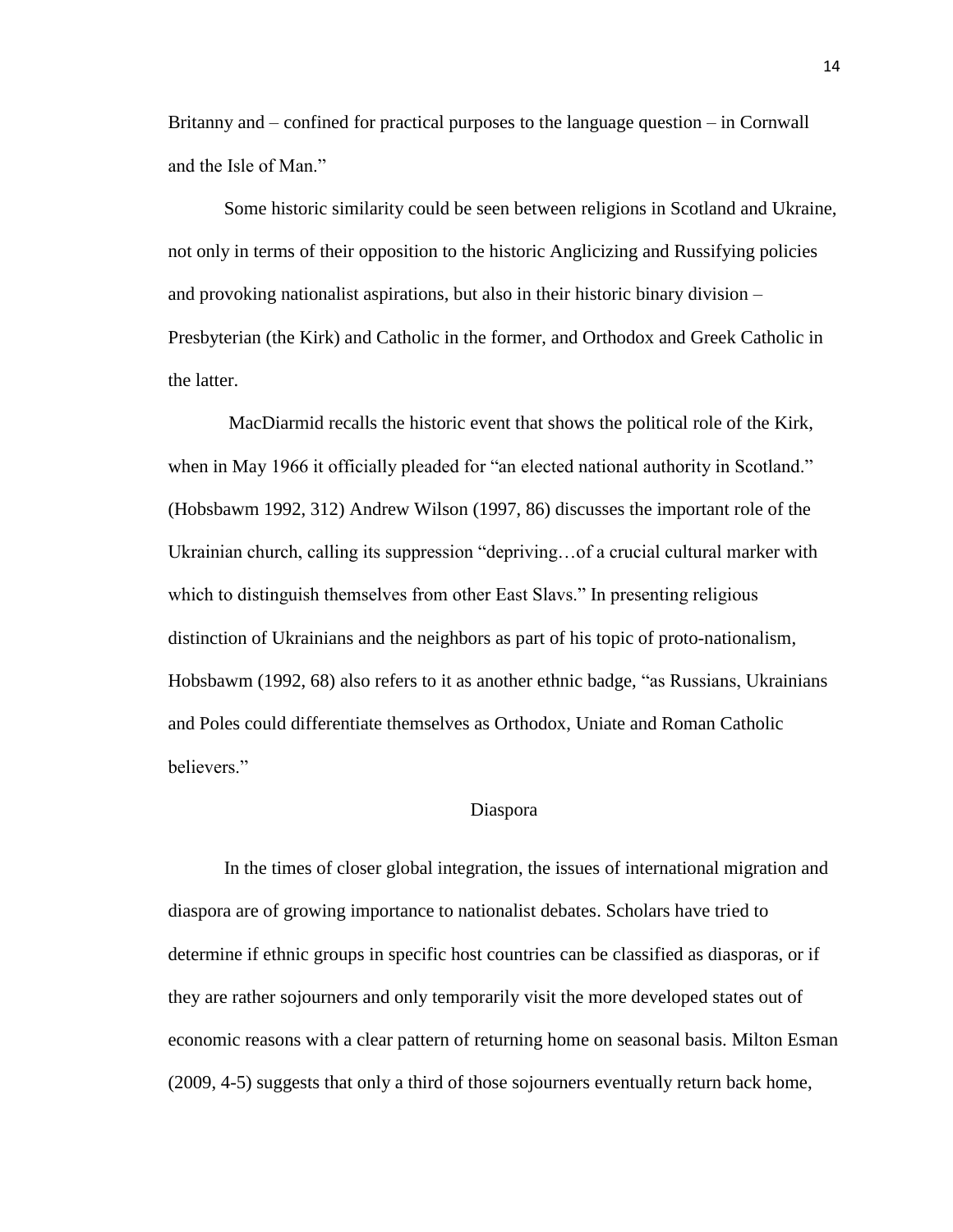Britanny and – confined for practical purposes to the language question – in Cornwall and the Isle of Man."

Some historic similarity could be seen between religions in Scotland and Ukraine, not only in terms of their opposition to the historic Anglicizing and Russifying policies and provoking nationalist aspirations, but also in their historic binary division – Presbyterian (the Kirk) and Catholic in the former, and Orthodox and Greek Catholic in the latter.

MacDiarmid recalls the historic event that shows the political role of the Kirk, when in May 1966 it officially pleaded for "an elected national authority in Scotland." (Hobsbawm 1992, 312) Andrew Wilson (1997, 86) discusses the important role of the Ukrainian church, calling its suppression "depriving…of a crucial cultural marker with which to distinguish themselves from other East Slavs." In presenting religious distinction of Ukrainians and the neighbors as part of his topic of proto-nationalism, Hobsbawm (1992, 68) also refers to it as another ethnic badge, "as Russians, Ukrainians and Poles could differentiate themselves as Orthodox, Uniate and Roman Catholic believers."

#### Diaspora

In the times of closer global integration, the issues of international migration and diaspora are of growing importance to nationalist debates. Scholars have tried to determine if ethnic groups in specific host countries can be classified as diasporas, or if they are rather sojourners and only temporarily visit the more developed states out of economic reasons with a clear pattern of returning home on seasonal basis. Milton Esman (2009, 4-5) suggests that only a third of those sojourners eventually return back home,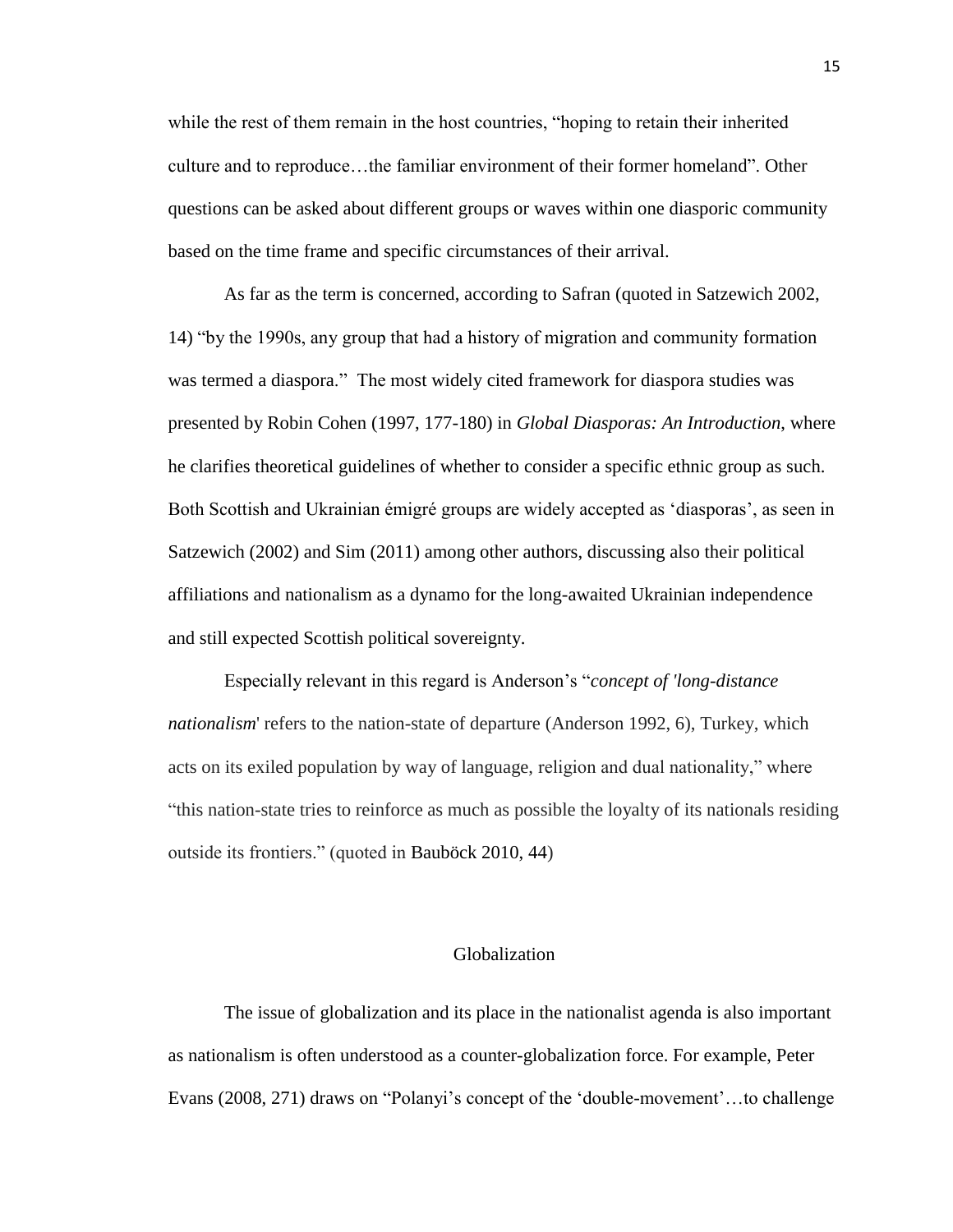while the rest of them remain in the host countries, "hoping to retain their inherited culture and to reproduce…the familiar environment of their former homeland". Other questions can be asked about different groups or waves within one diasporic community based on the time frame and specific circumstances of their arrival.

As far as the term is concerned, according to Safran (quoted in Satzewich 2002, 14) "by the 1990s, any group that had a history of migration and community formation was termed a diaspora." The most widely cited framework for diaspora studies was presented by Robin Cohen (1997, 177-180) in *Global Diasporas: An Introduction*, where he clarifies theoretical guidelines of whether to consider a specific ethnic group as such. Both Scottish and Ukrainian émigré groups are widely accepted as 'diasporas', as seen in Satzewich (2002) and Sim (2011) among other authors, discussing also their political affiliations and nationalism as a dynamo for the long-awaited Ukrainian independence and still expected Scottish political sovereignty.

Especially relevant in this regard is Anderson's "*concept of 'long-distance nationalism*' refers to the nation-state of departure (Anderson 1992, 6), Turkey, which acts on its exiled population by way of language, religion and dual nationality," where "this nation-state tries to reinforce as much as possible the loyalty of its nationals residing outside its frontiers." (quoted in Bauböck 2010, 44)

# Globalization

The issue of globalization and its place in the nationalist agenda is also important as nationalism is often understood as a counter-globalization force. For example, Peter Evans (2008, 271) draws on "Polanyi's concept of the 'double-movement'…to challenge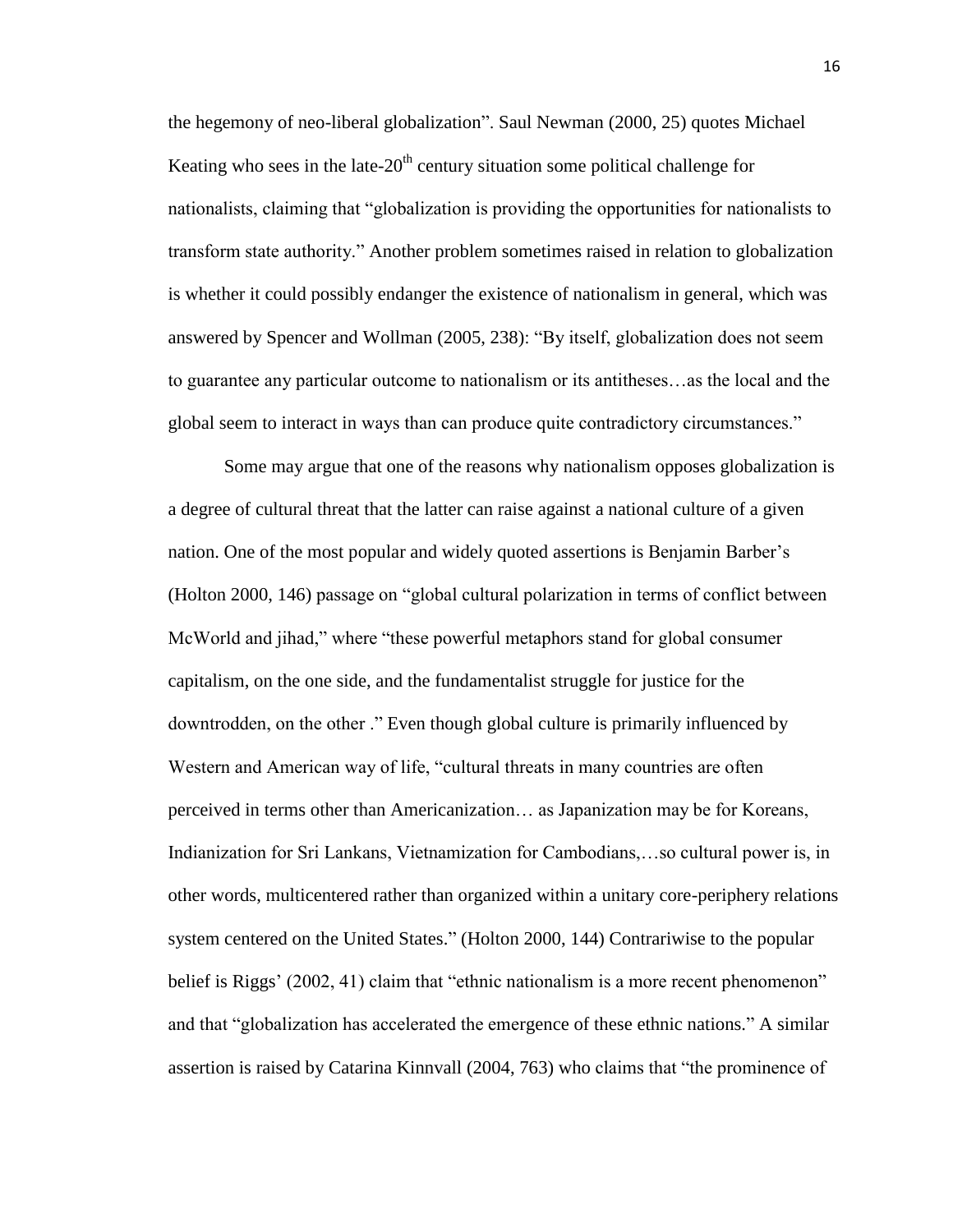the hegemony of neo-liberal globalization". Saul Newman (2000, 25) quotes Michael Keating who sees in the late- $20<sup>th</sup>$  century situation some political challenge for nationalists, claiming that "globalization is providing the opportunities for nationalists to transform state authority." Another problem sometimes raised in relation to globalization is whether it could possibly endanger the existence of nationalism in general, which was answered by Spencer and Wollman (2005, 238): "By itself, globalization does not seem to guarantee any particular outcome to nationalism or its antitheses…as the local and the global seem to interact in ways than can produce quite contradictory circumstances."

Some may argue that one of the reasons why nationalism opposes globalization is a degree of cultural threat that the latter can raise against a national culture of a given nation. One of the most popular and widely quoted assertions is Benjamin Barber's (Holton 2000, 146) passage on "global cultural polarization in terms of conflict between McWorld and jihad," where "these powerful metaphors stand for global consumer capitalism, on the one side, and the fundamentalist struggle for justice for the downtrodden, on the other ." Even though global culture is primarily influenced by Western and American way of life, "cultural threats in many countries are often perceived in terms other than Americanization… as Japanization may be for Koreans, Indianization for Sri Lankans, Vietnamization for Cambodians,…so cultural power is, in other words, multicentered rather than organized within a unitary core-periphery relations system centered on the United States." (Holton 2000, 144) Contrariwise to the popular belief is Riggs' (2002, 41) claim that "ethnic nationalism is a more recent phenomenon" and that "globalization has accelerated the emergence of these ethnic nations." A similar assertion is raised by Catarina Kinnvall (2004, 763) who claims that "the prominence of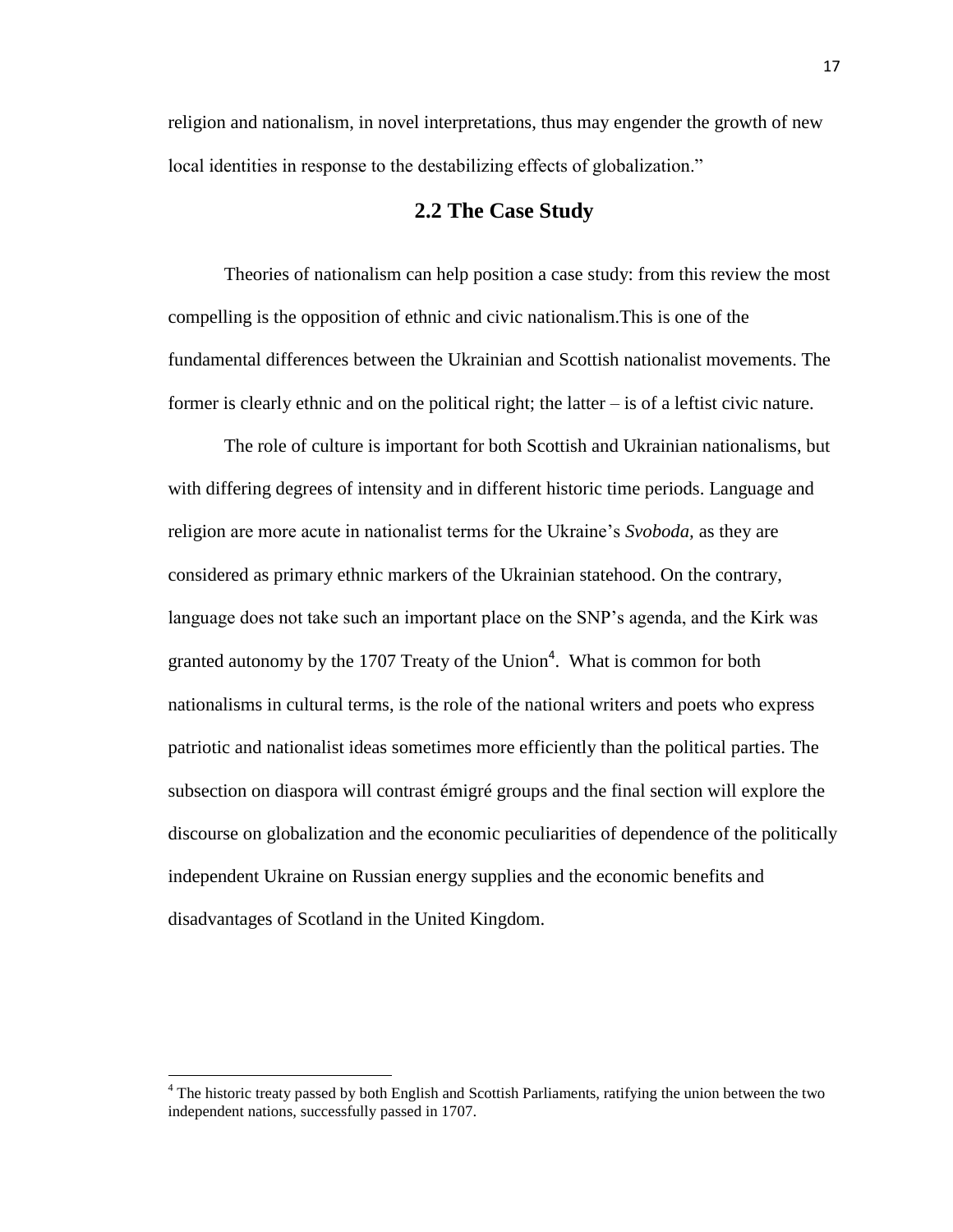religion and nationalism, in novel interpretations, thus may engender the growth of new local identities in response to the destabilizing effects of globalization."

# **2.2 The Case Study**

Theories of nationalism can help position a case study: from this review the most compelling is the opposition of ethnic and civic nationalism.This is one of the fundamental differences between the Ukrainian and Scottish nationalist movements. The former is clearly ethnic and on the political right; the latter – is of a leftist civic nature.

The role of culture is important for both Scottish and Ukrainian nationalisms, but with differing degrees of intensity and in different historic time periods. Language and religion are more acute in nationalist terms for the Ukraine's *Svoboda,* as they are considered as primary ethnic markers of the Ukrainian statehood. On the contrary, language does not take such an important place on the SNP's agenda, and the Kirk was granted autonomy by the 1707 Treaty of the Union<sup>4</sup>. What is common for both nationalisms in cultural terms, is the role of the national writers and poets who express patriotic and nationalist ideas sometimes more efficiently than the political parties. The subsection on diaspora will contrast émigré groups and the final section will explore the discourse on globalization and the economic peculiarities of dependence of the politically independent Ukraine on Russian energy supplies and the economic benefits and disadvantages of Scotland in the United Kingdom.

 $\overline{\phantom{a}}$ 

<sup>&</sup>lt;sup>4</sup> The historic treaty passed by both English and Scottish Parliaments, ratifying the union between the two independent nations, successfully passed in 1707.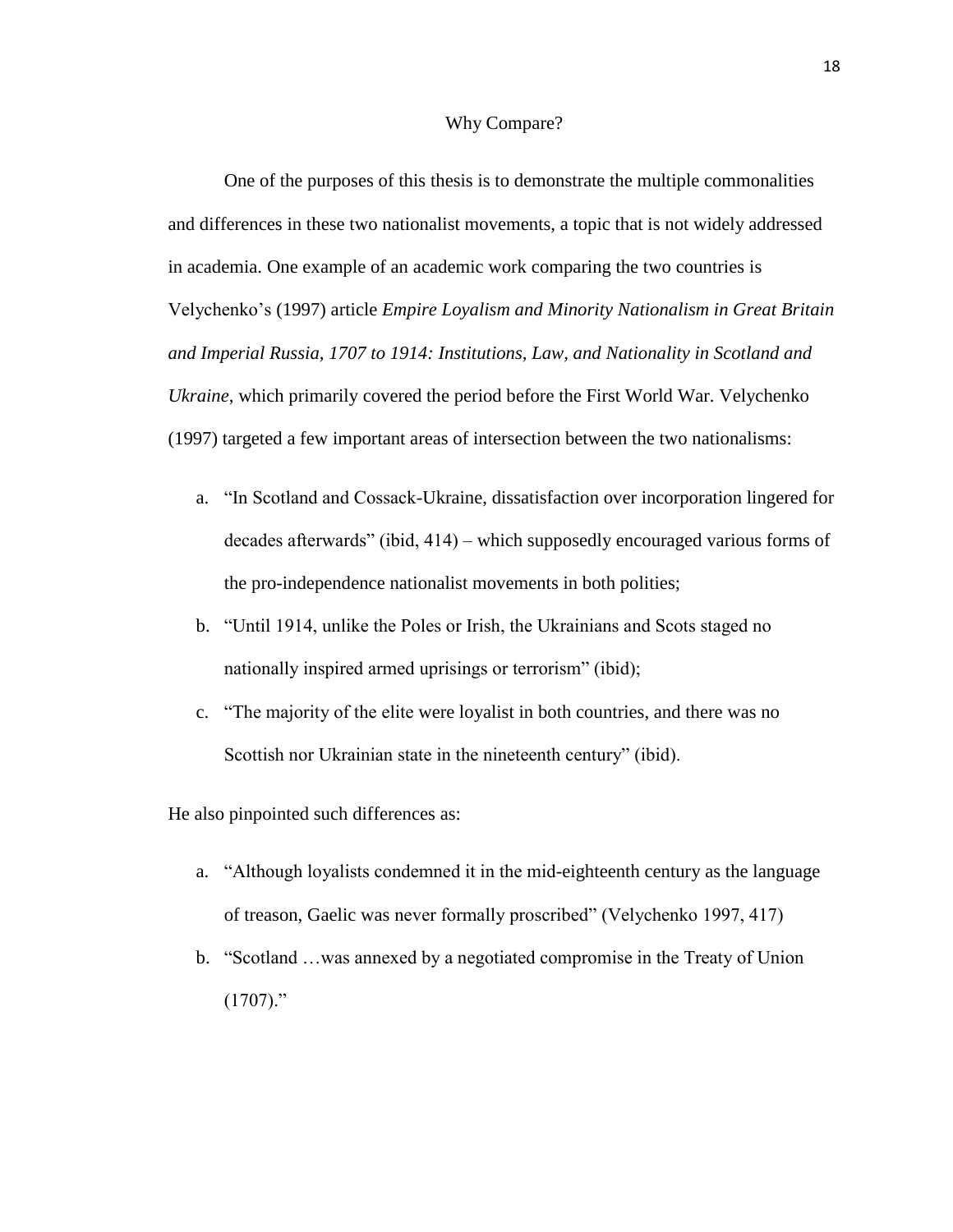#### Why Compare?

One of the purposes of this thesis is to demonstrate the multiple commonalities and differences in these two nationalist movements, a topic that is not widely addressed in academia. One example of an academic work comparing the two countries is Velychenko's (1997) article *Empire Loyalism and Minority Nationalism in Great Britain and Imperial Russia, 1707 to 1914: Institutions, Law, and Nationality in Scotland and Ukraine*, which primarily covered the period before the First World War. Velychenko (1997) targeted a few important areas of intersection between the two nationalisms:

- a. "In Scotland and Cossack-Ukraine, dissatisfaction over incorporation lingered for decades afterwards" (ibid, 414) – which supposedly encouraged various forms of the pro-independence nationalist movements in both polities;
- b. "Until 1914, unlike the Poles or Irish, the Ukrainians and Scots staged no nationally inspired armed uprisings or terrorism" (ibid);
- c. "The majority of the elite were loyalist in both countries, and there was no Scottish nor Ukrainian state in the nineteenth century" (ibid).

He also pinpointed such differences as:

- a. "Although loyalists condemned it in the mid-eighteenth century as the language of treason, Gaelic was never formally proscribed" (Velychenko 1997, 417)
- b. "Scotland …was annexed by a negotiated compromise in the Treaty of Union  $(1707)$ ."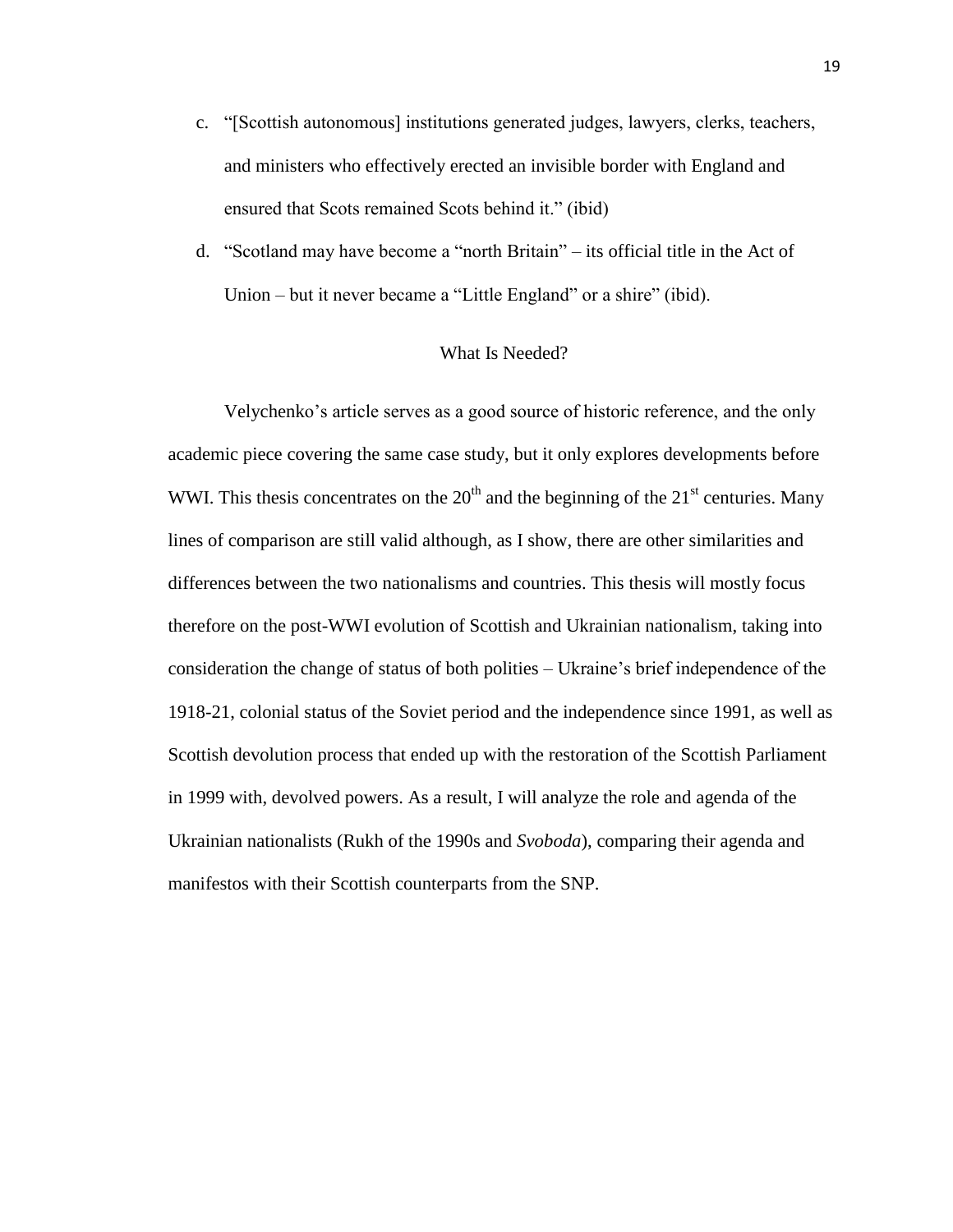- c. "[Scottish autonomous] institutions generated judges, lawyers, clerks, teachers, and ministers who effectively erected an invisible border with England and ensured that Scots remained Scots behind it." (ibid)
- d. "Scotland may have become a "north Britain" its official title in the Act of Union – but it never became a "Little England" or a shire" (ibid).

# What Is Needed?

Velychenko's article serves as a good source of historic reference, and the only academic piece covering the same case study, but it only explores developments before WWI. This thesis concentrates on the  $20<sup>th</sup>$  and the beginning of the  $21<sup>st</sup>$  centuries. Many lines of comparison are still valid although, as I show, there are other similarities and differences between the two nationalisms and countries. This thesis will mostly focus therefore on the post-WWI evolution of Scottish and Ukrainian nationalism, taking into consideration the change of status of both polities – Ukraine's brief independence of the 1918-21, colonial status of the Soviet period and the independence since 1991, as well as Scottish devolution process that ended up with the restoration of the Scottish Parliament in 1999 with, devolved powers. As a result, I will analyze the role and agenda of the Ukrainian nationalists (Rukh of the 1990s and *Svoboda*), comparing their agenda and manifestos with their Scottish counterparts from the SNP.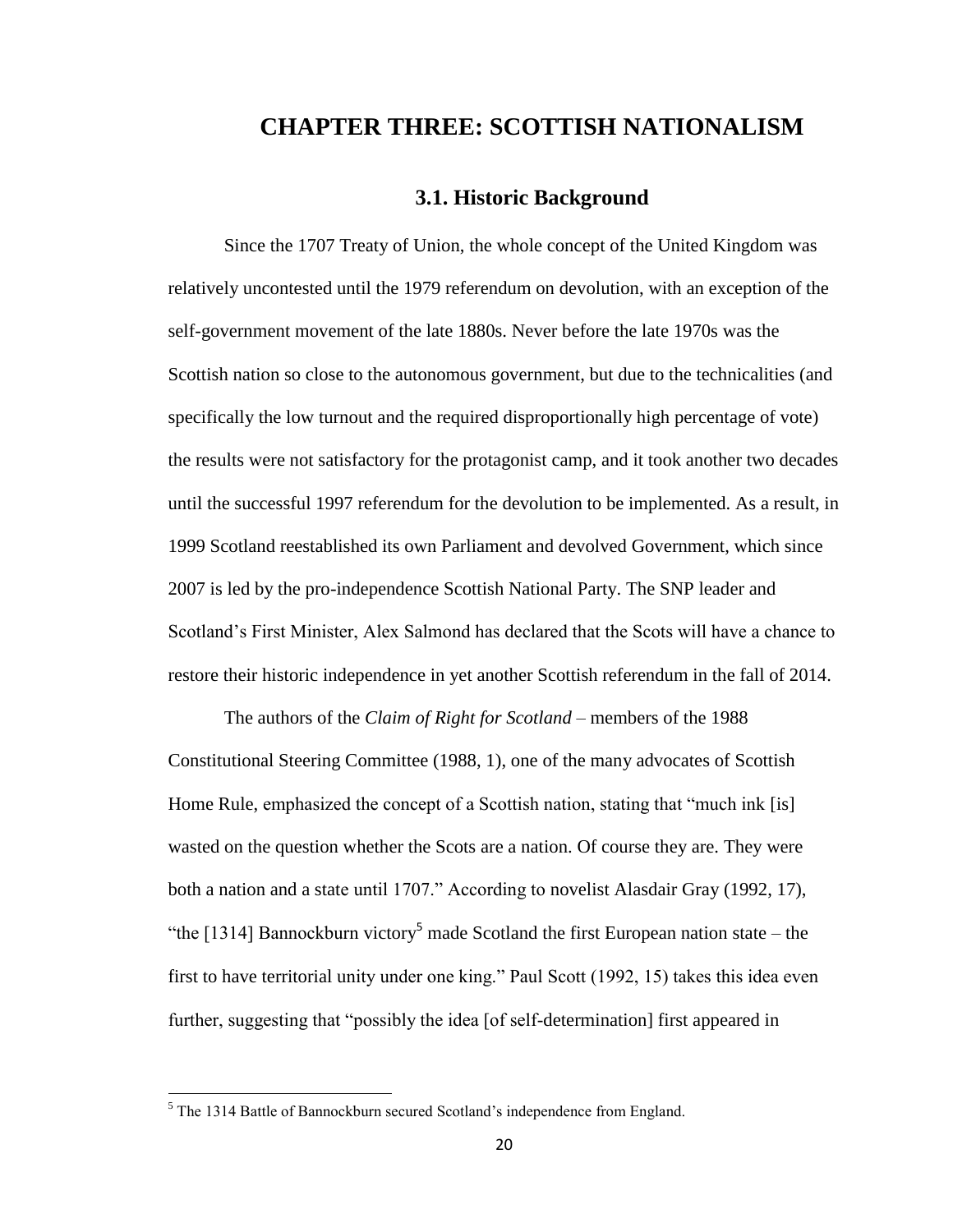# **CHAPTER THREE: SCOTTISH NATIONALISM**

# **3.1. Historic Background**

Since the 1707 Treaty of Union, the whole concept of the United Kingdom was relatively uncontested until the 1979 referendum on devolution, with an exception of the self-government movement of the late 1880s. Never before the late 1970s was the Scottish nation so close to the autonomous government, but due to the technicalities (and specifically the low turnout and the required disproportionally high percentage of vote) the results were not satisfactory for the protagonist camp, and it took another two decades until the successful 1997 referendum for the devolution to be implemented. As a result, in 1999 Scotland reestablished its own Parliament and devolved Government, which since 2007 is led by the pro-independence Scottish National Party. The SNP leader and Scotland's First Minister, Alex Salmond has declared that the Scots will have a chance to restore their historic independence in yet another Scottish referendum in the fall of 2014.

The authors of the *Claim of Right for Scotland* – members of the 1988 Constitutional Steering Committee (1988, 1), one of the many advocates of Scottish Home Rule, emphasized the concept of a Scottish nation, stating that "much ink [is] wasted on the question whether the Scots are a nation. Of course they are. They were both a nation and a state until 1707." According to novelist Alasdair Gray (1992, 17), "the [1314] Bannockburn victory<sup>5</sup> made Scotland the first European nation state – the first to have territorial unity under one king." Paul Scott (1992, 15) takes this idea even further, suggesting that "possibly the idea [of self-determination] first appeared in

 $\overline{\phantom{a}}$ 

<sup>5</sup> The 1314 Battle of Bannockburn secured Scotland's independence from England.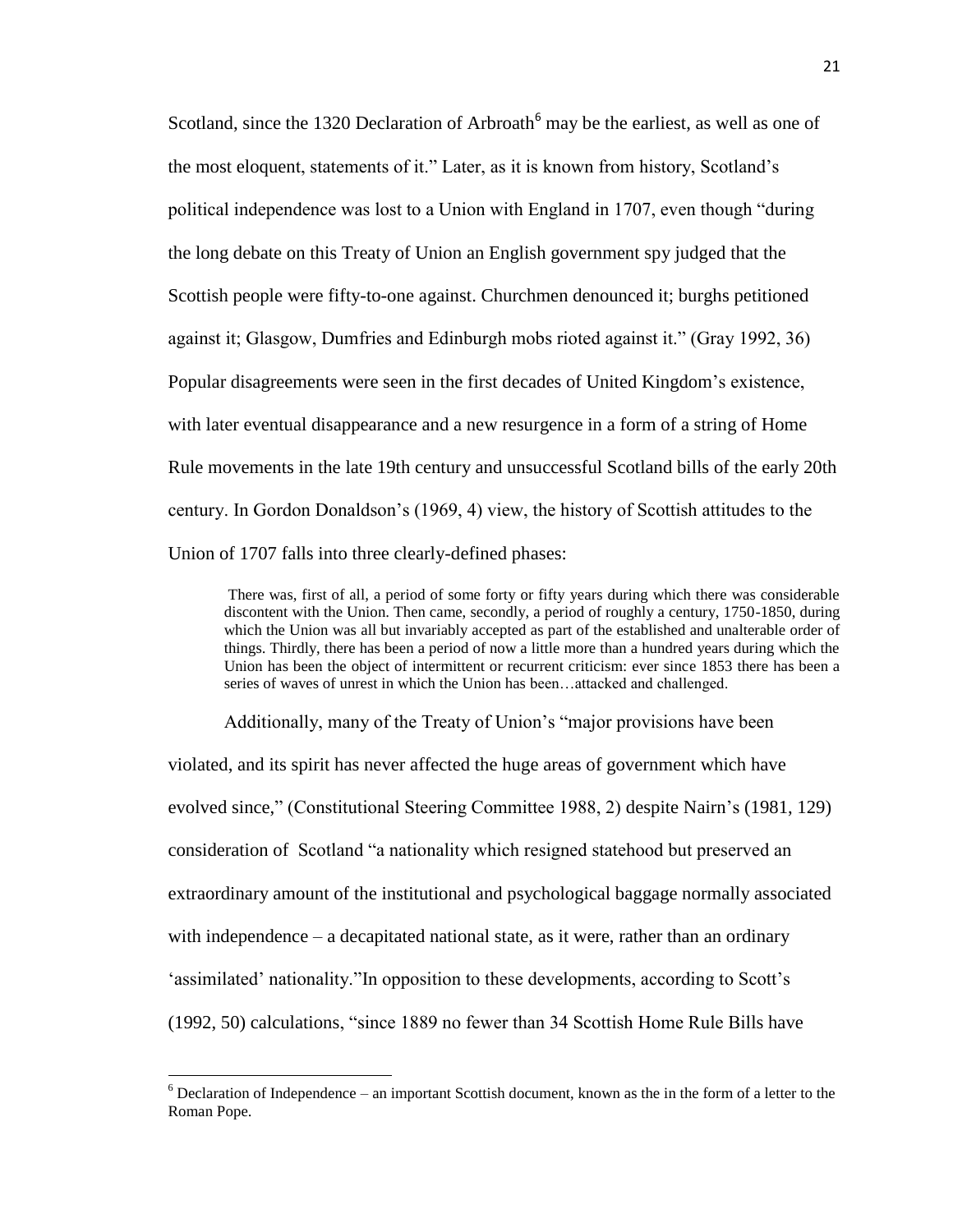Scotland, since the 1320 Declaration of Arbroath<sup>6</sup> may be the earliest, as well as one of the most eloquent, statements of it." Later, as it is known from history, Scotland's political independence was lost to a Union with England in 1707, even though "during the long debate on this Treaty of Union an English government spy judged that the Scottish people were fifty-to-one against. Churchmen denounced it; burghs petitioned against it; Glasgow, Dumfries and Edinburgh mobs rioted against it." (Gray 1992, 36) Popular disagreements were seen in the first decades of United Kingdom's existence, with later eventual disappearance and a new resurgence in a form of a string of Home Rule movements in the late 19th century and unsuccessful Scotland bills of the early 20th century. In Gordon Donaldson's (1969, 4) view, the history of Scottish attitudes to the Union of 1707 falls into three clearly-defined phases:

There was, first of all, a period of some forty or fifty years during which there was considerable discontent with the Union. Then came, secondly, a period of roughly a century, 1750-1850, during which the Union was all but invariably accepted as part of the established and unalterable order of things. Thirdly, there has been a period of now a little more than a hundred years during which the Union has been the object of intermittent or recurrent criticism: ever since 1853 there has been a series of waves of unrest in which the Union has been…attacked and challenged.

Additionally, many of the Treaty of Union's "major provisions have been

violated, and its spirit has never affected the huge areas of government which have evolved since," (Constitutional Steering Committee 1988, 2) despite Nairn's (1981, 129) consideration of Scotland "a nationality which resigned statehood but preserved an extraordinary amount of the institutional and psychological baggage normally associated with independence – a decapitated national state, as it were, rather than an ordinary 'assimilated' nationality."In opposition to these developments, according to Scott's (1992, 50) calculations, "since 1889 no fewer than 34 Scottish Home Rule Bills have

 $\overline{\phantom{a}}$ 

 $6$  Declaration of Independence – an important Scottish document, known as the in the form of a letter to the Roman Pope.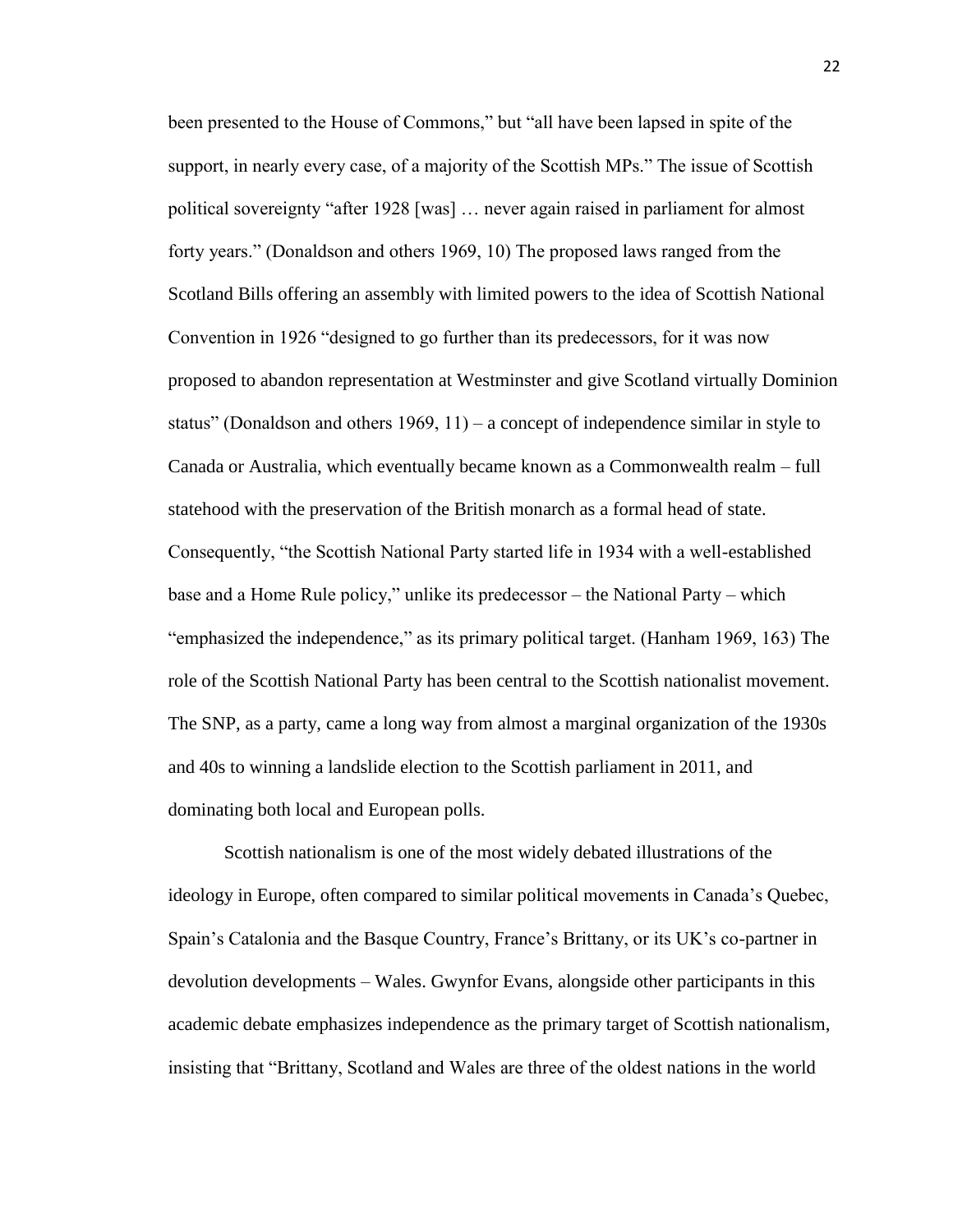been presented to the House of Commons," but "all have been lapsed in spite of the support, in nearly every case, of a majority of the Scottish MPs." The issue of Scottish political sovereignty "after 1928 [was] … never again raised in parliament for almost forty years." (Donaldson and others 1969, 10) The proposed laws ranged from the Scotland Bills offering an assembly with limited powers to the idea of Scottish National Convention in 1926 "designed to go further than its predecessors, for it was now proposed to abandon representation at Westminster and give Scotland virtually Dominion status" (Donaldson and others  $1969$ ,  $11$ ) – a concept of independence similar in style to Canada or Australia, which eventually became known as a Commonwealth realm – full statehood with the preservation of the British monarch as a formal head of state. Consequently, "the Scottish National Party started life in 1934 with a well-established base and a Home Rule policy," unlike its predecessor – the National Party – which "emphasized the independence," as its primary political target. (Hanham 1969, 163) The role of the Scottish National Party has been central to the Scottish nationalist movement. The SNP, as a party, came a long way from almost a marginal organization of the 1930s and 40s to winning a landslide election to the Scottish parliament in 2011, and dominating both local and European polls.

Scottish nationalism is one of the most widely debated illustrations of the ideology in Europe, often compared to similar political movements in Canada's Quebec, Spain's Catalonia and the Basque Country, France's Brittany, or its UK's co-partner in devolution developments – Wales. Gwynfor Evans, alongside other participants in this academic debate emphasizes independence as the primary target of Scottish nationalism, insisting that "Brittany, Scotland and Wales are three of the oldest nations in the world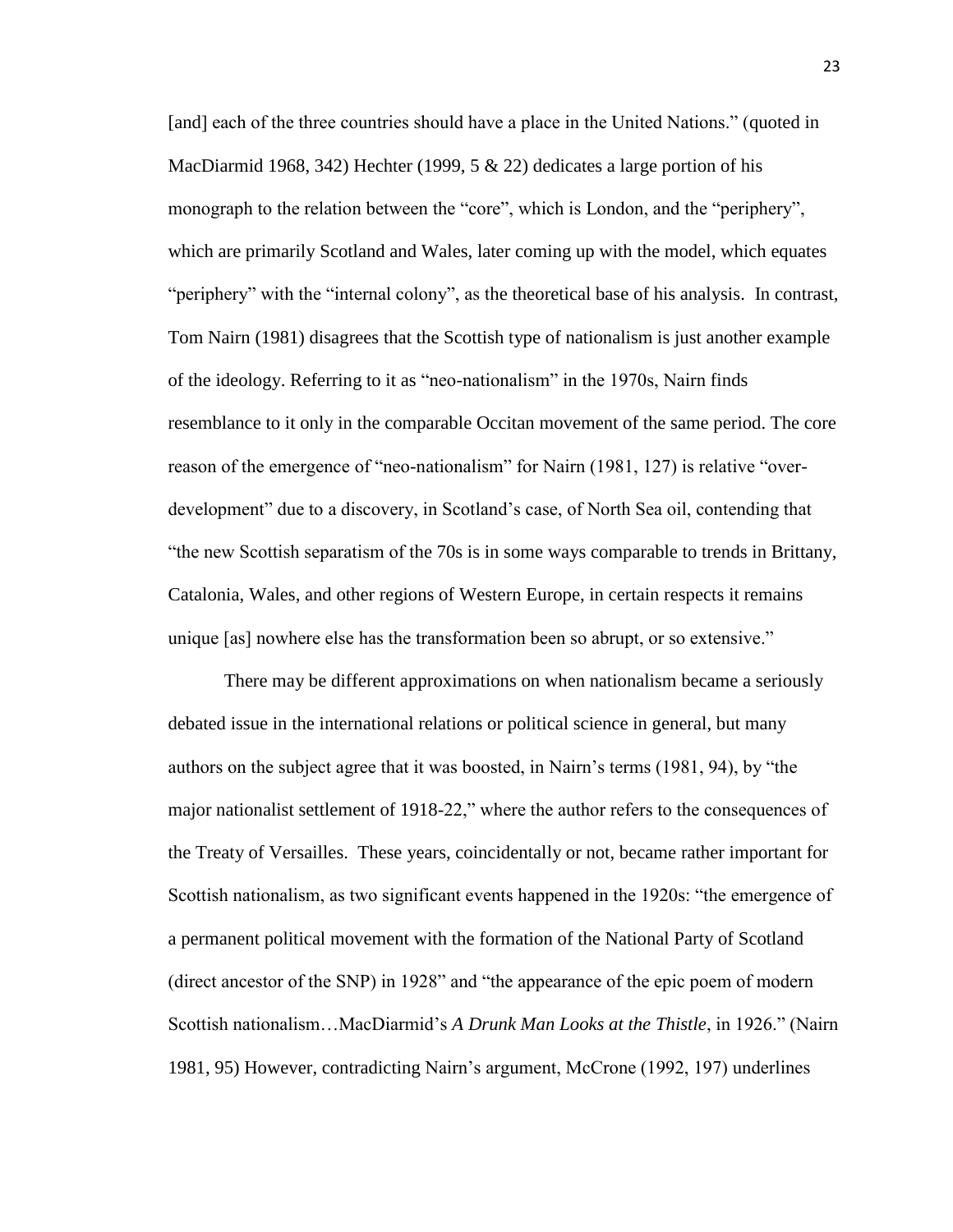[and] each of the three countries should have a place in the United Nations." (quoted in MacDiarmid 1968, 342) Hechter (1999, 5  $&$  22) dedicates a large portion of his monograph to the relation between the "core", which is London, and the "periphery", which are primarily Scotland and Wales, later coming up with the model, which equates "periphery" with the "internal colony", as the theoretical base of his analysis. In contrast, Tom Nairn (1981) disagrees that the Scottish type of nationalism is just another example of the ideology. Referring to it as "neo-nationalism" in the 1970s, Nairn finds resemblance to it only in the comparable Occitan movement of the same period. The core reason of the emergence of "neo-nationalism" for Nairn (1981, 127) is relative "overdevelopment" due to a discovery, in Scotland's case, of North Sea oil, contending that "the new Scottish separatism of the 70s is in some ways comparable to trends in Brittany, Catalonia, Wales, and other regions of Western Europe, in certain respects it remains unique [as] nowhere else has the transformation been so abrupt, or so extensive."

There may be different approximations on when nationalism became a seriously debated issue in the international relations or political science in general, but many authors on the subject agree that it was boosted, in Nairn's terms (1981, 94), by "the major nationalist settlement of 1918-22," where the author refers to the consequences of the Treaty of Versailles. These years, coincidentally or not, became rather important for Scottish nationalism, as two significant events happened in the 1920s: "the emergence of a permanent political movement with the formation of the National Party of Scotland (direct ancestor of the SNP) in 1928" and "the appearance of the epic poem of modern Scottish nationalism…MacDiarmid's *A Drunk Man Looks at the Thistle*, in 1926." (Nairn 1981, 95) However, contradicting Nairn's argument, McCrone (1992, 197) underlines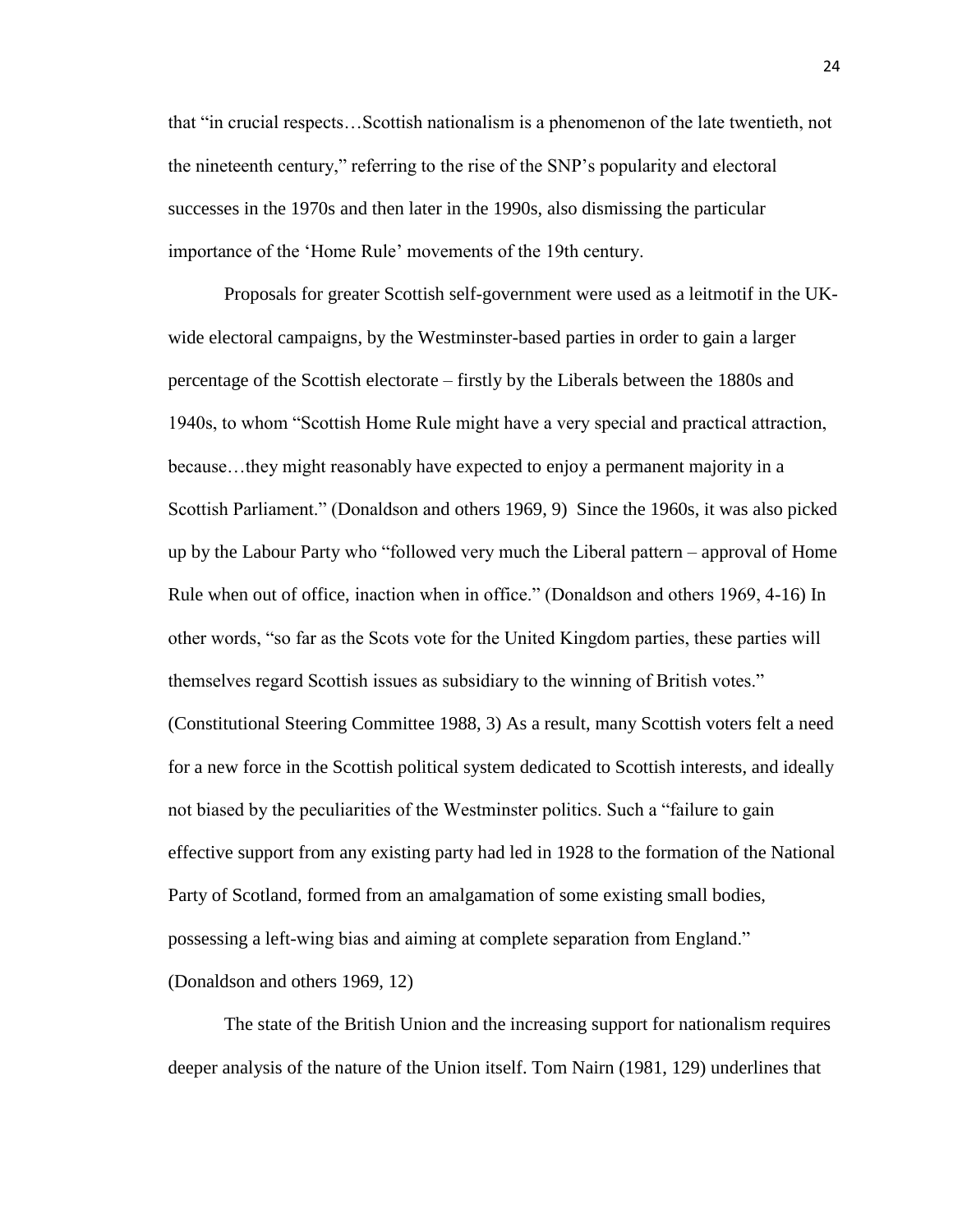that "in crucial respects…Scottish nationalism is a phenomenon of the late twentieth, not the nineteenth century," referring to the rise of the SNP's popularity and electoral successes in the 1970s and then later in the 1990s, also dismissing the particular importance of the 'Home Rule' movements of the 19th century.

Proposals for greater Scottish self-government were used as a leitmotif in the UKwide electoral campaigns, by the Westminster-based parties in order to gain a larger percentage of the Scottish electorate – firstly by the Liberals between the 1880s and 1940s, to whom "Scottish Home Rule might have a very special and practical attraction, because…they might reasonably have expected to enjoy a permanent majority in a Scottish Parliament." (Donaldson and others 1969, 9) Since the 1960s, it was also picked up by the Labour Party who "followed very much the Liberal pattern – approval of Home Rule when out of office, inaction when in office." (Donaldson and others 1969, 4-16) In other words, "so far as the Scots vote for the United Kingdom parties, these parties will themselves regard Scottish issues as subsidiary to the winning of British votes." (Constitutional Steering Committee 1988, 3) As a result, many Scottish voters felt a need for a new force in the Scottish political system dedicated to Scottish interests, and ideally not biased by the peculiarities of the Westminster politics. Such a "failure to gain effective support from any existing party had led in 1928 to the formation of the National Party of Scotland, formed from an amalgamation of some existing small bodies, possessing a left-wing bias and aiming at complete separation from England." (Donaldson and others 1969, 12)

The state of the British Union and the increasing support for nationalism requires deeper analysis of the nature of the Union itself. Tom Nairn (1981, 129) underlines that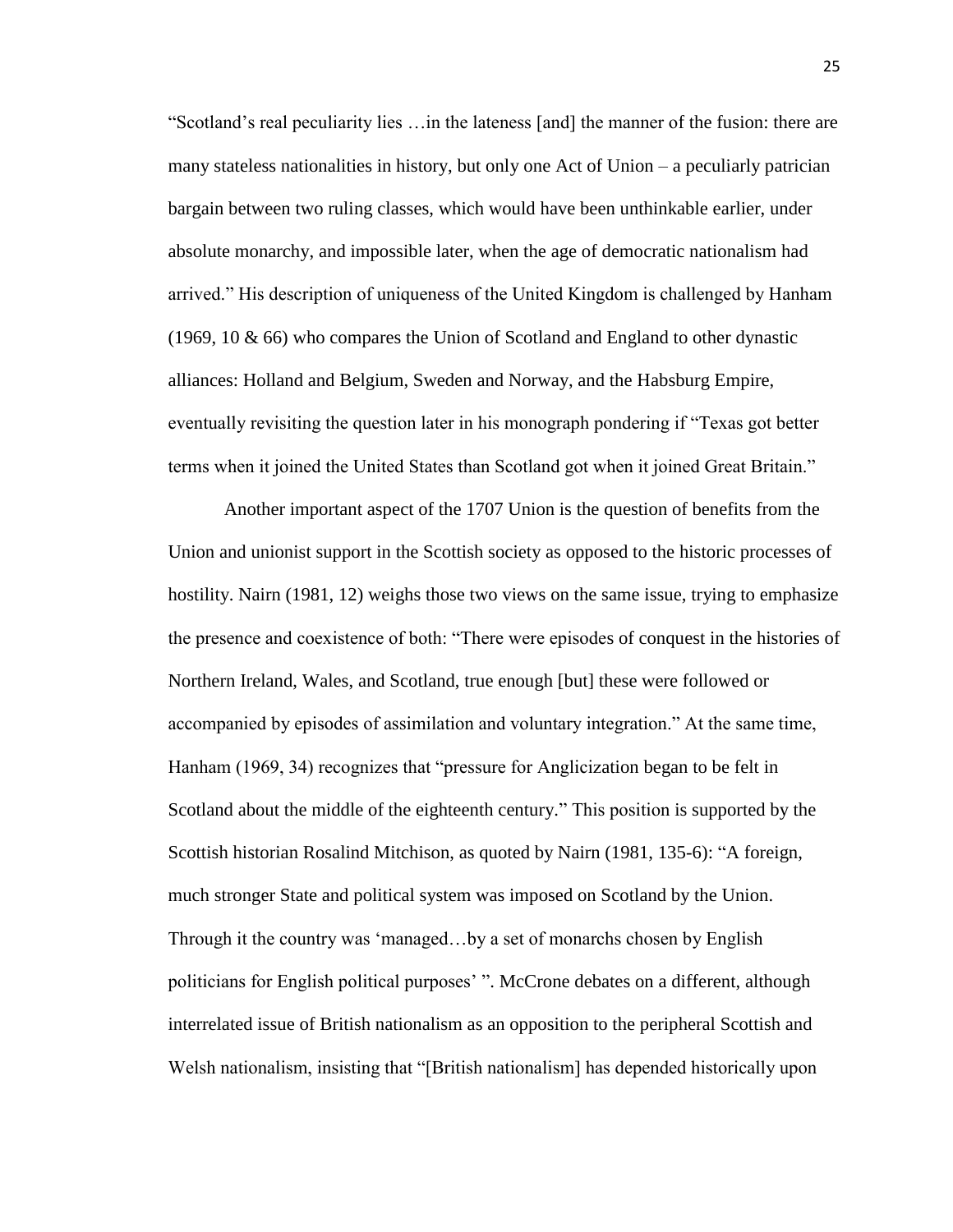"Scotland's real peculiarity lies …in the lateness [and] the manner of the fusion: there are many stateless nationalities in history, but only one Act of Union – a peculiarly patrician bargain between two ruling classes, which would have been unthinkable earlier, under absolute monarchy, and impossible later, when the age of democratic nationalism had arrived." His description of uniqueness of the United Kingdom is challenged by Hanham  $(1969, 10 \& 66)$  who compares the Union of Scotland and England to other dynastic alliances: Holland and Belgium, Sweden and Norway, and the Habsburg Empire, eventually revisiting the question later in his monograph pondering if "Texas got better terms when it joined the United States than Scotland got when it joined Great Britain."

Another important aspect of the 1707 Union is the question of benefits from the Union and unionist support in the Scottish society as opposed to the historic processes of hostility. Nairn (1981, 12) weighs those two views on the same issue, trying to emphasize the presence and coexistence of both: "There were episodes of conquest in the histories of Northern Ireland, Wales, and Scotland, true enough [but] these were followed or accompanied by episodes of assimilation and voluntary integration." At the same time, Hanham (1969, 34) recognizes that "pressure for Anglicization began to be felt in Scotland about the middle of the eighteenth century." This position is supported by the Scottish historian Rosalind Mitchison, as quoted by Nairn (1981, 135-6): "A foreign, much stronger State and political system was imposed on Scotland by the Union. Through it the country was 'managed…by a set of monarchs chosen by English politicians for English political purposes' ". McCrone debates on a different, although interrelated issue of British nationalism as an opposition to the peripheral Scottish and Welsh nationalism, insisting that "[British nationalism] has depended historically upon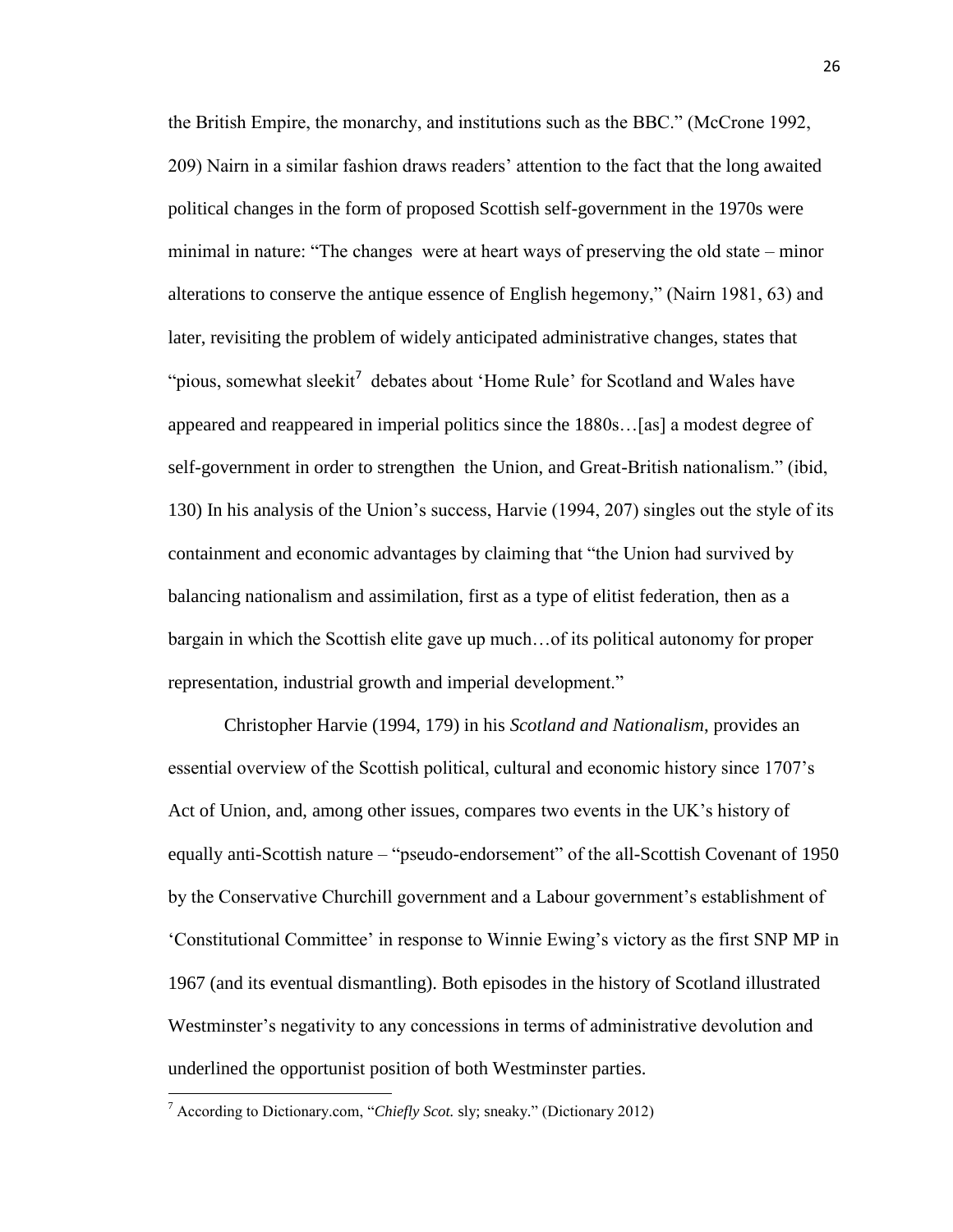the British Empire, the monarchy, and institutions such as the BBC." (McCrone 1992, 209) Nairn in a similar fashion draws readers' attention to the fact that the long awaited political changes in the form of proposed Scottish self-government in the 1970s were minimal in nature: "The changes were at heart ways of preserving the old state – minor alterations to conserve the antique essence of English hegemony," (Nairn 1981, 63) and later, revisiting the problem of widely anticipated administrative changes, states that "pious, somewhat sleekit<sup>7</sup> debates about 'Home Rule' for Scotland and Wales have appeared and reappeared in imperial politics since the 1880s…[as] a modest degree of self-government in order to strengthen the Union, and Great-British nationalism." (ibid, 130) In his analysis of the Union's success, Harvie (1994, 207) singles out the style of its containment and economic advantages by claiming that "the Union had survived by balancing nationalism and assimilation, first as a type of elitist federation, then as a bargain in which the Scottish elite gave up much…of its political autonomy for proper representation, industrial growth and imperial development."

Christopher Harvie (1994, 179) in his *Scotland and Nationalism*, provides an essential overview of the Scottish political, cultural and economic history since 1707's Act of Union, and, among other issues, compares two events in the UK's history of equally anti-Scottish nature – "pseudo-endorsement" of the all-Scottish Covenant of 1950 by the Conservative Churchill government and a Labour government's establishment of 'Constitutional Committee' in response to Winnie Ewing's victory as the first SNP MP in 1967 (and its eventual dismantling). Both episodes in the history of Scotland illustrated Westminster's negativity to any concessions in terms of administrative devolution and underlined the opportunist position of both Westminster parties.

 $\overline{\phantom{a}}$ 

<sup>7</sup> According to Dictionary.com, "*Chiefly Scot.* sly; sneaky." (Dictionary 2012)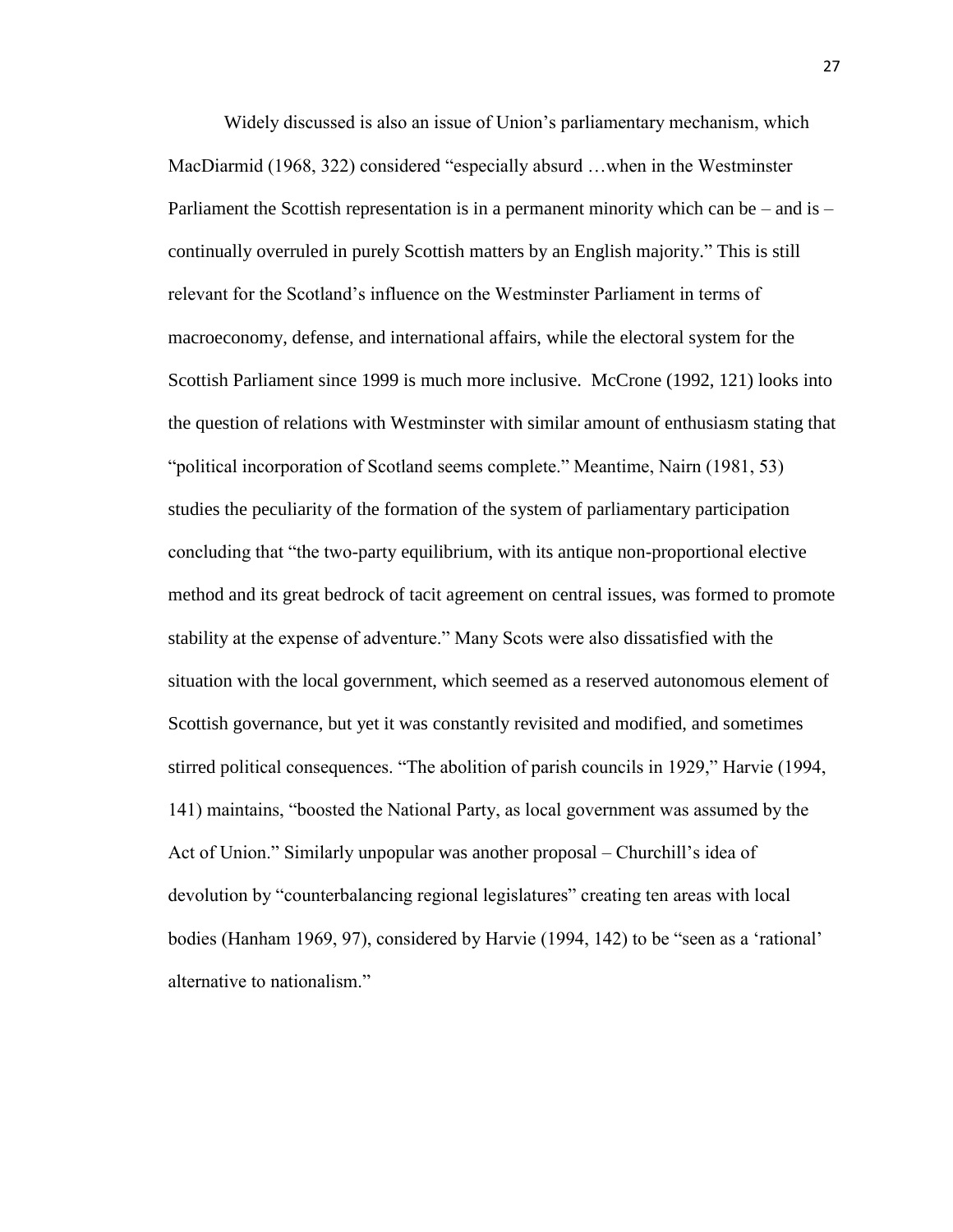Widely discussed is also an issue of Union's parliamentary mechanism, which MacDiarmid (1968, 322) considered "especially absurd …when in the Westminster Parliament the Scottish representation is in a permanent minority which can be – and is – continually overruled in purely Scottish matters by an English majority." This is still relevant for the Scotland's influence on the Westminster Parliament in terms of macroeconomy, defense, and international affairs, while the electoral system for the Scottish Parliament since 1999 is much more inclusive. McCrone (1992, 121) looks into the question of relations with Westminster with similar amount of enthusiasm stating that "political incorporation of Scotland seems complete." Meantime, Nairn (1981, 53) studies the peculiarity of the formation of the system of parliamentary participation concluding that "the two-party equilibrium, with its antique non-proportional elective method and its great bedrock of tacit agreement on central issues, was formed to promote stability at the expense of adventure." Many Scots were also dissatisfied with the situation with the local government, which seemed as a reserved autonomous element of Scottish governance, but yet it was constantly revisited and modified, and sometimes stirred political consequences. "The abolition of parish councils in 1929," Harvie (1994, 141) maintains, "boosted the National Party, as local government was assumed by the Act of Union." Similarly unpopular was another proposal – Churchill's idea of devolution by "counterbalancing regional legislatures" creating ten areas with local bodies (Hanham 1969, 97), considered by Harvie (1994, 142) to be "seen as a 'rational' alternative to nationalism."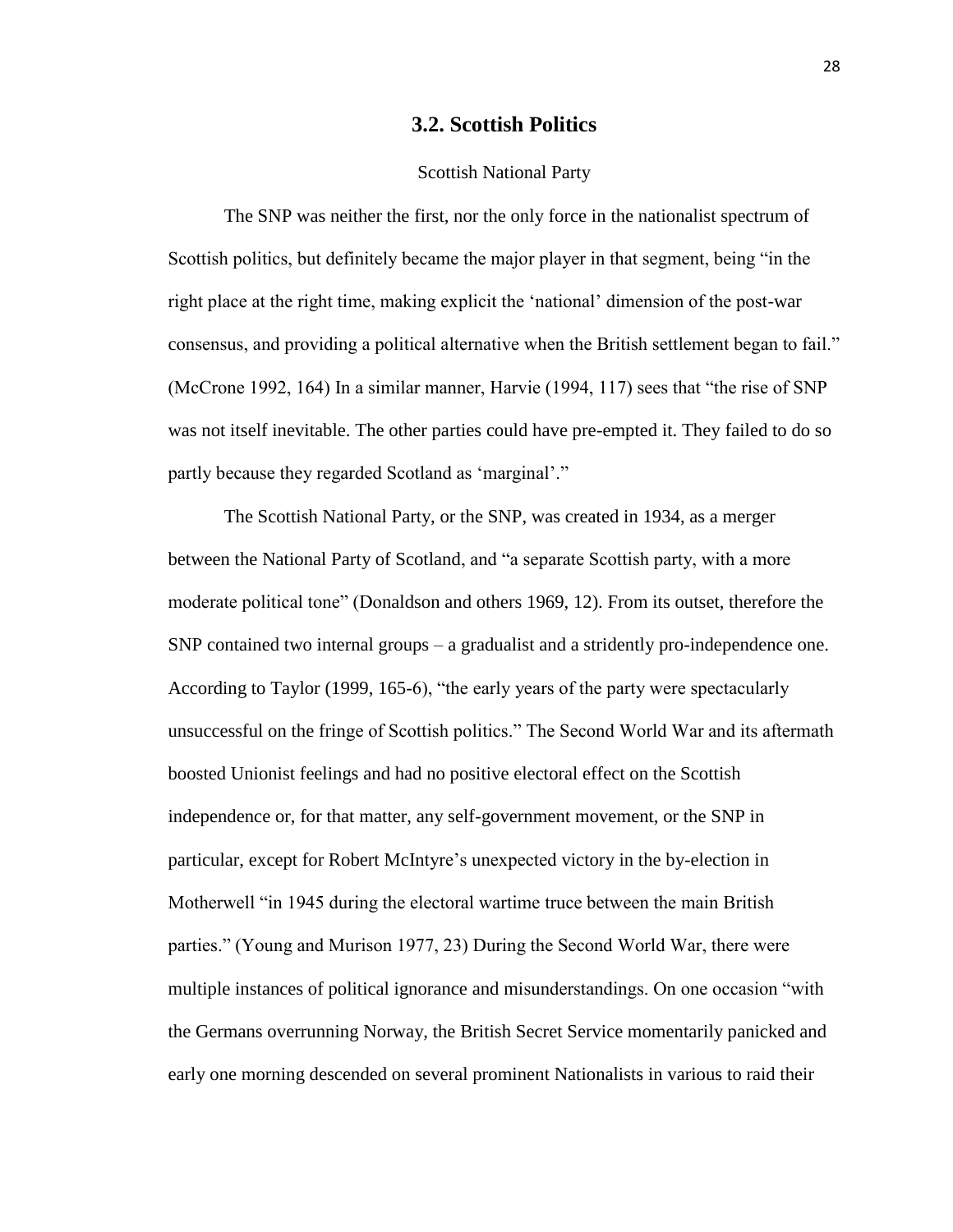# **3.2. Scottish Politics**

#### Scottish National Party

The SNP was neither the first, nor the only force in the nationalist spectrum of Scottish politics, but definitely became the major player in that segment, being "in the right place at the right time, making explicit the 'national' dimension of the post-war consensus, and providing a political alternative when the British settlement began to fail." (McCrone 1992, 164) In a similar manner, Harvie (1994, 117) sees that "the rise of SNP was not itself inevitable. The other parties could have pre-empted it. They failed to do so partly because they regarded Scotland as 'marginal'."

The Scottish National Party, or the SNP, was created in 1934, as a merger between the National Party of Scotland, and "a separate Scottish party, with a more moderate political tone" (Donaldson and others 1969, 12). From its outset, therefore the SNP contained two internal groups – a gradualist and a stridently pro-independence one. According to Taylor (1999, 165-6), "the early years of the party were spectacularly unsuccessful on the fringe of Scottish politics." The Second World War and its aftermath boosted Unionist feelings and had no positive electoral effect on the Scottish independence or, for that matter, any self-government movement, or the SNP in particular, except for Robert McIntyre's unexpected victory in the by-election in Motherwell "in 1945 during the electoral wartime truce between the main British parties." (Young and Murison 1977, 23) During the Second World War, there were multiple instances of political ignorance and misunderstandings. On one occasion "with the Germans overrunning Norway, the British Secret Service momentarily panicked and early one morning descended on several prominent Nationalists in various to raid their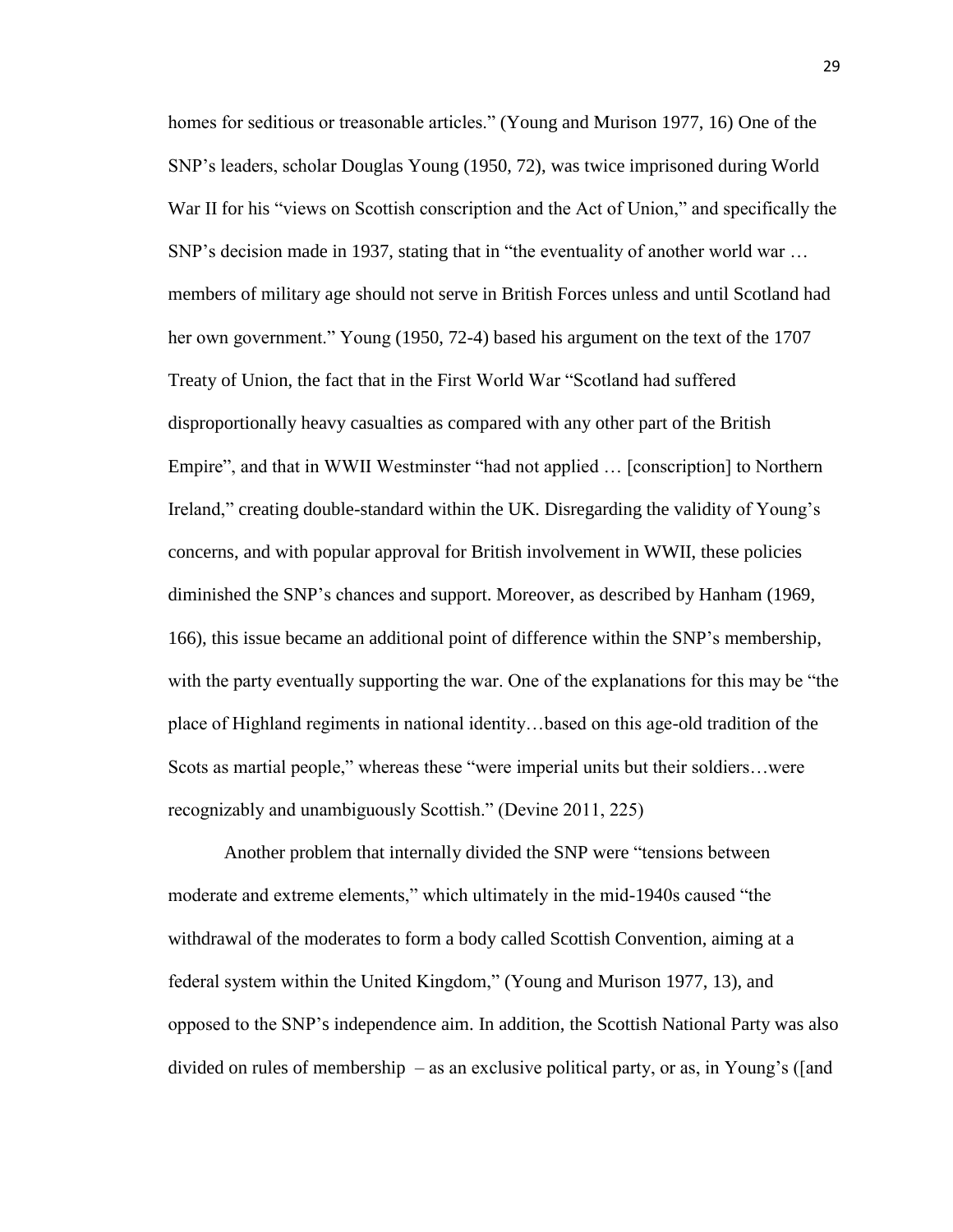homes for seditious or treasonable articles." (Young and Murison 1977, 16) One of the SNP's leaders, scholar Douglas Young (1950, 72), was twice imprisoned during World War II for his "views on Scottish conscription and the Act of Union," and specifically the SNP's decision made in 1937, stating that in "the eventuality of another world war … members of military age should not serve in British Forces unless and until Scotland had her own government." Young (1950, 72-4) based his argument on the text of the 1707 Treaty of Union, the fact that in the First World War "Scotland had suffered disproportionally heavy casualties as compared with any other part of the British Empire", and that in WWII Westminster "had not applied … [conscription] to Northern Ireland," creating double-standard within the UK. Disregarding the validity of Young's concerns, and with popular approval for British involvement in WWII, these policies diminished the SNP's chances and support. Moreover, as described by Hanham (1969, 166), this issue became an additional point of difference within the SNP's membership, with the party eventually supporting the war. One of the explanations for this may be "the place of Highland regiments in national identity…based on this age-old tradition of the Scots as martial people," whereas these "were imperial units but their soldiers…were recognizably and unambiguously Scottish." (Devine 2011, 225)

Another problem that internally divided the SNP were "tensions between moderate and extreme elements," which ultimately in the mid-1940s caused "the withdrawal of the moderates to form a body called Scottish Convention, aiming at a federal system within the United Kingdom," (Young and Murison 1977, 13), and opposed to the SNP's independence aim. In addition, the Scottish National Party was also divided on rules of membership – as an exclusive political party, or as, in Young's ([and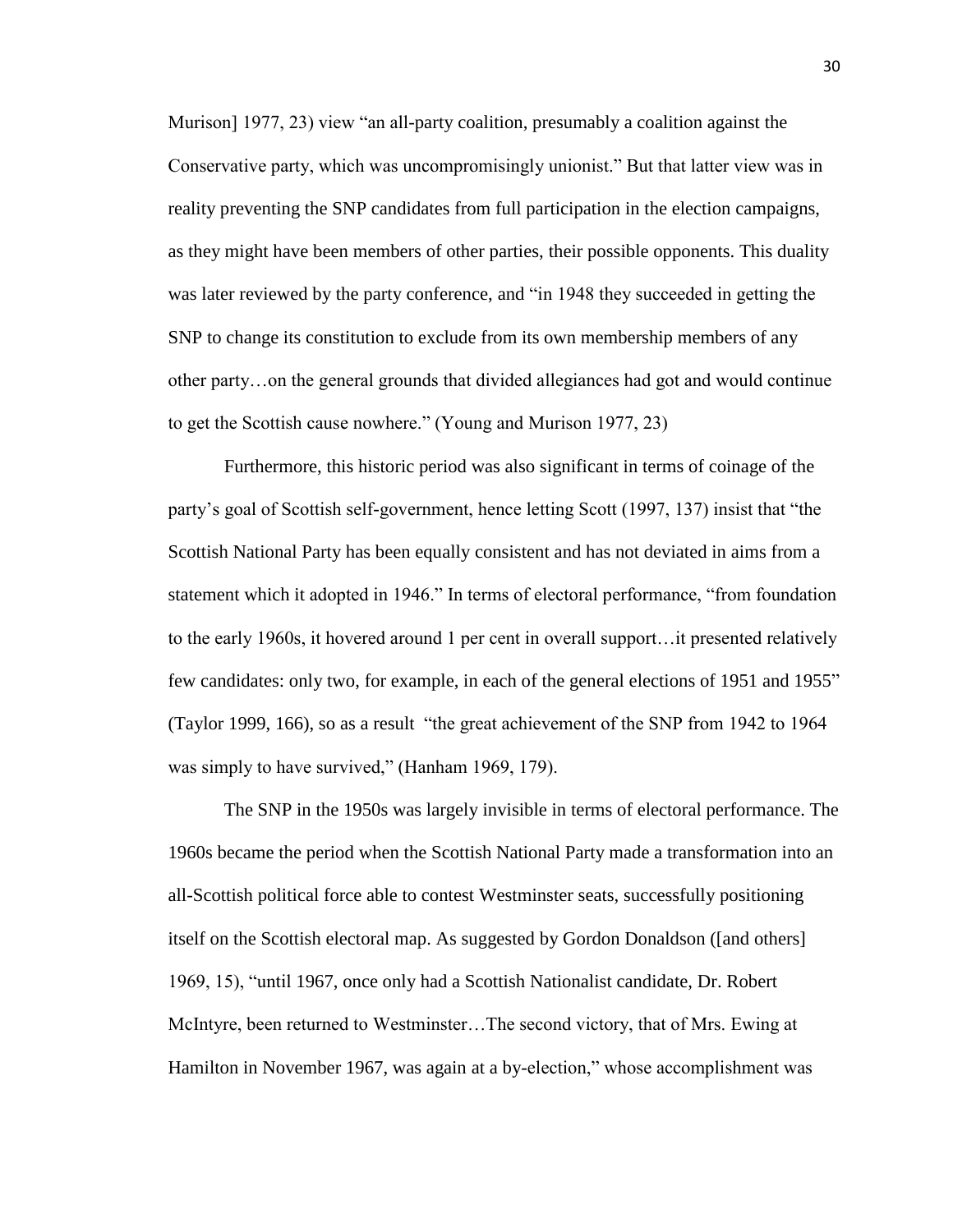Murison] 1977, 23) view "an all-party coalition, presumably a coalition against the Conservative party, which was uncompromisingly unionist." But that latter view was in reality preventing the SNP candidates from full participation in the election campaigns, as they might have been members of other parties, their possible opponents. This duality was later reviewed by the party conference, and "in 1948 they succeeded in getting the SNP to change its constitution to exclude from its own membership members of any other party…on the general grounds that divided allegiances had got and would continue to get the Scottish cause nowhere." (Young and Murison 1977, 23)

Furthermore, this historic period was also significant in terms of coinage of the party's goal of Scottish self-government, hence letting Scott (1997, 137) insist that "the Scottish National Party has been equally consistent and has not deviated in aims from a statement which it adopted in 1946." In terms of electoral performance, "from foundation to the early 1960s, it hovered around 1 per cent in overall support…it presented relatively few candidates: only two, for example, in each of the general elections of 1951 and 1955" (Taylor 1999, 166), so as a result "the great achievement of the SNP from 1942 to 1964 was simply to have survived," (Hanham 1969, 179).

The SNP in the 1950s was largely invisible in terms of electoral performance. The 1960s became the period when the Scottish National Party made a transformation into an all-Scottish political force able to contest Westminster seats, successfully positioning itself on the Scottish electoral map. As suggested by Gordon Donaldson ([and others] 1969, 15), "until 1967, once only had a Scottish Nationalist candidate, Dr. Robert McIntyre, been returned to Westminster…The second victory, that of Mrs. Ewing at Hamilton in November 1967, was again at a by-election," whose accomplishment was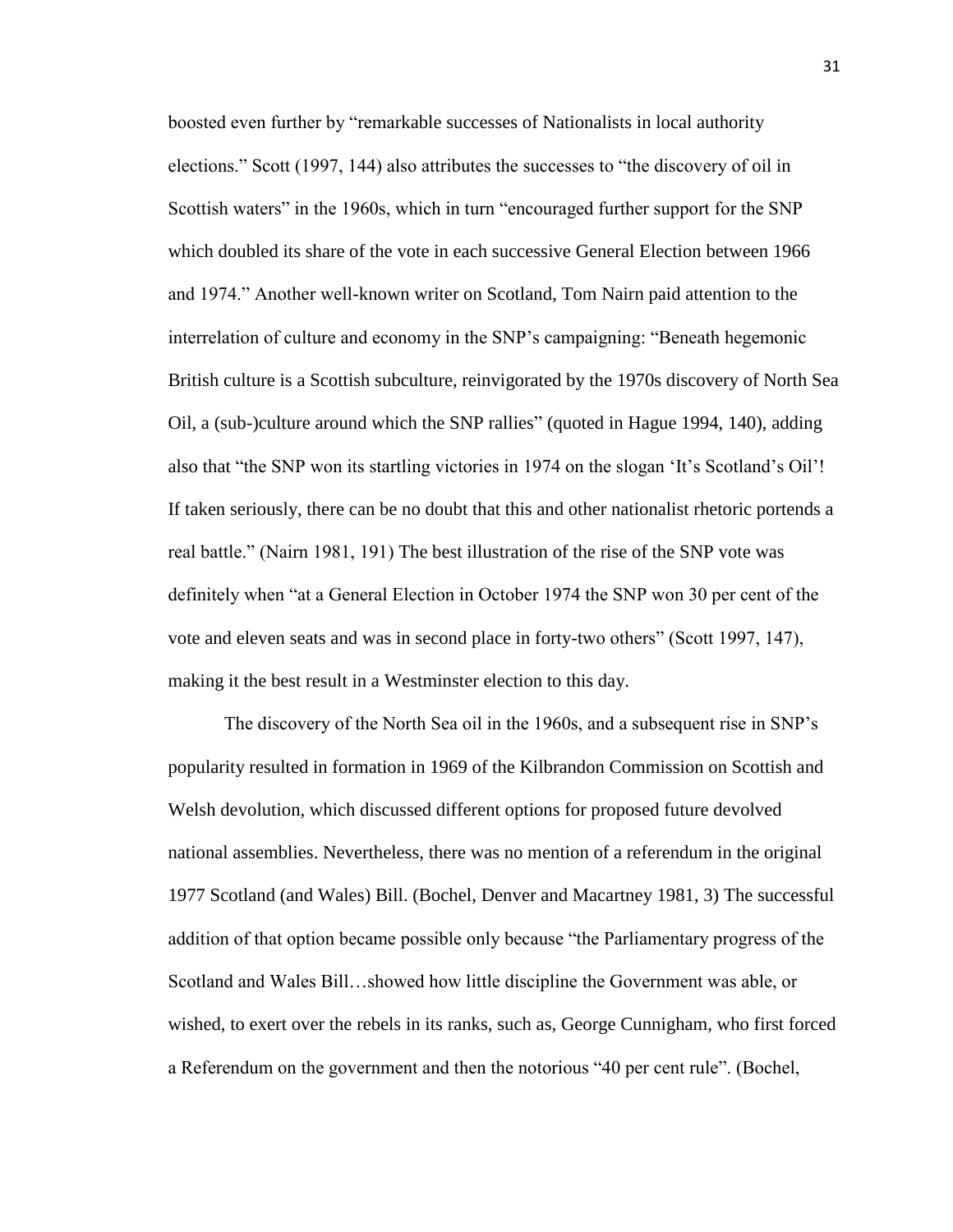boosted even further by "remarkable successes of Nationalists in local authority elections." Scott (1997, 144) also attributes the successes to "the discovery of oil in Scottish waters" in the 1960s, which in turn "encouraged further support for the SNP which doubled its share of the vote in each successive General Election between 1966 and 1974." Another well-known writer on Scotland, Tom Nairn paid attention to the interrelation of culture and economy in the SNP's campaigning: "Beneath hegemonic British culture is a Scottish subculture, reinvigorated by the 1970s discovery of North Sea Oil, a (sub-)culture around which the SNP rallies" (quoted in Hague 1994, 140), adding also that "the SNP won its startling victories in 1974 on the slogan 'It's Scotland's Oil'! If taken seriously, there can be no doubt that this and other nationalist rhetoric portends a real battle." (Nairn 1981, 191) The best illustration of the rise of the SNP vote was definitely when "at a General Election in October 1974 the SNP won 30 per cent of the vote and eleven seats and was in second place in forty-two others" (Scott 1997, 147), making it the best result in a Westminster election to this day.

The discovery of the North Sea oil in the 1960s, and a subsequent rise in SNP's popularity resulted in formation in 1969 of the Kilbrandon Commission on Scottish and Welsh devolution, which discussed different options for proposed future devolved national assemblies. Nevertheless, there was no mention of a referendum in the original 1977 Scotland (and Wales) Bill. (Bochel, Denver and Macartney 1981, 3) The successful addition of that option became possible only because "the Parliamentary progress of the Scotland and Wales Bill…showed how little discipline the Government was able, or wished, to exert over the rebels in its ranks, such as, George Cunnigham, who first forced a Referendum on the government and then the notorious "40 per cent rule". (Bochel,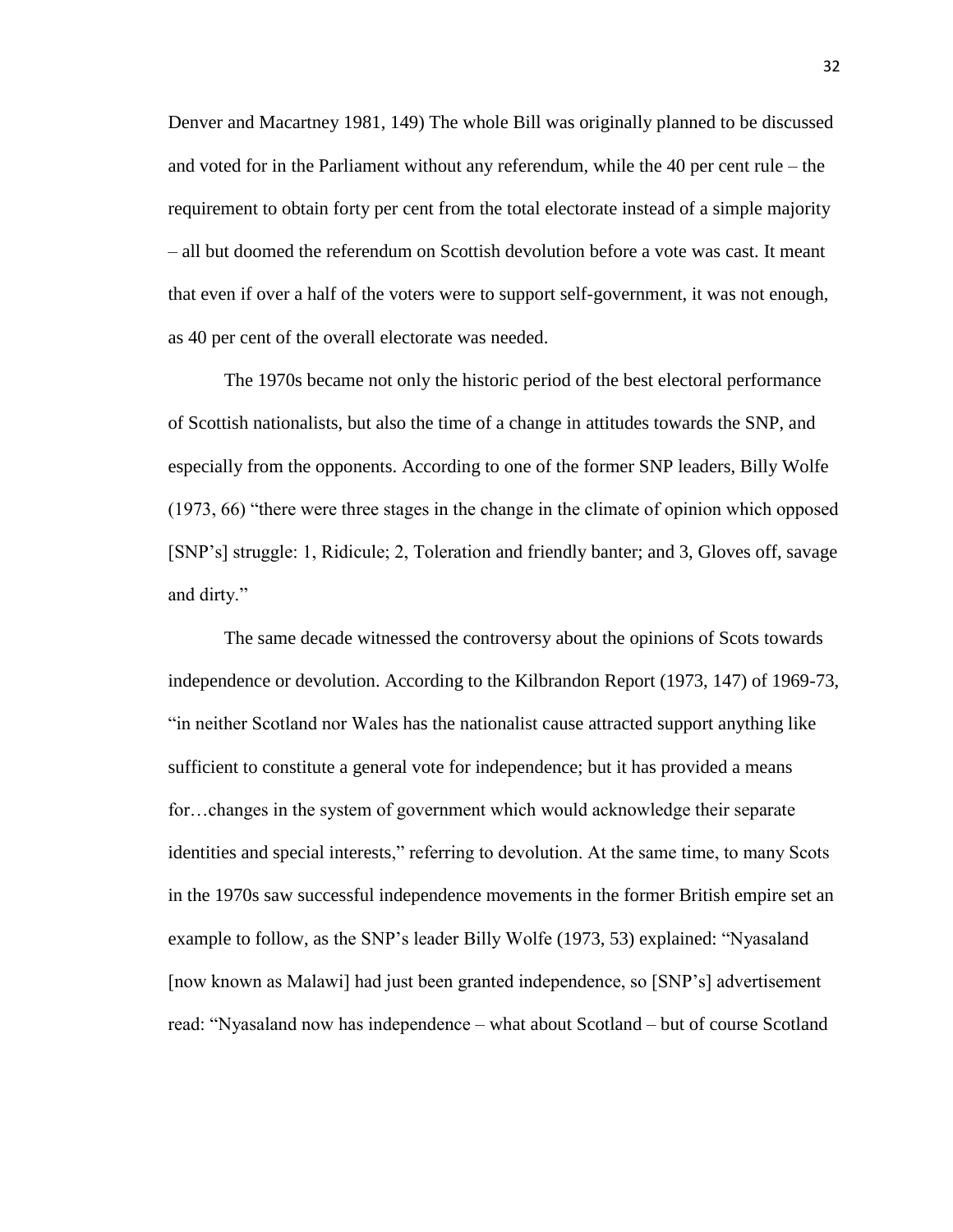Denver and Macartney 1981, 149) The whole Bill was originally planned to be discussed and voted for in the Parliament without any referendum, while the 40 per cent rule – the requirement to obtain forty per cent from the total electorate instead of a simple majority – all but doomed the referendum on Scottish devolution before a vote was cast. It meant that even if over a half of the voters were to support self-government, it was not enough, as 40 per cent of the overall electorate was needed.

The 1970s became not only the historic period of the best electoral performance of Scottish nationalists, but also the time of a change in attitudes towards the SNP, and especially from the opponents. According to one of the former SNP leaders, Billy Wolfe (1973, 66) "there were three stages in the change in the climate of opinion which opposed [SNP's] struggle: 1, Ridicule; 2, Toleration and friendly banter; and 3, Gloves off, savage and dirty."

The same decade witnessed the controversy about the opinions of Scots towards independence or devolution. According to the Kilbrandon Report (1973, 147) of 1969-73, "in neither Scotland nor Wales has the nationalist cause attracted support anything like sufficient to constitute a general vote for independence; but it has provided a means for…changes in the system of government which would acknowledge their separate identities and special interests," referring to devolution. At the same time, to many Scots in the 1970s saw successful independence movements in the former British empire set an example to follow, as the SNP's leader Billy Wolfe (1973, 53) explained: "Nyasaland [now known as Malawi] had just been granted independence, so [SNP's] advertisement read: "Nyasaland now has independence – what about Scotland – but of course Scotland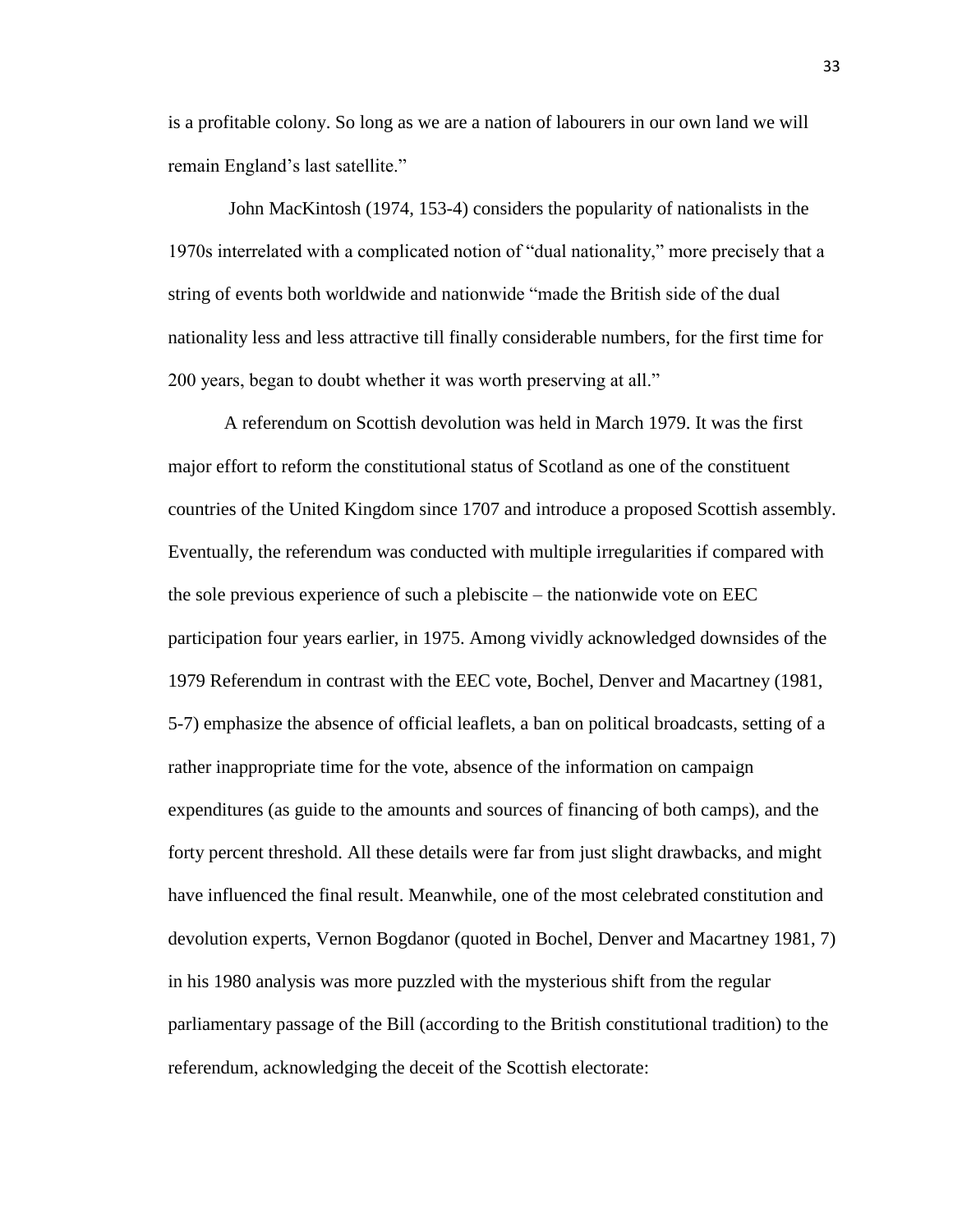is a profitable colony. So long as we are a nation of labourers in our own land we will remain England's last satellite."

John MacKintosh (1974, 153-4) considers the popularity of nationalists in the 1970s interrelated with a complicated notion of "dual nationality," more precisely that a string of events both worldwide and nationwide "made the British side of the dual nationality less and less attractive till finally considerable numbers, for the first time for 200 years, began to doubt whether it was worth preserving at all."

A referendum on Scottish devolution was held in March 1979. It was the first major effort to reform the constitutional status of Scotland as one of the constituent countries of the United Kingdom since 1707 and introduce a proposed Scottish assembly. Eventually, the referendum was conducted with multiple irregularities if compared with the sole previous experience of such a plebiscite – the nationwide vote on EEC participation four years earlier, in 1975. Among vividly acknowledged downsides of the 1979 Referendum in contrast with the EEC vote, Bochel, Denver and Macartney (1981, 5-7) emphasize the absence of official leaflets, a ban on political broadcasts, setting of a rather inappropriate time for the vote, absence of the information on campaign expenditures (as guide to the amounts and sources of financing of both camps), and the forty percent threshold. All these details were far from just slight drawbacks, and might have influenced the final result. Meanwhile, one of the most celebrated constitution and devolution experts, Vernon Bogdanor (quoted in Bochel, Denver and Macartney 1981, 7) in his 1980 analysis was more puzzled with the mysterious shift from the regular parliamentary passage of the Bill (according to the British constitutional tradition) to the referendum, acknowledging the deceit of the Scottish electorate: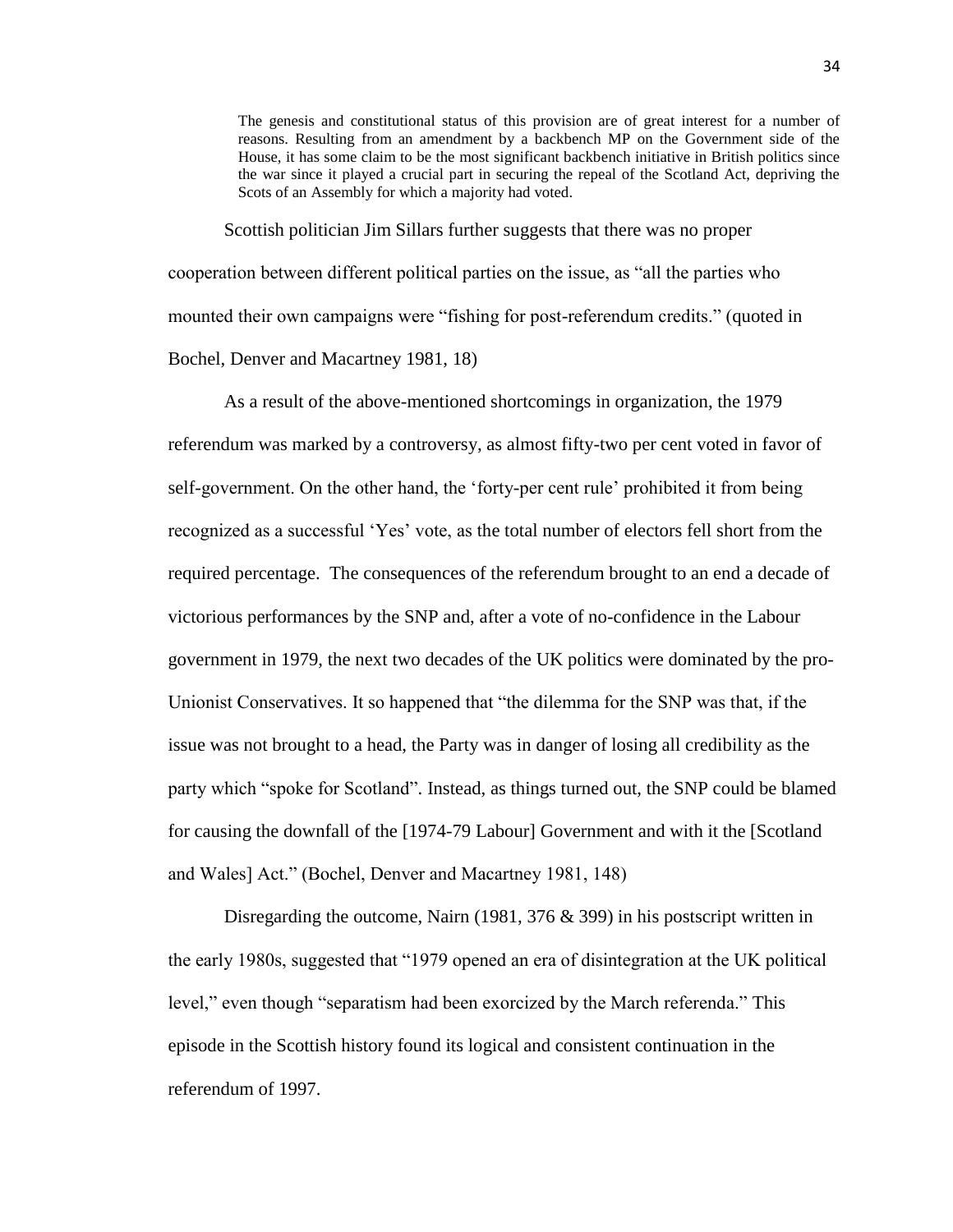The genesis and constitutional status of this provision are of great interest for a number of reasons. Resulting from an amendment by a backbench MP on the Government side of the House, it has some claim to be the most significant backbench initiative in British politics since the war since it played a crucial part in securing the repeal of the Scotland Act, depriving the Scots of an Assembly for which a majority had voted.

Scottish politician Jim Sillars further suggests that there was no proper cooperation between different political parties on the issue, as "all the parties who mounted their own campaigns were "fishing for post-referendum credits." (quoted in Bochel, Denver and Macartney 1981, 18)

As a result of the above-mentioned shortcomings in organization, the 1979 referendum was marked by a controversy, as almost fifty-two per cent voted in favor of self-government. On the other hand, the 'forty-per cent rule' prohibited it from being recognized as a successful 'Yes' vote, as the total number of electors fell short from the required percentage. The consequences of the referendum brought to an end a decade of victorious performances by the SNP and, after a vote of no-confidence in the Labour government in 1979, the next two decades of the UK politics were dominated by the pro-Unionist Conservatives. It so happened that "the dilemma for the SNP was that, if the issue was not brought to a head, the Party was in danger of losing all credibility as the party which "spoke for Scotland". Instead, as things turned out, the SNP could be blamed for causing the downfall of the [1974-79 Labour] Government and with it the [Scotland and Wales] Act." (Bochel, Denver and Macartney 1981, 148)

Disregarding the outcome, Nairn (1981, 376 & 399) in his postscript written in the early 1980s, suggested that "1979 opened an era of disintegration at the UK political level," even though "separatism had been exorcized by the March referenda." This episode in the Scottish history found its logical and consistent continuation in the referendum of 1997.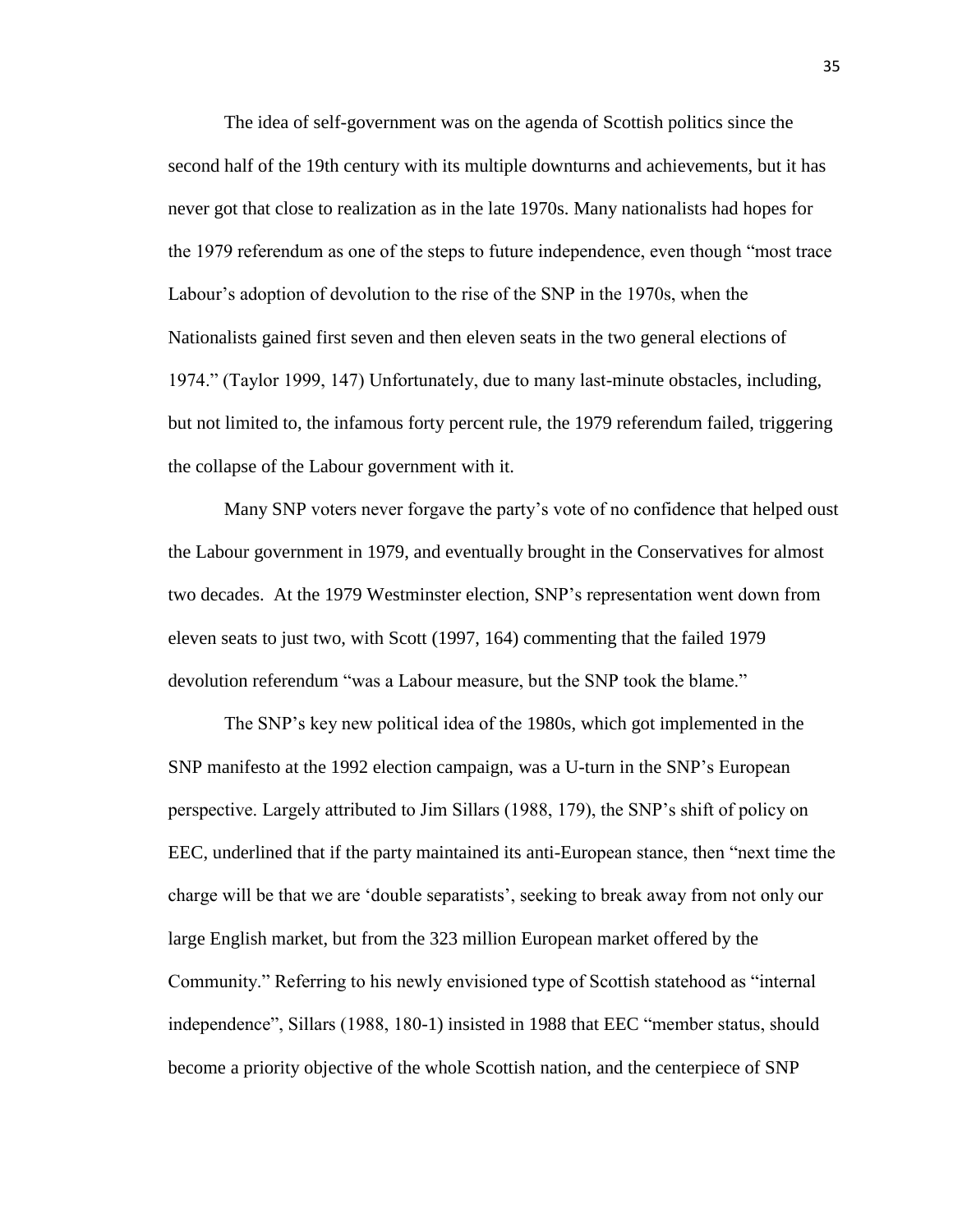The idea of self-government was on the agenda of Scottish politics since the second half of the 19th century with its multiple downturns and achievements, but it has never got that close to realization as in the late 1970s. Many nationalists had hopes for the 1979 referendum as one of the steps to future independence, even though "most trace Labour's adoption of devolution to the rise of the SNP in the 1970s, when the Nationalists gained first seven and then eleven seats in the two general elections of 1974." (Taylor 1999, 147) Unfortunately, due to many last-minute obstacles, including, but not limited to, the infamous forty percent rule, the 1979 referendum failed, triggering the collapse of the Labour government with it.

Many SNP voters never forgave the party's vote of no confidence that helped oust the Labour government in 1979, and eventually brought in the Conservatives for almost two decades. At the 1979 Westminster election, SNP's representation went down from eleven seats to just two, with Scott (1997, 164) commenting that the failed 1979 devolution referendum "was a Labour measure, but the SNP took the blame."

The SNP's key new political idea of the 1980s, which got implemented in the SNP manifesto at the 1992 election campaign, was a U-turn in the SNP's European perspective. Largely attributed to Jim Sillars (1988, 179), the SNP's shift of policy on EEC, underlined that if the party maintained its anti-European stance, then "next time the charge will be that we are 'double separatists', seeking to break away from not only our large English market, but from the 323 million European market offered by the Community." Referring to his newly envisioned type of Scottish statehood as "internal independence", Sillars (1988, 180-1) insisted in 1988 that EEC "member status, should become a priority objective of the whole Scottish nation, and the centerpiece of SNP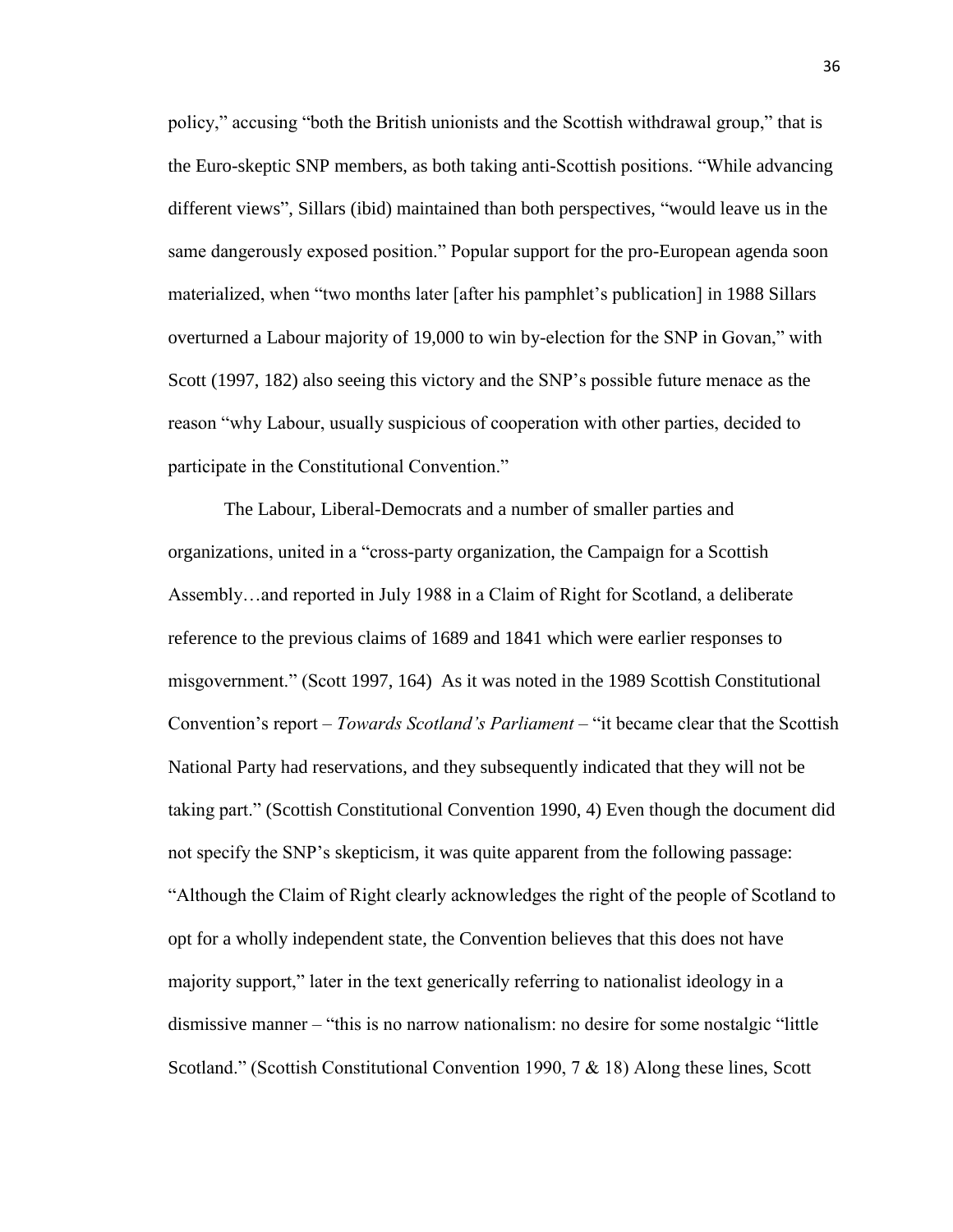policy," accusing "both the British unionists and the Scottish withdrawal group," that is the Euro-skeptic SNP members, as both taking anti-Scottish positions. "While advancing different views", Sillars (ibid) maintained than both perspectives, "would leave us in the same dangerously exposed position." Popular support for the pro-European agenda soon materialized, when "two months later [after his pamphlet's publication] in 1988 Sillars overturned a Labour majority of 19,000 to win by-election for the SNP in Govan," with Scott (1997, 182) also seeing this victory and the SNP's possible future menace as the reason "why Labour, usually suspicious of cooperation with other parties, decided to participate in the Constitutional Convention."

The Labour, Liberal-Democrats and a number of smaller parties and organizations, united in a "cross-party organization, the Campaign for a Scottish Assembly…and reported in July 1988 in a Claim of Right for Scotland, a deliberate reference to the previous claims of 1689 and 1841 which were earlier responses to misgovernment." (Scott 1997, 164) As it was noted in the 1989 Scottish Constitutional Convention's report – *Towards Scotland's Parliament* – "it became clear that the Scottish National Party had reservations, and they subsequently indicated that they will not be taking part." (Scottish Constitutional Convention 1990, 4) Even though the document did not specify the SNP's skepticism, it was quite apparent from the following passage: "Although the Claim of Right clearly acknowledges the right of the people of Scotland to opt for a wholly independent state, the Convention believes that this does not have majority support," later in the text generically referring to nationalist ideology in a dismissive manner – "this is no narrow nationalism: no desire for some nostalgic "little Scotland." (Scottish Constitutional Convention 1990, 7 & 18) Along these lines, Scott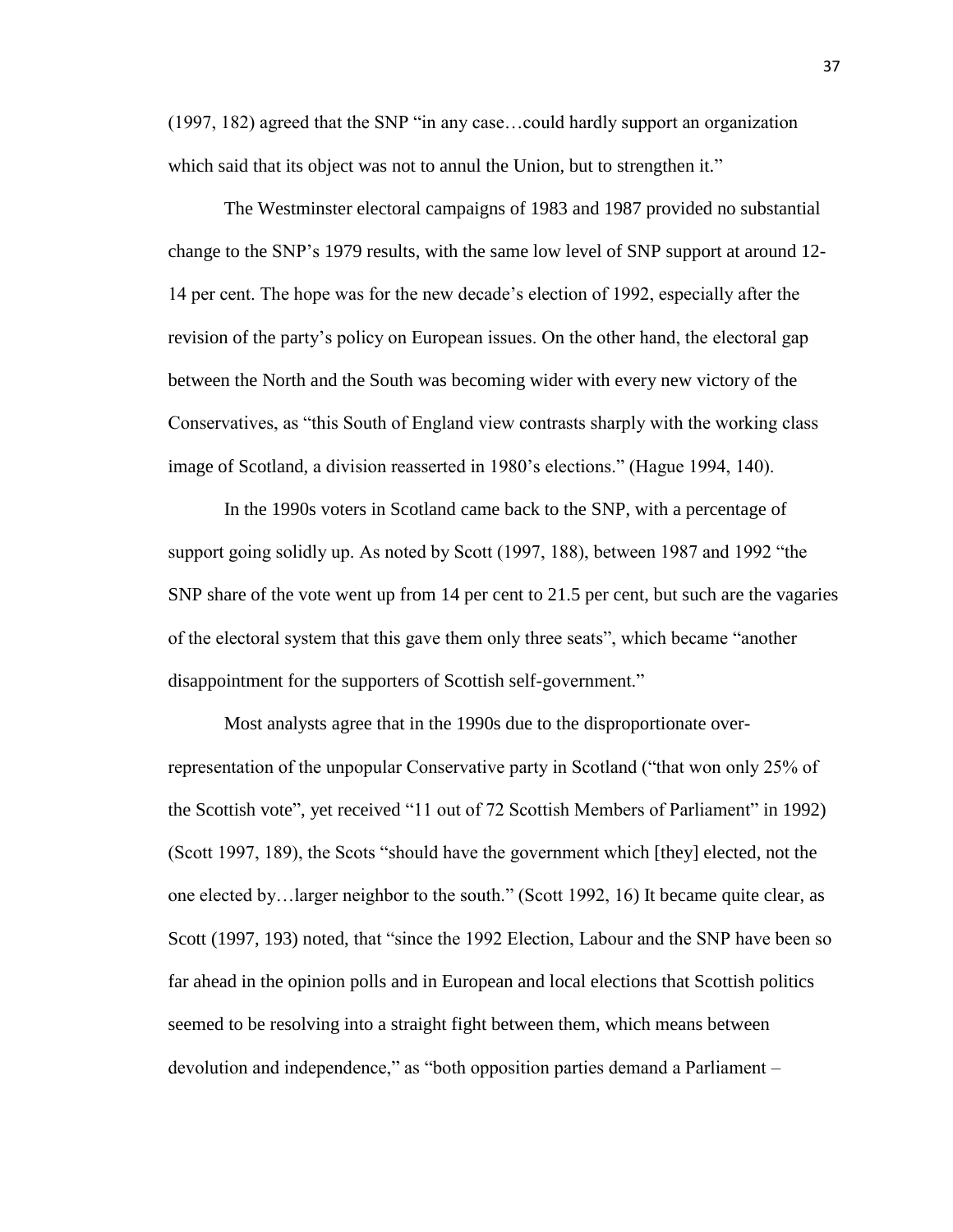(1997, 182) agreed that the SNP "in any case…could hardly support an organization which said that its object was not to annul the Union, but to strengthen it."

The Westminster electoral campaigns of 1983 and 1987 provided no substantial change to the SNP's 1979 results, with the same low level of SNP support at around 12- 14 per cent. The hope was for the new decade's election of 1992, especially after the revision of the party's policy on European issues. On the other hand, the electoral gap between the North and the South was becoming wider with every new victory of the Conservatives, as "this South of England view contrasts sharply with the working class image of Scotland, a division reasserted in 1980's elections." (Hague 1994, 140).

In the 1990s voters in Scotland came back to the SNP, with a percentage of support going solidly up. As noted by Scott (1997, 188), between 1987 and 1992 "the SNP share of the vote went up from 14 per cent to 21.5 per cent, but such are the vagaries of the electoral system that this gave them only three seats", which became "another disappointment for the supporters of Scottish self-government."

Most analysts agree that in the 1990s due to the disproportionate overrepresentation of the unpopular Conservative party in Scotland ("that won only 25% of the Scottish vote", yet received "11 out of 72 Scottish Members of Parliament" in 1992) (Scott 1997, 189), the Scots "should have the government which [they] elected, not the one elected by…larger neighbor to the south." (Scott 1992, 16) It became quite clear, as Scott (1997, 193) noted, that "since the 1992 Election, Labour and the SNP have been so far ahead in the opinion polls and in European and local elections that Scottish politics seemed to be resolving into a straight fight between them, which means between devolution and independence," as "both opposition parties demand a Parliament –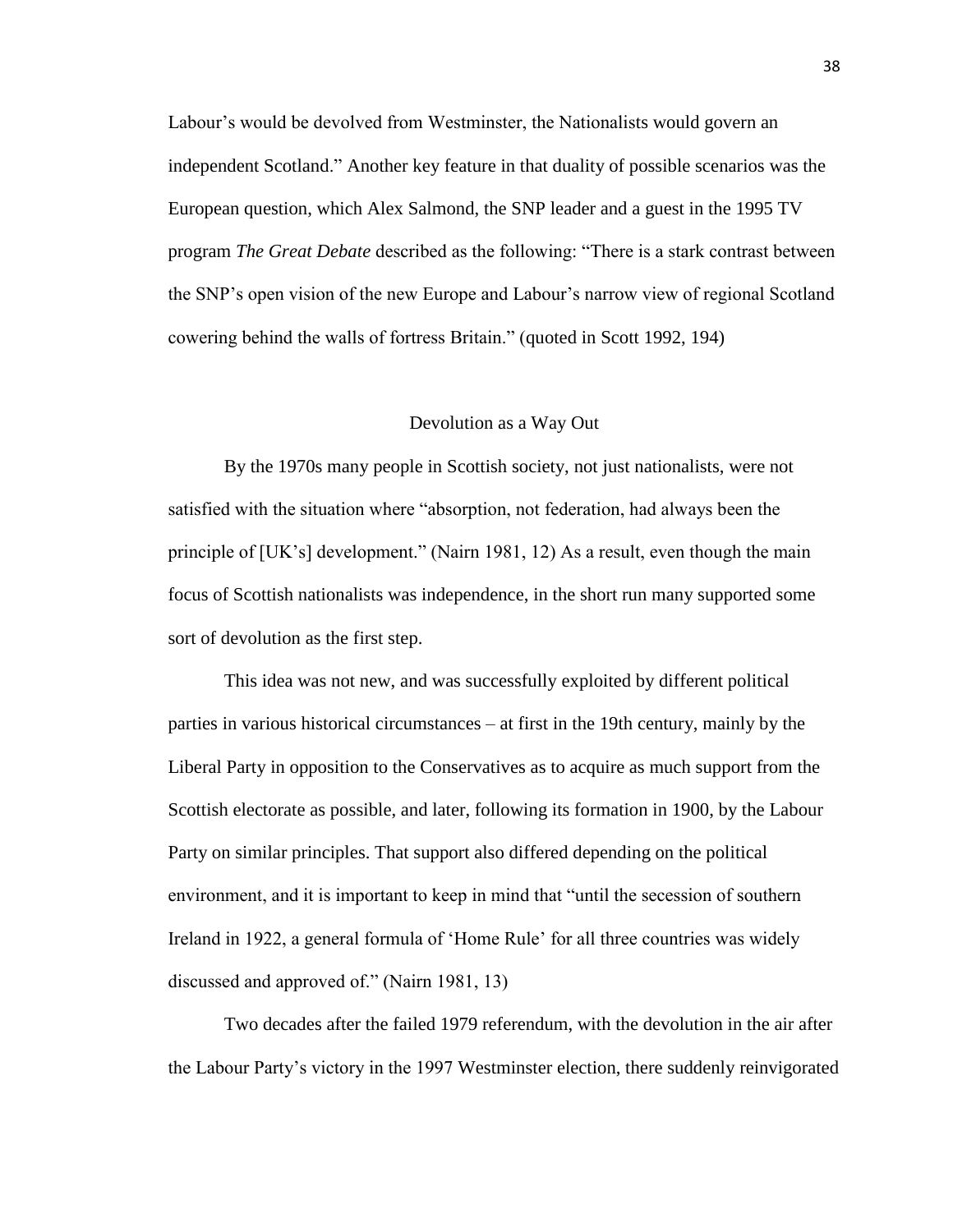Labour's would be devolved from Westminster, the Nationalists would govern an independent Scotland." Another key feature in that duality of possible scenarios was the European question, which Alex Salmond, the SNP leader and a guest in the 1995 TV program *The Great Debate* described as the following: "There is a stark contrast between the SNP's open vision of the new Europe and Labour's narrow view of regional Scotland cowering behind the walls of fortress Britain." (quoted in Scott 1992, 194)

#### Devolution as a Way Out

By the 1970s many people in Scottish society, not just nationalists, were not satisfied with the situation where "absorption, not federation, had always been the principle of [UK's] development." (Nairn 1981, 12) As a result, even though the main focus of Scottish nationalists was independence, in the short run many supported some sort of devolution as the first step.

This idea was not new, and was successfully exploited by different political parties in various historical circumstances – at first in the 19th century, mainly by the Liberal Party in opposition to the Conservatives as to acquire as much support from the Scottish electorate as possible, and later, following its formation in 1900, by the Labour Party on similar principles. That support also differed depending on the political environment, and it is important to keep in mind that "until the secession of southern Ireland in 1922, a general formula of 'Home Rule' for all three countries was widely discussed and approved of." (Nairn 1981, 13)

Two decades after the failed 1979 referendum, with the devolution in the air after the Labour Party's victory in the 1997 Westminster election, there suddenly reinvigorated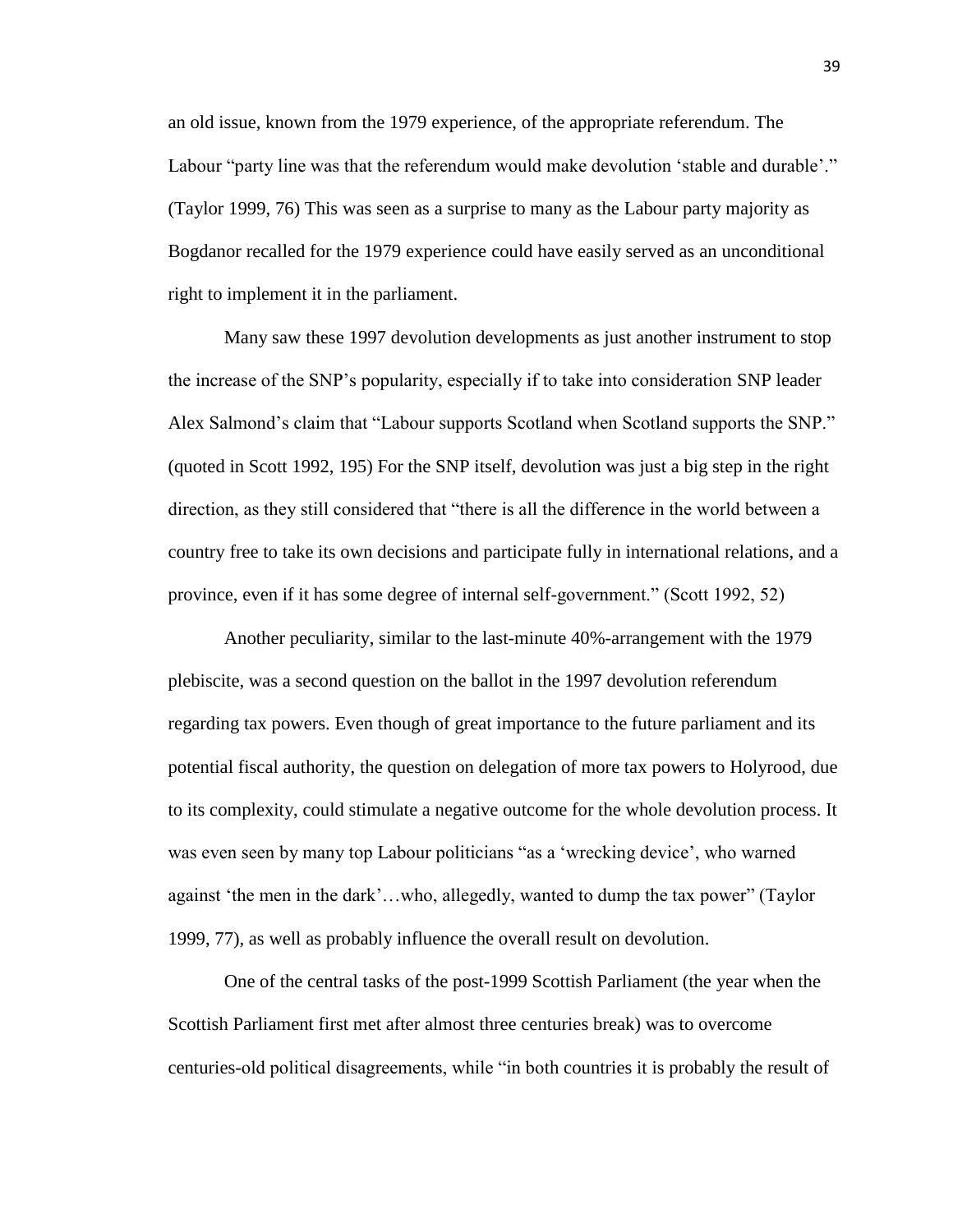an old issue, known from the 1979 experience, of the appropriate referendum. The Labour "party line was that the referendum would make devolution 'stable and durable'." (Taylor 1999, 76) This was seen as a surprise to many as the Labour party majority as Bogdanor recalled for the 1979 experience could have easily served as an unconditional right to implement it in the parliament.

Many saw these 1997 devolution developments as just another instrument to stop the increase of the SNP's popularity, especially if to take into consideration SNP leader Alex Salmond's claim that "Labour supports Scotland when Scotland supports the SNP." (quoted in Scott 1992, 195) For the SNP itself, devolution was just a big step in the right direction, as they still considered that "there is all the difference in the world between a country free to take its own decisions and participate fully in international relations, and a province, even if it has some degree of internal self-government." (Scott 1992, 52)

Another peculiarity, similar to the last-minute 40%-arrangement with the 1979 plebiscite, was a second question on the ballot in the 1997 devolution referendum regarding tax powers. Even though of great importance to the future parliament and its potential fiscal authority, the question on delegation of more tax powers to Holyrood, due to its complexity, could stimulate a negative outcome for the whole devolution process. It was even seen by many top Labour politicians "as a 'wrecking device', who warned against 'the men in the dark'…who, allegedly, wanted to dump the tax power" (Taylor 1999, 77), as well as probably influence the overall result on devolution.

One of the central tasks of the post-1999 Scottish Parliament (the year when the Scottish Parliament first met after almost three centuries break) was to overcome centuries-old political disagreements, while "in both countries it is probably the result of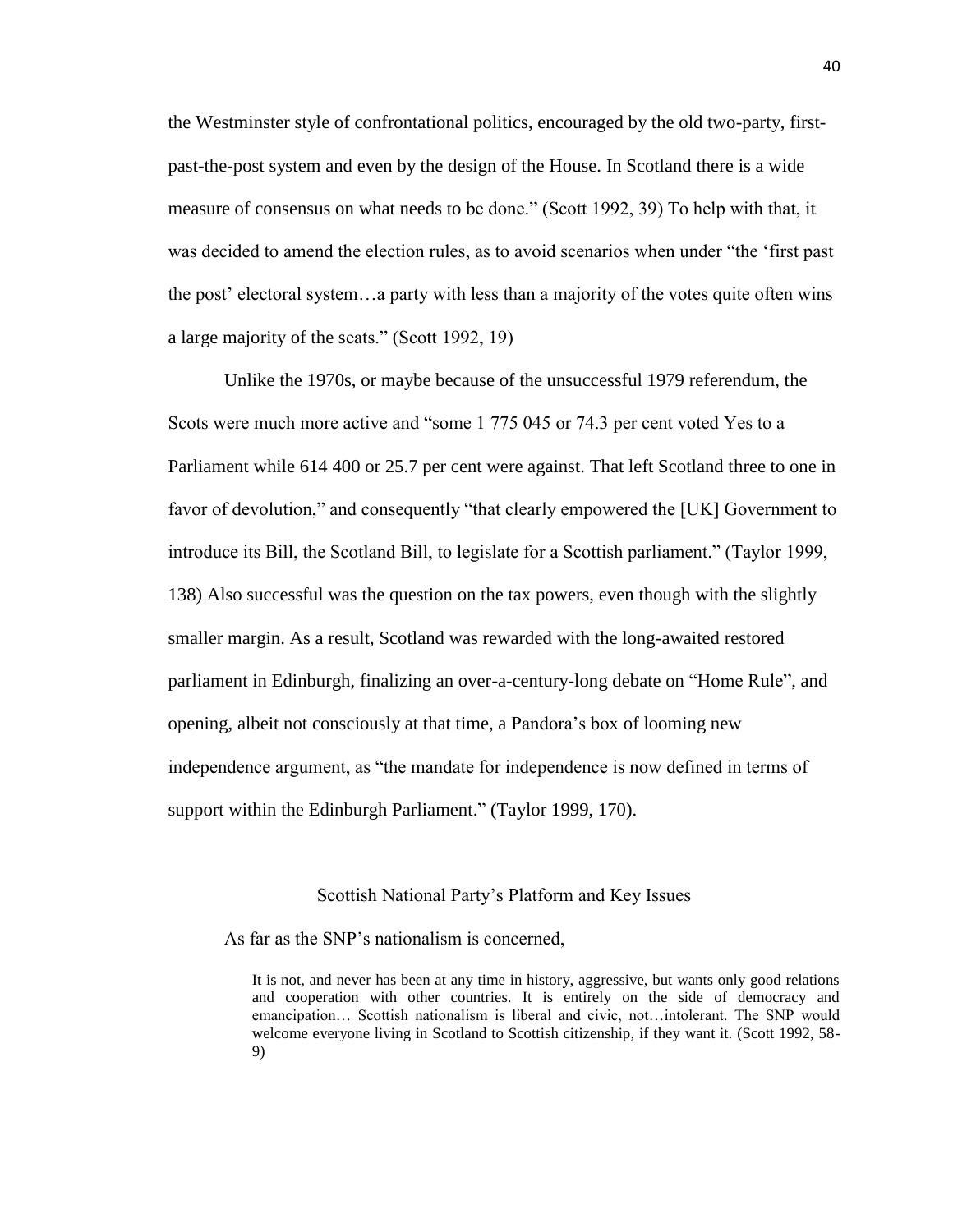the Westminster style of confrontational politics, encouraged by the old two-party, firstpast-the-post system and even by the design of the House. In Scotland there is a wide measure of consensus on what needs to be done." (Scott 1992, 39) To help with that, it was decided to amend the election rules, as to avoid scenarios when under "the 'first past the post' electoral system…a party with less than a majority of the votes quite often wins a large majority of the seats." (Scott 1992, 19)

Unlike the 1970s, or maybe because of the unsuccessful 1979 referendum, the Scots were much more active and "some 1 775 045 or 74.3 per cent voted Yes to a Parliament while 614 400 or 25.7 per cent were against. That left Scotland three to one in favor of devolution," and consequently "that clearly empowered the [UK] Government to introduce its Bill, the Scotland Bill, to legislate for a Scottish parliament." (Taylor 1999, 138) Also successful was the question on the tax powers, even though with the slightly smaller margin. As a result, Scotland was rewarded with the long-awaited restored parliament in Edinburgh, finalizing an over-a-century-long debate on "Home Rule", and opening, albeit not consciously at that time, a Pandora's box of looming new independence argument, as "the mandate for independence is now defined in terms of support within the Edinburgh Parliament." (Taylor 1999, 170).

#### Scottish National Party's Platform and Key Issues

As far as the SNP's nationalism is concerned,

It is not, and never has been at any time in history, aggressive, but wants only good relations and cooperation with other countries. It is entirely on the side of democracy and emancipation… Scottish nationalism is liberal and civic, not…intolerant. The SNP would welcome everyone living in Scotland to Scottish citizenship, if they want it. (Scott 1992, 58-9)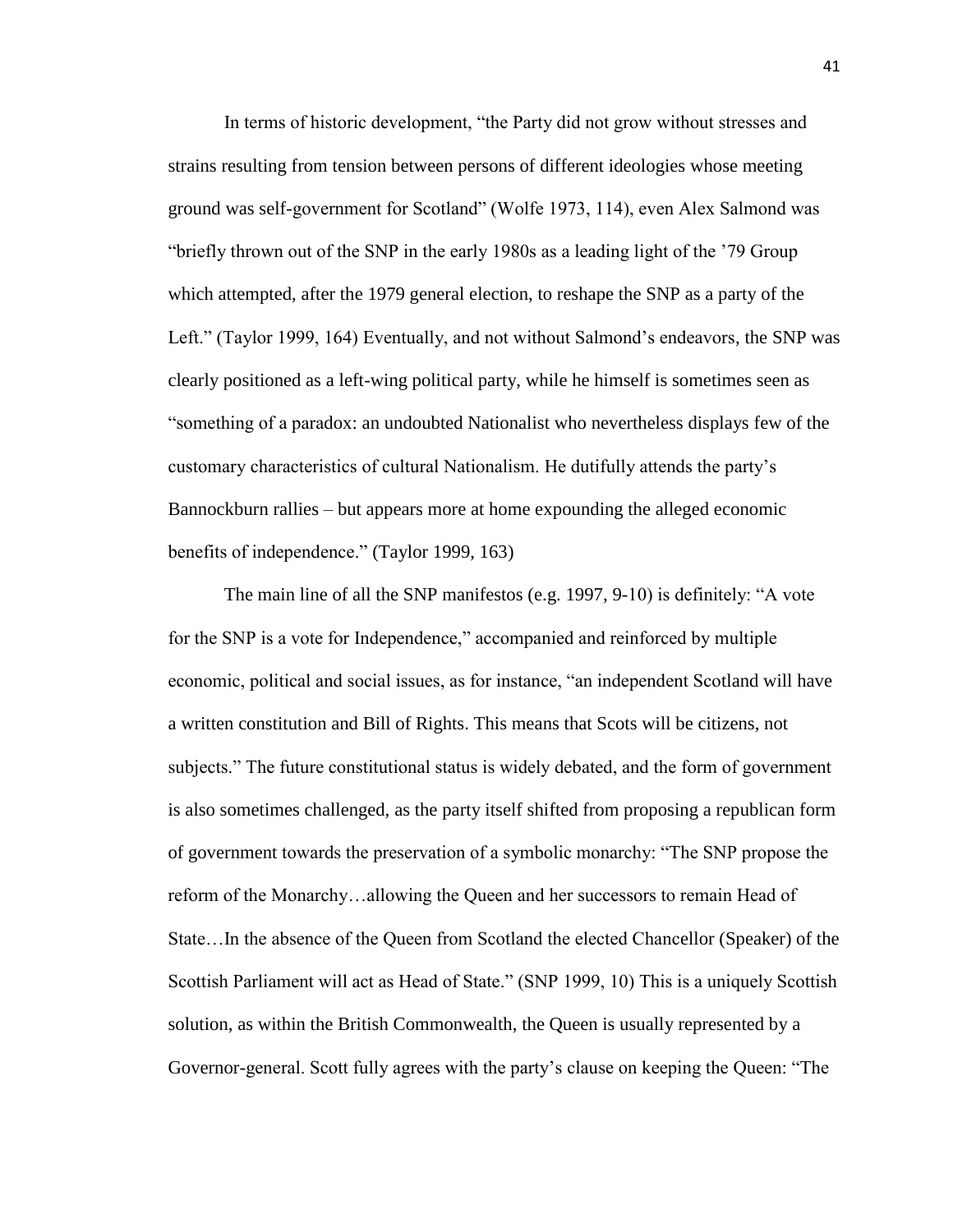In terms of historic development, "the Party did not grow without stresses and strains resulting from tension between persons of different ideologies whose meeting ground was self-government for Scotland" (Wolfe 1973, 114), even Alex Salmond was "briefly thrown out of the SNP in the early 1980s as a leading light of the '79 Group which attempted, after the 1979 general election, to reshape the SNP as a party of the Left." (Taylor 1999, 164) Eventually, and not without Salmond's endeavors, the SNP was clearly positioned as a left-wing political party, while he himself is sometimes seen as "something of a paradox: an undoubted Nationalist who nevertheless displays few of the customary characteristics of cultural Nationalism. He dutifully attends the party's Bannockburn rallies – but appears more at home expounding the alleged economic benefits of independence." (Taylor 1999, 163)

The main line of all the SNP manifestos (e.g. 1997, 9-10) is definitely: "A vote for the SNP is a vote for Independence," accompanied and reinforced by multiple economic, political and social issues, as for instance, "an independent Scotland will have a written constitution and Bill of Rights. This means that Scots will be citizens, not subjects." The future constitutional status is widely debated, and the form of government is also sometimes challenged, as the party itself shifted from proposing a republican form of government towards the preservation of a symbolic monarchy: "The SNP propose the reform of the Monarchy…allowing the Queen and her successors to remain Head of State…In the absence of the Queen from Scotland the elected Chancellor (Speaker) of the Scottish Parliament will act as Head of State." (SNP 1999, 10) This is a uniquely Scottish solution, as within the British Commonwealth, the Queen is usually represented by a Governor-general. Scott fully agrees with the party's clause on keeping the Queen: "The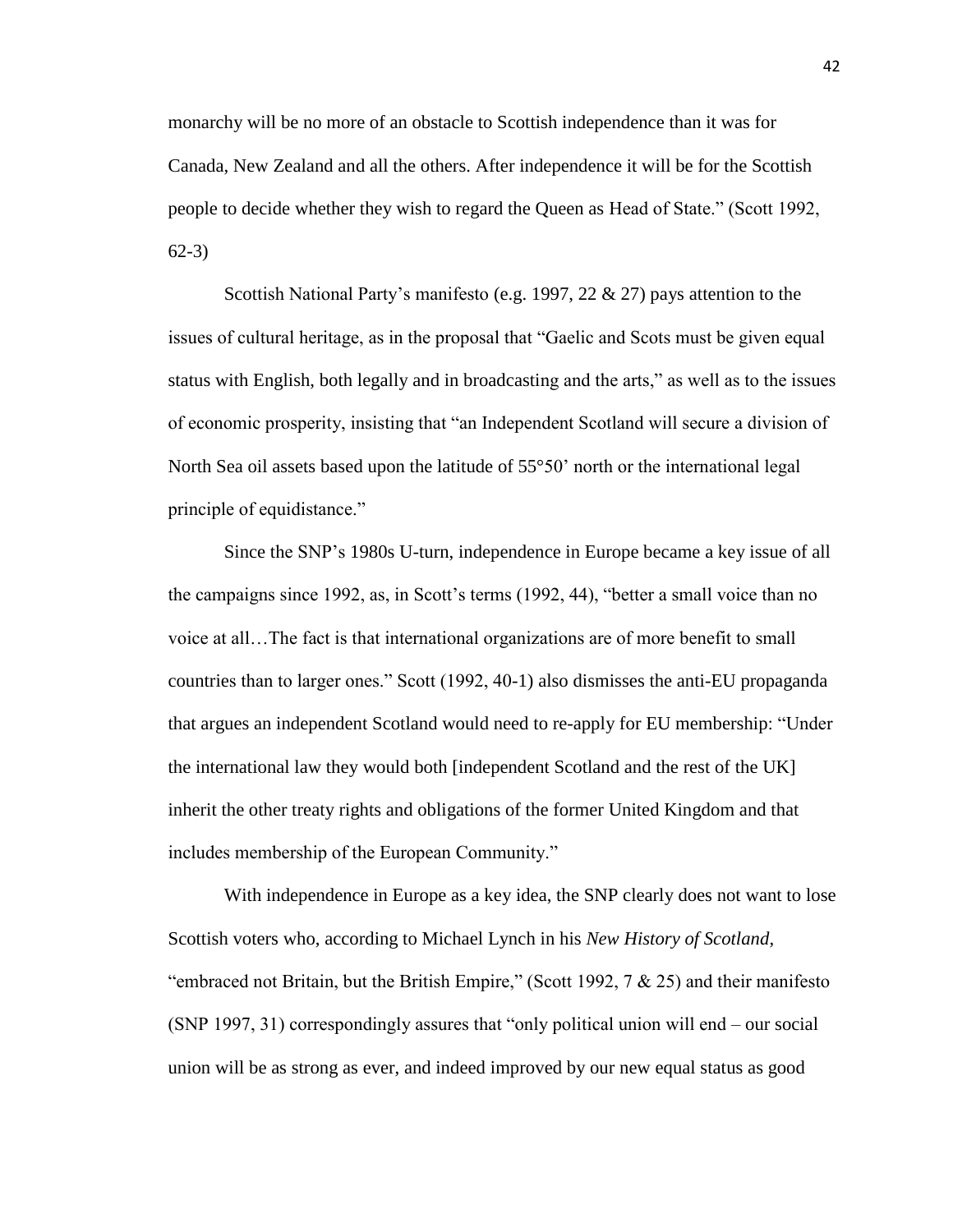monarchy will be no more of an obstacle to Scottish independence than it was for Canada, New Zealand and all the others. After independence it will be for the Scottish people to decide whether they wish to regard the Queen as Head of State." (Scott 1992, 62-3)

Scottish National Party's manifesto (e.g. 1997, 22 & 27) pays attention to the issues of cultural heritage, as in the proposal that "Gaelic and Scots must be given equal status with English, both legally and in broadcasting and the arts," as well as to the issues of economic prosperity, insisting that "an Independent Scotland will secure a division of North Sea oil assets based upon the latitude of 55°50' north or the international legal principle of equidistance."

Since the SNP's 1980s U-turn, independence in Europe became a key issue of all the campaigns since 1992, as, in Scott's terms (1992, 44), "better a small voice than no voice at all…The fact is that international organizations are of more benefit to small countries than to larger ones." Scott (1992, 40-1) also dismisses the anti-EU propaganda that argues an independent Scotland would need to re-apply for EU membership: "Under the international law they would both [independent Scotland and the rest of the UK] inherit the other treaty rights and obligations of the former United Kingdom and that includes membership of the European Community."

With independence in Europe as a key idea, the SNP clearly does not want to lose Scottish voters who, according to Michael Lynch in his *New History of Scotland*, "embraced not Britain, but the British Empire," (Scott 1992,  $7 \& 25$ ) and their manifesto (SNP 1997, 31) correspondingly assures that "only political union will end – our social union will be as strong as ever, and indeed improved by our new equal status as good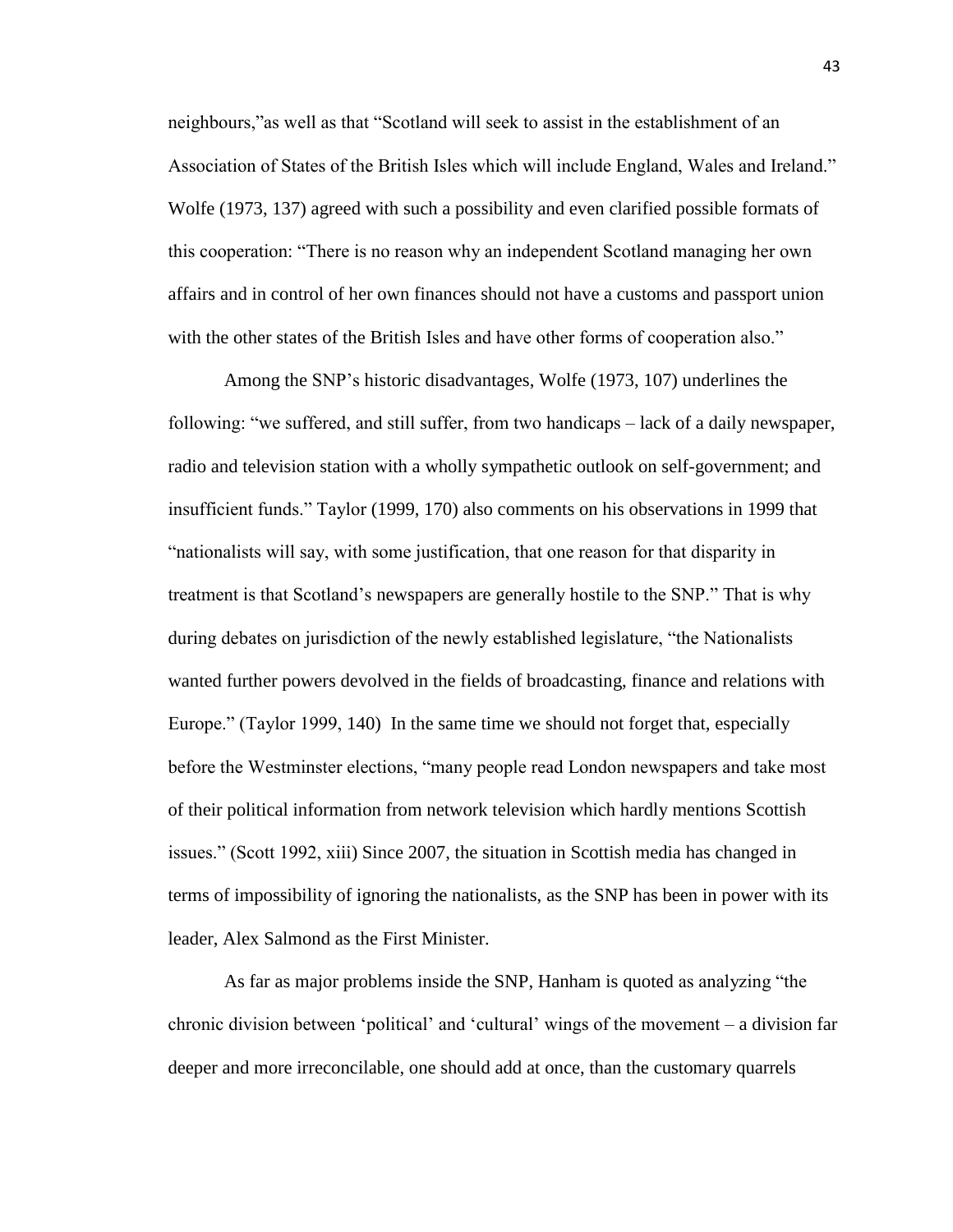neighbours,"as well as that "Scotland will seek to assist in the establishment of an Association of States of the British Isles which will include England, Wales and Ireland." Wolfe (1973, 137) agreed with such a possibility and even clarified possible formats of this cooperation: "There is no reason why an independent Scotland managing her own affairs and in control of her own finances should not have a customs and passport union with the other states of the British Isles and have other forms of cooperation also."

Among the SNP's historic disadvantages, Wolfe (1973, 107) underlines the following: "we suffered, and still suffer, from two handicaps – lack of a daily newspaper, radio and television station with a wholly sympathetic outlook on self-government; and insufficient funds." Taylor (1999, 170) also comments on his observations in 1999 that "nationalists will say, with some justification, that one reason for that disparity in treatment is that Scotland's newspapers are generally hostile to the SNP." That is why during debates on jurisdiction of the newly established legislature, "the Nationalists wanted further powers devolved in the fields of broadcasting, finance and relations with Europe." (Taylor 1999, 140) In the same time we should not forget that, especially before the Westminster elections, "many people read London newspapers and take most of their political information from network television which hardly mentions Scottish issues." (Scott 1992, xiii) Since 2007, the situation in Scottish media has changed in terms of impossibility of ignoring the nationalists, as the SNP has been in power with its leader, Alex Salmond as the First Minister.

As far as major problems inside the SNP, Hanham is quoted as analyzing "the chronic division between 'political' and 'cultural' wings of the movement – a division far deeper and more irreconcilable, one should add at once, than the customary quarrels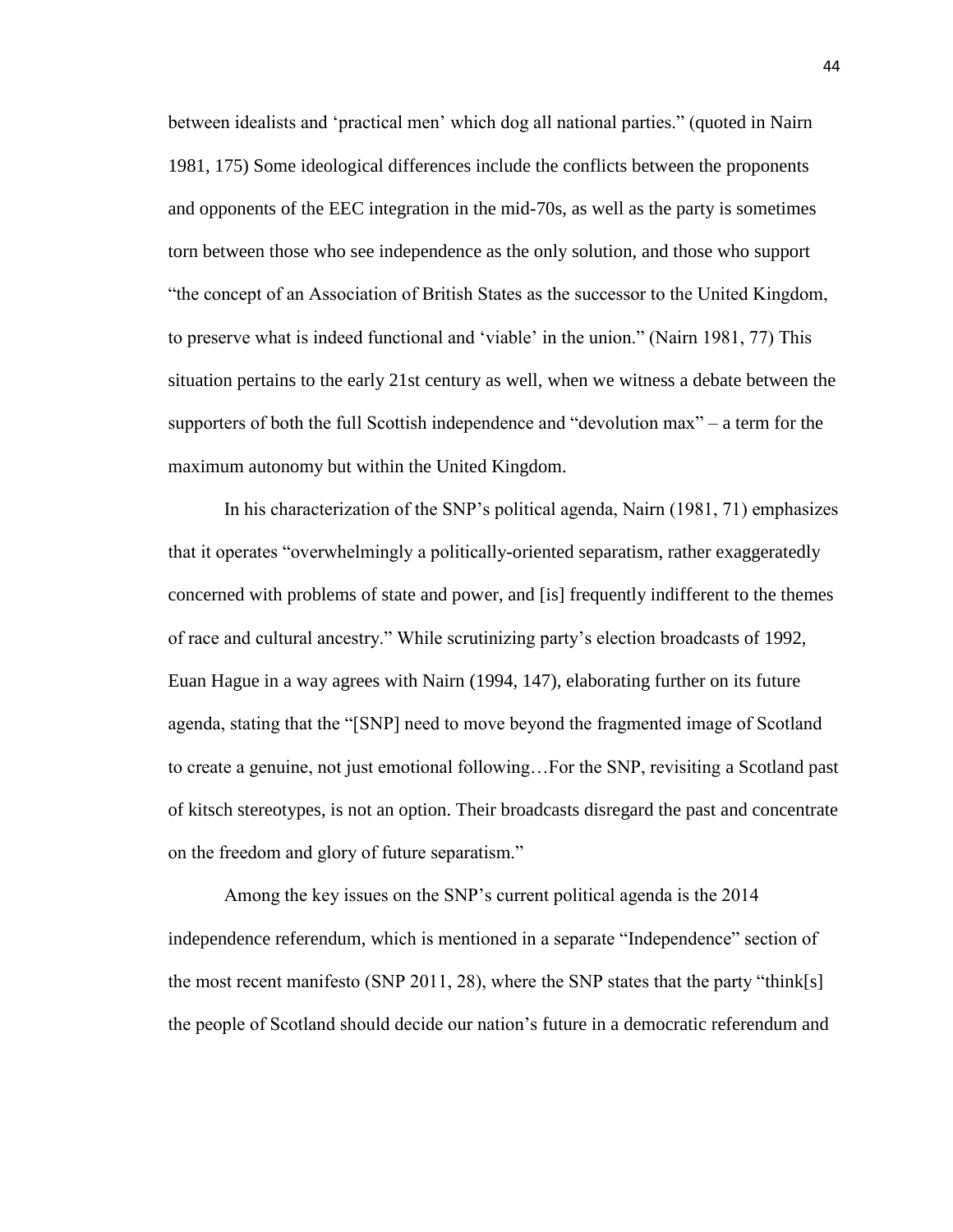between idealists and 'practical men' which dog all national parties." (quoted in Nairn 1981, 175) Some ideological differences include the conflicts between the proponents and opponents of the EEC integration in the mid-70s, as well as the party is sometimes torn between those who see independence as the only solution, and those who support "the concept of an Association of British States as the successor to the United Kingdom, to preserve what is indeed functional and 'viable' in the union." (Nairn 1981, 77) This situation pertains to the early 21st century as well, when we witness a debate between the supporters of both the full Scottish independence and "devolution max" – a term for the maximum autonomy but within the United Kingdom.

In his characterization of the SNP's political agenda, Nairn (1981, 71) emphasizes that it operates "overwhelmingly a politically-oriented separatism, rather exaggeratedly concerned with problems of state and power, and [is] frequently indifferent to the themes of race and cultural ancestry." While scrutinizing party's election broadcasts of 1992, Euan Hague in a way agrees with Nairn (1994, 147), elaborating further on its future agenda, stating that the "[SNP] need to move beyond the fragmented image of Scotland to create a genuine, not just emotional following…For the SNP, revisiting a Scotland past of kitsch stereotypes, is not an option. Their broadcasts disregard the past and concentrate on the freedom and glory of future separatism."

Among the key issues on the SNP's current political agenda is the 2014 independence referendum, which is mentioned in a separate "Independence" section of the most recent manifesto (SNP 2011, 28), where the SNP states that the party "think[s] the people of Scotland should decide our nation's future in a democratic referendum and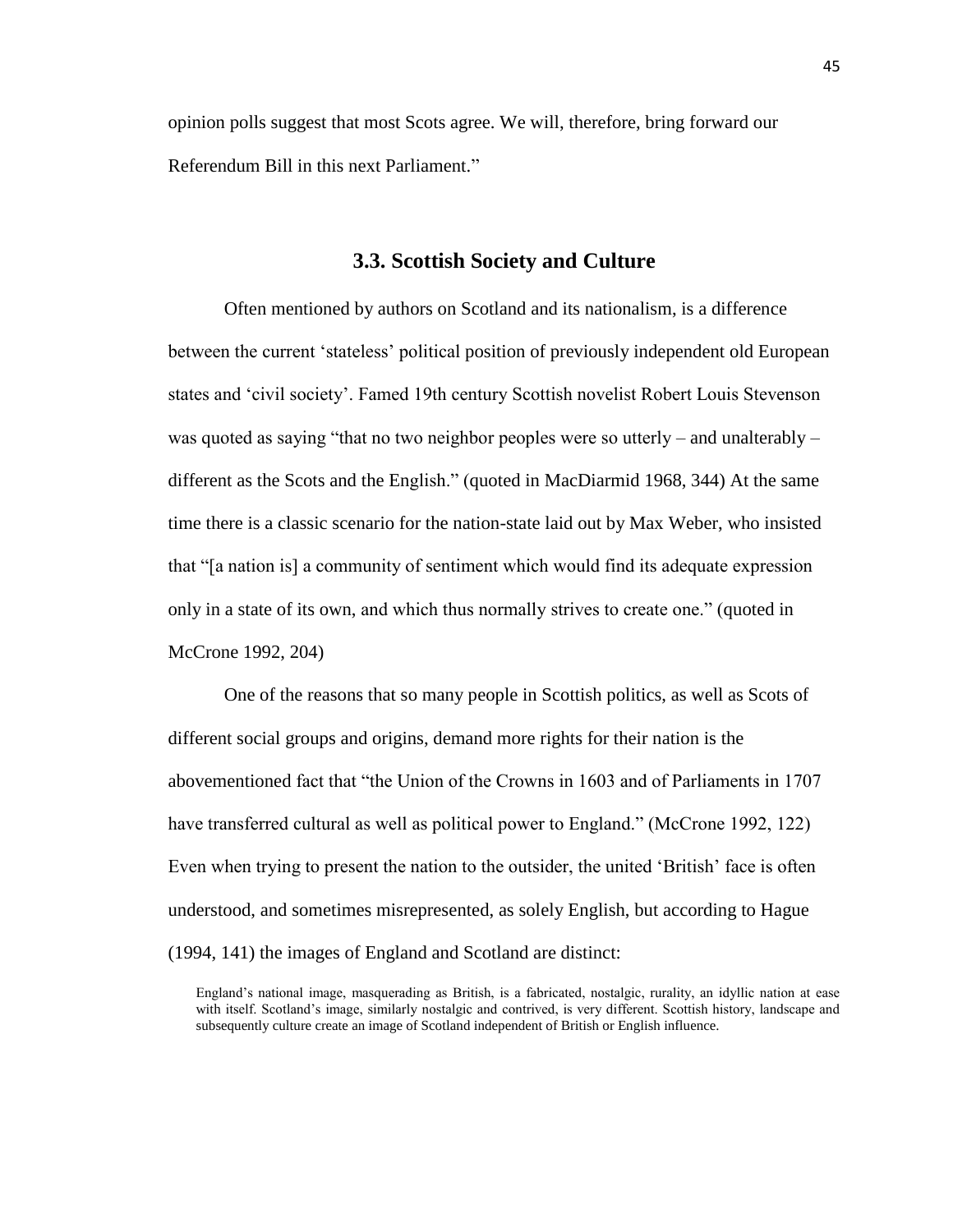opinion polls suggest that most Scots agree. We will, therefore, bring forward our Referendum Bill in this next Parliament."

## **3.3. Scottish Society and Culture**

Often mentioned by authors on Scotland and its nationalism, is a difference between the current 'stateless' political position of previously independent old European states and 'civil society'. Famed 19th century Scottish novelist Robert Louis Stevenson was quoted as saying "that no two neighbor peoples were so utterly – and unalterably – different as the Scots and the English." (quoted in MacDiarmid 1968, 344) At the same time there is a classic scenario for the nation-state laid out by Max Weber, who insisted that "[a nation is] a community of sentiment which would find its adequate expression only in a state of its own, and which thus normally strives to create one." (quoted in McCrone 1992, 204)

One of the reasons that so many people in Scottish politics, as well as Scots of different social groups and origins, demand more rights for their nation is the abovementioned fact that "the Union of the Crowns in 1603 and of Parliaments in 1707 have transferred cultural as well as political power to England." (McCrone 1992, 122) Even when trying to present the nation to the outsider, the united 'British' face is often understood, and sometimes misrepresented, as solely English, but according to Hague (1994, 141) the images of England and Scotland are distinct:

England's national image, masquerading as British, is a fabricated, nostalgic, rurality, an idyllic nation at ease with itself. Scotland's image, similarly nostalgic and contrived, is very different. Scottish history, landscape and subsequently culture create an image of Scotland independent of British or English influence.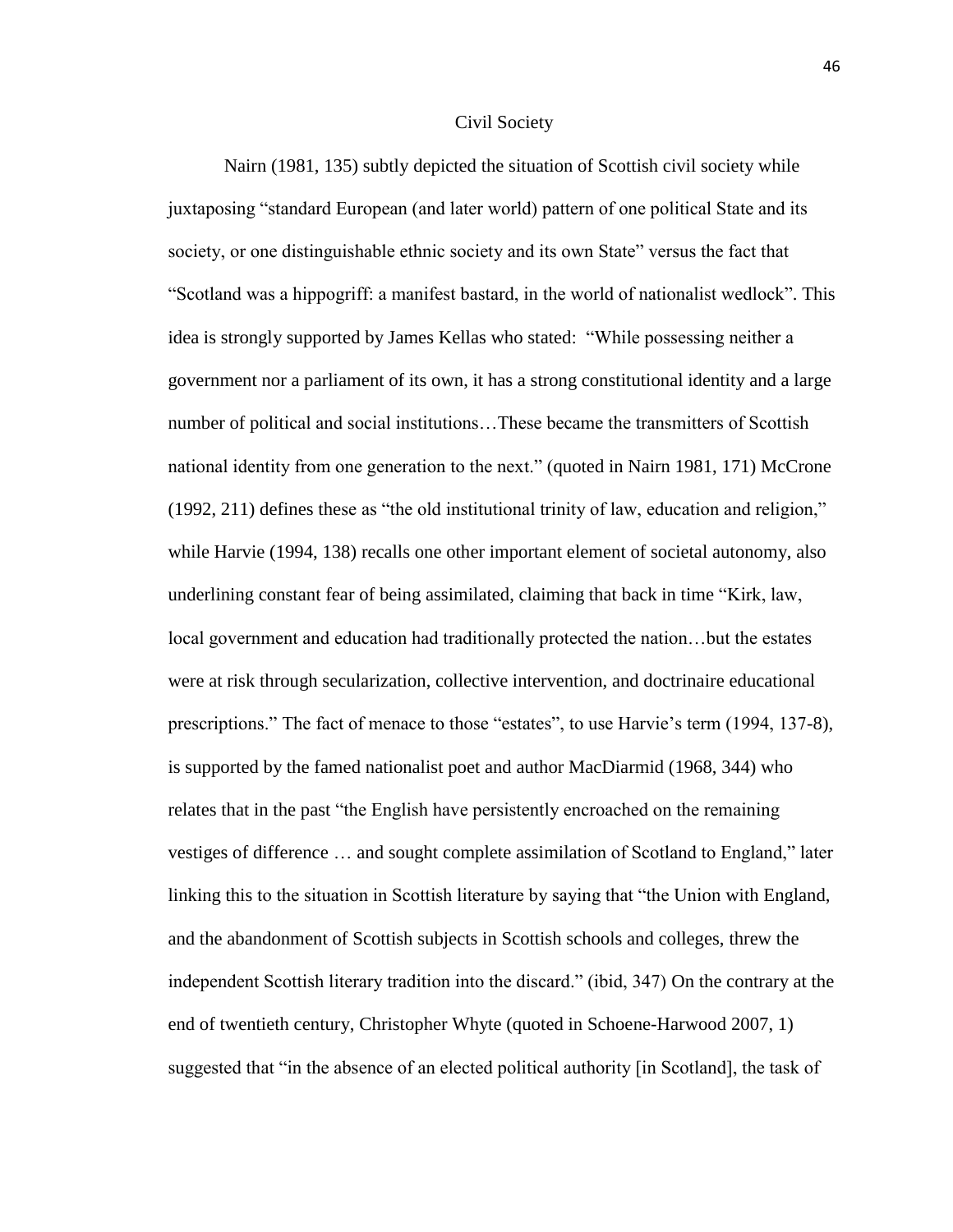#### Civil Society

Nairn (1981, 135) subtly depicted the situation of Scottish civil society while juxtaposing "standard European (and later world) pattern of one political State and its society, or one distinguishable ethnic society and its own State" versus the fact that "Scotland was a hippogriff: a manifest bastard, in the world of nationalist wedlock". This idea is strongly supported by James Kellas who stated: "While possessing neither a government nor a parliament of its own, it has a strong constitutional identity and a large number of political and social institutions…These became the transmitters of Scottish national identity from one generation to the next." (quoted in Nairn 1981, 171) McCrone (1992, 211) defines these as "the old institutional trinity of law, education and religion," while Harvie (1994, 138) recalls one other important element of societal autonomy, also underlining constant fear of being assimilated, claiming that back in time "Kirk, law, local government and education had traditionally protected the nation…but the estates were at risk through secularization, collective intervention, and doctrinaire educational prescriptions." The fact of menace to those "estates", to use Harvie's term (1994, 137-8), is supported by the famed nationalist poet and author MacDiarmid (1968, 344) who relates that in the past "the English have persistently encroached on the remaining vestiges of difference … and sought complete assimilation of Scotland to England," later linking this to the situation in Scottish literature by saying that "the Union with England, and the abandonment of Scottish subjects in Scottish schools and colleges, threw the independent Scottish literary tradition into the discard." (ibid, 347) On the contrary at the end of twentieth century, Christopher Whyte (quoted in Schoene-Harwood 2007, 1) suggested that "in the absence of an elected political authority [in Scotland], the task of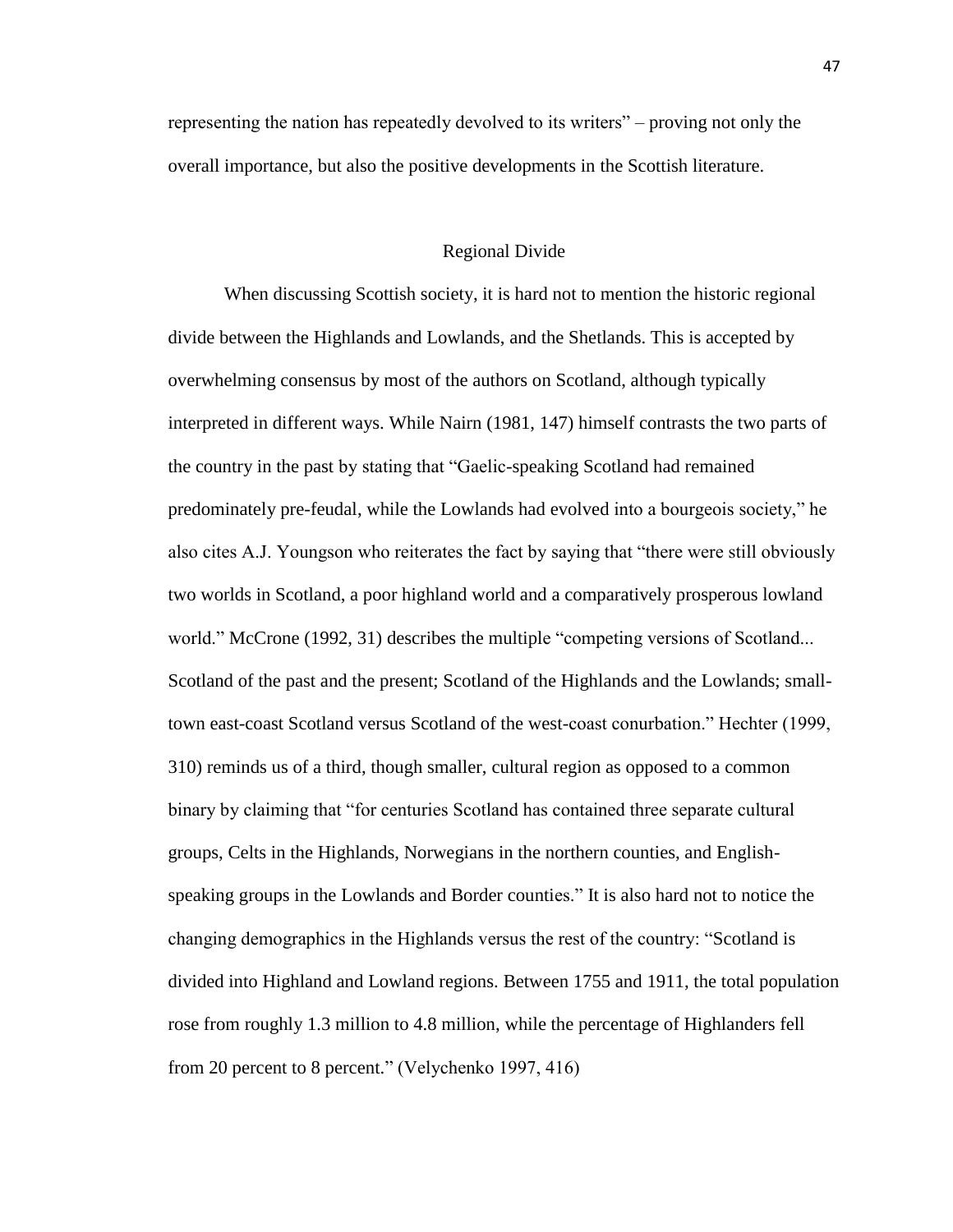representing the nation has repeatedly devolved to its writers" – proving not only the overall importance, but also the positive developments in the Scottish literature.

### Regional Divide

When discussing Scottish society, it is hard not to mention the historic regional divide between the Highlands and Lowlands, and the Shetlands. This is accepted by overwhelming consensus by most of the authors on Scotland, although typically interpreted in different ways. While Nairn (1981, 147) himself contrasts the two parts of the country in the past by stating that "Gaelic-speaking Scotland had remained predominately pre-feudal, while the Lowlands had evolved into a bourgeois society," he also cites A.J. Youngson who reiterates the fact by saying that "there were still obviously two worlds in Scotland, a poor highland world and a comparatively prosperous lowland world." McCrone (1992, 31) describes the multiple "competing versions of Scotland... Scotland of the past and the present; Scotland of the Highlands and the Lowlands; smalltown east-coast Scotland versus Scotland of the west-coast conurbation." Hechter (1999, 310) reminds us of a third, though smaller, cultural region as opposed to a common binary by claiming that "for centuries Scotland has contained three separate cultural groups, Celts in the Highlands, Norwegians in the northern counties, and Englishspeaking groups in the Lowlands and Border counties." It is also hard not to notice the changing demographics in the Highlands versus the rest of the country: "Scotland is divided into Highland and Lowland regions. Between 1755 and 1911, the total population rose from roughly 1.3 million to 4.8 million, while the percentage of Highlanders fell from 20 percent to 8 percent." (Velychenko 1997, 416)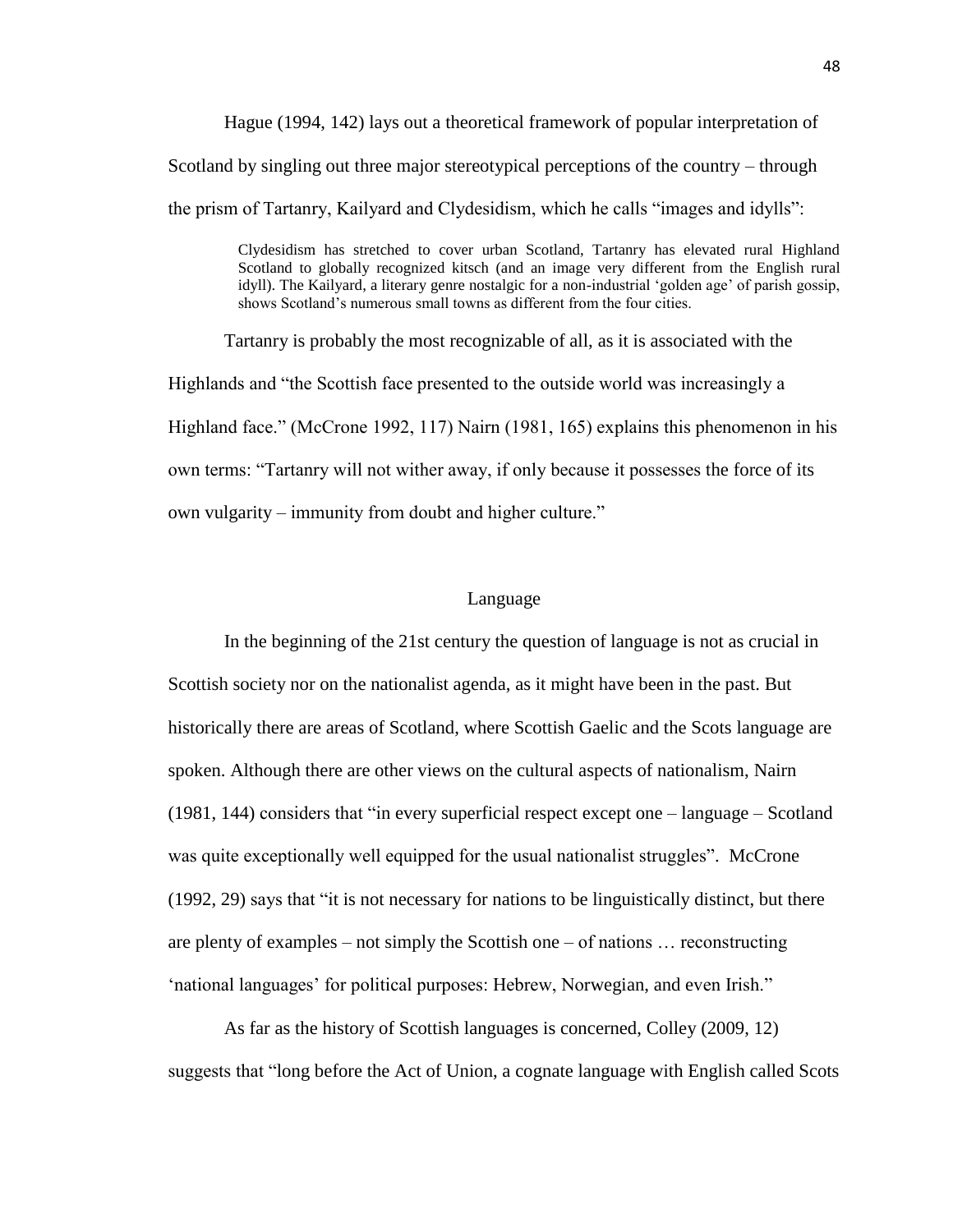Hague (1994, 142) lays out a theoretical framework of popular interpretation of Scotland by singling out three major stereotypical perceptions of the country – through the prism of Tartanry, Kailyard and Clydesidism, which he calls "images and idylls":

> Clydesidism has stretched to cover urban Scotland, Tartanry has elevated rural Highland Scotland to globally recognized kitsch (and an image very different from the English rural idyll). The Kailyard, a literary genre nostalgic for a non-industrial 'golden age' of parish gossip, shows Scotland's numerous small towns as different from the four cities.

Tartanry is probably the most recognizable of all, as it is associated with the Highlands and "the Scottish face presented to the outside world was increasingly a Highland face." (McCrone 1992, 117) Nairn (1981, 165) explains this phenomenon in his own terms: "Tartanry will not wither away, if only because it possesses the force of its own vulgarity – immunity from doubt and higher culture."

#### Language

In the beginning of the 21st century the question of language is not as crucial in Scottish society nor on the nationalist agenda, as it might have been in the past. But historically there are areas of Scotland, where Scottish Gaelic and the Scots language are spoken. Although there are other views on the cultural aspects of nationalism, Nairn (1981, 144) considers that "in every superficial respect except one – language – Scotland was quite exceptionally well equipped for the usual nationalist struggles". McCrone (1992, 29) says that "it is not necessary for nations to be linguistically distinct, but there are plenty of examples – not simply the Scottish one – of nations … reconstructing 'national languages' for political purposes: Hebrew, Norwegian, and even Irish."

As far as the history of Scottish languages is concerned, Colley (2009, 12) suggests that "long before the Act of Union, a cognate language with English called Scots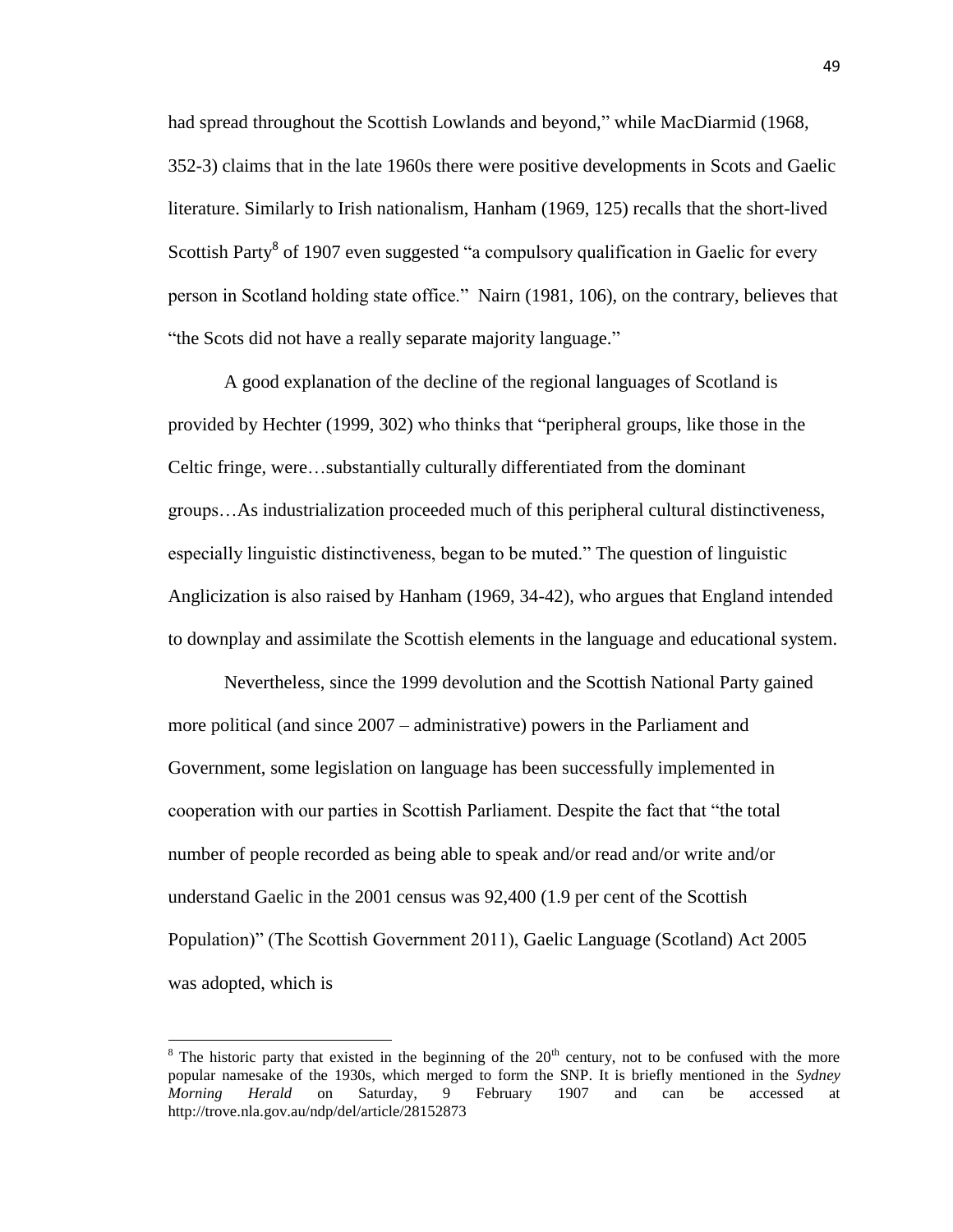had spread throughout the Scottish Lowlands and beyond," while MacDiarmid (1968, 352-3) claims that in the late 1960s there were positive developments in Scots and Gaelic literature. Similarly to Irish nationalism, Hanham (1969, 125) recalls that the short-lived Scottish Party<sup>8</sup> of 1907 even suggested "a compulsory qualification in Gaelic for every person in Scotland holding state office." Nairn (1981, 106), on the contrary, believes that "the Scots did not have a really separate majority language."

A good explanation of the decline of the regional languages of Scotland is provided by Hechter (1999, 302) who thinks that "peripheral groups, like those in the Celtic fringe, were…substantially culturally differentiated from the dominant groups…As industrialization proceeded much of this peripheral cultural distinctiveness, especially linguistic distinctiveness, began to be muted." The question of linguistic Anglicization is also raised by Hanham (1969, 34-42), who argues that England intended to downplay and assimilate the Scottish elements in the language and educational system.

Nevertheless, since the 1999 devolution and the Scottish National Party gained more political (and since 2007 – administrative) powers in the Parliament and Government, some legislation on language has been successfully implemented in cooperation with our parties in Scottish Parliament. Despite the fact that "the total number of people recorded as being able to speak and/or read and/or write and/or understand Gaelic in the 2001 census was 92,400 (1.9 per cent of the Scottish Population)" (The Scottish Government 2011), Gaelic Language (Scotland) Act 2005 was adopted, which is

 $\overline{\phantom{a}}$ 

 $8$  The historic party that existed in the beginning of the  $20<sup>th</sup>$  century, not to be confused with the more popular namesake of the 1930s, which merged to form the SNP. It is briefly mentioned in the *Sydney Morning Herald* on Saturday, 9 February 1907 and can be accessed at http://trove.nla.gov.au/ndp/del/article/28152873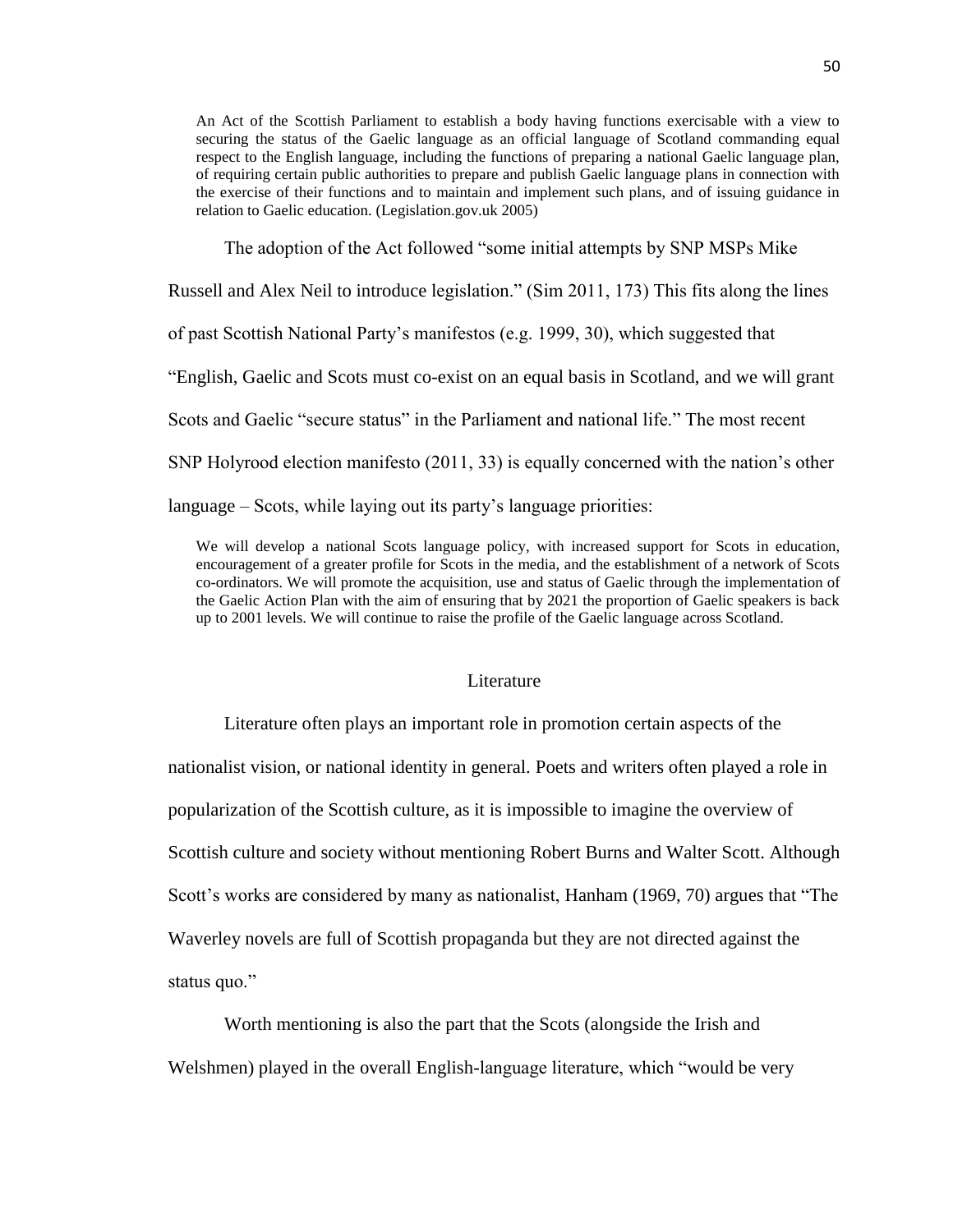An Act of the Scottish Parliament to establish a body having functions exercisable with a view to securing the status of the Gaelic language as an official language of Scotland commanding equal respect to the English language, including the functions of preparing a national Gaelic language plan, of requiring certain public authorities to prepare and publish Gaelic language plans in connection with the exercise of their functions and to maintain and implement such plans, and of issuing guidance in relation to Gaelic education. (Legislation.gov.uk 2005)

The adoption of the Act followed "some initial attempts by SNP MSPs Mike

Russell and Alex Neil to introduce legislation." (Sim 2011, 173) This fits along the lines

of past Scottish National Party's manifestos (e.g. 1999, 30), which suggested that

"English, Gaelic and Scots must co-exist on an equal basis in Scotland, and we will grant

Scots and Gaelic "secure status" in the Parliament and national life." The most recent

SNP Holyrood election manifesto (2011, 33) is equally concerned with the nation's other

language – Scots, while laying out its party's language priorities:

We will develop a national Scots language policy, with increased support for Scots in education, encouragement of a greater profile for Scots in the media, and the establishment of a network of Scots co-ordinators. We will promote the acquisition, use and status of Gaelic through the implementation of the Gaelic Action Plan with the aim of ensuring that by 2021 the proportion of Gaelic speakers is back up to 2001 levels. We will continue to raise the profile of the Gaelic language across Scotland.

#### Literature

Literature often plays an important role in promotion certain aspects of the nationalist vision, or national identity in general. Poets and writers often played a role in popularization of the Scottish culture, as it is impossible to imagine the overview of Scottish culture and society without mentioning Robert Burns and Walter Scott. Although Scott's works are considered by many as nationalist, Hanham (1969, 70) argues that "The Waverley novels are full of Scottish propaganda but they are not directed against the status quo."

Worth mentioning is also the part that the Scots (alongside the Irish and Welshmen) played in the overall English-language literature, which "would be very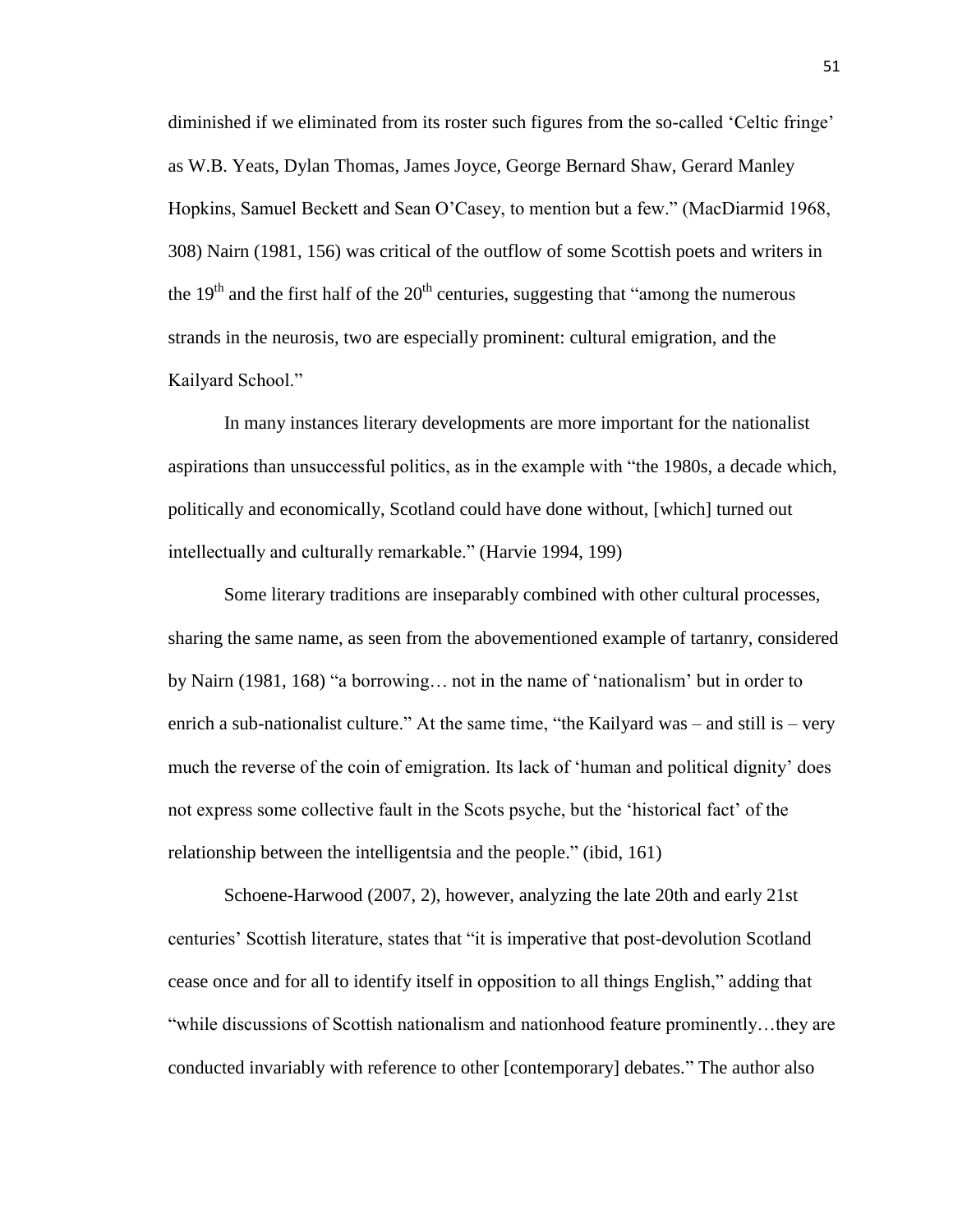diminished if we eliminated from its roster such figures from the so-called 'Celtic fringe' as W.B. Yeats, Dylan Thomas, James Joyce, George Bernard Shaw, Gerard Manley Hopkins, Samuel Beckett and Sean O'Casey, to mention but a few." (MacDiarmid 1968, 308) Nairn (1981, 156) was critical of the outflow of some Scottish poets and writers in the  $19<sup>th</sup>$  and the first half of the  $20<sup>th</sup>$  centuries, suggesting that "among the numerous strands in the neurosis, two are especially prominent: cultural emigration, and the Kailyard School."

In many instances literary developments are more important for the nationalist aspirations than unsuccessful politics, as in the example with "the 1980s, a decade which, politically and economically, Scotland could have done without, [which] turned out intellectually and culturally remarkable." (Harvie 1994, 199)

Some literary traditions are inseparably combined with other cultural processes, sharing the same name, as seen from the abovementioned example of tartanry, considered by Nairn (1981, 168) "a borrowing… not in the name of 'nationalism' but in order to enrich a sub-nationalist culture." At the same time, "the Kailyard was – and still is – very much the reverse of the coin of emigration. Its lack of 'human and political dignity' does not express some collective fault in the Scots psyche, but the 'historical fact' of the relationship between the intelligentsia and the people." (ibid, 161)

Schoene-Harwood (2007, 2), however, analyzing the late 20th and early 21st centuries' Scottish literature, states that "it is imperative that post-devolution Scotland cease once and for all to identify itself in opposition to all things English," adding that "while discussions of Scottish nationalism and nationhood feature prominently…they are conducted invariably with reference to other [contemporary] debates." The author also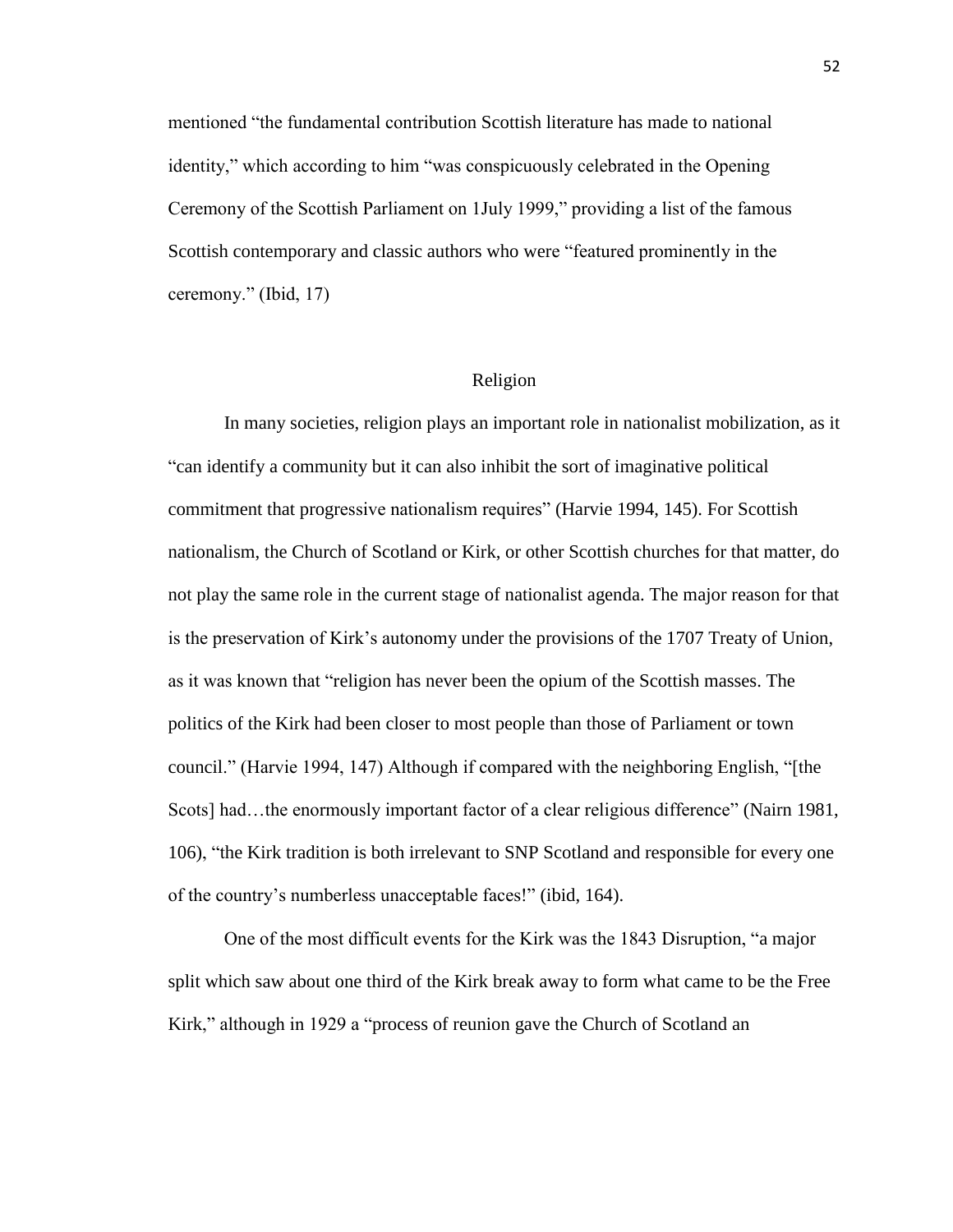mentioned "the fundamental contribution Scottish literature has made to national identity," which according to him "was conspicuously celebrated in the Opening Ceremony of the Scottish Parliament on 1July 1999," providing a list of the famous Scottish contemporary and classic authors who were "featured prominently in the ceremony." (Ibid, 17)

## Religion

In many societies, religion plays an important role in nationalist mobilization, as it "can identify a community but it can also inhibit the sort of imaginative political commitment that progressive nationalism requires" (Harvie 1994, 145). For Scottish nationalism, the Church of Scotland or Kirk, or other Scottish churches for that matter, do not play the same role in the current stage of nationalist agenda. The major reason for that is the preservation of Kirk's autonomy under the provisions of the 1707 Treaty of Union, as it was known that "religion has never been the opium of the Scottish masses. The politics of the Kirk had been closer to most people than those of Parliament or town council." (Harvie 1994, 147) Although if compared with the neighboring English, "[the Scots] had…the enormously important factor of a clear religious difference" (Nairn 1981, 106), "the Kirk tradition is both irrelevant to SNP Scotland and responsible for every one of the country's numberless unacceptable faces!" (ibid, 164).

One of the most difficult events for the Kirk was the 1843 Disruption, "a major split which saw about one third of the Kirk break away to form what came to be the Free Kirk," although in 1929 a "process of reunion gave the Church of Scotland an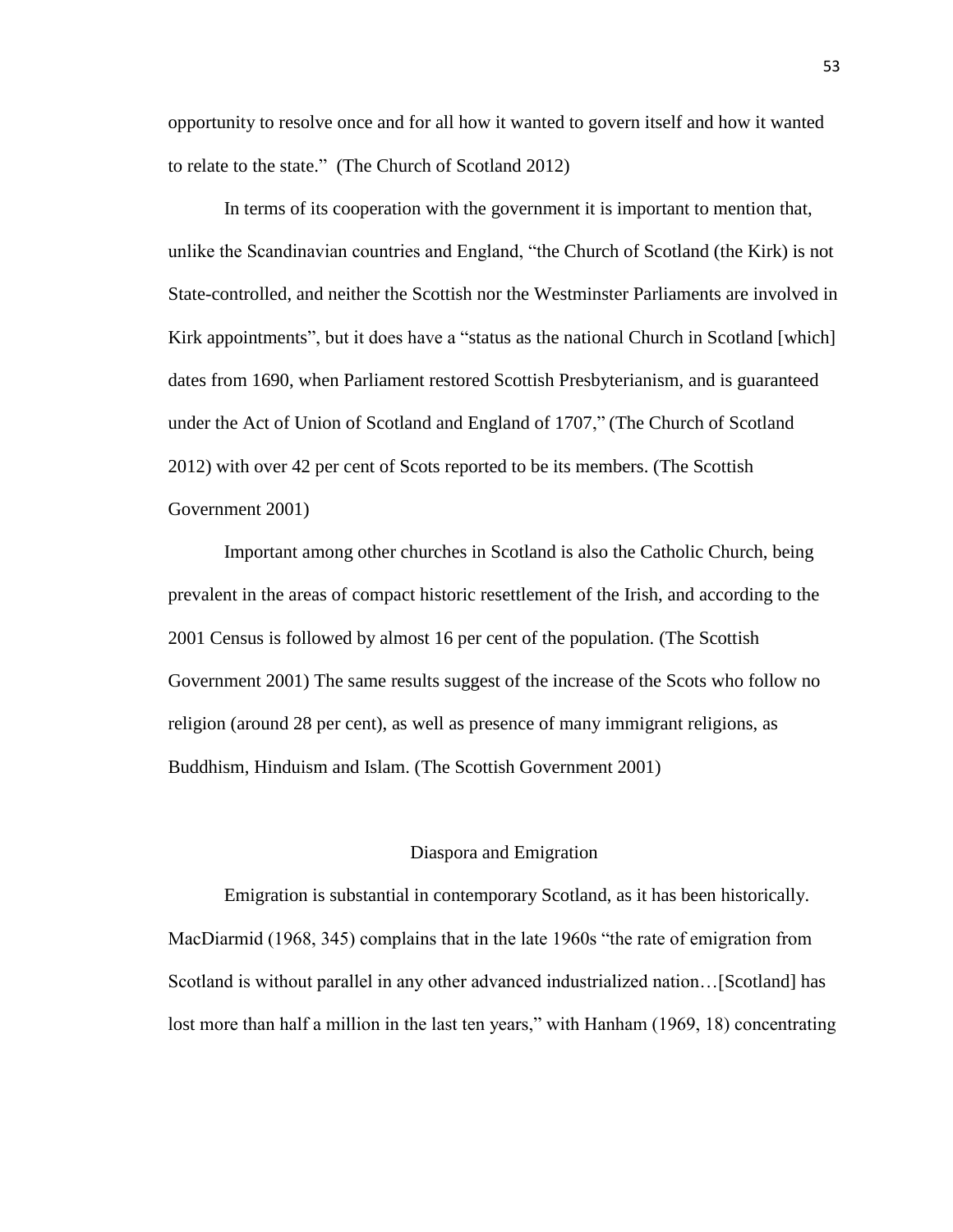opportunity to resolve once and for all how it wanted to govern itself and how it wanted to relate to the state." (The Church of Scotland 2012)

In terms of its cooperation with the government it is important to mention that, unlike the Scandinavian countries and England, "the Church of Scotland (the Kirk) is not State-controlled, and neither the Scottish nor the Westminster Parliaments are involved in Kirk appointments", but it does have a "status as the national Church in Scotland [which] dates from 1690, when Parliament restored Scottish Presbyterianism, and is guaranteed under the Act of Union of Scotland and England of 1707," (The Church of Scotland 2012) with over 42 per cent of Scots reported to be its members. (The Scottish Government 2001)

Important among other churches in Scotland is also the Catholic Church, being prevalent in the areas of compact historic resettlement of the Irish, and according to the 2001 Census is followed by almost 16 per cent of the population. (The Scottish Government 2001) The same results suggest of the increase of the Scots who follow no religion (around 28 per cent), as well as presence of many immigrant religions, as Buddhism, Hinduism and Islam. (The Scottish Government 2001)

#### Diaspora and Emigration

Emigration is substantial in contemporary Scotland, as it has been historically. MacDiarmid (1968, 345) complains that in the late 1960s "the rate of emigration from Scotland is without parallel in any other advanced industrialized nation…[Scotland] has lost more than half a million in the last ten years," with Hanham (1969, 18) concentrating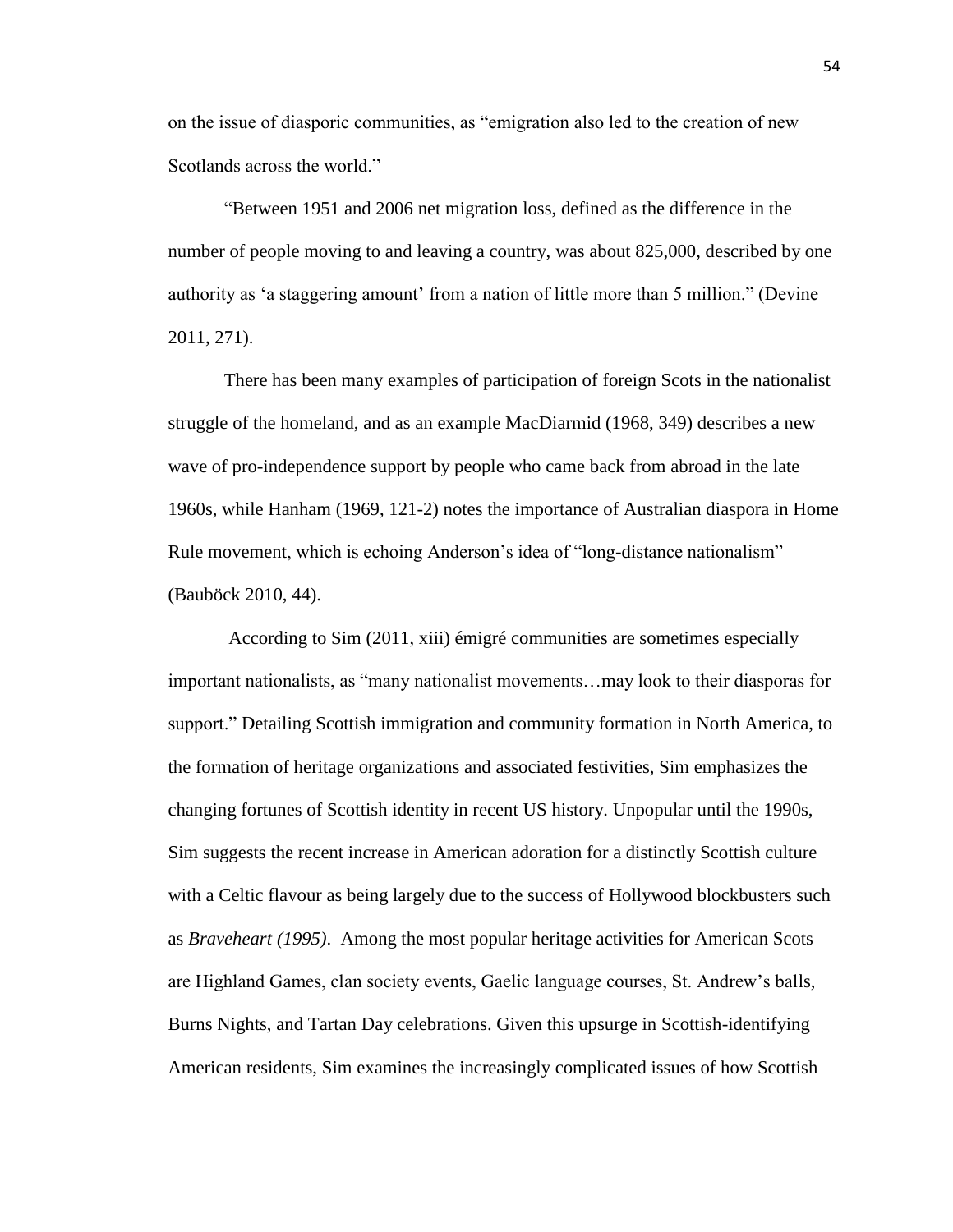on the issue of diasporic communities, as "emigration also led to the creation of new Scotlands across the world."

"Between 1951 and 2006 net migration loss, defined as the difference in the number of people moving to and leaving a country, was about 825,000, described by one authority as 'a staggering amount' from a nation of little more than 5 million." (Devine 2011, 271).

There has been many examples of participation of foreign Scots in the nationalist struggle of the homeland, and as an example MacDiarmid (1968, 349) describes a new wave of pro-independence support by people who came back from abroad in the late 1960s, while Hanham (1969, 121-2) notes the importance of Australian diaspora in Home Rule movement, which is echoing Anderson's idea of "long-distance nationalism" (Bauböck 2010, 44).

According to Sim (2011, xiii) émigré communities are sometimes especially important nationalists, as "many nationalist movements…may look to their diasporas for support." Detailing Scottish immigration and community formation in North America, to the formation of heritage organizations and associated festivities, Sim emphasizes the changing fortunes of Scottish identity in recent US history. Unpopular until the 1990s, Sim suggests the recent increase in American adoration for a distinctly Scottish culture with a Celtic flavour as being largely due to the success of Hollywood blockbusters such as *Braveheart (1995)*. Among the most popular heritage activities for American Scots are Highland Games, clan society events, Gaelic language courses, St. Andrew's balls, Burns Nights, and Tartan Day celebrations. Given this upsurge in Scottish-identifying American residents, Sim examines the increasingly complicated issues of how Scottish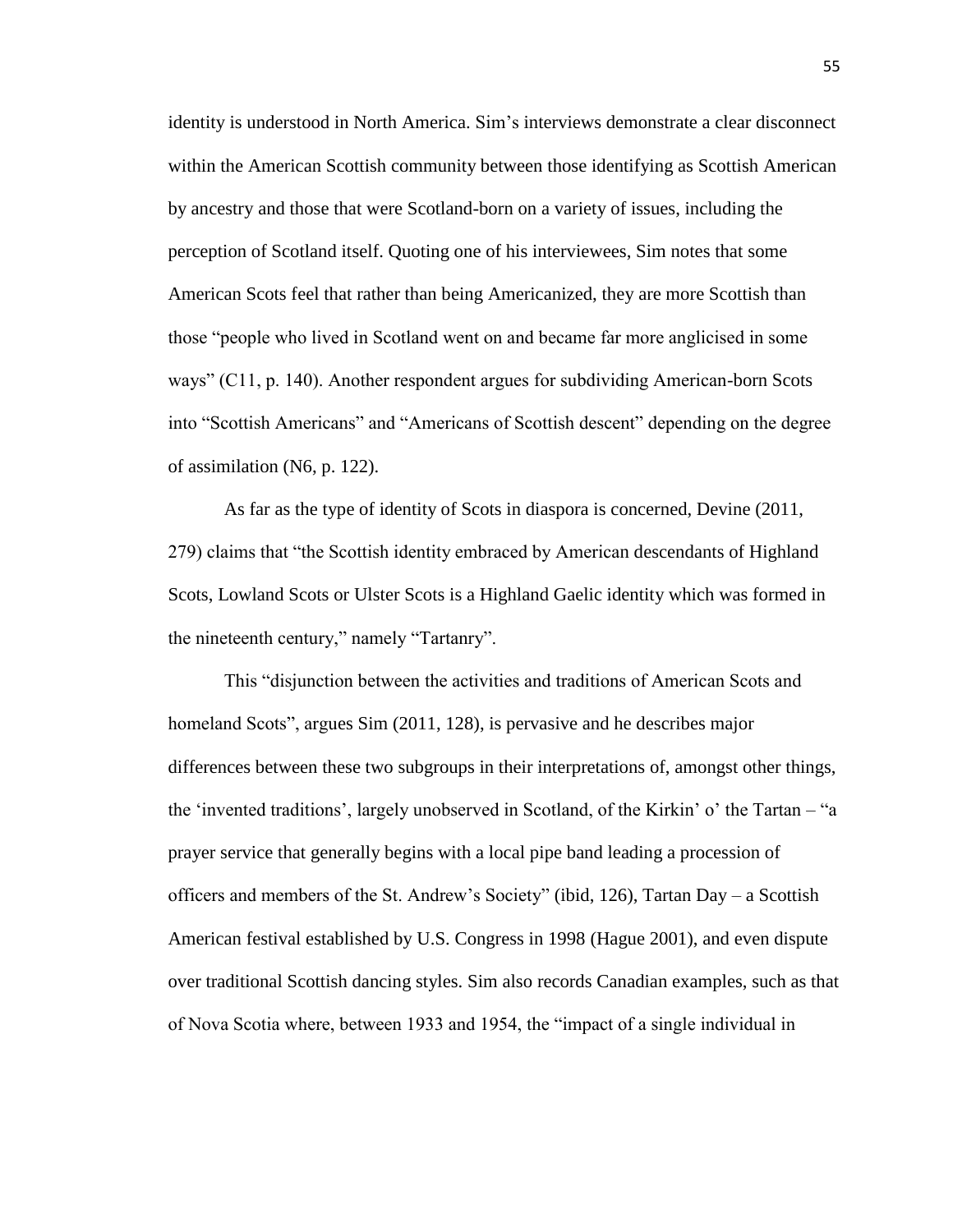identity is understood in North America. Sim's interviews demonstrate a clear disconnect within the American Scottish community between those identifying as Scottish American by ancestry and those that were Scotland-born on a variety of issues, including the perception of Scotland itself. Quoting one of his interviewees, Sim notes that some American Scots feel that rather than being Americanized, they are more Scottish than those "people who lived in Scotland went on and became far more anglicised in some ways" (C11, p. 140). Another respondent argues for subdividing American-born Scots into "Scottish Americans" and "Americans of Scottish descent" depending on the degree of assimilation (N6, p. 122).

As far as the type of identity of Scots in diaspora is concerned, Devine (2011, 279) claims that "the Scottish identity embraced by American descendants of Highland Scots, Lowland Scots or Ulster Scots is a Highland Gaelic identity which was formed in the nineteenth century," namely "Tartanry".

This "disjunction between the activities and traditions of American Scots and homeland Scots", argues Sim (2011, 128), is pervasive and he describes major differences between these two subgroups in their interpretations of, amongst other things, the 'invented traditions', largely unobserved in Scotland, of the Kirkin' o' the Tartan – "a prayer service that generally begins with a local pipe band leading a procession of officers and members of the St. Andrew's Society" (ibid, 126), Tartan Day – a Scottish American festival established by U.S. Congress in 1998 (Hague 2001), and even dispute over traditional Scottish dancing styles. Sim also records Canadian examples, such as that of Nova Scotia where, between 1933 and 1954, the "impact of a single individual in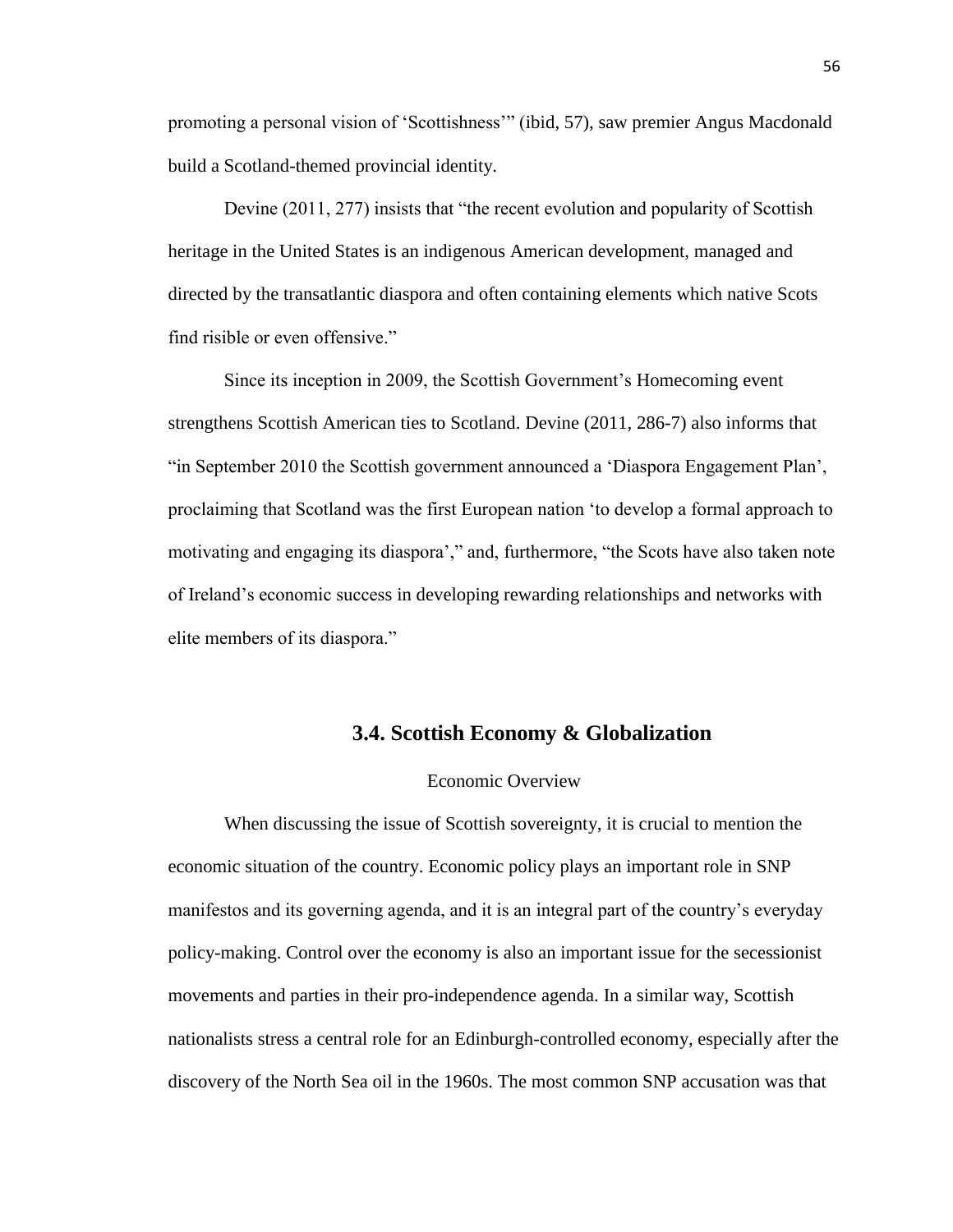promoting a personal vision of 'Scottishness'" (ibid, 57), saw premier Angus Macdonald build a Scotland-themed provincial identity.

Devine (2011, 277) insists that "the recent evolution and popularity of Scottish heritage in the United States is an indigenous American development, managed and directed by the transatlantic diaspora and often containing elements which native Scots find risible or even offensive."

Since its inception in 2009, the Scottish Government's Homecoming event strengthens Scottish American ties to Scotland. Devine (2011, 286-7) also informs that "in September 2010 the Scottish government announced a 'Diaspora Engagement Plan', proclaiming that Scotland was the first European nation 'to develop a formal approach to motivating and engaging its diaspora'," and, furthermore, "the Scots have also taken note of Ireland's economic success in developing rewarding relationships and networks with elite members of its diaspora."

## **3.4. Scottish Economy & Globalization**

### Economic Overview

When discussing the issue of Scottish sovereignty, it is crucial to mention the economic situation of the country. Economic policy plays an important role in SNP manifestos and its governing agenda, and it is an integral part of the country's everyday policy-making. Control over the economy is also an important issue for the secessionist movements and parties in their pro-independence agenda. In a similar way, Scottish nationalists stress a central role for an Edinburgh-controlled economy, especially after the discovery of the North Sea oil in the 1960s. The most common SNP accusation was that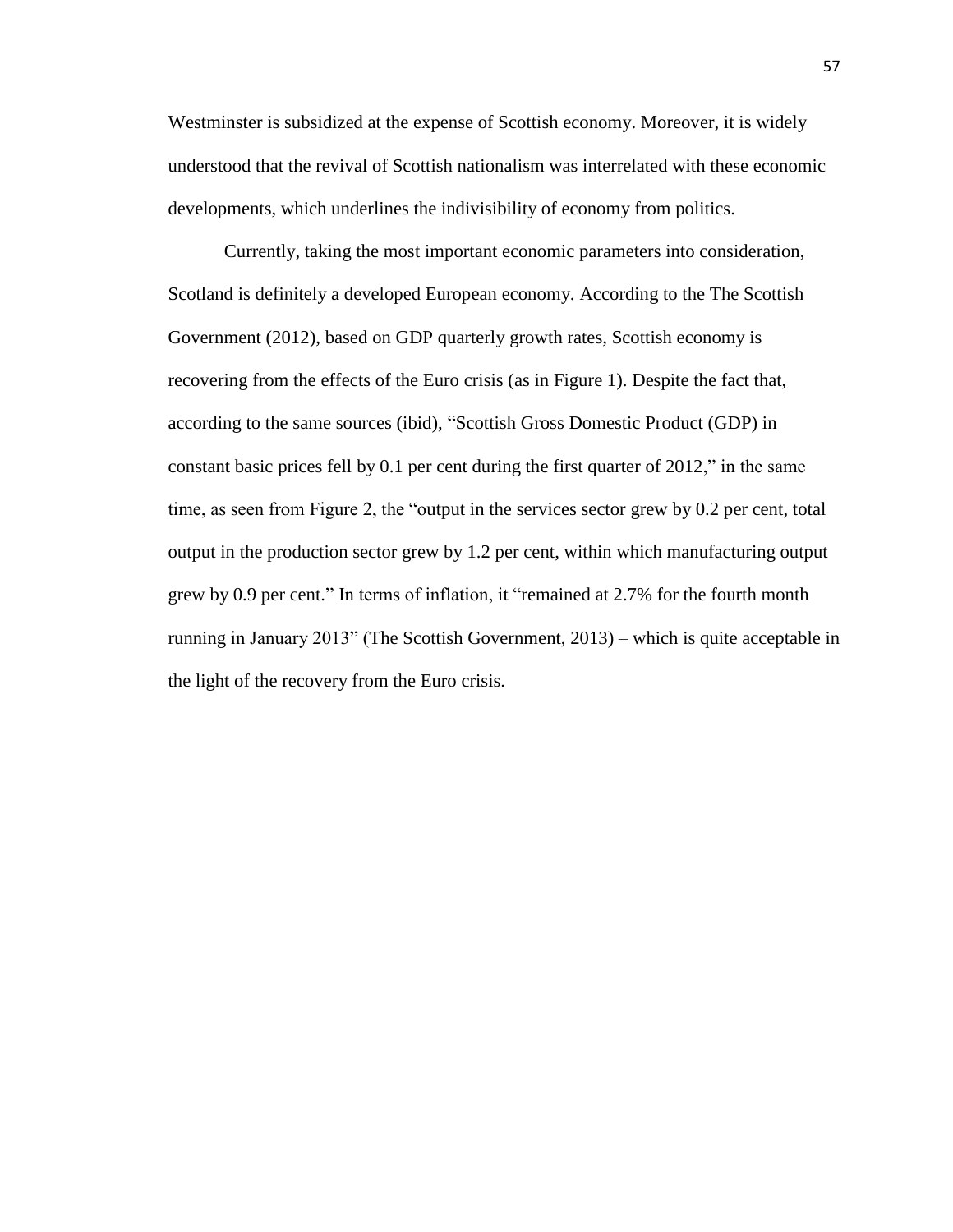Westminster is subsidized at the expense of Scottish economy. Moreover, it is widely understood that the revival of Scottish nationalism was interrelated with these economic developments, which underlines the indivisibility of economy from politics.

Currently, taking the most important economic parameters into consideration, Scotland is definitely a developed European economy. According to the The Scottish Government (2012), based on GDP quarterly growth rates, Scottish economy is recovering from the effects of the Euro crisis (as in Figure 1). Despite the fact that, according to the same sources (ibid), "Scottish Gross Domestic Product (GDP) in constant basic prices fell by 0.1 per cent during the first quarter of 2012," in the same time, as seen from Figure 2, the "output in the services sector grew by 0.2 per cent, total output in the production sector grew by 1.2 per cent, within which manufacturing output grew by 0.9 per cent." In terms of inflation, it "remained at 2.7% for the fourth month running in January 2013" (The Scottish Government, 2013) – which is quite acceptable in the light of the recovery from the Euro crisis.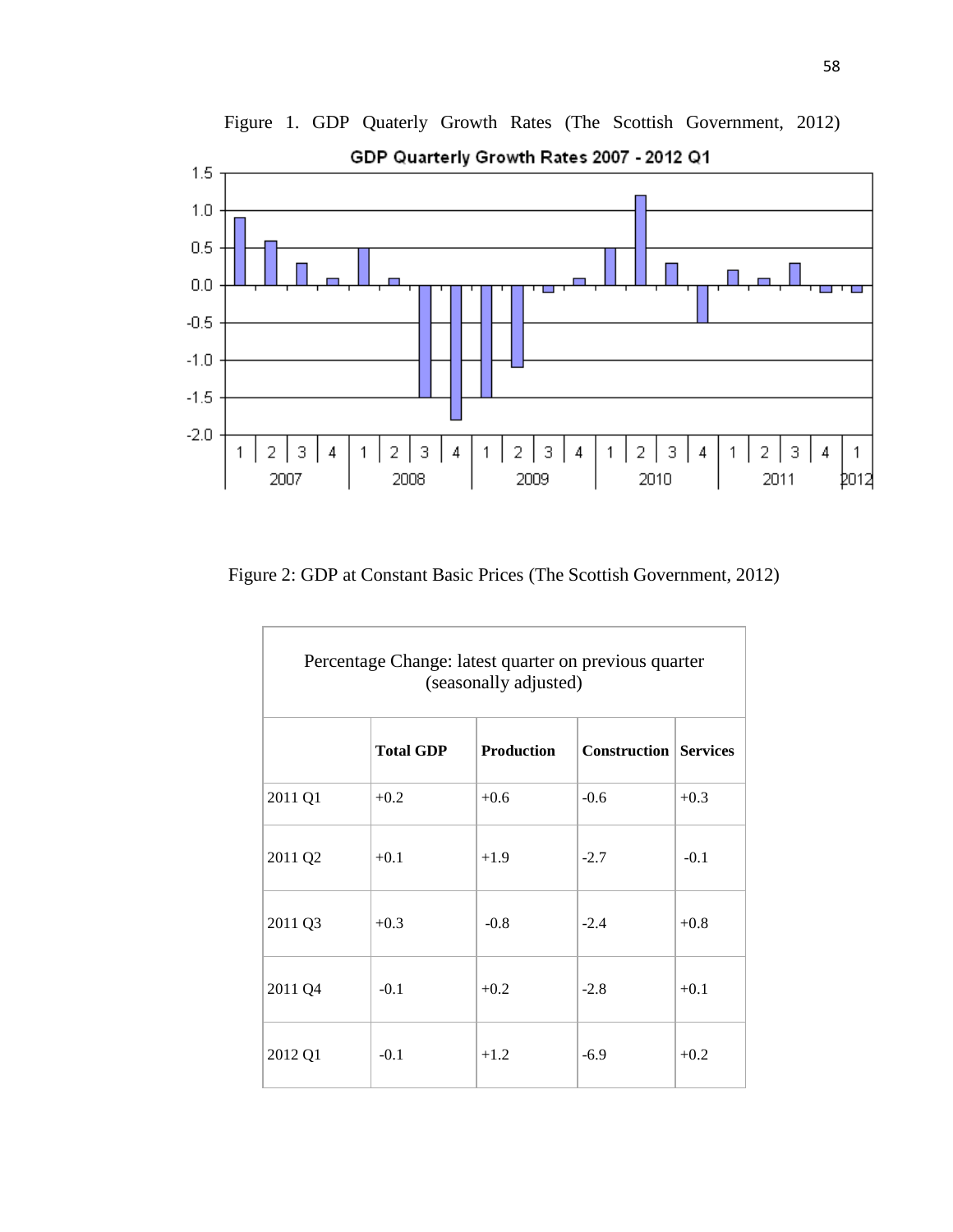

Figure 1. GDP Quaterly Growth Rates (The Scottish Government, 2012) GDP Quarterly Growth Rates 2007 - 2012 Q1

Figure 2: GDP at Constant Basic Prices (The Scottish Government, 2012)

| Percentage Change: latest quarter on previous quarter<br>(seasonally adjusted) |                  |                   |                              |        |
|--------------------------------------------------------------------------------|------------------|-------------------|------------------------------|--------|
|                                                                                | <b>Total GDP</b> | <b>Production</b> | <b>Construction Services</b> |        |
| 2011 Q1                                                                        | $+0.2$           | $+0.6$            | $-0.6$                       | $+0.3$ |
| 2011 Q2                                                                        | $+0.1$           | $+1.9$            | $-2.7$                       | $-0.1$ |
| 2011 Q3                                                                        | $+0.3$           | $-0.8$            | $-2.4$                       | $+0.8$ |
| 2011 Q4                                                                        | $-0.1$           | $+0.2$            | $-2.8$                       | $+0.1$ |
| 2012 Q1                                                                        | $-0.1$           | $+1.2$            | $-6.9$                       | $+0.2$ |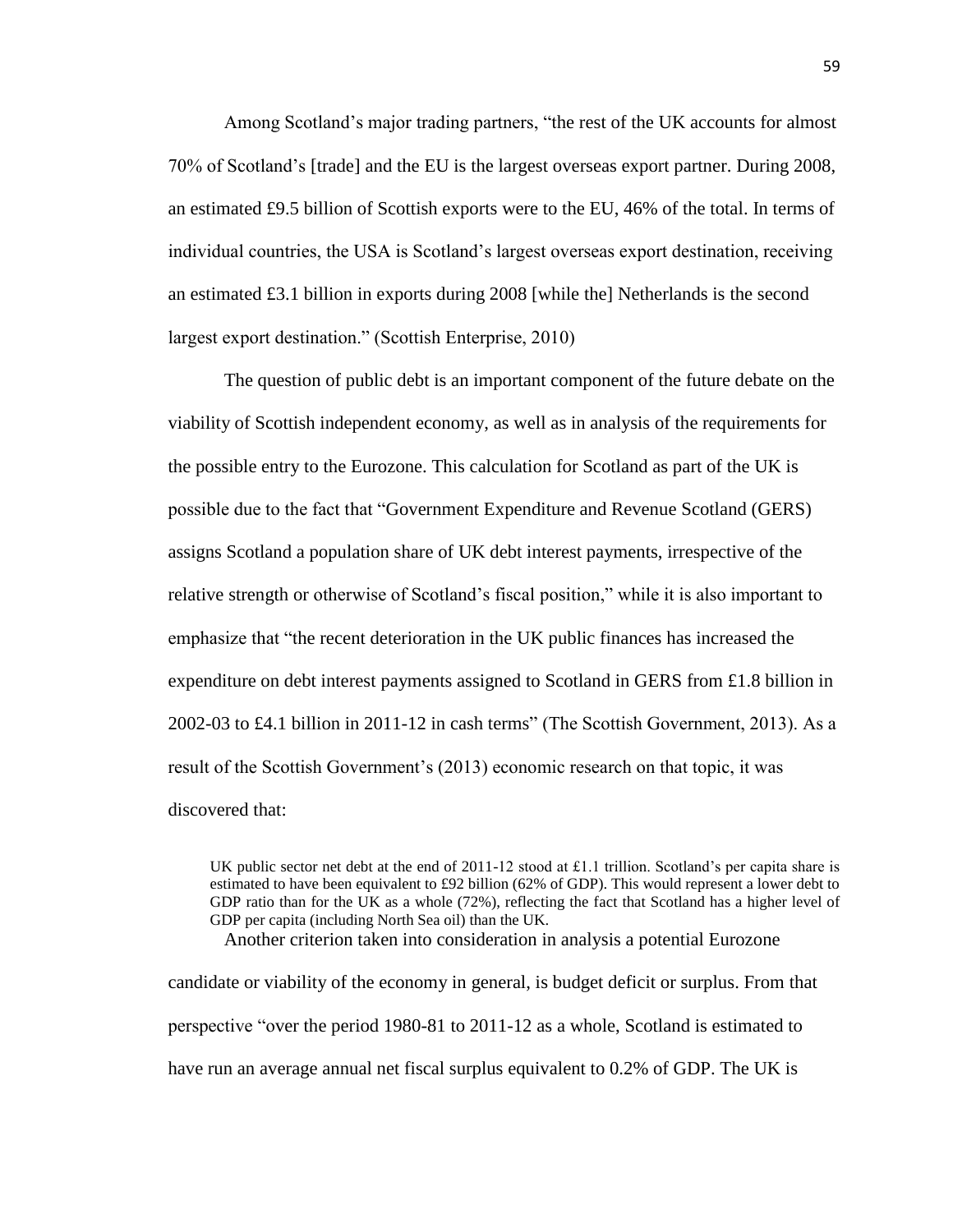Among Scotland's major trading partners, "the rest of the UK accounts for almost 70% of Scotland's [trade] and the EU is the largest overseas export partner. During 2008, an estimated £9.5 billion of Scottish exports were to the EU, 46% of the total. In terms of individual countries, the USA is Scotland's largest overseas export destination, receiving an estimated £3.1 billion in exports during 2008 [while the] Netherlands is the second largest export destination." (Scottish Enterprise, 2010)

The question of public debt is an important component of the future debate on the viability of Scottish independent economy, as well as in analysis of the requirements for the possible entry to the Eurozone. This calculation for Scotland as part of the UK is possible due to the fact that "Government Expenditure and Revenue Scotland (GERS) assigns Scotland a population share of UK debt interest payments, irrespective of the relative strength or otherwise of Scotland's fiscal position," while it is also important to emphasize that "the recent deterioration in the UK public finances has increased the expenditure on debt interest payments assigned to Scotland in GERS from £1.8 billion in 2002-03 to £4.1 billion in 2011-12 in cash terms" (The Scottish Government, 2013). As a result of the Scottish Government's (2013) economic research on that topic, it was discovered that:

UK public sector net debt at the end of  $2011-12$  stood at £1.1 trillion. Scotland's per capita share is estimated to have been equivalent to £92 billion (62% of GDP). This would represent a lower debt to GDP ratio than for the UK as a whole (72%), reflecting the fact that Scotland has a higher level of GDP per capita (including North Sea oil) than the UK.

Another criterion taken into consideration in analysis a potential Eurozone

candidate or viability of the economy in general, is budget deficit or surplus. From that perspective "over the period 1980-81 to 2011-12 as a whole, Scotland is estimated to have run an average annual net fiscal surplus equivalent to 0.2% of GDP. The UK is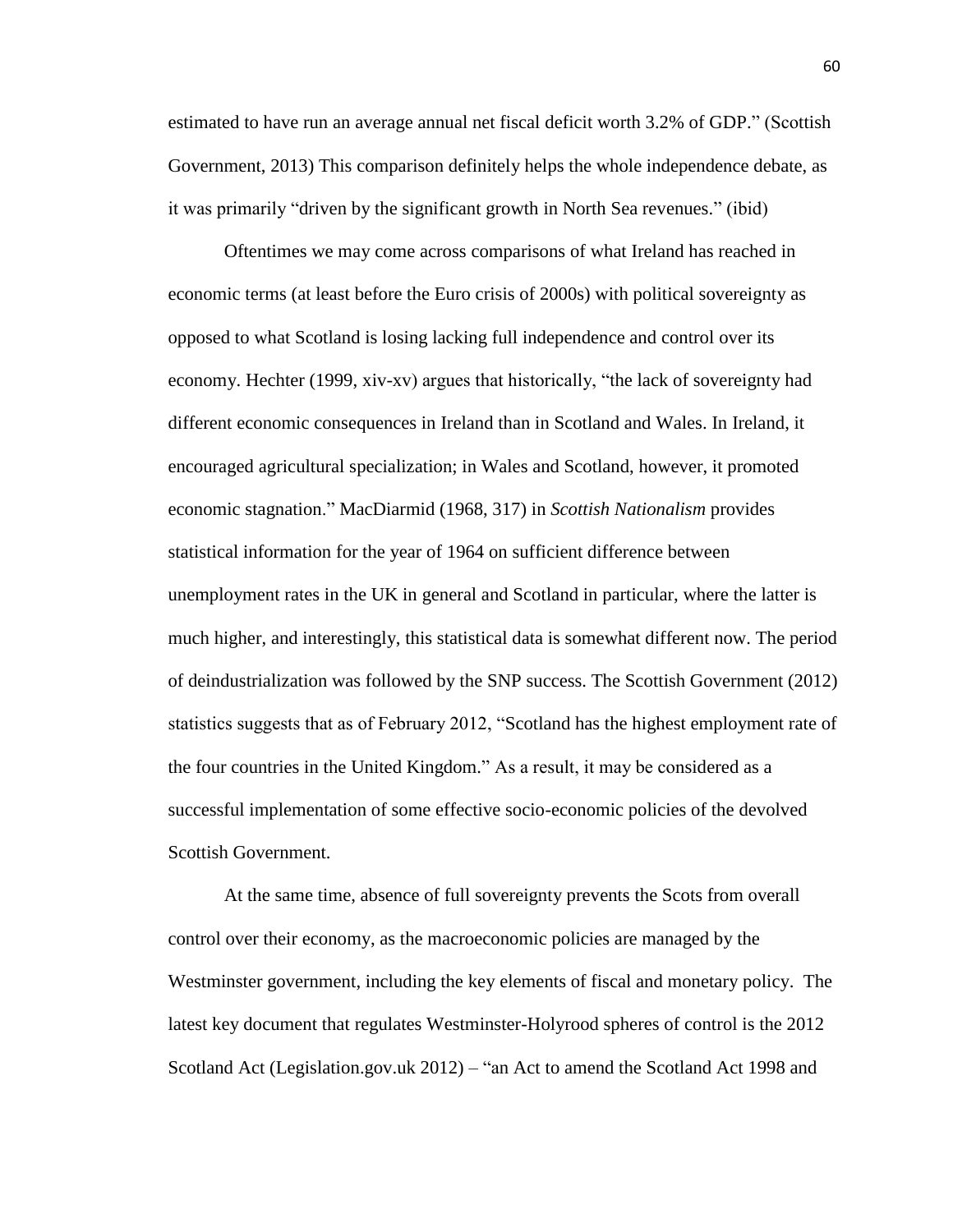estimated to have run an average annual net fiscal deficit worth 3.2% of GDP." (Scottish Government, 2013) This comparison definitely helps the whole independence debate, as it was primarily "driven by the significant growth in North Sea revenues." (ibid)

Oftentimes we may come across comparisons of what Ireland has reached in economic terms (at least before the Euro crisis of 2000s) with political sovereignty as opposed to what Scotland is losing lacking full independence and control over its economy. Hechter (1999, xiv-xv) argues that historically, "the lack of sovereignty had different economic consequences in Ireland than in Scotland and Wales. In Ireland, it encouraged agricultural specialization; in Wales and Scotland, however, it promoted economic stagnation." MacDiarmid (1968, 317) in *Scottish Nationalism* provides statistical information for the year of 1964 on sufficient difference between unemployment rates in the UK in general and Scotland in particular, where the latter is much higher, and interestingly, this statistical data is somewhat different now. The period of deindustrialization was followed by the SNP success. The Scottish Government (2012) statistics suggests that as of February 2012, "Scotland has the highest employment rate of the four countries in the United Kingdom." As a result, it may be considered as a successful implementation of some effective socio-economic policies of the devolved Scottish Government.

At the same time, absence of full sovereignty prevents the Scots from overall control over their economy, as the macroeconomic policies are managed by the Westminster government, including the key elements of fiscal and monetary policy. The latest key document that regulates Westminster-Holyrood spheres of control is the 2012 Scotland Act (Legislation.gov.uk 2012) – "an Act to amend the Scotland Act 1998 and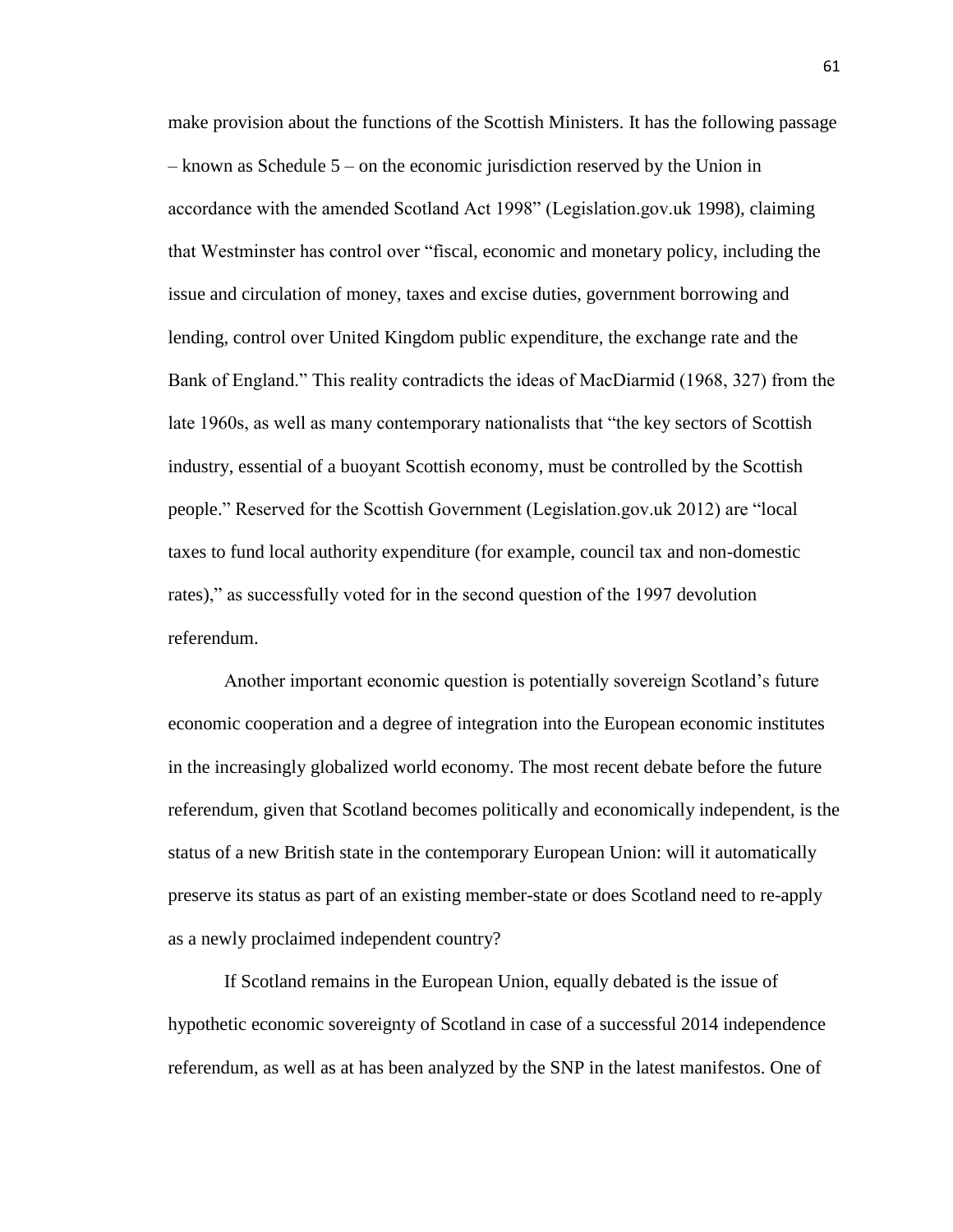make provision about the functions of the Scottish Ministers. It has the following passage – known as Schedule 5 – on the economic jurisdiction reserved by the Union in accordance with the amended Scotland Act 1998" (Legislation.gov.uk 1998), claiming that Westminster has control over "fiscal, economic and monetary policy, including the issue and circulation of money, taxes and excise duties, government borrowing and lending, control over United Kingdom public expenditure, the exchange rate and the Bank of England." This reality contradicts the ideas of MacDiarmid (1968, 327) from the late 1960s, as well as many contemporary nationalists that "the key sectors of Scottish industry, essential of a buoyant Scottish economy, must be controlled by the Scottish people." Reserved for the Scottish Government (Legislation.gov.uk 2012) are "local taxes to fund local authority expenditure (for example, council tax and non-domestic rates)," as successfully voted for in the second question of the 1997 devolution referendum.

Another important economic question is potentially sovereign Scotland's future economic cooperation and a degree of integration into the European economic institutes in the increasingly globalized world economy. The most recent debate before the future referendum, given that Scotland becomes politically and economically independent, is the status of a new British state in the contemporary European Union: will it automatically preserve its status as part of an existing member-state or does Scotland need to re-apply as a newly proclaimed independent country?

If Scotland remains in the European Union, equally debated is the issue of hypothetic economic sovereignty of Scotland in case of a successful 2014 independence referendum, as well as at has been analyzed by the SNP in the latest manifestos. One of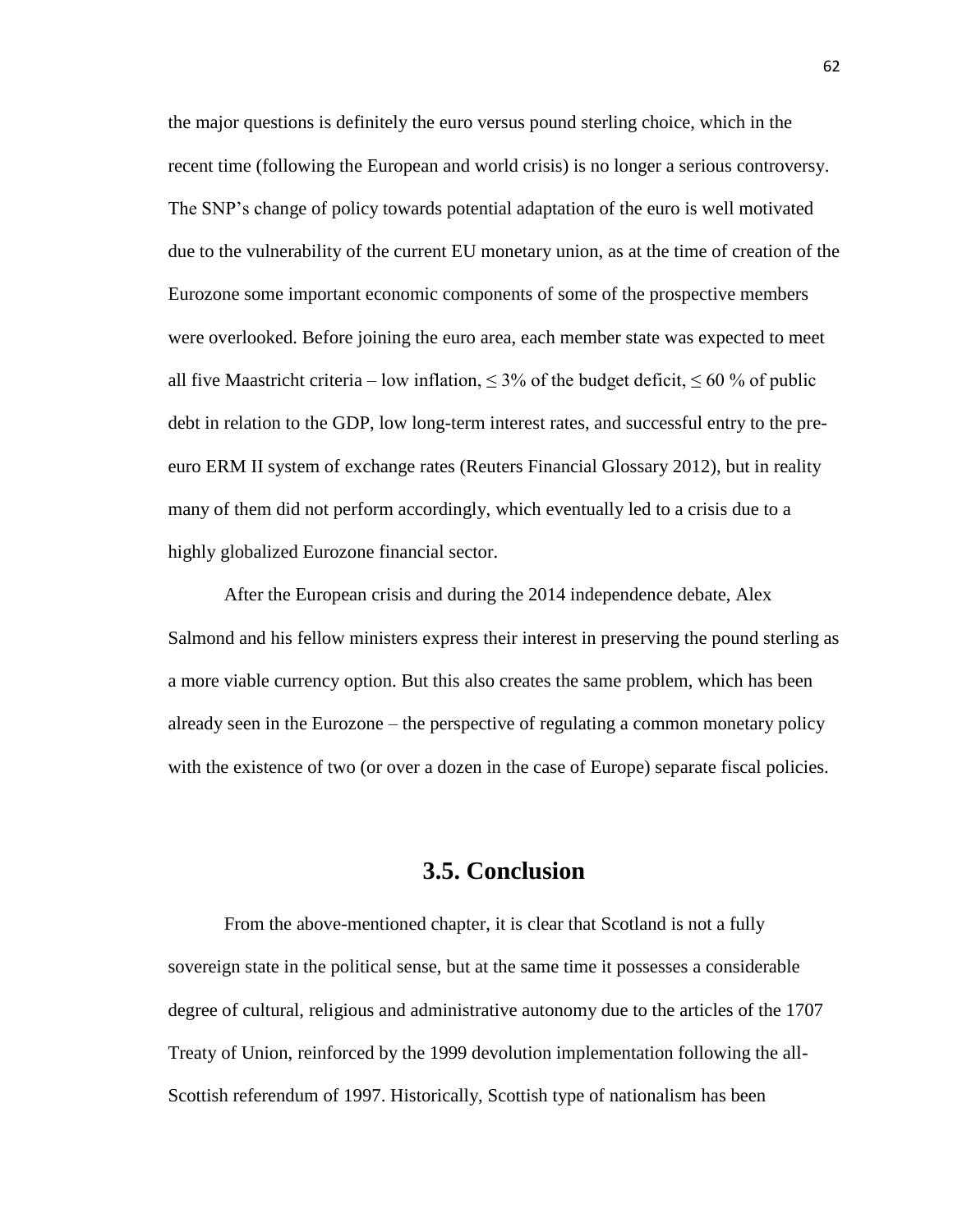the major questions is definitely the euro versus pound sterling choice, which in the recent time (following the European and world crisis) is no longer a serious controversy. The SNP's change of policy towards potential adaptation of the euro is well motivated due to the vulnerability of the current EU monetary union, as at the time of creation of the Eurozone some important economic components of some of the prospective members were overlooked. Before joining the euro area, each member state was expected to meet all five Maastricht criteria – low inflation,  $\leq 3\%$  of the budget deficit,  $\leq 60\%$  of public debt in relation to the GDP, low long-term interest rates, and successful entry to the preeuro ERM II system of exchange rates (Reuters Financial Glossary 2012), but in reality many of them did not perform accordingly, which eventually led to a crisis due to a highly globalized Eurozone financial sector.

After the European crisis and during the 2014 independence debate, Alex Salmond and his fellow ministers express their interest in preserving the pound sterling as a more viable currency option. But this also creates the same problem, which has been already seen in the Eurozone – the perspective of regulating a common monetary policy with the existence of two (or over a dozen in the case of Europe) separate fiscal policies.

# **3.5. Conclusion**

From the above-mentioned chapter, it is clear that Scotland is not a fully sovereign state in the political sense, but at the same time it possesses a considerable degree of cultural, religious and administrative autonomy due to the articles of the 1707 Treaty of Union, reinforced by the 1999 devolution implementation following the all-Scottish referendum of 1997. Historically, Scottish type of nationalism has been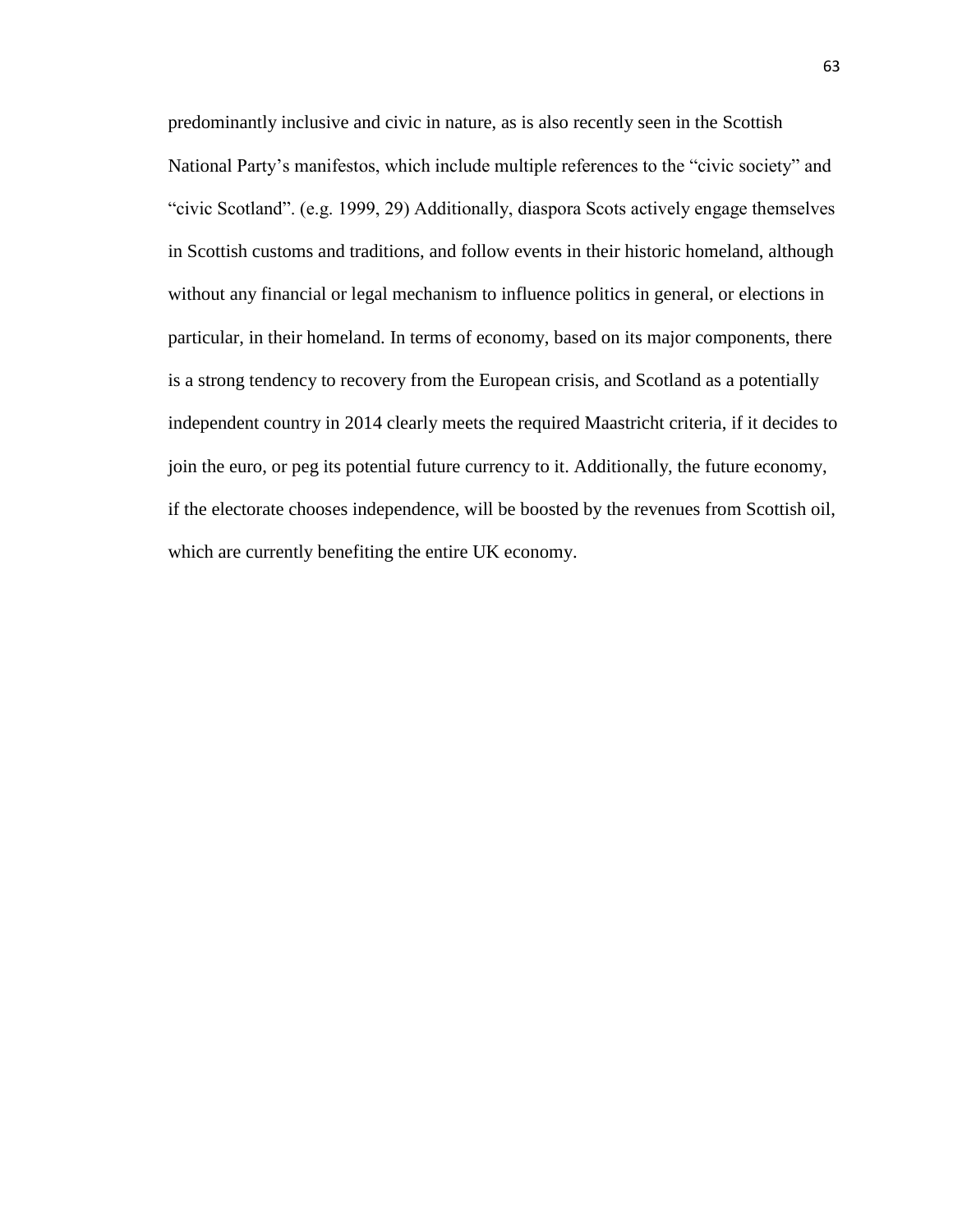predominantly inclusive and civic in nature, as is also recently seen in the Scottish National Party's manifestos, which include multiple references to the "civic society" and "civic Scotland". (e.g. 1999, 29) Additionally, diaspora Scots actively engage themselves in Scottish customs and traditions, and follow events in their historic homeland, although without any financial or legal mechanism to influence politics in general, or elections in particular, in their homeland. In terms of economy, based on its major components, there is a strong tendency to recovery from the European crisis, and Scotland as a potentially independent country in 2014 clearly meets the required Maastricht criteria, if it decides to join the euro, or peg its potential future currency to it. Additionally, the future economy, if the electorate chooses independence, will be boosted by the revenues from Scottish oil, which are currently benefiting the entire UK economy.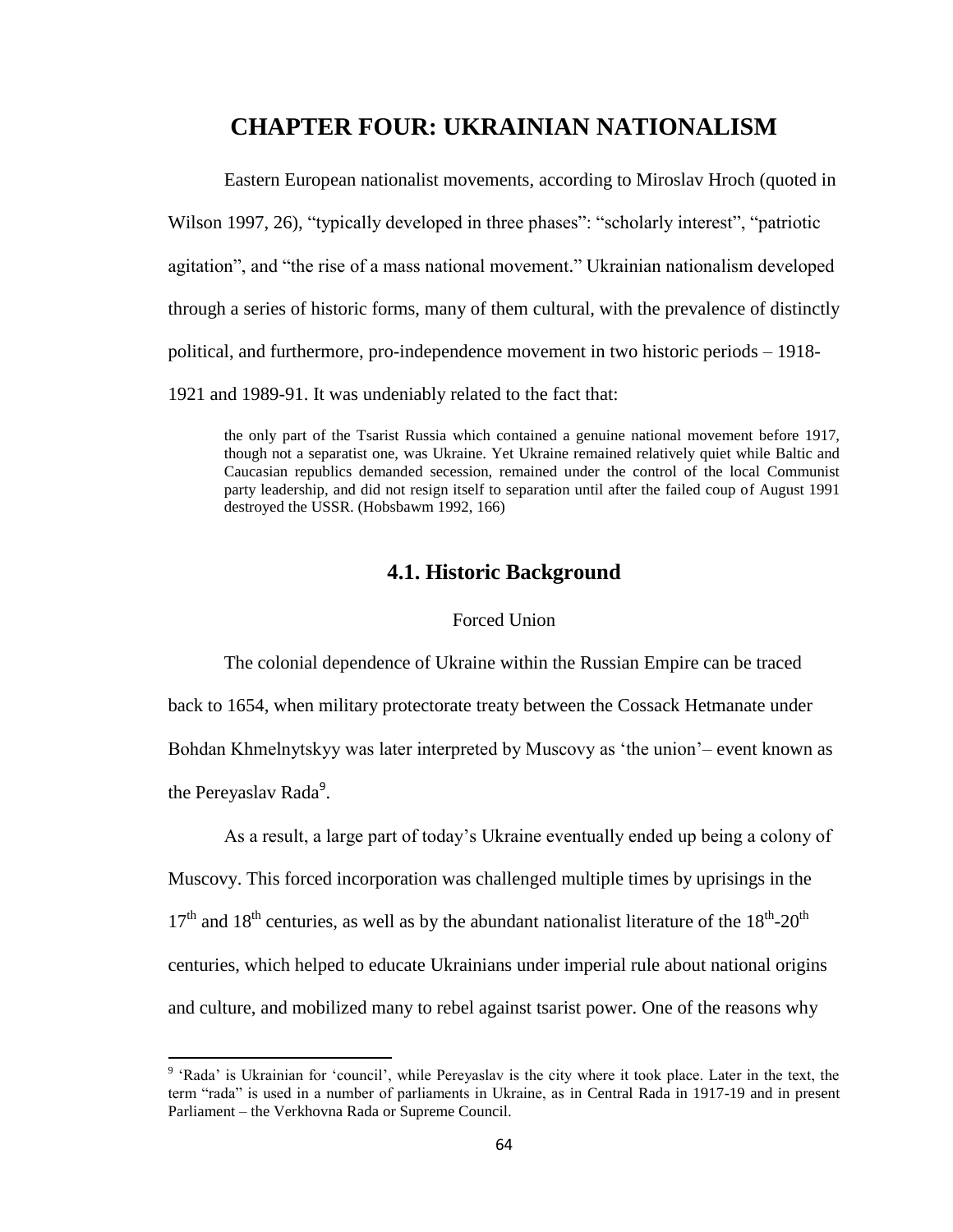# **CHAPTER FOUR: UKRAINIAN NATIONALISM**

Eastern European nationalist movements, according to Miroslav Hroch (quoted in Wilson 1997, 26), "typically developed in three phases": "scholarly interest", "patriotic agitation", and "the rise of a mass national movement." Ukrainian nationalism developed through a series of historic forms, many of them cultural, with the prevalence of distinctly political, and furthermore, pro-independence movement in two historic periods – 1918- 1921 and 1989-91. It was undeniably related to the fact that:

the only part of the Tsarist Russia which contained a genuine national movement before 1917, though not a separatist one, was Ukraine. Yet Ukraine remained relatively quiet while Baltic and Caucasian republics demanded secession, remained under the control of the local Communist party leadership, and did not resign itself to separation until after the failed coup of August 1991 destroyed the USSR. (Hobsbawm 1992, 166)

# **4.1. Historic Background**

## Forced Union

 The colonial dependence of Ukraine within the Russian Empire can be traced back to 1654, when military protectorate treaty between the Cossack Hetmanate under Bohdan Khmelnytskyy was later interpreted by Muscovy as 'the union'– event known as the Pereyaslav Rada<sup>9</sup>.

As a result, a large part of today's Ukraine eventually ended up being a colony of Muscovy. This forced incorporation was challenged multiple times by uprisings in the  $17<sup>th</sup>$  and  $18<sup>th</sup>$  centuries, as well as by the abundant nationalist literature of the  $18<sup>th</sup>$ -20<sup>th</sup> centuries, which helped to educate Ukrainians under imperial rule about national origins and culture, and mobilized many to rebel against tsarist power. One of the reasons why

 $\overline{\phantom{a}}$ 

<sup>&</sup>lt;sup>9</sup> 'Rada' is Ukrainian for 'council', while Pereyaslav is the city where it took place. Later in the text, the term "rada" is used in a number of parliaments in Ukraine, as in Central Rada in 1917-19 and in present Parliament – the Verkhovna Rada or Supreme Council.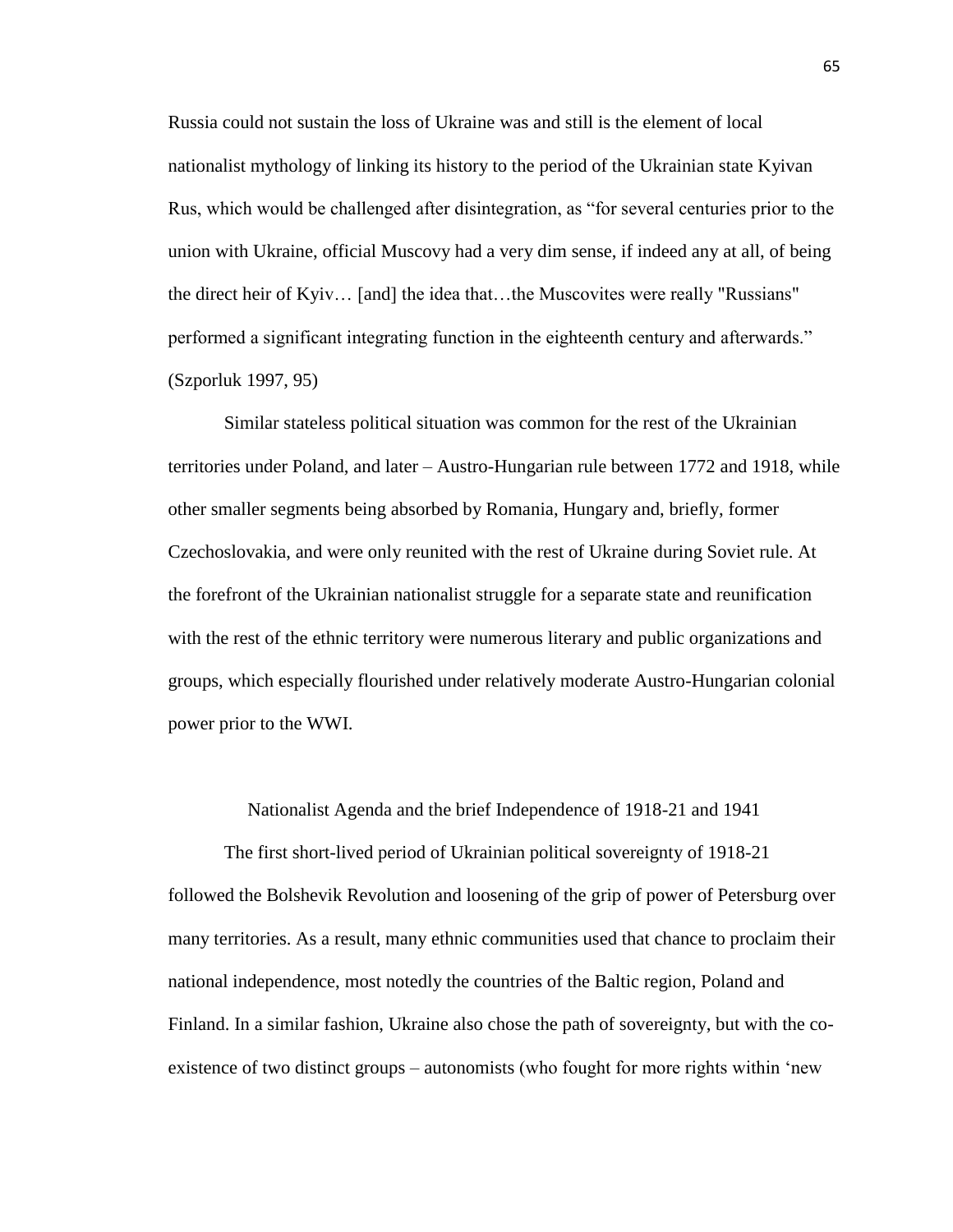Russia could not sustain the loss of Ukraine was and still is the element of local nationalist mythology of linking its history to the period of the Ukrainian state Kyivan Rus, which would be challenged after disintegration, as "for several centuries prior to the union with Ukraine, official Muscovy had a very dim sense, if indeed any at all, of being the direct heir of Kyiv… [and] the idea that…the Muscovites were really "Russians" performed a significant integrating function in the eighteenth century and afterwards." (Szporluk 1997, 95)

Similar stateless political situation was common for the rest of the Ukrainian territories under Poland, and later – Austro-Hungarian rule between 1772 and 1918, while other smaller segments being absorbed by Romania, Hungary and, briefly, former Czechoslovakia, and were only reunited with the rest of Ukraine during Soviet rule. At the forefront of the Ukrainian nationalist struggle for a separate state and reunification with the rest of the ethnic territory were numerous literary and public organizations and groups, which especially flourished under relatively moderate Austro-Hungarian colonial power prior to the WWI.

#### Nationalist Agenda and the brief Independence of 1918-21 and 1941

The first short-lived period of Ukrainian political sovereignty of 1918-21 followed the Bolshevik Revolution and loosening of the grip of power of Petersburg over many territories. As a result, many ethnic communities used that chance to proclaim their national independence, most notedly the countries of the Baltic region, Poland and Finland. In a similar fashion, Ukraine also chose the path of sovereignty, but with the coexistence of two distinct groups – autonomists (who fought for more rights within 'new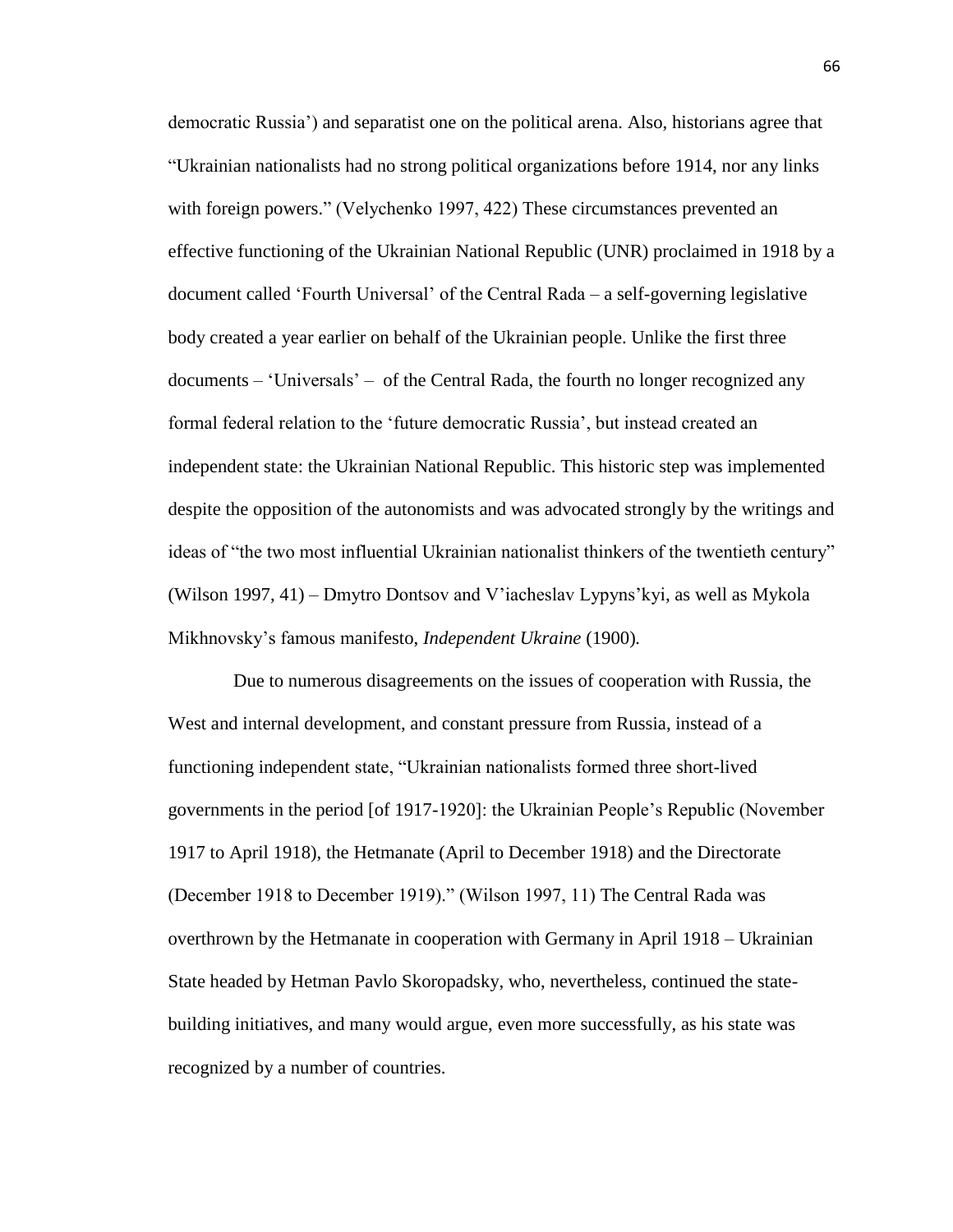democratic Russia') and separatist one on the political arena. Also, historians agree that "Ukrainian nationalists had no strong political organizations before 1914, nor any links with foreign powers." (Velychenko 1997, 422) These circumstances prevented an effective functioning of the Ukrainian National Republic (UNR) proclaimed in 1918 by a document called 'Fourth Universal' of the Central Rada – a self-governing legislative body created a year earlier on behalf of the Ukrainian people. Unlike the first three documents – 'Universals' – of the Central Rada, the fourth no longer recognized any formal federal relation to the 'future democratic Russia', but instead created an independent state: the Ukrainian National Republic. This historic step was implemented despite the opposition of the autonomists and was advocated strongly by the writings and ideas of "the two most influential Ukrainian nationalist thinkers of the twentieth century" (Wilson 1997, 41) – Dmytro Dontsov and V'iacheslav Lypyns'kyi, as well as Mykola Mikhnovsky's famous manifesto, *Independent Ukraine* (1900)*.*

 Due to numerous disagreements on the issues of cooperation with Russia, the West and internal development, and constant pressure from Russia, instead of a functioning independent state, "Ukrainian nationalists formed three short-lived governments in the period [of 1917-1920]: the Ukrainian People's Republic (November 1917 to April 1918), the Hetmanate (April to December 1918) and the Directorate (December 1918 to December 1919)." (Wilson 1997, 11) The Central Rada was overthrown by the Hetmanate in cooperation with Germany in April 1918 – Ukrainian State headed by Hetman Pavlo Skoropadsky, who, nevertheless, continued the statebuilding initiatives, and many would argue, even more successfully, as his state was recognized by a number of countries.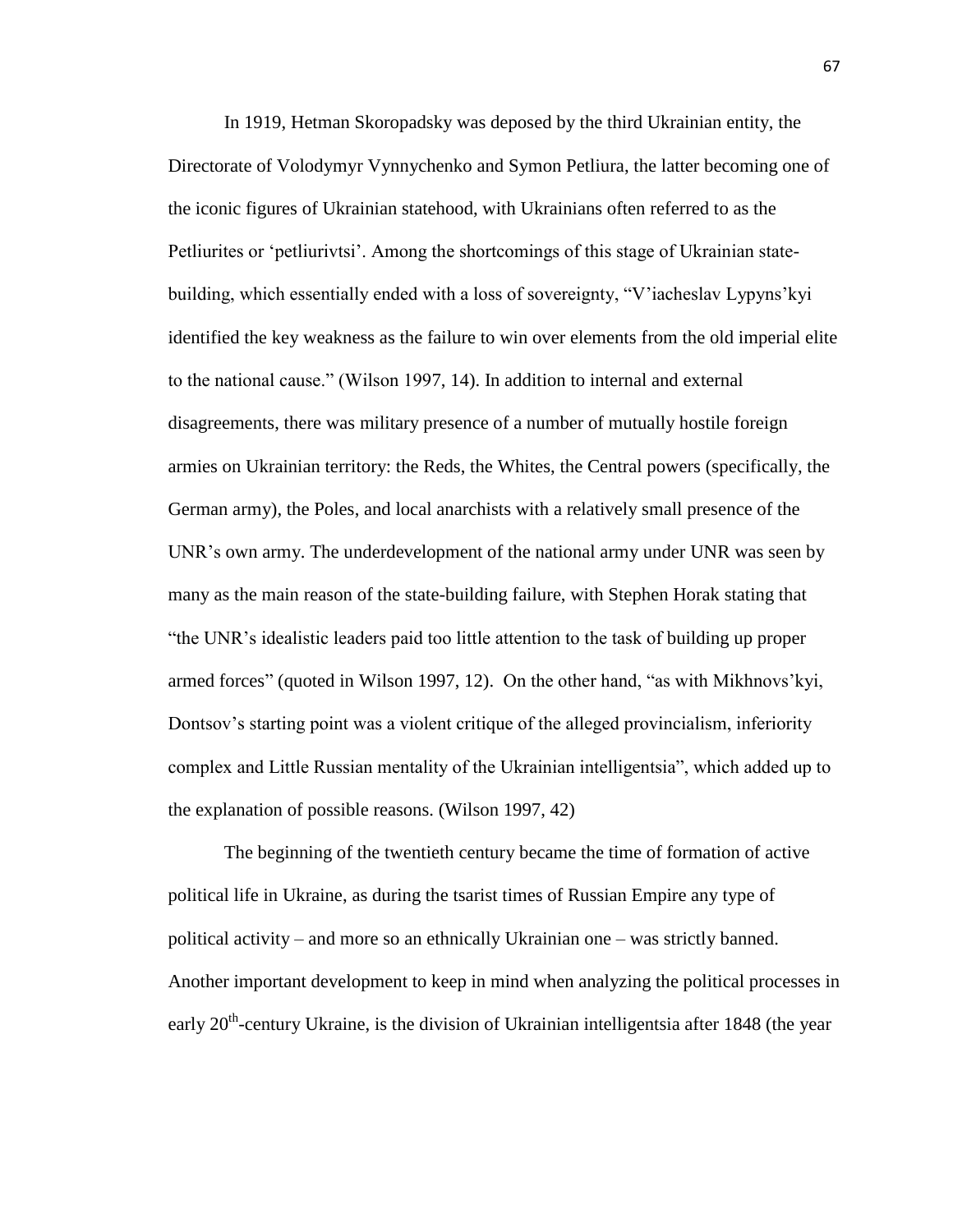In 1919, Hetman Skoropadsky was deposed by the third Ukrainian entity, the Directorate of Volodymyr Vynnychenko and Symon Petliura, the latter becoming one of the iconic figures of Ukrainian statehood, with Ukrainians often referred to as the Petliurites or 'petliurivtsi'. Among the shortcomings of this stage of Ukrainian statebuilding, which essentially ended with a loss of sovereignty, "V'iacheslav Lypyns'kyi identified the key weakness as the failure to win over elements from the old imperial elite to the national cause." (Wilson 1997, 14). In addition to internal and external disagreements, there was military presence of a number of mutually hostile foreign armies on Ukrainian territory: the Reds, the Whites, the Central powers (specifically, the German army), the Poles, and local anarchists with a relatively small presence of the UNR's own army. The underdevelopment of the national army under UNR was seen by many as the main reason of the state-building failure, with Stephen Horak stating that "the UNR's idealistic leaders paid too little attention to the task of building up proper armed forces" (quoted in Wilson 1997, 12). On the other hand, "as with Mikhnovs'kyi, Dontsov's starting point was a violent critique of the alleged provincialism, inferiority complex and Little Russian mentality of the Ukrainian intelligentsia", which added up to the explanation of possible reasons. (Wilson 1997, 42)

The beginning of the twentieth century became the time of formation of active political life in Ukraine, as during the tsarist times of Russian Empire any type of political activity – and more so an ethnically Ukrainian one – was strictly banned. Another important development to keep in mind when analyzing the political processes in early  $20<sup>th</sup>$ -century Ukraine, is the division of Ukrainian intelligentsia after 1848 (the year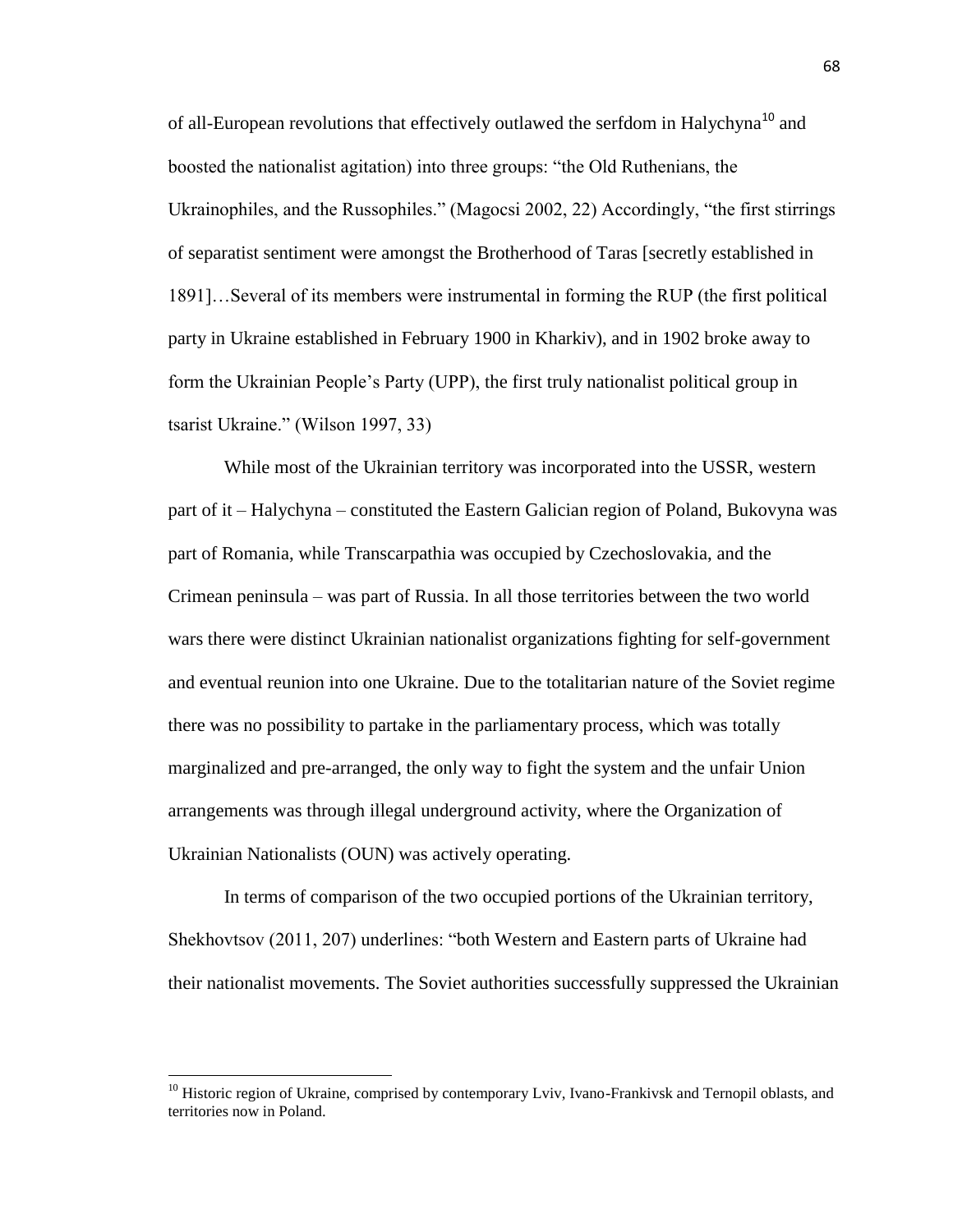of all-European revolutions that effectively outlawed the serfdom in Halychyna<sup>10</sup> and boosted the nationalist agitation) into three groups: "the Old Ruthenians, the Ukrainophiles, and the Russophiles." (Magocsi 2002, 22) Accordingly, "the first stirrings of separatist sentiment were amongst the Brotherhood of Taras [secretly established in 1891]…Several of its members were instrumental in forming the RUP (the first political party in Ukraine established in February 1900 in Kharkiv), and in 1902 broke away to form the Ukrainian People's Party (UPP), the first truly nationalist political group in tsarist Ukraine." (Wilson 1997, 33)

While most of the Ukrainian territory was incorporated into the USSR, western part of it – Halychyna – constituted the Eastern Galician region of Poland, Bukovyna was part of Romania, while Transcarpathia was occupied by Czechoslovakia, and the Crimean peninsula – was part of Russia. In all those territories between the two world wars there were distinct Ukrainian nationalist organizations fighting for self-government and eventual reunion into one Ukraine. Due to the totalitarian nature of the Soviet regime there was no possibility to partake in the parliamentary process, which was totally marginalized and pre-arranged, the only way to fight the system and the unfair Union arrangements was through illegal underground activity, where the Organization of Ukrainian Nationalists (OUN) was actively operating.

In terms of comparison of the two occupied portions of the Ukrainian territory, Shekhovtsov (2011, 207) underlines: "both Western and Eastern parts of Ukraine had their nationalist movements. The Soviet authorities successfully suppressed the Ukrainian

 $\overline{\phantom{a}}$ 

<sup>&</sup>lt;sup>10</sup> Historic region of Ukraine, comprised by contemporary Lviv, Ivano-Frankivsk and Ternopil oblasts, and territories now in Poland.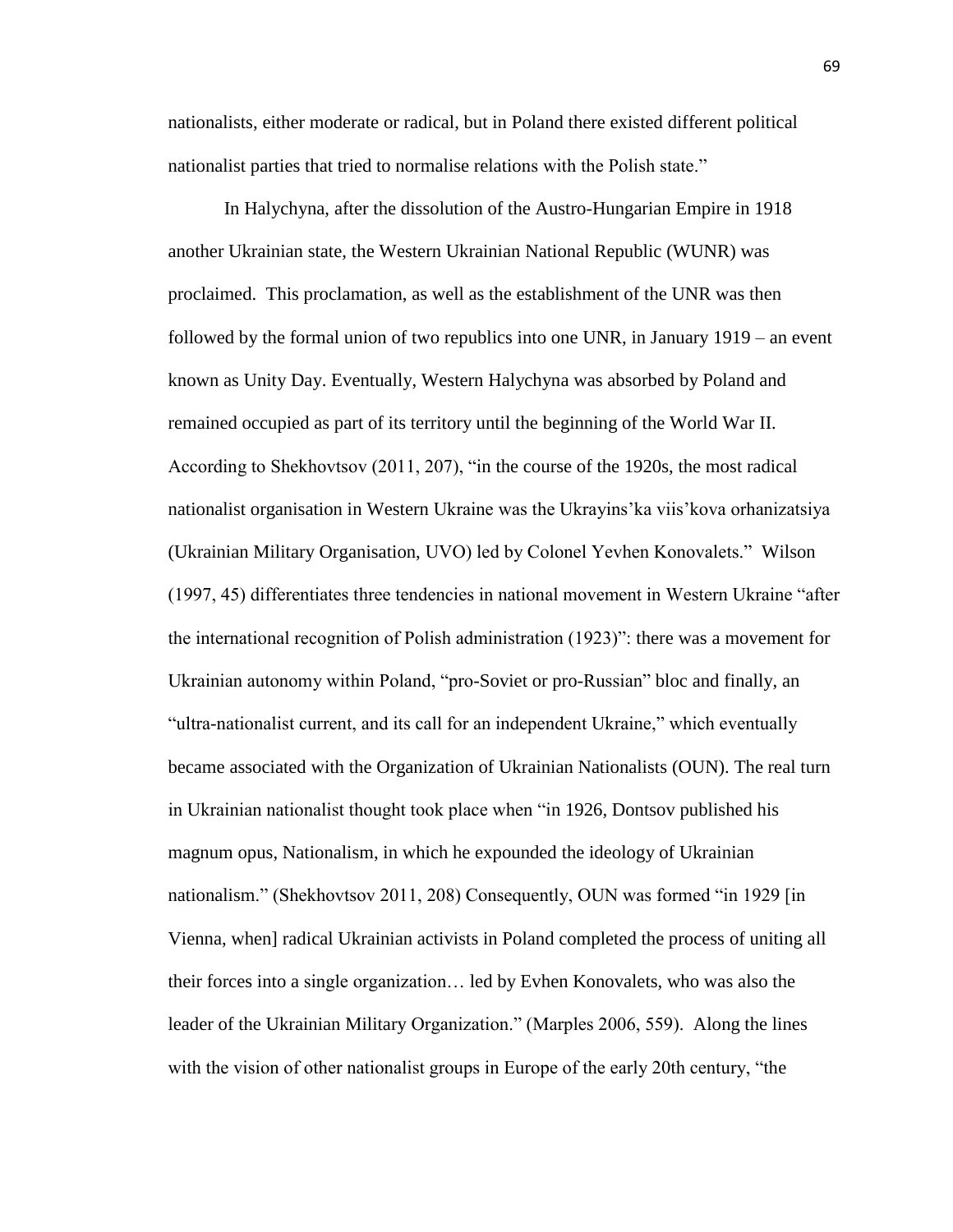nationalists, either moderate or radical, but in Poland there existed different political nationalist parties that tried to normalise relations with the Polish state."

In Halychyna, after the dissolution of the Austro-Hungarian Empire in 1918 another Ukrainian state, the Western Ukrainian National Republic (WUNR) was proclaimed. This proclamation, as well as the establishment of the UNR was then followed by the formal union of two republics into one UNR, in January 1919 – an event known as Unity Day. Eventually, Western Halychyna was absorbed by Poland and remained occupied as part of its territory until the beginning of the World War II. According to Shekhovtsov (2011, 207), "in the course of the 1920s, the most radical nationalist organisation in Western Ukraine was the Ukrayins'ka viis'kova orhanizatsiya (Ukrainian Military Organisation, UVO) led by Colonel Yevhen Konovalets." Wilson (1997, 45) differentiates three tendencies in national movement in Western Ukraine "after the international recognition of Polish administration (1923)": there was a movement for Ukrainian autonomy within Poland, "pro-Soviet or pro-Russian" bloc and finally, an "ultra-nationalist current, and its call for an independent Ukraine," which eventually became associated with the Organization of Ukrainian Nationalists (OUN). The real turn in Ukrainian nationalist thought took place when "in 1926, Dontsov published his magnum opus, Nationalism, in which he expounded the ideology of Ukrainian nationalism." (Shekhovtsov 2011, 208) Consequently, OUN was formed "in 1929 [in Vienna, when] radical Ukrainian activists in Poland completed the process of uniting all their forces into a single organization… led by Evhen Konovalets, who was also the leader of the Ukrainian Military Organization." (Marples 2006, 559). Along the lines with the vision of other nationalist groups in Europe of the early 20th century, "the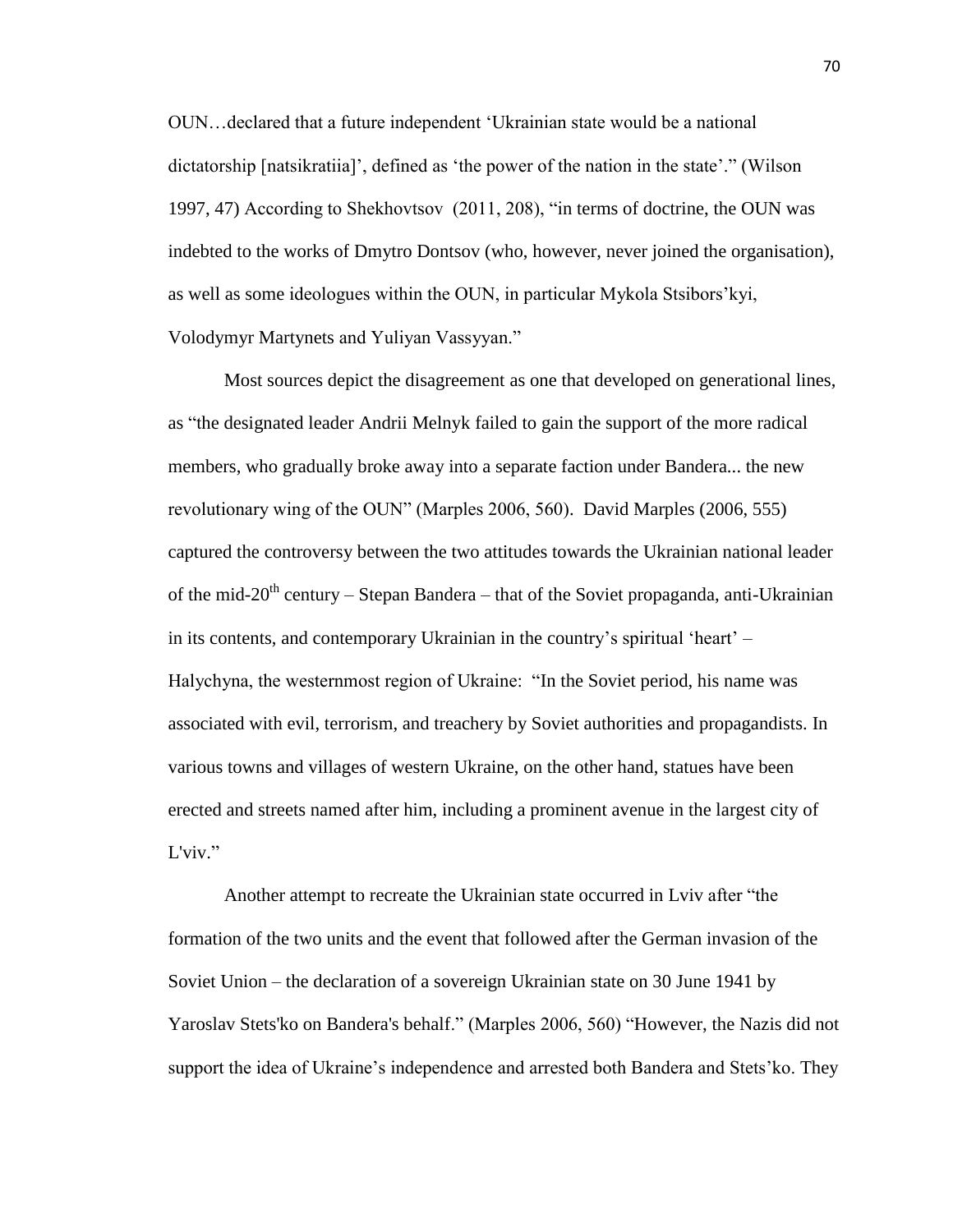OUN…declared that a future independent 'Ukrainian state would be a national dictatorship [natsikratiia]', defined as 'the power of the nation in the state'." (Wilson 1997, 47) According to Shekhovtsov (2011, 208), "in terms of doctrine, the OUN was indebted to the works of Dmytro Dontsov (who, however, never joined the organisation), as well as some ideologues within the OUN, in particular Mykola Stsibors'kyi, Volodymyr Martynets and Yuliyan Vassyyan."

Most sources depict the disagreement as one that developed on generational lines, as "the designated leader Andrii Melnyk failed to gain the support of the more radical members, who gradually broke away into a separate faction under Bandera... the new revolutionary wing of the OUN" (Marples 2006, 560). David Marples (2006, 555) captured the controversy between the two attitudes towards the Ukrainian national leader of the mid-20<sup>th</sup> century – Stepan Bandera – that of the Soviet propaganda, anti-Ukrainian in its contents, and contemporary Ukrainian in the country's spiritual 'heart' – Halychyna, the westernmost region of Ukraine: "In the Soviet period, his name was associated with evil, terrorism, and treachery by Soviet authorities and propagandists. In various towns and villages of western Ukraine, on the other hand, statues have been erected and streets named after him, including a prominent avenue in the largest city of L'viv."

Another attempt to recreate the Ukrainian state occurred in Lviv after "the formation of the two units and the event that followed after the German invasion of the Soviet Union – the declaration of a sovereign Ukrainian state on 30 June 1941 by Yaroslav Stets'ko on Bandera's behalf." (Marples 2006, 560) "However, the Nazis did not support the idea of Ukraine's independence and arrested both Bandera and Stets'ko. They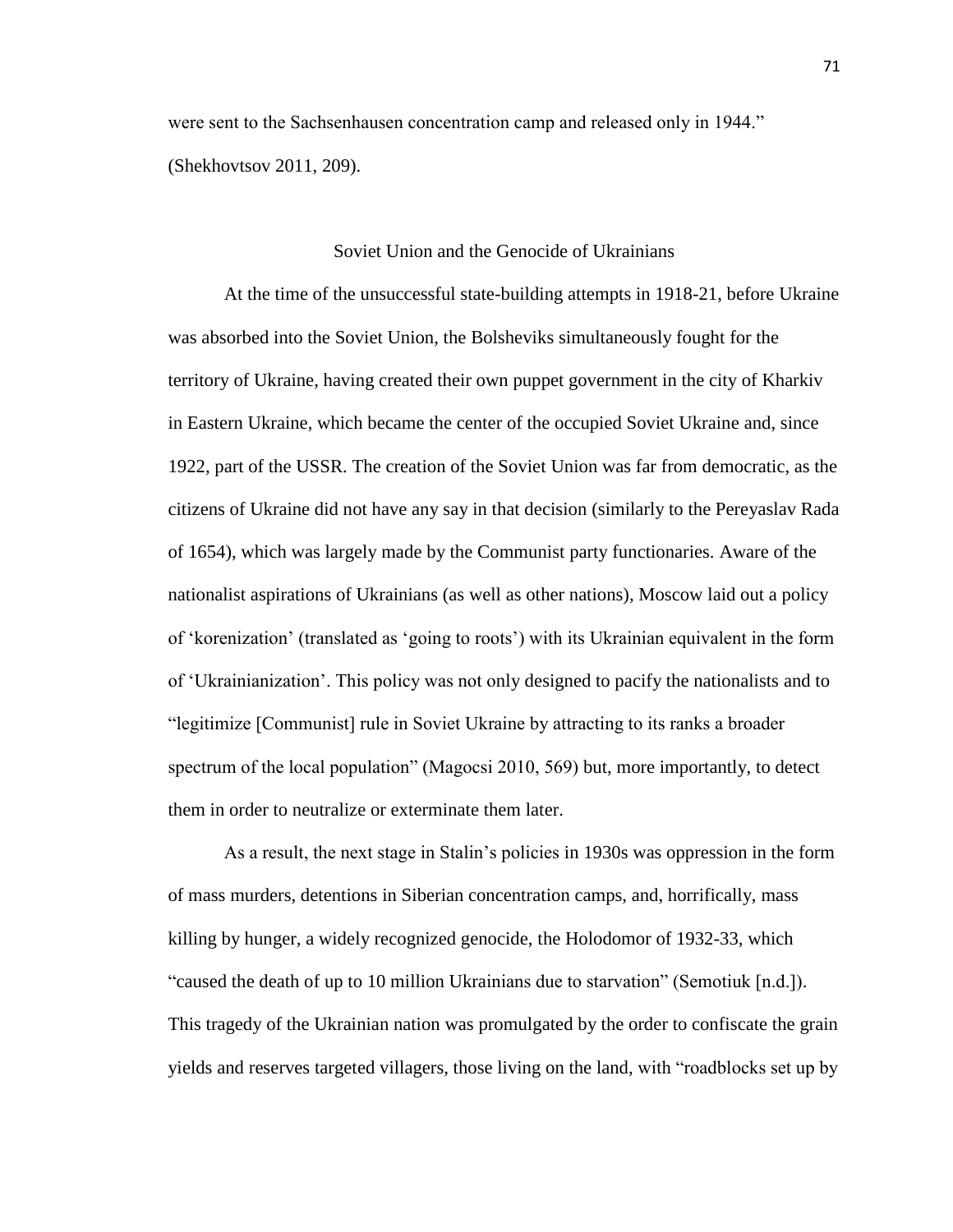were sent to the Sachsenhausen concentration camp and released only in 1944." (Shekhovtsov 2011, 209).

## Soviet Union and the Genocide of Ukrainians

At the time of the unsuccessful state-building attempts in 1918-21, before Ukraine was absorbed into the Soviet Union, the Bolsheviks simultaneously fought for the territory of Ukraine, having created their own puppet government in the city of Kharkiv in Eastern Ukraine, which became the center of the occupied Soviet Ukraine and, since 1922, part of the USSR. The creation of the Soviet Union was far from democratic, as the citizens of Ukraine did not have any say in that decision (similarly to the Pereyaslav Rada of 1654), which was largely made by the Communist party functionaries. Aware of the nationalist aspirations of Ukrainians (as well as other nations), Moscow laid out a policy of 'korenization' (translated as 'going to roots') with its Ukrainian equivalent in the form of 'Ukrainianization'. This policy was not only designed to pacify the nationalists and to "legitimize [Communist] rule in Soviet Ukraine by attracting to its ranks a broader spectrum of the local population" (Magocsi 2010, 569) but, more importantly, to detect them in order to neutralize or exterminate them later.

As a result, the next stage in Stalin's policies in 1930s was oppression in the form of mass murders, detentions in Siberian concentration camps, and, horrifically, mass killing by hunger, a widely recognized genocide, the Holodomor of 1932-33, which "caused the death of up to 10 million Ukrainians due to starvation" (Semotiuk [n.d.]). This tragedy of the Ukrainian nation was promulgated by the order to confiscate the grain yields and reserves targeted villagers, those living on the land, with "roadblocks set up by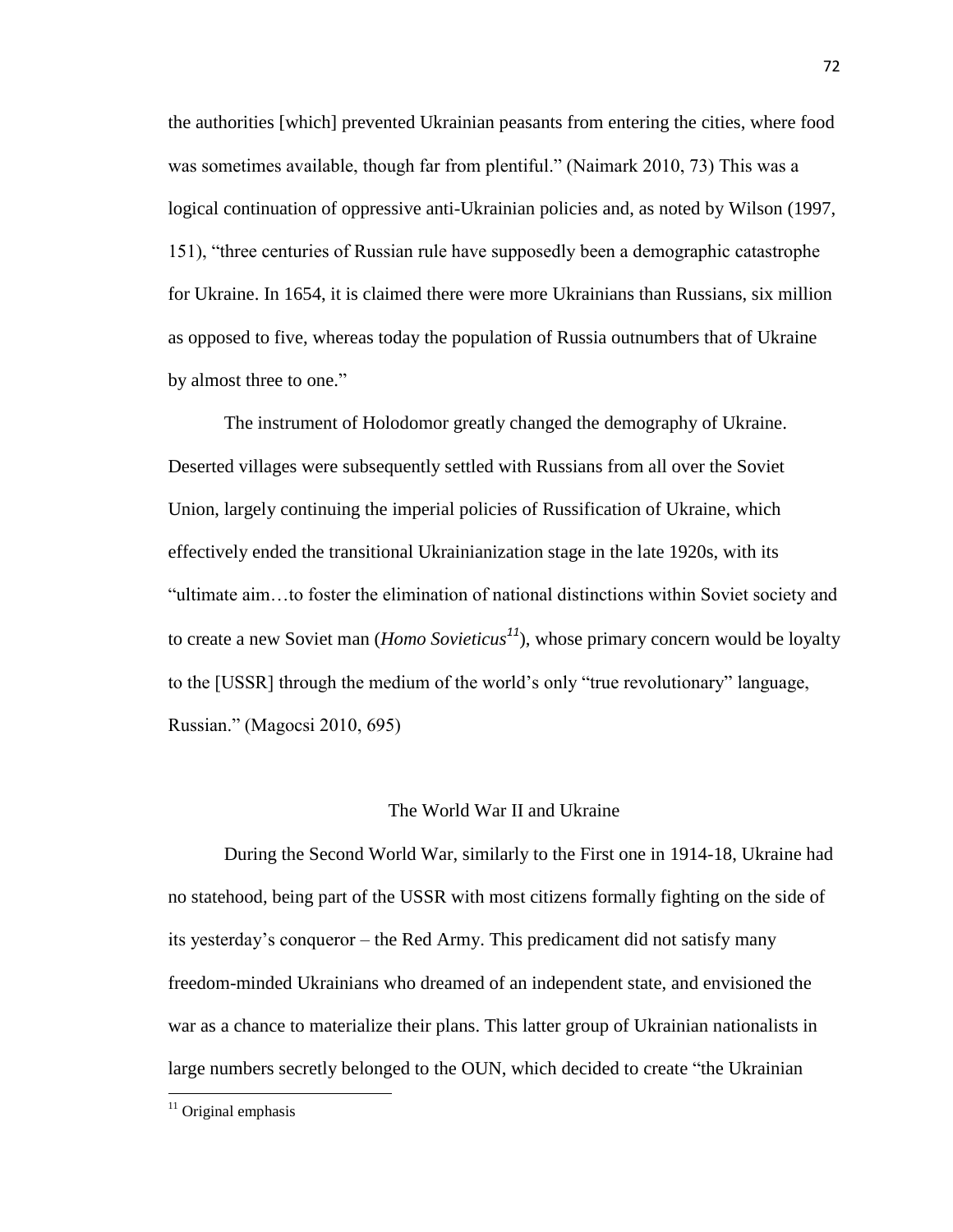the authorities [which] prevented Ukrainian peasants from entering the cities, where food was sometimes available, though far from plentiful." (Naimark 2010, 73) This was a logical continuation of oppressive anti-Ukrainian policies and, as noted by Wilson (1997, 151), "three centuries of Russian rule have supposedly been a demographic catastrophe for Ukraine. In 1654, it is claimed there were more Ukrainians than Russians, six million as opposed to five, whereas today the population of Russia outnumbers that of Ukraine by almost three to one."

The instrument of Holodomor greatly changed the demography of Ukraine. Deserted villages were subsequently settled with Russians from all over the Soviet Union, largely continuing the imperial policies of Russification of Ukraine, which effectively ended the transitional Ukrainianization stage in the late 1920s, with its "ultimate aim…to foster the elimination of national distinctions within Soviet society and to create a new Soviet man (*Homo Sovieticus<sup>11</sup>*), whose primary concern would be loyalty to the [USSR] through the medium of the world's only "true revolutionary" language, Russian." (Magocsi 2010, 695)

#### The World War II and Ukraine

During the Second World War, similarly to the First one in 1914-18, Ukraine had no statehood, being part of the USSR with most citizens formally fighting on the side of its yesterday's conqueror – the Red Army. This predicament did not satisfy many freedom-minded Ukrainians who dreamed of an independent state, and envisioned the war as a chance to materialize their plans. This latter group of Ukrainian nationalists in large numbers secretly belonged to the OUN, which decided to create "the Ukrainian

 $11$  Original emphasis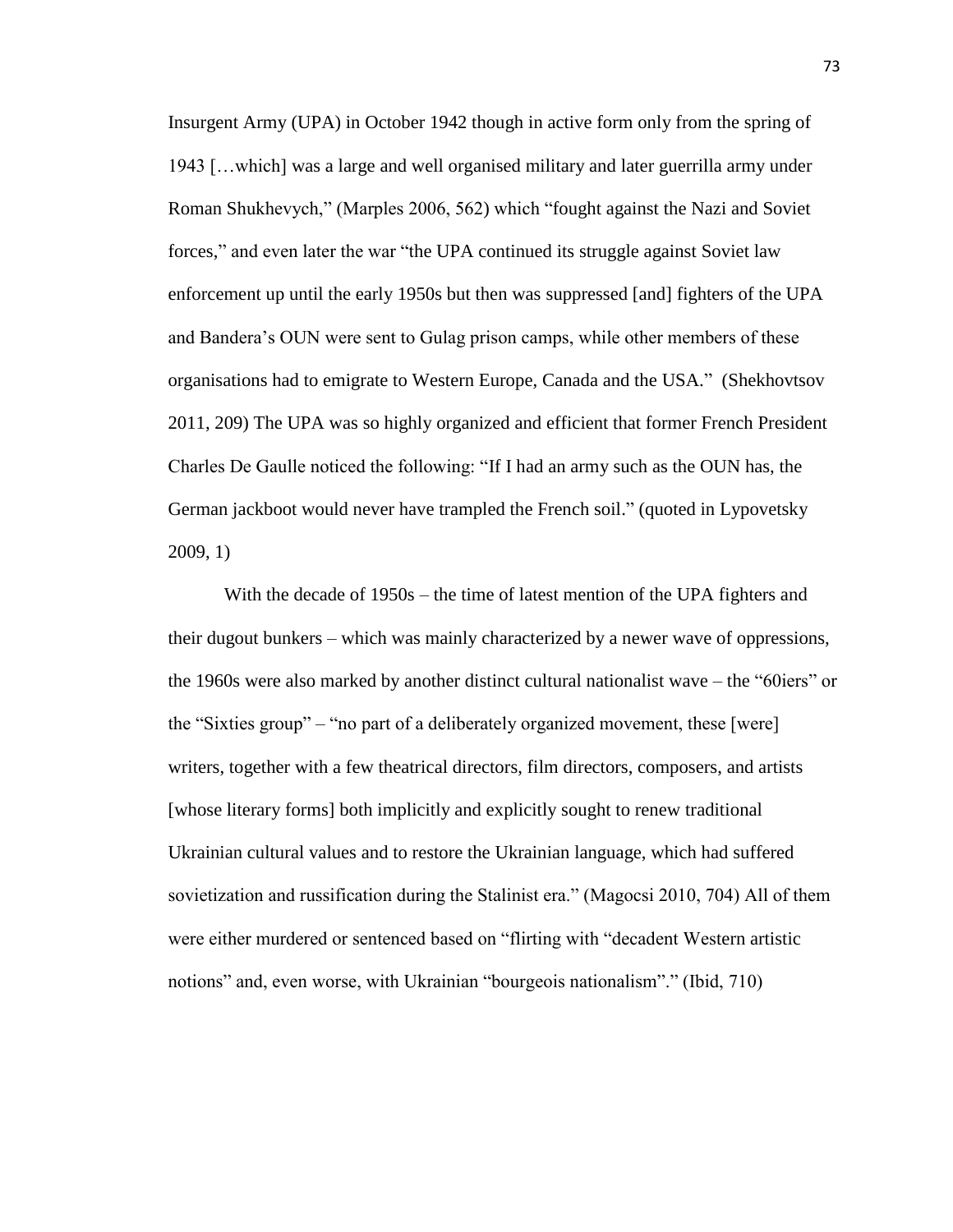Insurgent Army (UPA) in October 1942 though in active form only from the spring of 1943 […which] was a large and well organised military and later guerrilla army under Roman Shukhevych," (Marples 2006, 562) which "fought against the Nazi and Soviet forces," and even later the war "the UPA continued its struggle against Soviet law enforcement up until the early 1950s but then was suppressed [and] fighters of the UPA and Bandera's OUN were sent to Gulag prison camps, while other members of these organisations had to emigrate to Western Europe, Canada and the USA." (Shekhovtsov 2011, 209) The UPA was so highly organized and efficient that former French President Charles De Gaulle noticed the following: "If I had an army such as the OUN has, the German jackboot would never have trampled the French soil." (quoted in Lypovetsky 2009, 1)

With the decade of 1950s – the time of latest mention of the UPA fighters and their dugout bunkers – which was mainly characterized by a newer wave of oppressions, the 1960s were also marked by another distinct cultural nationalist wave – the "60iers" or the "Sixties group" – "no part of a deliberately organized movement, these [were] writers, together with a few theatrical directors, film directors, composers, and artists [whose literary forms] both implicitly and explicitly sought to renew traditional Ukrainian cultural values and to restore the Ukrainian language, which had suffered sovietization and russification during the Stalinist era." (Magocsi 2010, 704) All of them were either murdered or sentenced based on "flirting with "decadent Western artistic notions" and, even worse, with Ukrainian "bourgeois nationalism"." (Ibid, 710)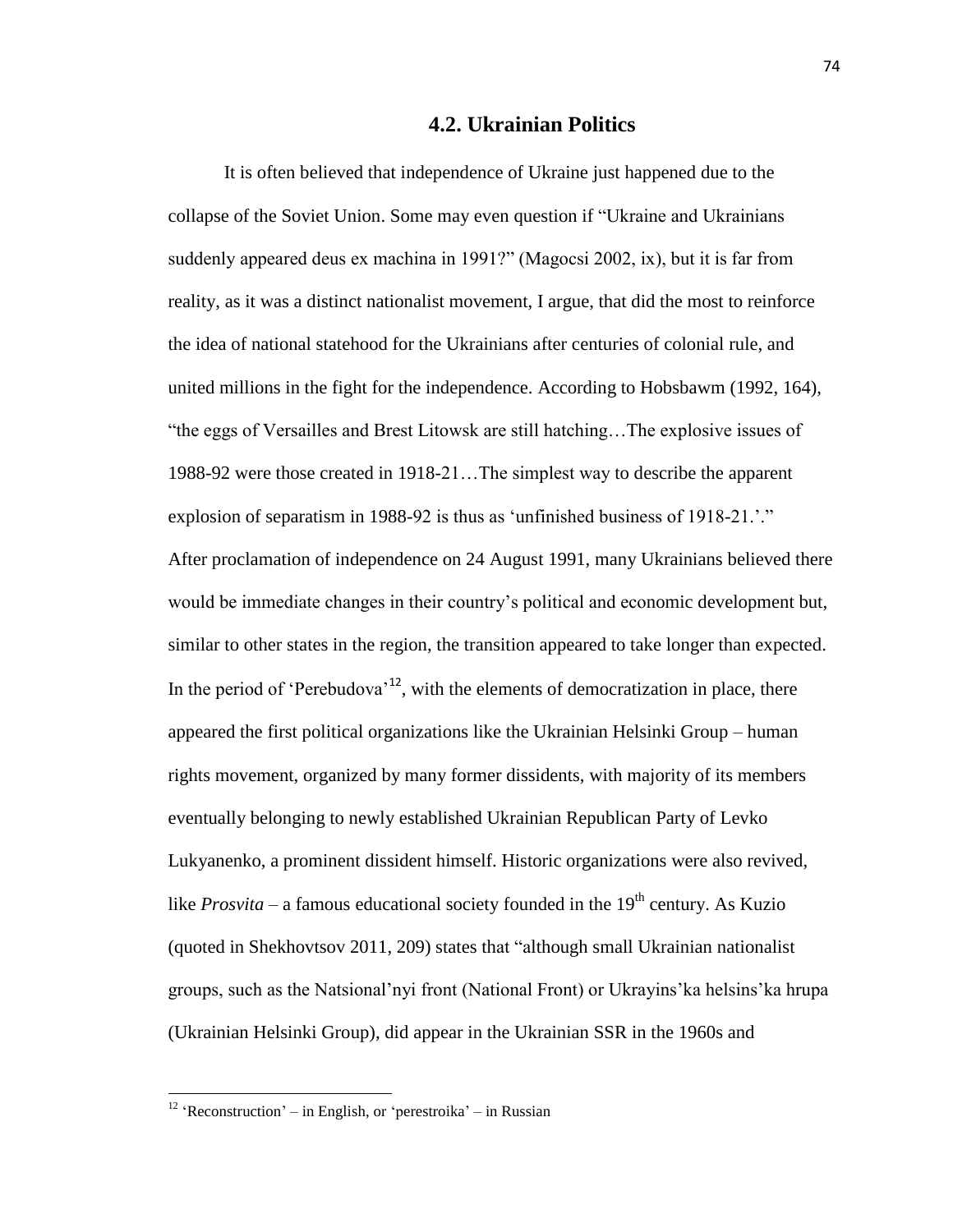# **4.2. Ukrainian Politics**

It is often believed that independence of Ukraine just happened due to the collapse of the Soviet Union. Some may even question if "Ukraine and Ukrainians suddenly appeared deus ex machina in 1991?" (Magocsi 2002, ix), but it is far from reality, as it was a distinct nationalist movement, I argue, that did the most to reinforce the idea of national statehood for the Ukrainians after centuries of colonial rule, and united millions in the fight for the independence. According to Hobsbawm (1992, 164), "the eggs of Versailles and Brest Litowsk are still hatching…The explosive issues of 1988-92 were those created in 1918-21…The simplest way to describe the apparent explosion of separatism in 1988-92 is thus as 'unfinished business of 1918-21.'." After proclamation of independence on 24 August 1991, many Ukrainians believed there would be immediate changes in their country's political and economic development but, similar to other states in the region, the transition appeared to take longer than expected. In the period of 'Perebudova'<sup>12</sup>, with the elements of democratization in place, there appeared the first political organizations like the Ukrainian Helsinki Group – human rights movement, organized by many former dissidents, with majority of its members eventually belonging to newly established Ukrainian Republican Party of Levko Lukyanenko, a prominent dissident himself. Historic organizations were also revived, like *Prosvita* – a famous educational society founded in the  $19<sup>th</sup>$  century. As Kuzio (quoted in Shekhovtsov 2011, 209) states that "although small Ukrainian nationalist groups, such as the Natsional'nyi front (National Front) or Ukrayins'ka helsins'ka hrupa (Ukrainian Helsinki Group), did appear in the Ukrainian SSR in the 1960s and

<sup>&</sup>lt;sup>12</sup> 'Reconstruction' – in English, or 'perestroika' – in Russian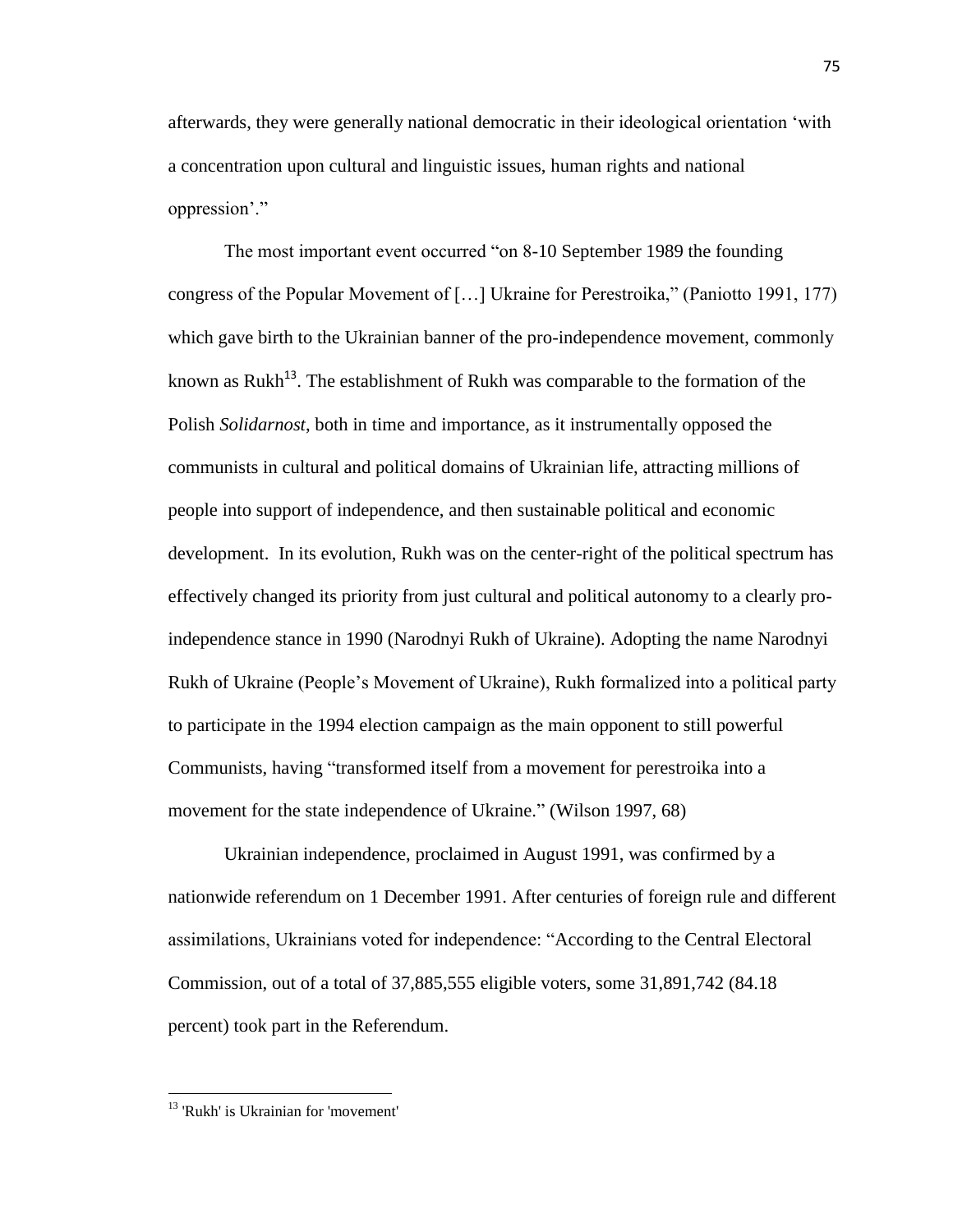afterwards, they were generally national democratic in their ideological orientation 'with a concentration upon cultural and linguistic issues, human rights and national oppression'."

The most important event occurred "on 8-10 September 1989 the founding congress of the Popular Movement of […] Ukraine for Perestroika," (Paniotto 1991, 177) which gave birth to the Ukrainian banner of the pro-independence movement, commonly known as Rukh<sup>13</sup>. The establishment of Rukh was comparable to the formation of the Polish *Solidarnost*, both in time and importance, as it instrumentally opposed the communists in cultural and political domains of Ukrainian life, attracting millions of people into support of independence, and then sustainable political and economic development. In its evolution, Rukh was on the center-right of the political spectrum has effectively changed its priority from just cultural and political autonomy to a clearly proindependence stance in 1990 (Narodnyi Rukh of Ukraine). Adopting the name Narodnyi Rukh of Ukraine (People's Movement of Ukraine), Rukh formalized into a political party to participate in the 1994 election campaign as the main opponent to still powerful Communists, having "transformed itself from a movement for perestroika into a movement for the state independence of Ukraine." (Wilson 1997, 68)

Ukrainian independence, proclaimed in August 1991, was confirmed by a nationwide referendum on 1 December 1991. After centuries of foreign rule and different assimilations, Ukrainians voted for independence: "According to the Central Electoral Commission, out of a total of 37,885,555 eligible voters, some 31,891,742 (84.18 percent) took part in the Referendum.

<sup>&</sup>lt;sup>13</sup> 'Rukh' is Ukrainian for 'movement'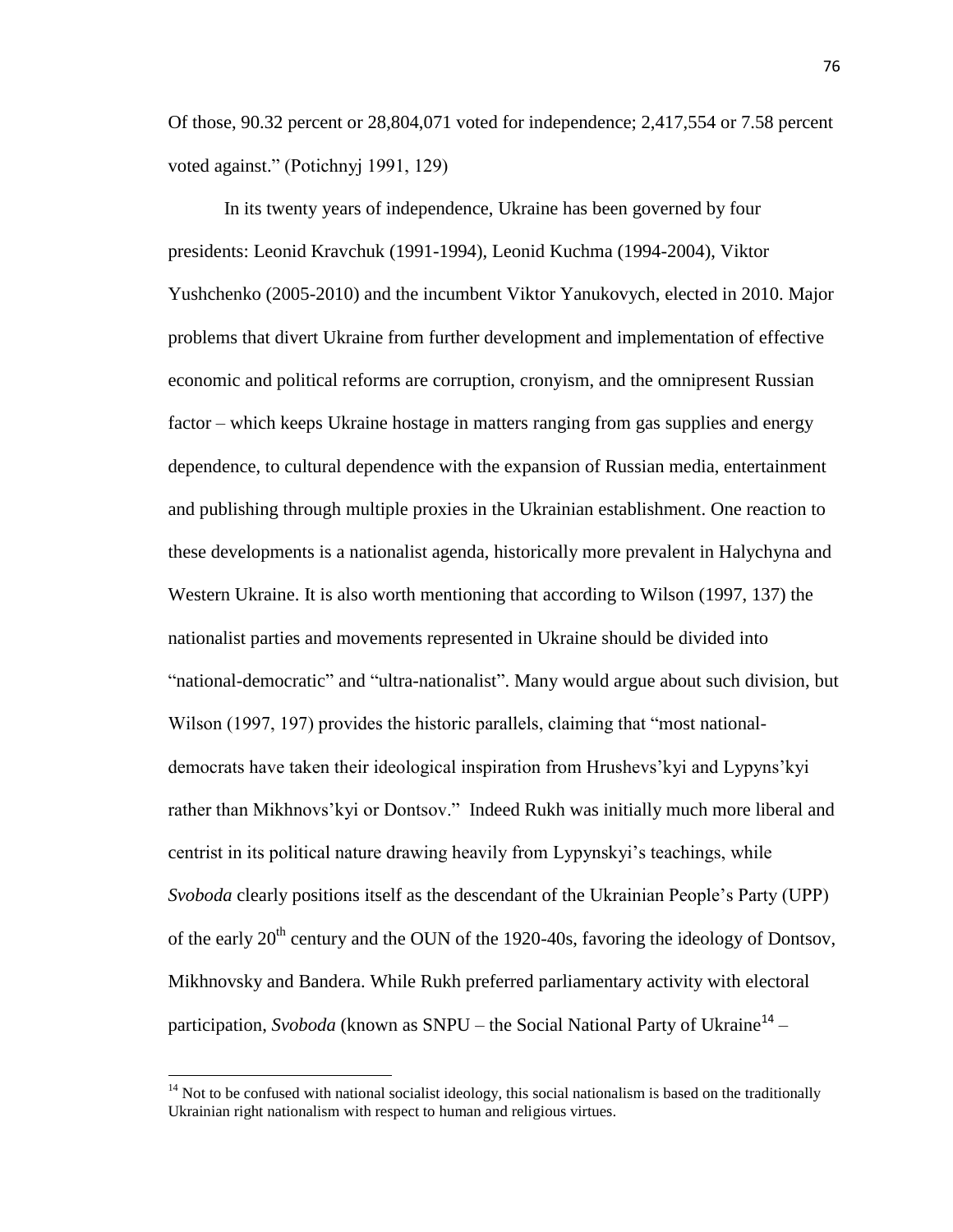Of those, 90.32 percent or 28,804,071 voted for independence; 2,417,554 or 7.58 percent voted against." (Potichnyj 1991, 129)

In its twenty years of independence, Ukraine has been governed by four presidents: Leonid Kravchuk (1991-1994), Leonid Kuchma (1994-2004), Viktor Yushchenko (2005-2010) and the incumbent Viktor Yanukovych, elected in 2010. Major problems that divert Ukraine from further development and implementation of effective economic and political reforms are corruption, cronyism, and the omnipresent Russian factor – which keeps Ukraine hostage in matters ranging from gas supplies and energy dependence, to cultural dependence with the expansion of Russian media, entertainment and publishing through multiple proxies in the Ukrainian establishment. One reaction to these developments is a nationalist agenda, historically more prevalent in Halychyna and Western Ukraine. It is also worth mentioning that according to Wilson (1997, 137) the nationalist parties and movements represented in Ukraine should be divided into "national-democratic" and "ultra-nationalist". Many would argue about such division, but Wilson (1997, 197) provides the historic parallels, claiming that "most nationaldemocrats have taken their ideological inspiration from Hrushevs'kyi and Lypyns'kyi rather than Mikhnovs'kyi or Dontsov." Indeed Rukh was initially much more liberal and centrist in its political nature drawing heavily from Lypynskyi's teachings, while *Svoboda* clearly positions itself as the descendant of the Ukrainian People's Party (UPP) of the early  $20<sup>th</sup>$  century and the OUN of the 1920-40s, favoring the ideology of Dontsov, Mikhnovsky and Bandera. While Rukh preferred parliamentary activity with electoral participation, *Svoboda* (known as SNPU – the Social National Party of Ukraine<sup>14</sup> –

 $14$  Not to be confused with national socialist ideology, this social nationalism is based on the traditionally Ukrainian right nationalism with respect to human and religious virtues.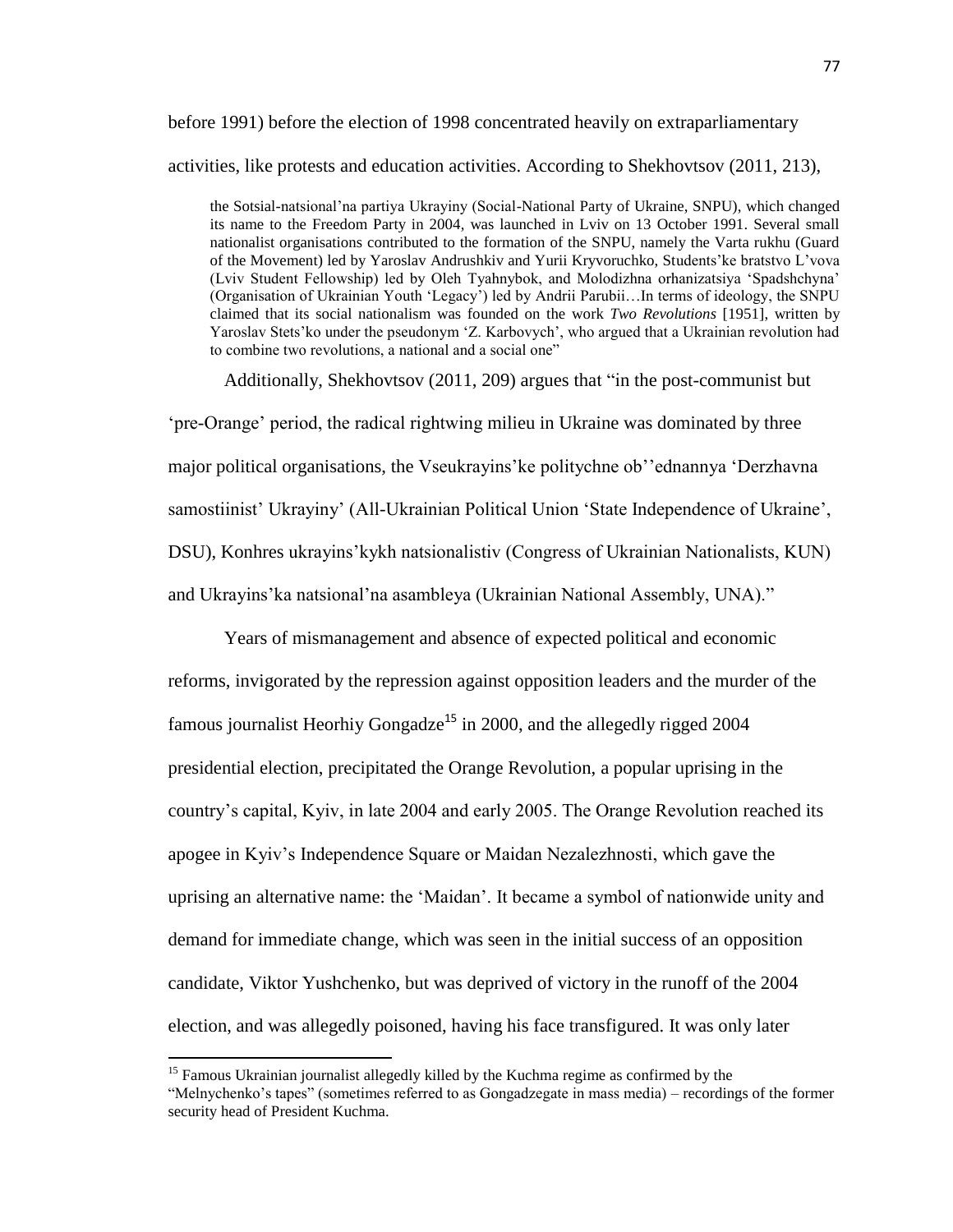# before 1991) before the election of 1998 concentrated heavily on extraparliamentary activities, like protests and education activities. According to Shekhovtsov (2011, 213),

the Sotsial-natsional'na partiya Ukrayiny (Social-National Party of Ukraine, SNPU), which changed its name to the Freedom Party in 2004, was launched in Lviv on 13 October 1991. Several small nationalist organisations contributed to the formation of the SNPU, namely the Varta rukhu (Guard of the Movement) led by Yaroslav Andrushkiv and Yurii Kryvoruchko, Students'ke bratstvo L'vova (Lviv Student Fellowship) led by Oleh Tyahnybok, and Molodizhna orhanizatsiya 'Spadshchyna' (Organisation of Ukrainian Youth 'Legacy') led by Andrii Parubii…In terms of ideology, the SNPU claimed that its social nationalism was founded on the work *Two Revolutions* [1951], written by Yaroslav Stets'ko under the pseudonym 'Z. Karbovych', who argued that a Ukrainian revolution had to combine two revolutions, a national and a social one"

Additionally, Shekhovtsov (2011, 209) argues that "in the post-communist but

'pre-Orange' period, the radical rightwing milieu in Ukraine was dominated by three major political organisations, the Vseukrayins'ke politychne ob''ednannya 'Derzhavna samostiinist' Ukrayiny' (All-Ukrainian Political Union 'State Independence of Ukraine', DSU), Konhres ukrayins'kykh natsionalistiv (Congress of Ukrainian Nationalists, KUN) and Ukrayins'ka natsional'na asambleya (Ukrainian National Assembly, UNA)."

Years of mismanagement and absence of expected political and economic reforms, invigorated by the repression against opposition leaders and the murder of the famous journalist Heorhiy Gongadze<sup>15</sup> in 2000, and the allegedly rigged 2004 presidential election, precipitated the Orange Revolution, a popular uprising in the country's capital, Kyiv, in late 2004 and early 2005. The Orange Revolution reached its apogee in Kyiv's Independence Square or Maidan Nezalezhnosti, which gave the uprising an alternative name: the 'Maidan'. It became a symbol of nationwide unity and demand for immediate change, which was seen in the initial success of an opposition candidate, Viktor Yushchenko, but was deprived of victory in the runoff of the 2004 election, and was allegedly poisoned, having his face transfigured. It was only later

<sup>&</sup>lt;sup>15</sup> Famous Ukrainian journalist allegedly killed by the Kuchma regime as confirmed by the "Melnychenko's tapes" (sometimes referred to as Gongadzegate in mass media) – recordings of the former security head of President Kuchma.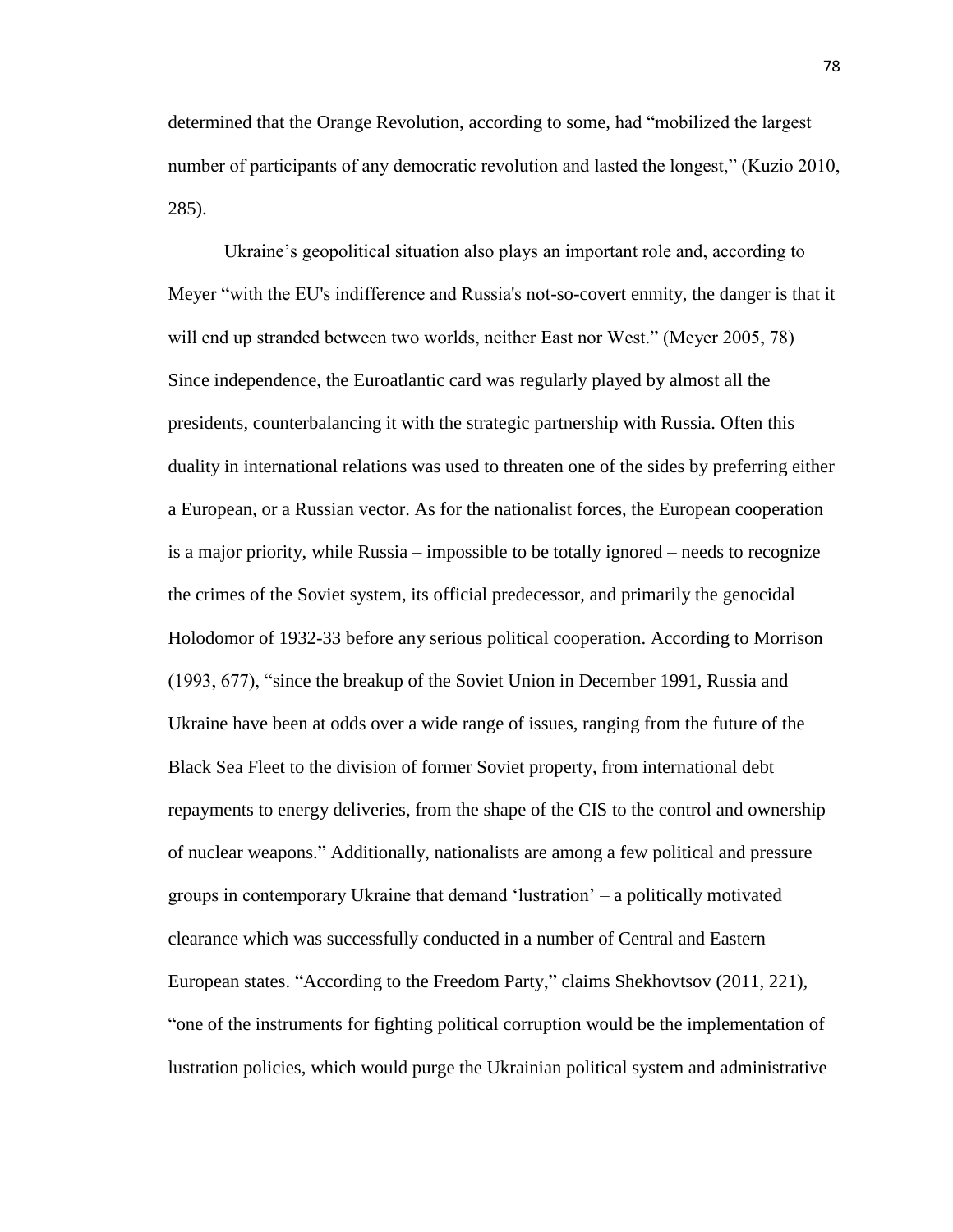determined that the Orange Revolution, according to some, had "mobilized the largest number of participants of any democratic revolution and lasted the longest," (Kuzio 2010, 285).

Ukraine's geopolitical situation also plays an important role and, according to Meyer "with the EU's indifference and Russia's not-so-covert enmity, the danger is that it will end up stranded between two worlds, neither East nor West." (Meyer 2005, 78) Since independence, the Euroatlantic card was regularly played by almost all the presidents, counterbalancing it with the strategic partnership with Russia. Often this duality in international relations was used to threaten one of the sides by preferring either a European, or a Russian vector. As for the nationalist forces, the European cooperation is a major priority, while Russia – impossible to be totally ignored – needs to recognize the crimes of the Soviet system, its official predecessor, and primarily the genocidal Holodomor of 1932-33 before any serious political cooperation. According to Morrison (1993, 677), "since the breakup of the Soviet Union in December 1991, Russia and Ukraine have been at odds over a wide range of issues, ranging from the future of the Black Sea Fleet to the division of former Soviet property, from international debt repayments to energy deliveries, from the shape of the CIS to the control and ownership of nuclear weapons." Additionally, nationalists are among a few political and pressure groups in contemporary Ukraine that demand 'lustration' – a politically motivated clearance which was successfully conducted in a number of Central and Eastern European states. "According to the Freedom Party," claims Shekhovtsov (2011, 221), "one of the instruments for fighting political corruption would be the implementation of lustration policies, which would purge the Ukrainian political system and administrative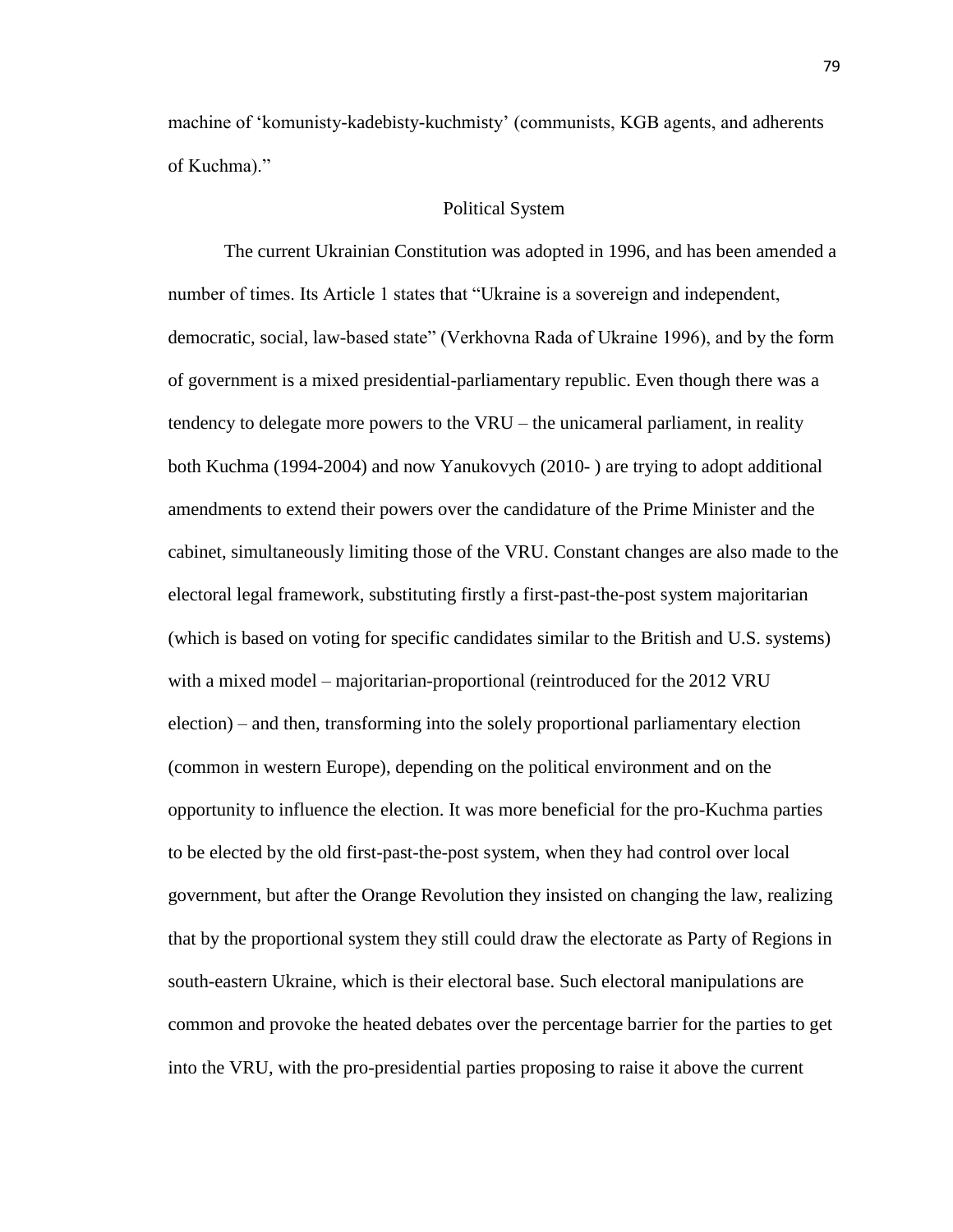machine of 'komunisty-kadebisty-kuchmisty' (communists, KGB agents, and adherents of Kuchma)."

## Political System

The current Ukrainian Constitution was adopted in 1996, and has been amended a number of times. Its Article 1 states that "Ukraine is a sovereign and independent, democratic, social, law-based state" (Verkhovna Rada of Ukraine 1996), and by the form of government is a mixed presidential-parliamentary republic. Even though there was a tendency to delegate more powers to the VRU – the unicameral parliament, in reality both Kuchma (1994-2004) and now Yanukovych (2010- ) are trying to adopt additional amendments to extend their powers over the candidature of the Prime Minister and the cabinet, simultaneously limiting those of the VRU. Constant changes are also made to the electoral legal framework, substituting firstly a first-past-the-post system majoritarian (which is based on voting for specific candidates similar to the British and U.S. systems) with a mixed model – majoritarian-proportional (reintroduced for the 2012 VRU election) – and then, transforming into the solely proportional parliamentary election (common in western Europe), depending on the political environment and on the opportunity to influence the election. It was more beneficial for the pro-Kuchma parties to be elected by the old first-past-the-post system, when they had control over local government, but after the Orange Revolution they insisted on changing the law, realizing that by the proportional system they still could draw the electorate as Party of Regions in south-eastern Ukraine, which is their electoral base. Such electoral manipulations are common and provoke the heated debates over the percentage barrier for the parties to get into the VRU, with the pro-presidential parties proposing to raise it above the current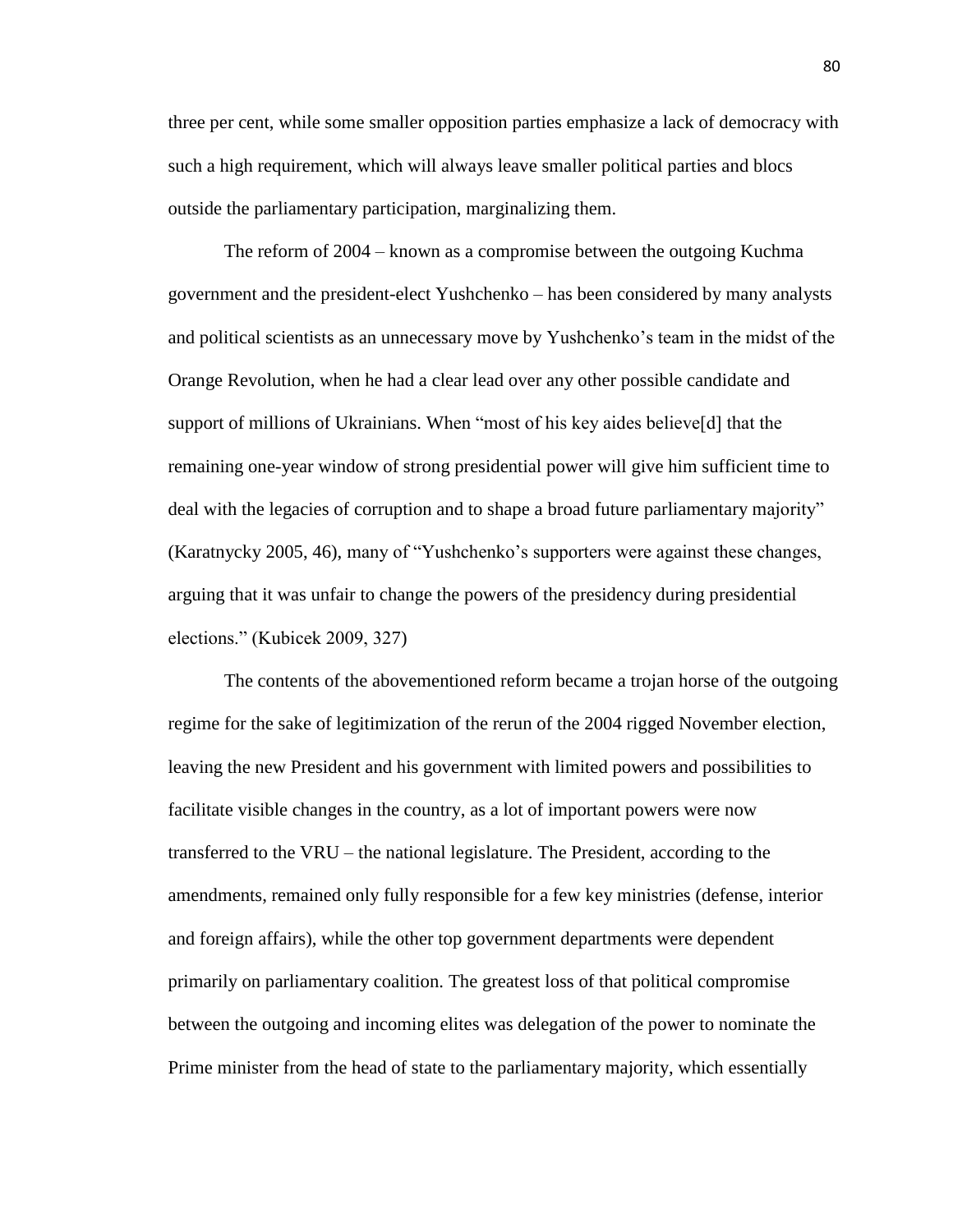three per cent, while some smaller opposition parties emphasize a lack of democracy with such a high requirement, which will always leave smaller political parties and blocs outside the parliamentary participation, marginalizing them.

The reform of 2004 – known as a compromise between the outgoing Kuchma government and the president-elect Yushchenko – has been considered by many analysts and political scientists as an unnecessary move by Yushchenko's team in the midst of the Orange Revolution, when he had a clear lead over any other possible candidate and support of millions of Ukrainians. When "most of his key aides believe[d] that the remaining one-year window of strong presidential power will give him sufficient time to deal with the legacies of corruption and to shape a broad future parliamentary majority" (Karatnycky 2005, 46), many of "Yushchenko's supporters were against these changes, arguing that it was unfair to change the powers of the presidency during presidential elections." (Kubicek 2009, 327)

The contents of the abovementioned reform became a trojan horse of the outgoing regime for the sake of legitimization of the rerun of the 2004 rigged November election, leaving the new President and his government with limited powers and possibilities to facilitate visible changes in the country, as a lot of important powers were now transferred to the VRU – the national legislature. The President, according to the amendments, remained only fully responsible for a few key ministries (defense, interior and foreign affairs), while the other top government departments were dependent primarily on parliamentary coalition. The greatest loss of that political compromise between the outgoing and incoming elites was delegation of the power to nominate the Prime minister from the head of state to the parliamentary majority, which essentially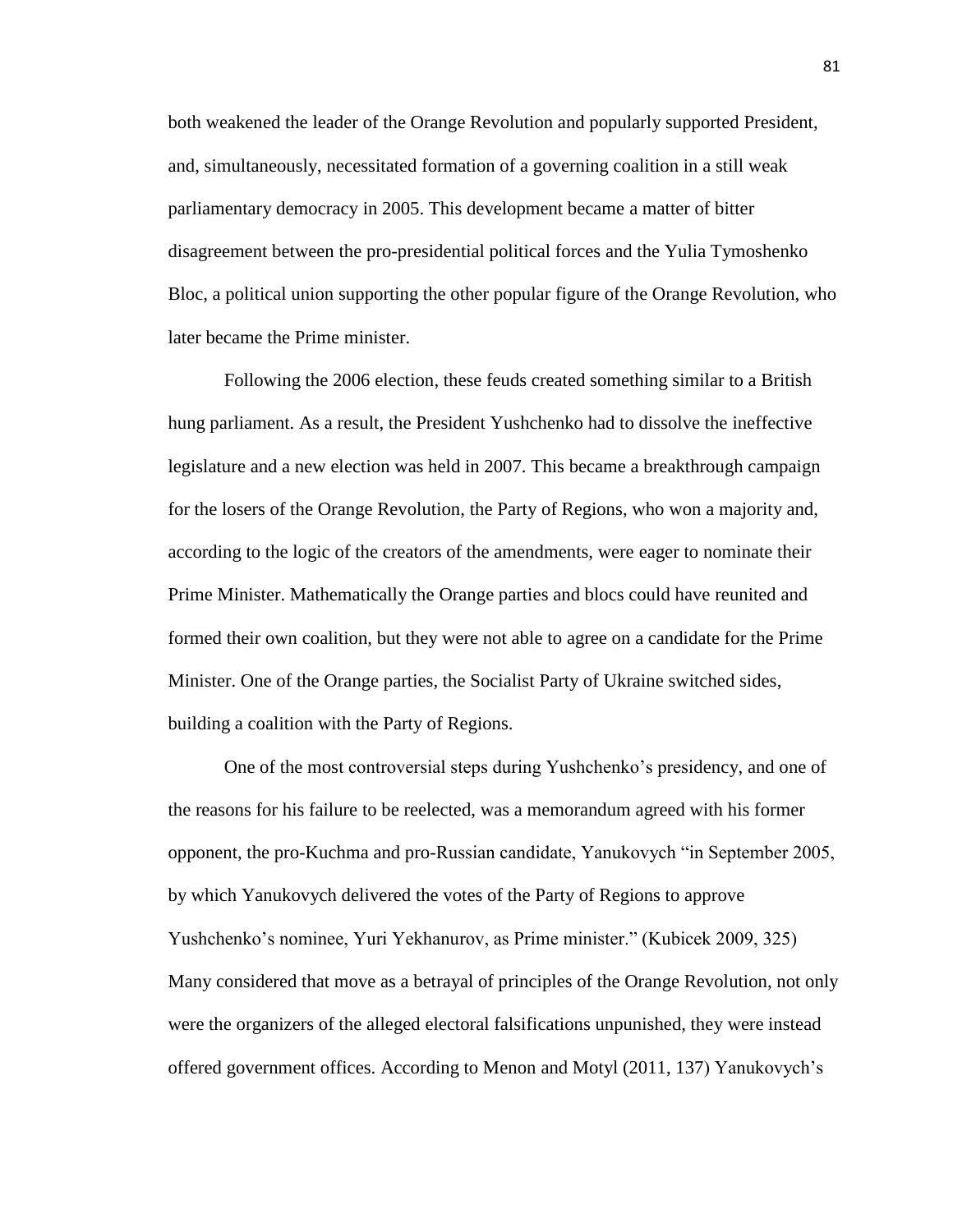both weakened the leader of the Orange Revolution and popularly supported President, and, simultaneously, necessitated formation of a governing coalition in a still weak parliamentary democracy in 2005. This development became a matter of bitter disagreement between the pro-presidential political forces and the Yulia Tymoshenko Bloc, a political union supporting the other popular figure of the Orange Revolution, who later became the Prime minister.

Following the 2006 election, these feuds created something similar to a British hung parliament. As a result, the President Yushchenko had to dissolve the ineffective legislature and a new election was held in 2007. This became a breakthrough campaign for the losers of the Orange Revolution, the Party of Regions, who won a majority and, according to the logic of the creators of the amendments, were eager to nominate their Prime Minister. Mathematically the Orange parties and blocs could have reunited and formed their own coalition, but they were not able to agree on a candidate for the Prime Minister. One of the Orange parties, the Socialist Party of Ukraine switched sides, building a coalition with the Party of Regions.

One of the most controversial steps during Yushchenko's presidency, and one of the reasons for his failure to be reelected, was a memorandum agreed with his former opponent, the pro-Kuchma and pro-Russian candidate, Yanukovych "in September 2005, by which Yanukovych delivered the votes of the Party of Regions to approve Yushchenko's nominee, Yuri Yekhanurov, as Prime minister." (Kubicek 2009, 325) Many considered that move as a betrayal of principles of the Orange Revolution, not only were the organizers of the alleged electoral falsifications unpunished, they were instead offered government offices. According to Menon and Motyl (2011, 137) Yanukovych's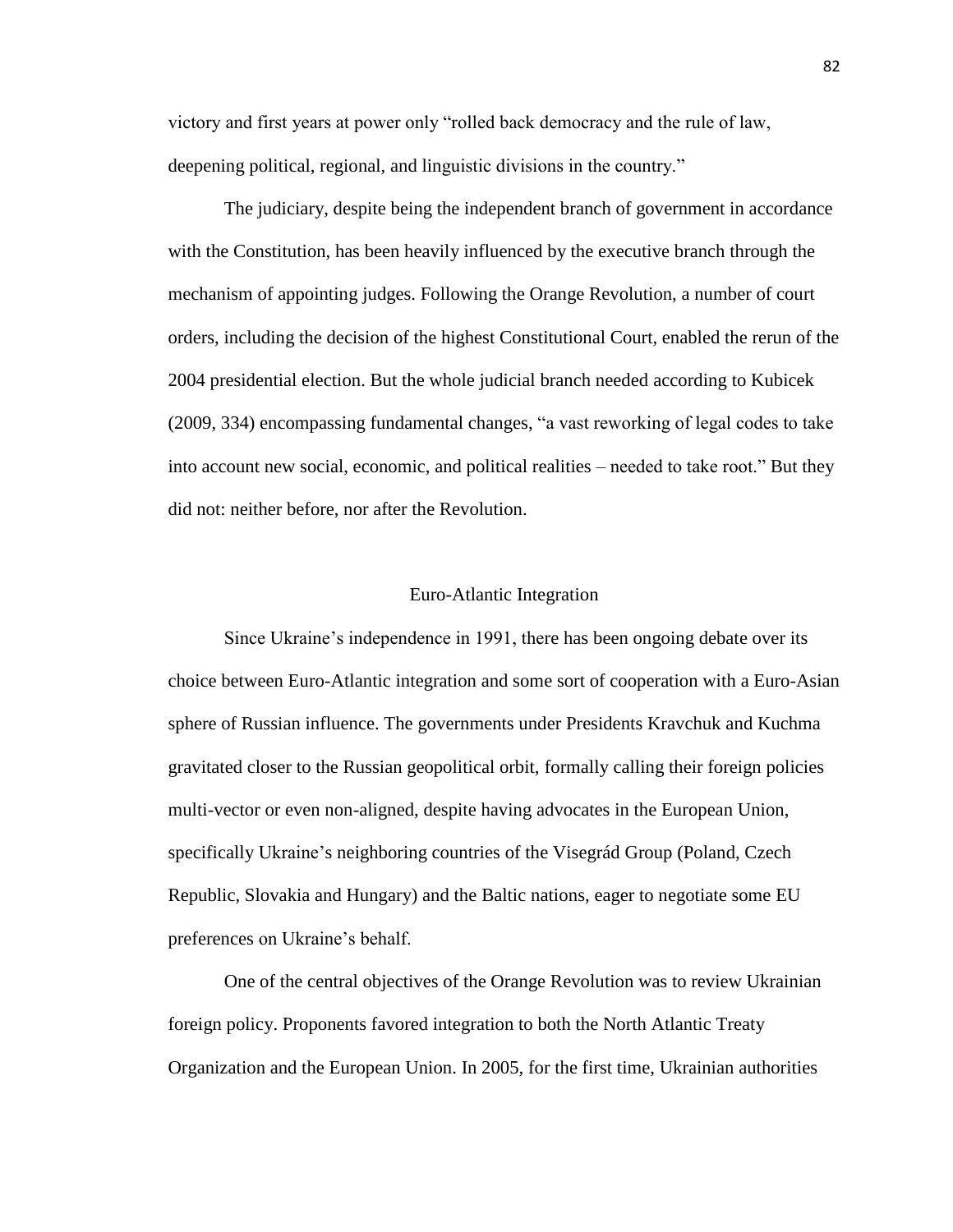victory and first years at power only "rolled back democracy and the rule of law, deepening political, regional, and linguistic divisions in the country."

The judiciary, despite being the independent branch of government in accordance with the Constitution, has been heavily influenced by the executive branch through the mechanism of appointing judges. Following the Orange Revolution, a number of court orders, including the decision of the highest Constitutional Court, enabled the rerun of the 2004 presidential election. But the whole judicial branch needed according to Kubicek (2009, 334) encompassing fundamental changes, "a vast reworking of legal codes to take into account new social, economic, and political realities – needed to take root." But they did not: neither before, nor after the Revolution.

## Euro-Atlantic Integration

Since Ukraine's independence in 1991, there has been ongoing debate over its choice between Euro-Atlantic integration and some sort of cooperation with a Euro-Asian sphere of Russian influence. The governments under Presidents Kravchuk and Kuchma gravitated closer to the Russian geopolitical orbit, formally calling their foreign policies multi-vector or even non-aligned, despite having advocates in the European Union, specifically Ukraine's neighboring countries of the Visegrád Group (Poland, Czech Republic, Slovakia and Hungary) and the Baltic nations, eager to negotiate some EU preferences on Ukraine's behalf.

One of the central objectives of the Orange Revolution was to review Ukrainian foreign policy. Proponents favored integration to both the North Atlantic Treaty Organization and the European Union. In 2005, for the first time, Ukrainian authorities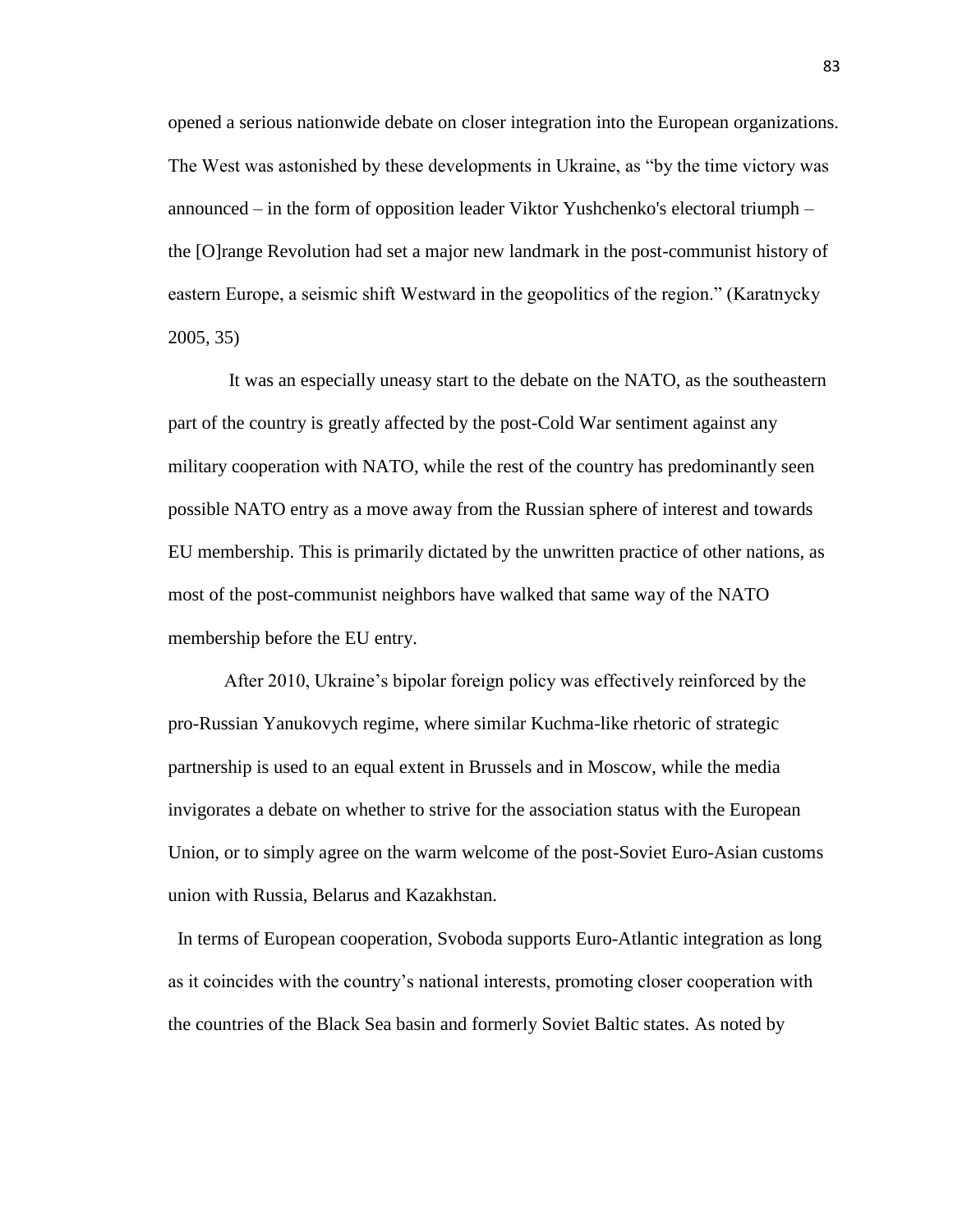opened a serious nationwide debate on closer integration into the European organizations. The West was astonished by these developments in Ukraine, as "by the time victory was announced – in the form of opposition leader Viktor Yushchenko's electoral triumph – the [O]range Revolution had set a major new landmark in the post-communist history of eastern Europe, a seismic shift Westward in the geopolitics of the region." (Karatnycky 2005, 35)

It was an especially uneasy start to the debate on the NATO, as the southeastern part of the country is greatly affected by the post-Cold War sentiment against any military cooperation with NATO, while the rest of the country has predominantly seen possible NATO entry as a move away from the Russian sphere of interest and towards EU membership. This is primarily dictated by the unwritten practice of other nations, as most of the post-communist neighbors have walked that same way of the NATO membership before the EU entry.

After 2010, Ukraine's bipolar foreign policy was effectively reinforced by the pro-Russian Yanukovych regime, where similar Kuchma-like rhetoric of strategic partnership is used to an equal extent in Brussels and in Moscow, while the media invigorates a debate on whether to strive for the association status with the European Union, or to simply agree on the warm welcome of the post-Soviet Euro-Asian customs union with Russia, Belarus and Kazakhstan.

 In terms of European cooperation, Svoboda supports Euro-Atlantic integration as long as it coincides with the country's national interests, promoting closer cooperation with the countries of the Black Sea basin and formerly Soviet Baltic states. As noted by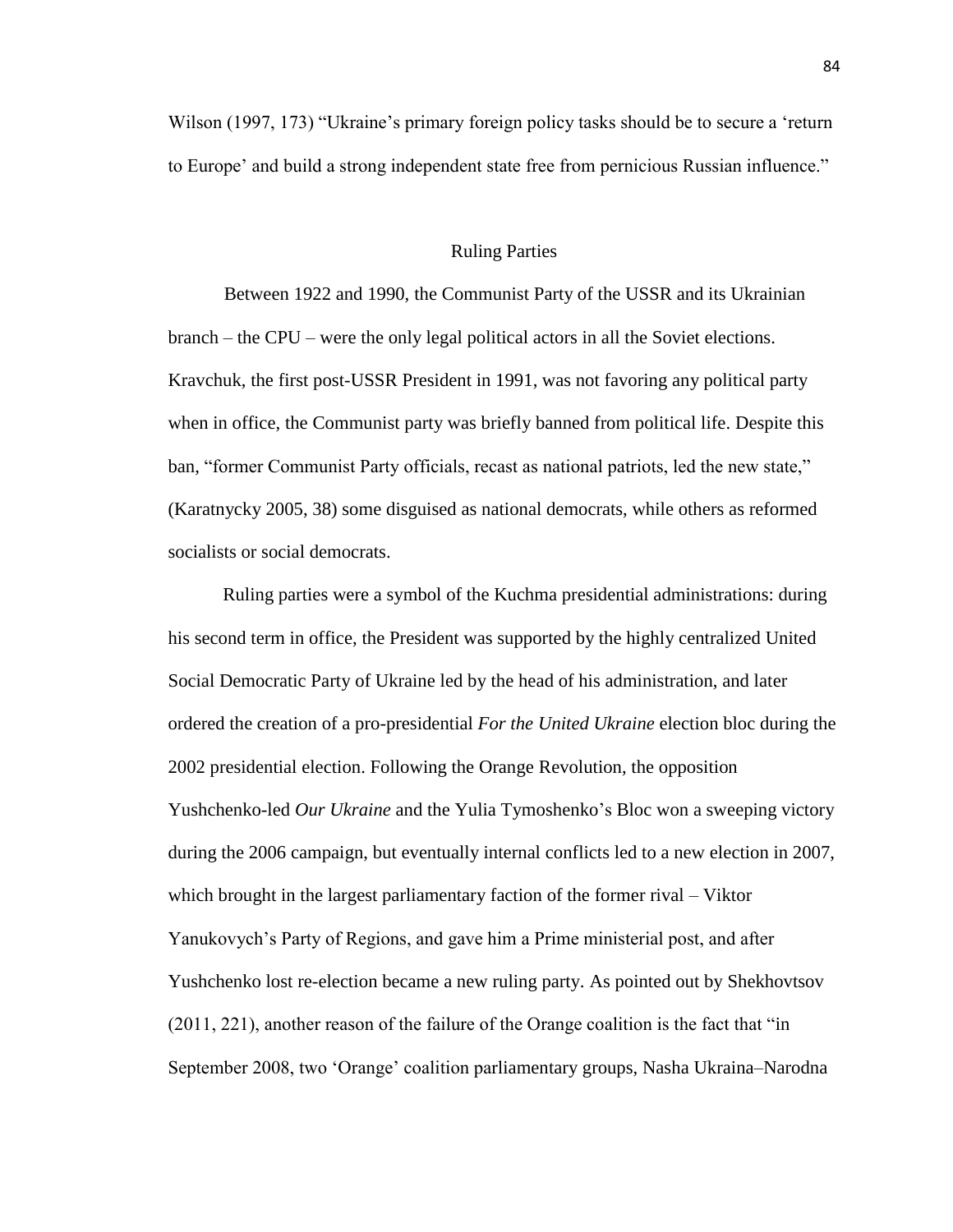Wilson (1997, 173) "Ukraine's primary foreign policy tasks should be to secure a 'return to Europe' and build a strong independent state free from pernicious Russian influence."

## Ruling Parties

Between 1922 and 1990, the Communist Party of the USSR and its Ukrainian branch – the CPU – were the only legal political actors in all the Soviet elections. Kravchuk, the first post-USSR President in 1991, was not favoring any political party when in office, the Communist party was briefly banned from political life. Despite this ban, "former Communist Party officials, recast as national patriots, led the new state," (Karatnycky 2005, 38) some disguised as national democrats, while others as reformed socialists or social democrats.

Ruling parties were a symbol of the Kuchma presidential administrations: during his second term in office, the President was supported by the highly centralized United Social Democratic Party of Ukraine led by the head of his administration, and later ordered the creation of a pro-presidential *For the United Ukraine* election bloc during the 2002 presidential election. Following the Orange Revolution, the opposition Yushchenko-led *Our Ukraine* and the Yulia Tymoshenko's Bloc won a sweeping victory during the 2006 campaign, but eventually internal conflicts led to a new election in 2007, which brought in the largest parliamentary faction of the former rival – Viktor Yanukovych's Party of Regions, and gave him a Prime ministerial post, and after Yushchenko lost re-election became a new ruling party. As pointed out by Shekhovtsov (2011, 221), another reason of the failure of the Orange coalition is the fact that "in September 2008, two 'Orange' coalition parliamentary groups, Nasha Ukraina–Narodna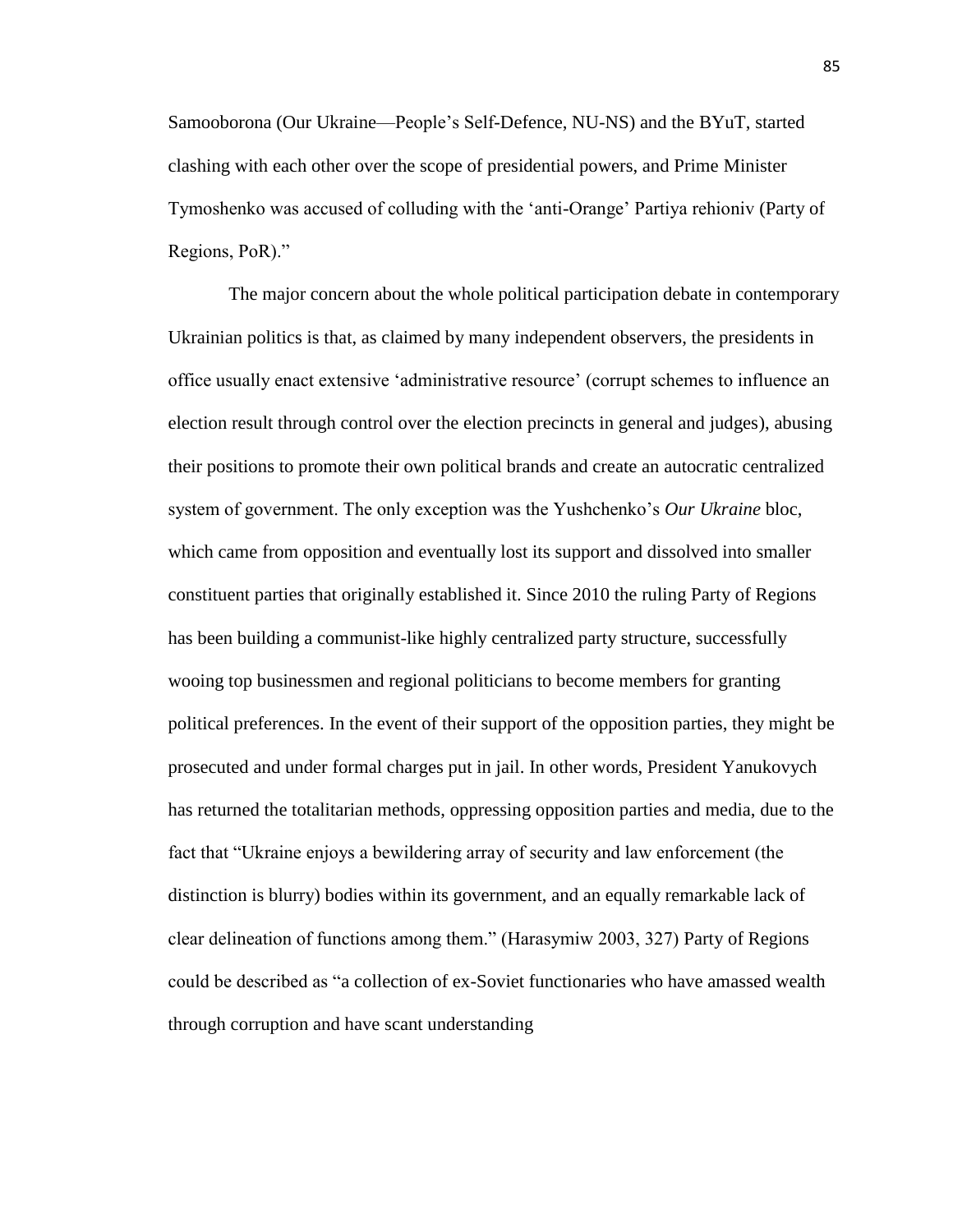Samooborona (Our Ukraine—People's Self-Defence, NU-NS) and the BYuT, started clashing with each other over the scope of presidential powers, and Prime Minister Tymoshenko was accused of colluding with the 'anti-Orange' Partiya rehioniv (Party of Regions, PoR)."

The major concern about the whole political participation debate in contemporary Ukrainian politics is that, as claimed by many independent observers, the presidents in office usually enact extensive 'administrative resource' (corrupt schemes to influence an election result through control over the election precincts in general and judges), abusing their positions to promote their own political brands and create an autocratic centralized system of government. The only exception was the Yushchenko's *Our Ukraine* bloc, which came from opposition and eventually lost its support and dissolved into smaller constituent parties that originally established it. Since 2010 the ruling Party of Regions has been building a communist-like highly centralized party structure, successfully wooing top businessmen and regional politicians to become members for granting political preferences. In the event of their support of the opposition parties, they might be prosecuted and under formal charges put in jail. In other words, President Yanukovych has returned the totalitarian methods, oppressing opposition parties and media, due to the fact that "Ukraine enjoys a bewildering array of security and law enforcement (the distinction is blurry) bodies within its government, and an equally remarkable lack of clear delineation of functions among them." (Harasymiw 2003, 327) Party of Regions could be described as "a collection of ex-Soviet functionaries who have amassed wealth through corruption and have scant understanding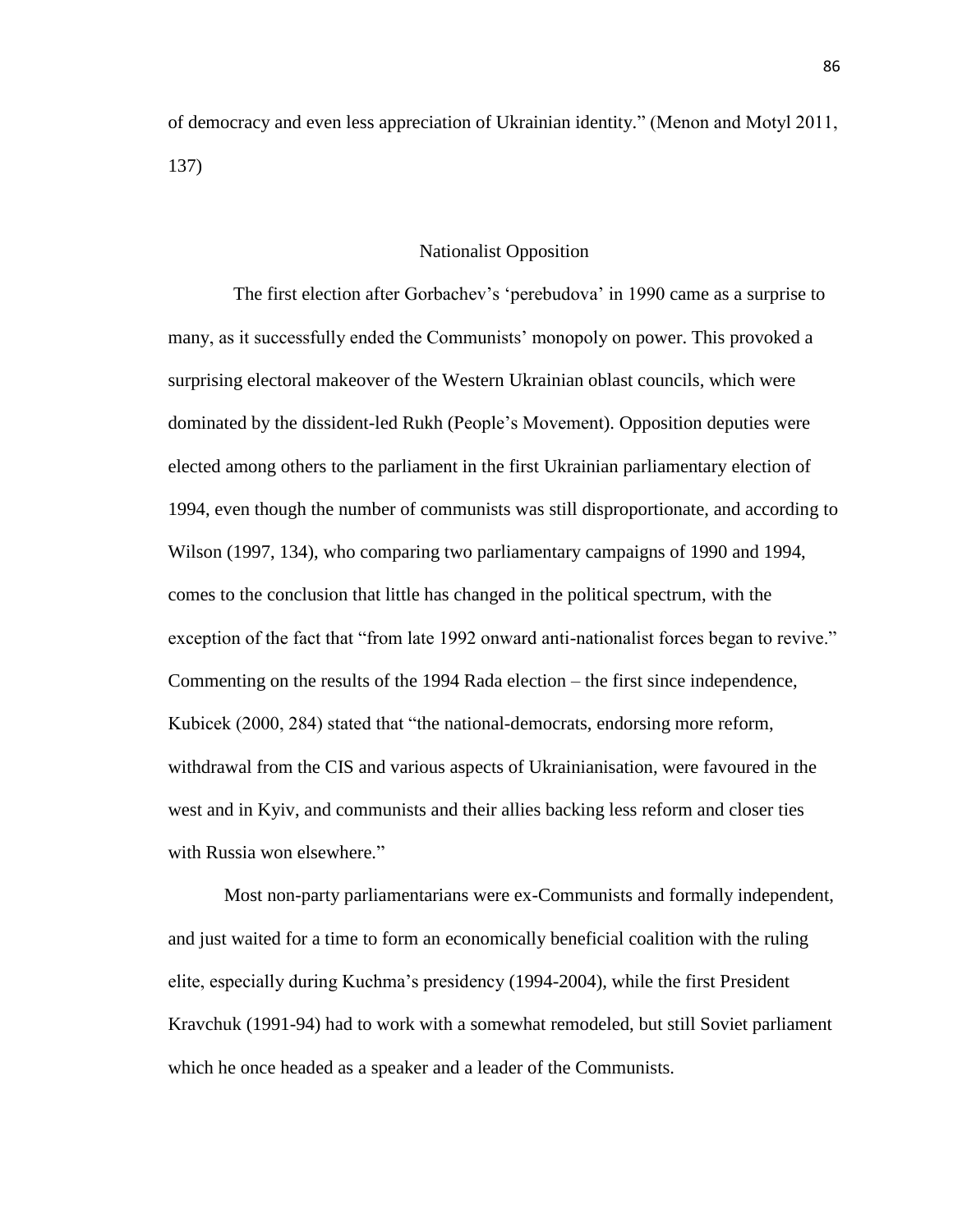of democracy and even less appreciation of Ukrainian identity." (Menon and Motyl 2011, 137)

### Nationalist Opposition

 The first election after Gorbachev's 'perebudova' in 1990 came as a surprise to many, as it successfully ended the Communists' monopoly on power. This provoked a surprising electoral makeover of the Western Ukrainian oblast councils, which were dominated by the dissident-led Rukh (People's Movement). Opposition deputies were elected among others to the parliament in the first Ukrainian parliamentary election of 1994, even though the number of communists was still disproportionate, and according to Wilson (1997, 134), who comparing two parliamentary campaigns of 1990 and 1994, comes to the conclusion that little has changed in the political spectrum, with the exception of the fact that "from late 1992 onward anti-nationalist forces began to revive." Commenting on the results of the 1994 Rada election – the first since independence, Kubicek (2000, 284) stated that "the national-democrats, endorsing more reform, withdrawal from the CIS and various aspects of Ukrainianisation, were favoured in the west and in Kyiv, and communists and their allies backing less reform and closer ties with Russia won elsewhere."

Most non-party parliamentarians were ex-Communists and formally independent, and just waited for a time to form an economically beneficial coalition with the ruling elite, especially during Kuchma's presidency (1994-2004), while the first President Kravchuk (1991-94) had to work with a somewhat remodeled, but still Soviet parliament which he once headed as a speaker and a leader of the Communists.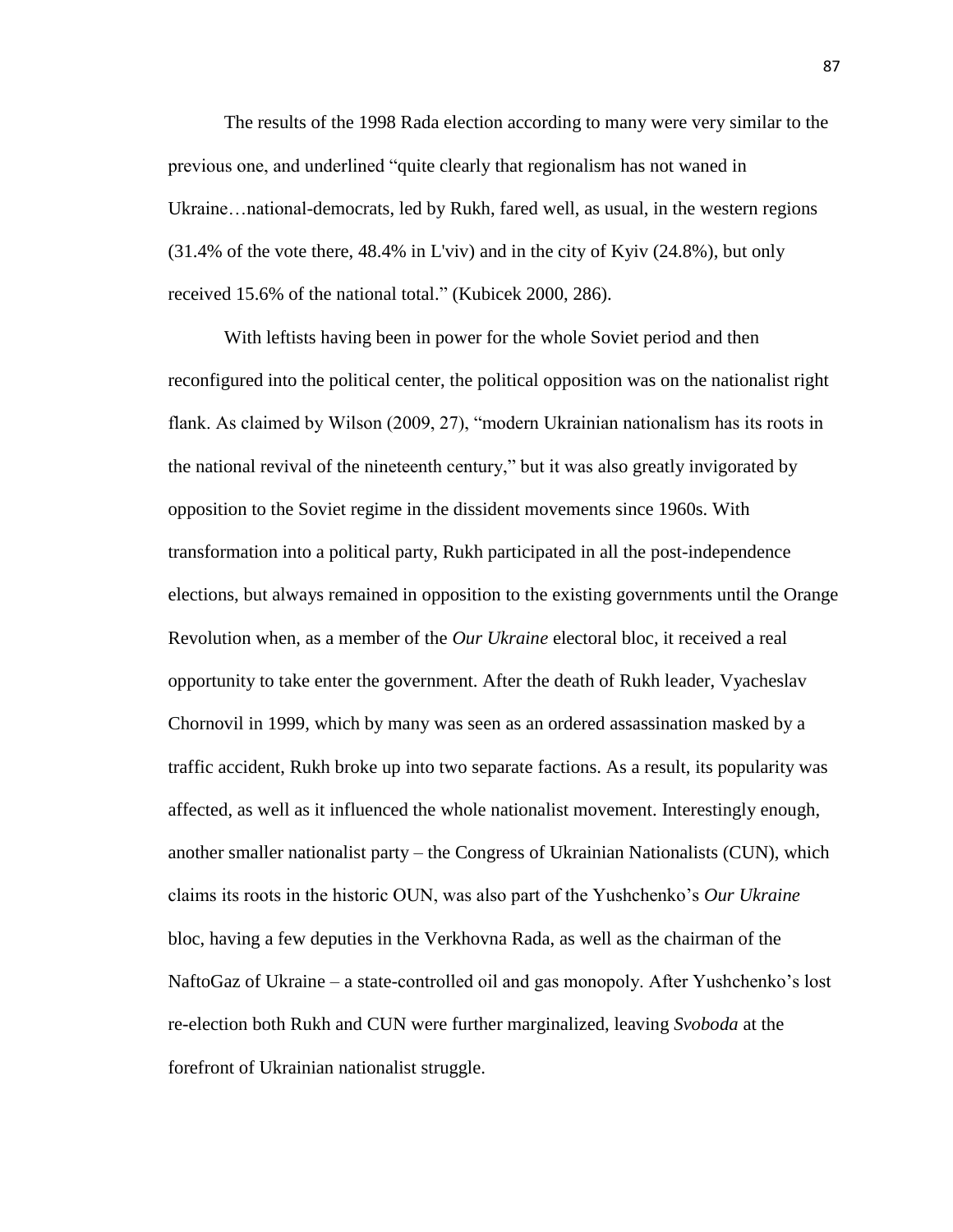The results of the 1998 Rada election according to many were very similar to the previous one, and underlined "quite clearly that regionalism has not waned in Ukraine…national-democrats, led by Rukh, fared well, as usual, in the western regions (31.4% of the vote there, 48.4% in L'viv) and in the city of Kyiv (24.8%), but only received 15.6% of the national total." (Kubicek 2000, 286).

With leftists having been in power for the whole Soviet period and then reconfigured into the political center, the political opposition was on the nationalist right flank. As claimed by Wilson (2009, 27), "modern Ukrainian nationalism has its roots in the national revival of the nineteenth century," but it was also greatly invigorated by opposition to the Soviet regime in the dissident movements since 1960s. With transformation into a political party, Rukh participated in all the post-independence elections, but always remained in opposition to the existing governments until the Orange Revolution when, as a member of the *Our Ukraine* electoral bloc, it received a real opportunity to take enter the government. After the death of Rukh leader, Vyacheslav Chornovil in 1999, which by many was seen as an ordered assassination masked by a traffic accident, Rukh broke up into two separate factions. As a result, its popularity was affected, as well as it influenced the whole nationalist movement. Interestingly enough, another smaller nationalist party – the Congress of Ukrainian Nationalists (CUN), which claims its roots in the historic OUN, was also part of the Yushchenko's *Our Ukraine* bloc, having a few deputies in the Verkhovna Rada, as well as the chairman of the NaftoGaz of Ukraine – a state-controlled oil and gas monopoly. After Yushchenko's lost re-election both Rukh and CUN were further marginalized, leaving *Svoboda* at the forefront of Ukrainian nationalist struggle.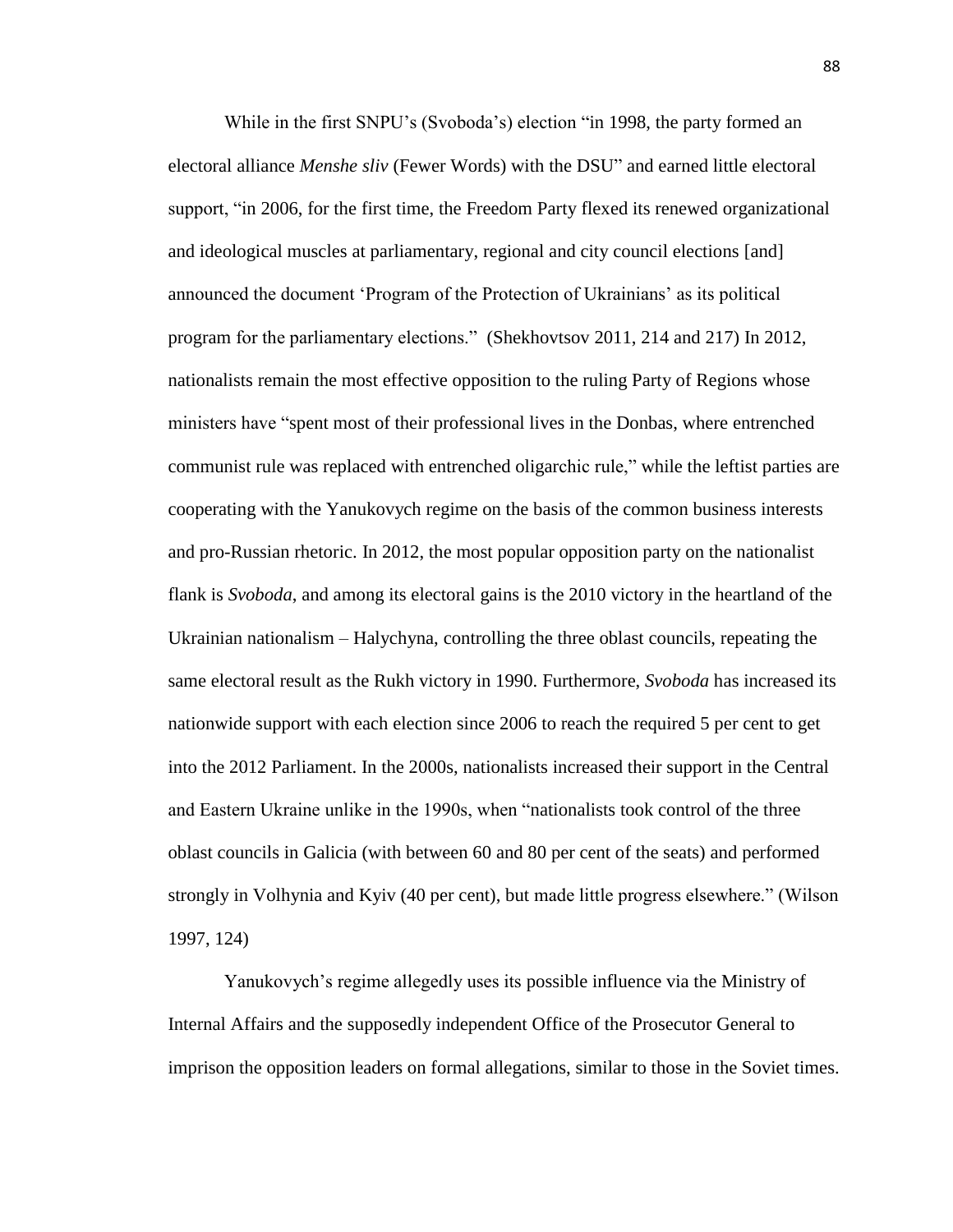While in the first SNPU's (Svoboda's) election "in 1998, the party formed an electoral alliance *Menshe sliv* (Fewer Words) with the DSU" and earned little electoral support, "in 2006, for the first time, the Freedom Party flexed its renewed organizational and ideological muscles at parliamentary, regional and city council elections [and] announced the document 'Program of the Protection of Ukrainians' as its political program for the parliamentary elections." (Shekhovtsov 2011, 214 and 217) In 2012, nationalists remain the most effective opposition to the ruling Party of Regions whose ministers have "spent most of their professional lives in the Donbas, where entrenched communist rule was replaced with entrenched oligarchic rule," while the leftist parties are cooperating with the Yanukovych regime on the basis of the common business interests and pro-Russian rhetoric. In 2012, the most popular opposition party on the nationalist flank is *Svoboda*, and among its electoral gains is the 2010 victory in the heartland of the Ukrainian nationalism – Halychyna, controlling the three oblast councils, repeating the same electoral result as the Rukh victory in 1990. Furthermore, *Svoboda* has increased its nationwide support with each election since 2006 to reach the required 5 per cent to get into the 2012 Parliament. In the 2000s, nationalists increased their support in the Central and Eastern Ukraine unlike in the 1990s, when "nationalists took control of the three oblast councils in Galicia (with between 60 and 80 per cent of the seats) and performed strongly in Volhynia and Kyiv (40 per cent), but made little progress elsewhere." (Wilson 1997, 124)

Yanukovych's regime allegedly uses its possible influence via the Ministry of Internal Affairs and the supposedly independent Office of the Prosecutor General to imprison the opposition leaders on formal allegations, similar to those in the Soviet times.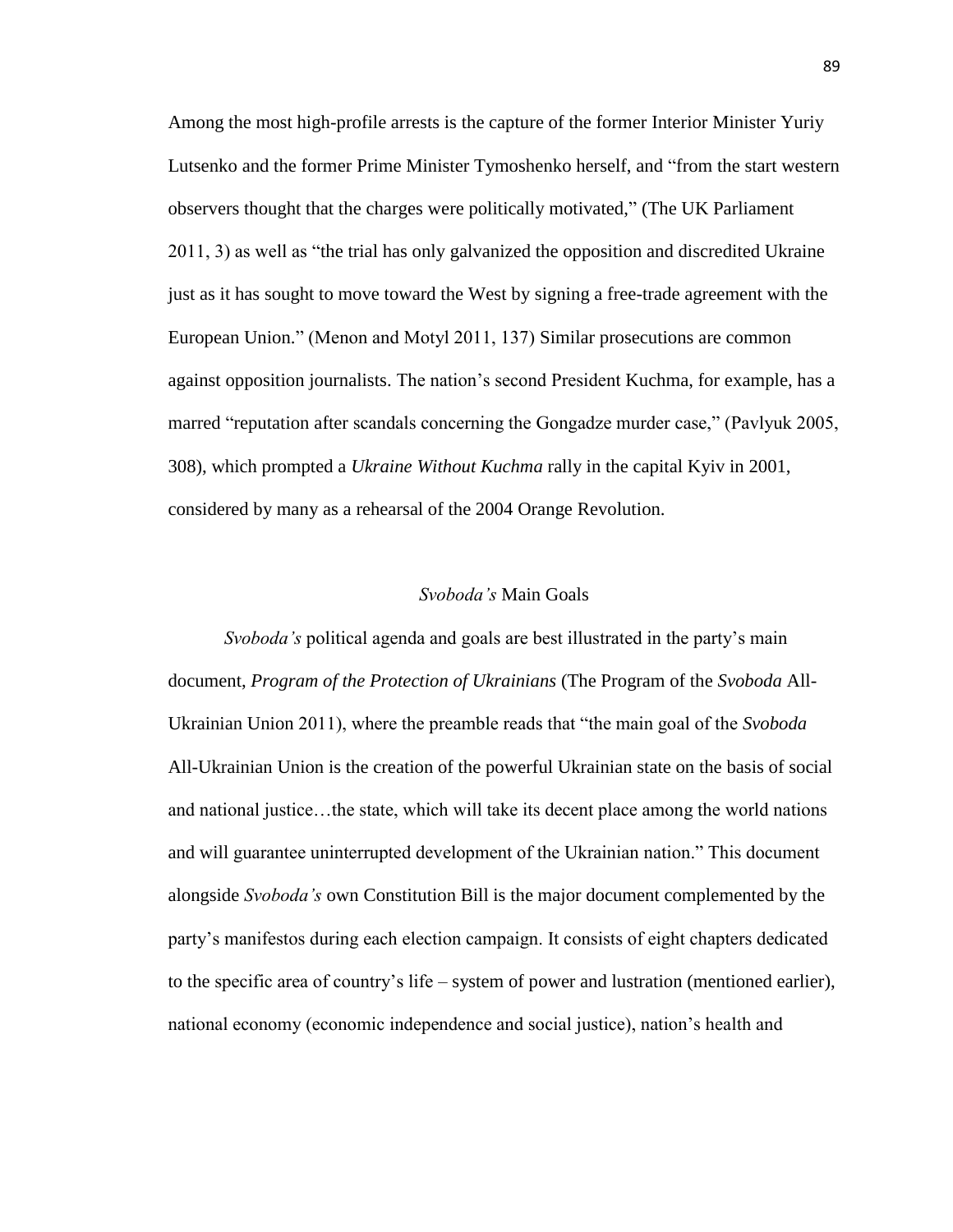Among the most high-profile arrests is the capture of the former Interior Minister Yuriy Lutsenko and the former Prime Minister Tymoshenko herself, and "from the start western observers thought that the charges were politically motivated," (The UK Parliament 2011, 3) as well as "the trial has only galvanized the opposition and discredited Ukraine just as it has sought to move toward the West by signing a free-trade agreement with the European Union." (Menon and Motyl 2011, 137) Similar prosecutions are common against opposition journalists. The nation's second President Kuchma, for example, has a marred "reputation after scandals concerning the Gongadze murder case," (Pavlyuk 2005, 308), which prompted a *Ukraine Without Kuchma* rally in the capital Kyiv in 2001, considered by many as a rehearsal of the 2004 Orange Revolution.

## *Svoboda's* Main Goals

*Svoboda's* political agenda and goals are best illustrated in the party's main document, *Program of the Protection of Ukrainians* (The Program of the *Svoboda* All-Ukrainian Union 2011), where the preamble reads that "the main goal of the *Svoboda* All-Ukrainian Union is the creation of the powerful Ukrainian state on the basis of social and national justice…the state, which will take its decent place among the world nations and will guarantee uninterrupted development of the Ukrainian nation." This document alongside *Svoboda's* own Constitution Bill is the major document complemented by the party's manifestos during each election campaign. It consists of eight chapters dedicated to the specific area of country's life – system of power and lustration (mentioned earlier), national economy (economic independence and social justice), nation's health and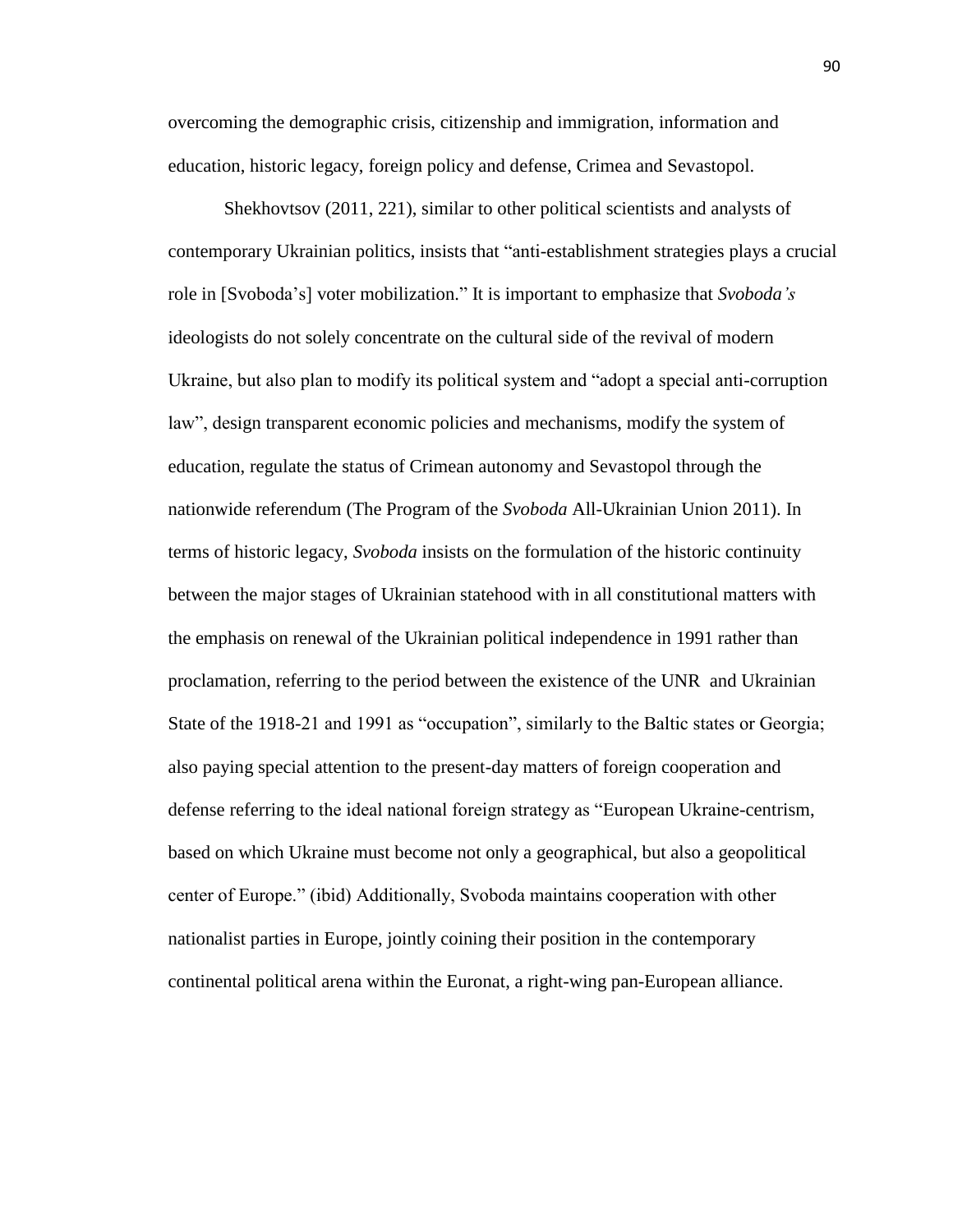overcoming the demographic crisis, citizenship and immigration, information and education, historic legacy, foreign policy and defense, Crimea and Sevastopol.

Shekhovtsov (2011, 221), similar to other political scientists and analysts of contemporary Ukrainian politics, insists that "anti-establishment strategies plays a crucial role in [Svoboda's] voter mobilization." It is important to emphasize that *Svoboda's*  ideologists do not solely concentrate on the cultural side of the revival of modern Ukraine, but also plan to modify its political system and "adopt a special anti-corruption law", design transparent economic policies and mechanisms, modify the system of education, regulate the status of Crimean autonomy and Sevastopol through the nationwide referendum (The Program of the *Svoboda* All-Ukrainian Union 2011). In terms of historic legacy, *Svoboda* insists on the formulation of the historic continuity between the major stages of Ukrainian statehood with in all constitutional matters with the emphasis on renewal of the Ukrainian political independence in 1991 rather than proclamation, referring to the period between the existence of the UNR and Ukrainian State of the 1918-21 and 1991 as "occupation", similarly to the Baltic states or Georgia; also paying special attention to the present-day matters of foreign cooperation and defense referring to the ideal national foreign strategy as "European Ukraine-centrism, based on which Ukraine must become not only a geographical, but also a geopolitical center of Europe." (ibid) Additionally, Svoboda maintains cooperation with other nationalist parties in Europe, jointly coining their position in the contemporary continental political arena within the Euronat, a right-wing pan-European alliance.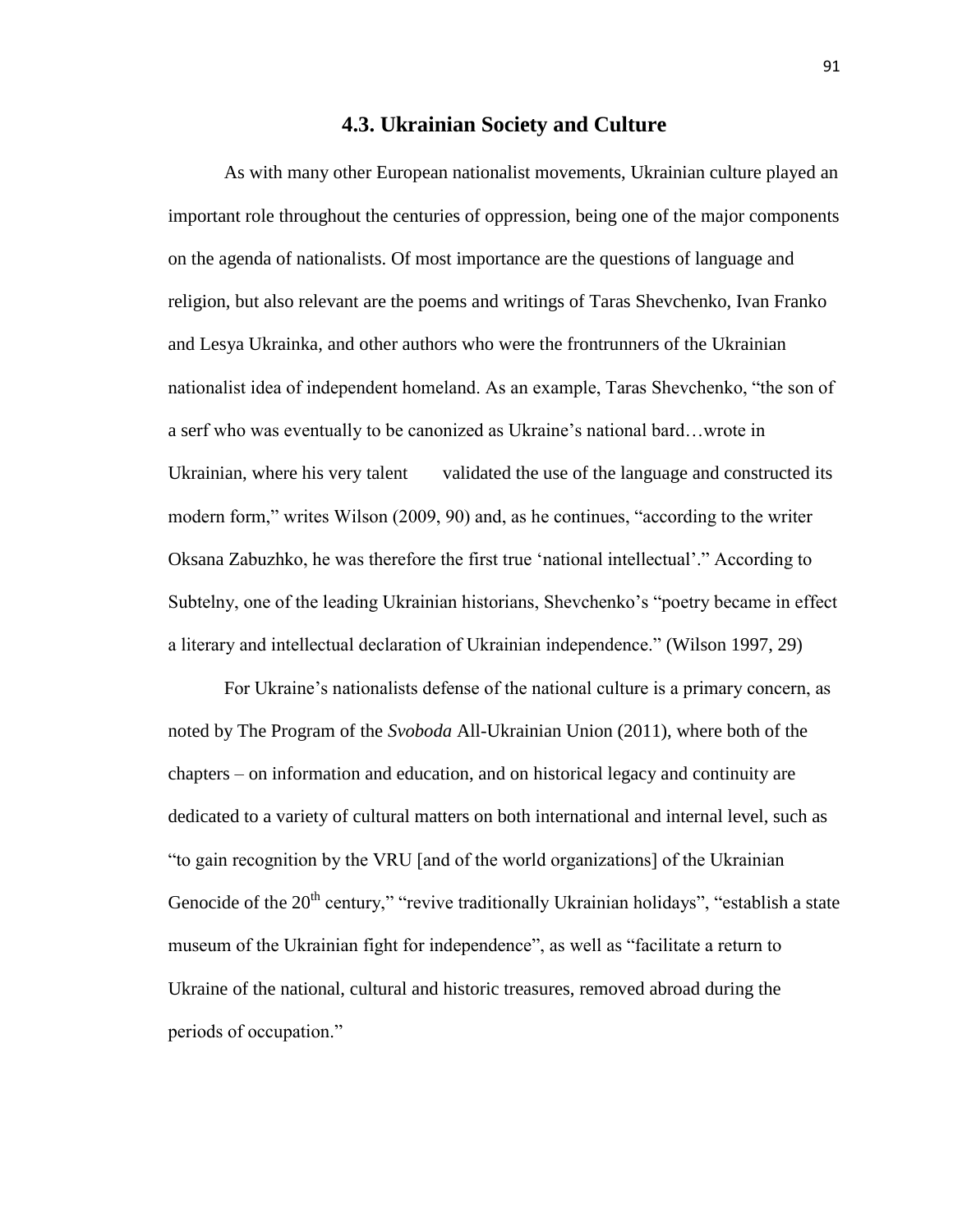# **4.3. Ukrainian Society and Culture**

As with many other European nationalist movements, Ukrainian culture played an important role throughout the centuries of oppression, being one of the major components on the agenda of nationalists. Of most importance are the questions of language and religion, but also relevant are the poems and writings of Taras Shevchenko, Ivan Franko and Lesya Ukrainka, and other authors who were the frontrunners of the Ukrainian nationalist idea of independent homeland. As an example, Taras Shevchenko, "the son of a serf who was eventually to be canonized as Ukraine's national bard…wrote in Ukrainian, where his very talent validated the use of the language and constructed its modern form," writes Wilson (2009, 90) and, as he continues, "according to the writer Oksana Zabuzhko, he was therefore the first true 'national intellectual'." According to Subtelny, one of the leading Ukrainian historians, Shevchenko's "poetry became in effect a literary and intellectual declaration of Ukrainian independence." (Wilson 1997, 29)

For Ukraine's nationalists defense of the national culture is a primary concern, as noted by The Program of the *Svoboda* All-Ukrainian Union (2011), where both of the chapters – on information and education, and on historical legacy and continuity are dedicated to a variety of cultural matters on both international and internal level, such as "to gain recognition by the VRU [and of the world organizations] of the Ukrainian Genocide of the  $20<sup>th</sup>$  century," "revive traditionally Ukrainian holidays", "establish a state museum of the Ukrainian fight for independence", as well as "facilitate a return to Ukraine of the national, cultural and historic treasures, removed abroad during the periods of occupation."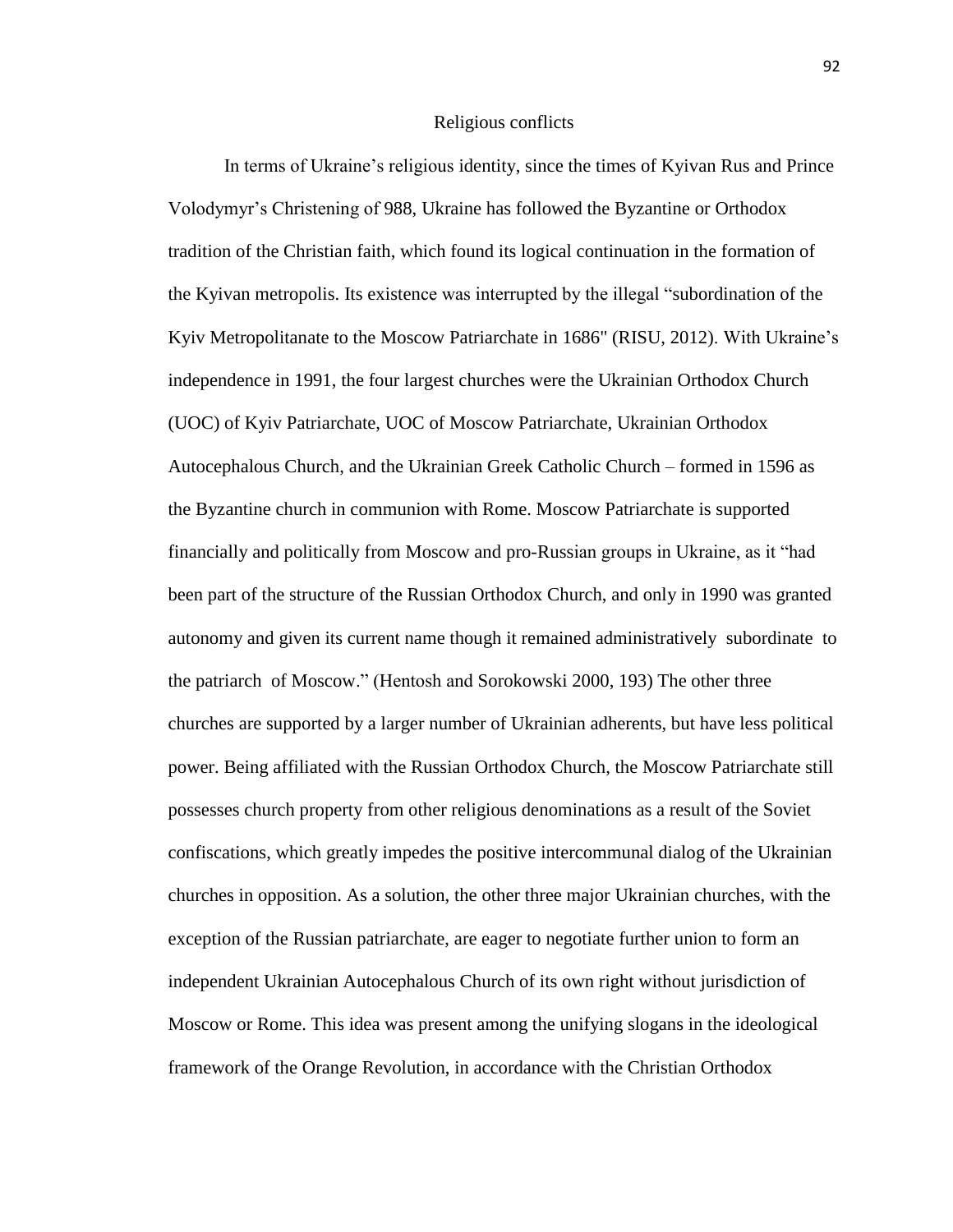#### Religious conflicts

In terms of Ukraine's religious identity, since the times of Kyivan Rus and Prince Volodymyr's Christening of 988, Ukraine has followed the Byzantine or Orthodox tradition of the Christian faith, which found its logical continuation in the formation of the Kyivan metropolis. Its existence was interrupted by the illegal "subordination of the Kyiv Metropolitanate to the Moscow Patriarchate in 1686" (RISU, 2012). With Ukraine's independence in 1991, the four largest churches were the Ukrainian Orthodox Church (UOC) of Kyiv Patriarchate, UOC of Moscow Patriarchate, Ukrainian Orthodox Autocephalous Church, and the Ukrainian Greek Catholic Church – formed in 1596 as the Byzantine church in communion with Rome. Moscow Patriarchate is supported financially and politically from Moscow and pro-Russian groups in Ukraine, as it "had been part of the structure of the Russian Orthodox Church, and only in 1990 was granted autonomy and given its current name though it remained administratively subordinate to the patriarch of Moscow." (Hentosh and Sorokowski 2000, 193) The other three churches are supported by a larger number of Ukrainian adherents, but have less political power. Being affiliated with the Russian Orthodox Church, the Moscow Patriarchate still possesses church property from other religious denominations as a result of the Soviet confiscations, which greatly impedes the positive intercommunal dialog of the Ukrainian churches in opposition. As a solution, the other three major Ukrainian churches, with the exception of the Russian patriarchate, are eager to negotiate further union to form an independent Ukrainian Autocephalous Church of its own right without jurisdiction of Moscow or Rome. This idea was present among the unifying slogans in the ideological framework of the Orange Revolution, in accordance with the Christian Orthodox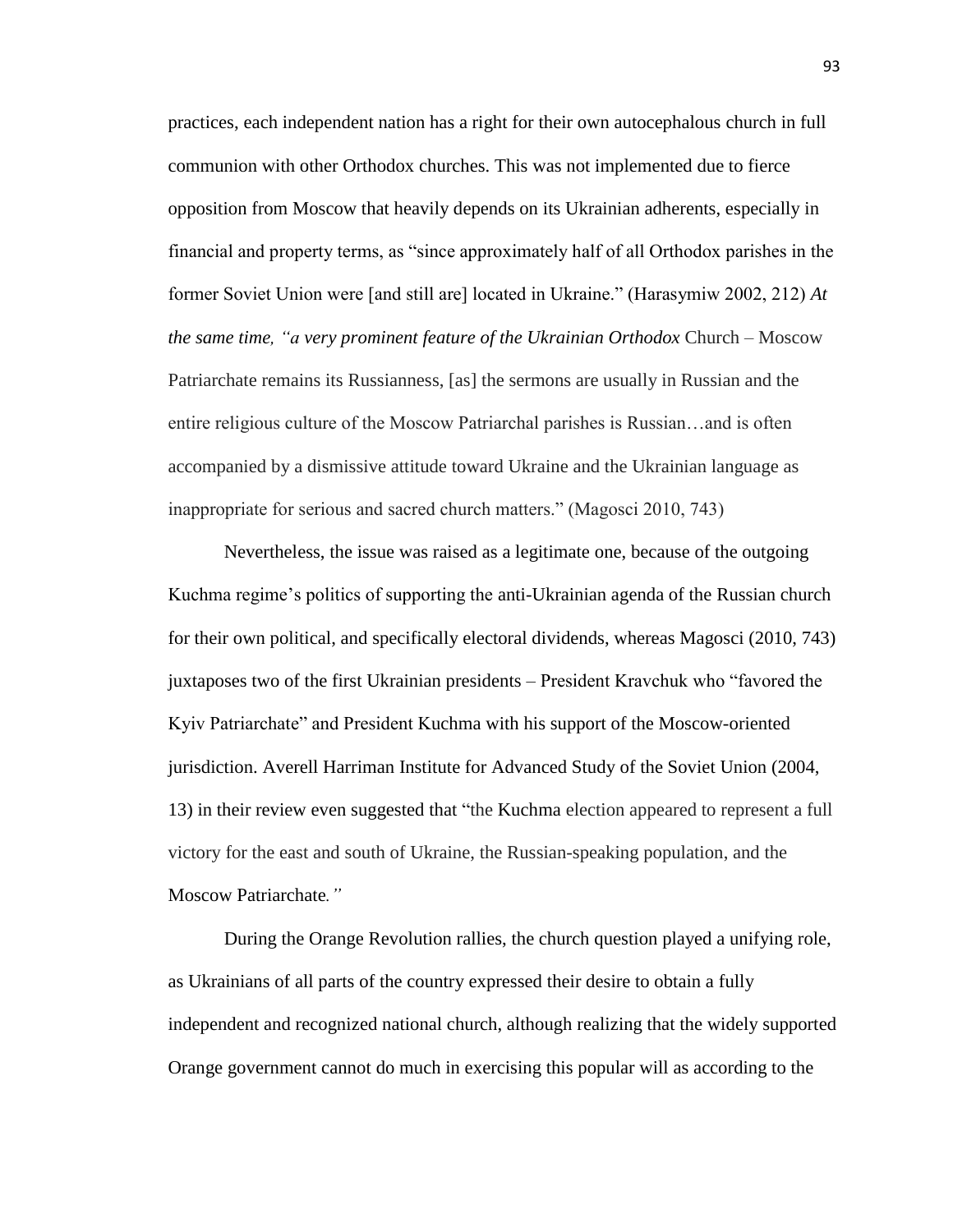practices, each independent nation has a right for their own autocephalous church in full communion with other Orthodox churches. This was not implemented due to fierce opposition from Moscow that heavily depends on its Ukrainian adherents, especially in financial and property terms, as "since approximately half of all Orthodox parishes in the former Soviet Union were [and still are] located in Ukraine." (Harasymiw 2002, 212) *At the same time, "a very prominent feature of the Ukrainian Orthodox* Church – Moscow Patriarchate remains its Russianness, [as] the sermons are usually in Russian and the entire religious culture of the Moscow Patriarchal parishes is Russian…and is often accompanied by a dismissive attitude toward Ukraine and the Ukrainian language as inappropriate for serious and sacred church matters." (Magosci 2010, 743)

Nevertheless, the issue was raised as a legitimate one, because of the outgoing Kuchma regime's politics of supporting the anti-Ukrainian agenda of the Russian church for their own political, and specifically electoral dividends, whereas Magosci (2010, 743) juxtaposes two of the first Ukrainian presidents – President Kravchuk who "favored the Kyiv Patriarchate" and President Kuchma with his support of the Moscow-oriented jurisdiction. Averell Harriman Institute for Advanced Study of the Soviet Union (2004, 13) in their review even suggested that "the Kuchma election appeared to represent a full victory for the east and south of Ukraine, the Russian-speaking population, and the Moscow Patriarchate*."*

During the Orange Revolution rallies, the church question played a unifying role, as Ukrainians of all parts of the country expressed their desire to obtain a fully independent and recognized national church, although realizing that the widely supported Orange government cannot do much in exercising this popular will as according to the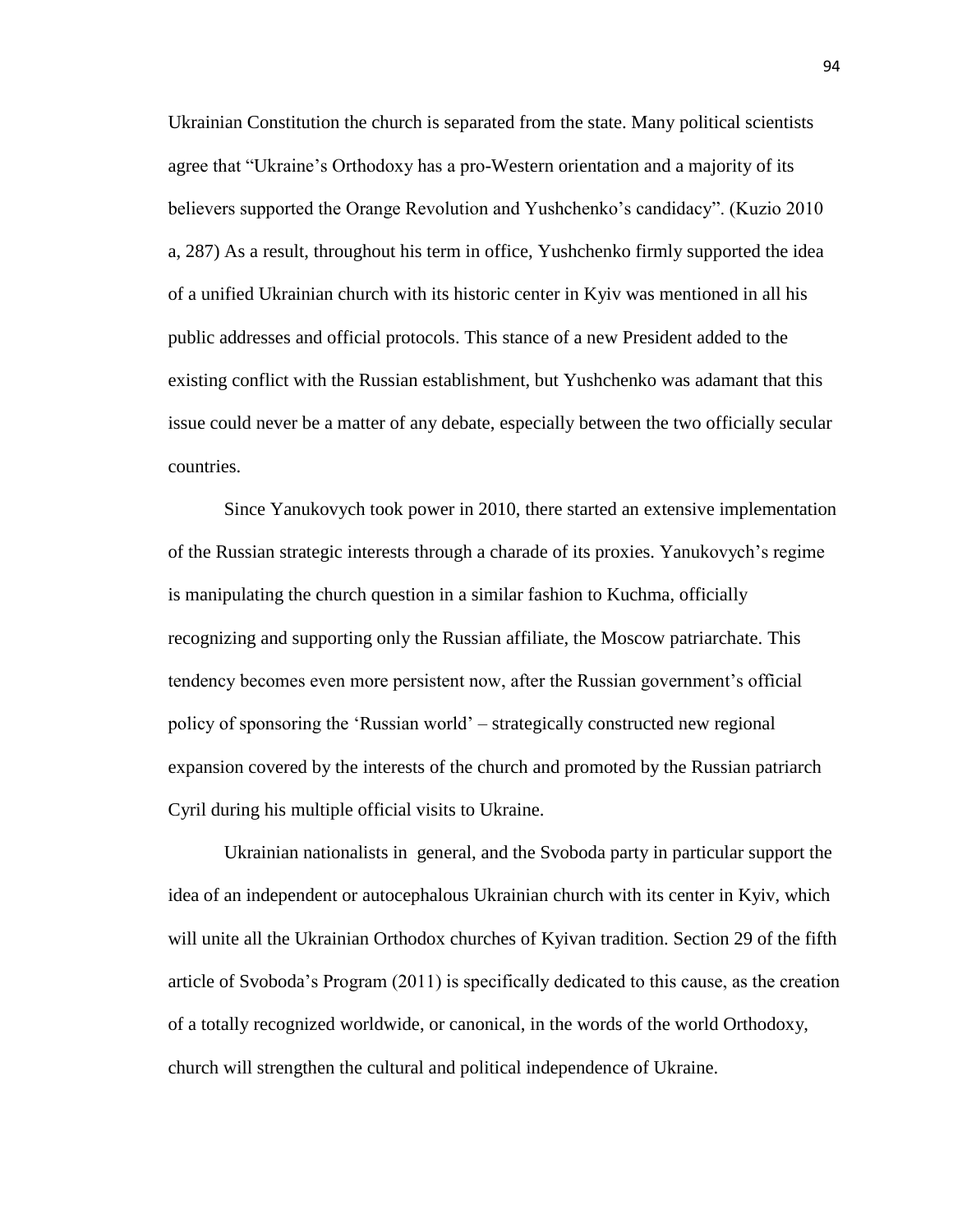Ukrainian Constitution the church is separated from the state. Many political scientists agree that "Ukraine's Orthodoxy has a pro-Western orientation and a majority of its believers supported the Orange Revolution and Yushchenko's candidacy". (Kuzio 2010 a, 287) As a result, throughout his term in office, Yushchenko firmly supported the idea of a unified Ukrainian church with its historic center in Kyiv was mentioned in all his public addresses and official protocols. This stance of a new President added to the existing conflict with the Russian establishment, but Yushchenko was adamant that this issue could never be a matter of any debate, especially between the two officially secular countries.

Since Yanukovych took power in 2010, there started an extensive implementation of the Russian strategic interests through a charade of its proxies. Yanukovych's regime is manipulating the church question in a similar fashion to Kuchma, officially recognizing and supporting only the Russian affiliate, the Moscow patriarchate. This tendency becomes even more persistent now, after the Russian government's official policy of sponsoring the 'Russian world' – strategically constructed new regional expansion covered by the interests of the church and promoted by the Russian patriarch Cyril during his multiple official visits to Ukraine.

Ukrainian nationalists in general, and the Svoboda party in particular support the idea of an independent or autocephalous Ukrainian church with its center in Kyiv, which will unite all the Ukrainian Orthodox churches of Kyivan tradition. Section 29 of the fifth article of Svoboda's Program (2011) is specifically dedicated to this cause, as the creation of a totally recognized worldwide, or canonical, in the words of the world Orthodoxy, church will strengthen the cultural and political independence of Ukraine.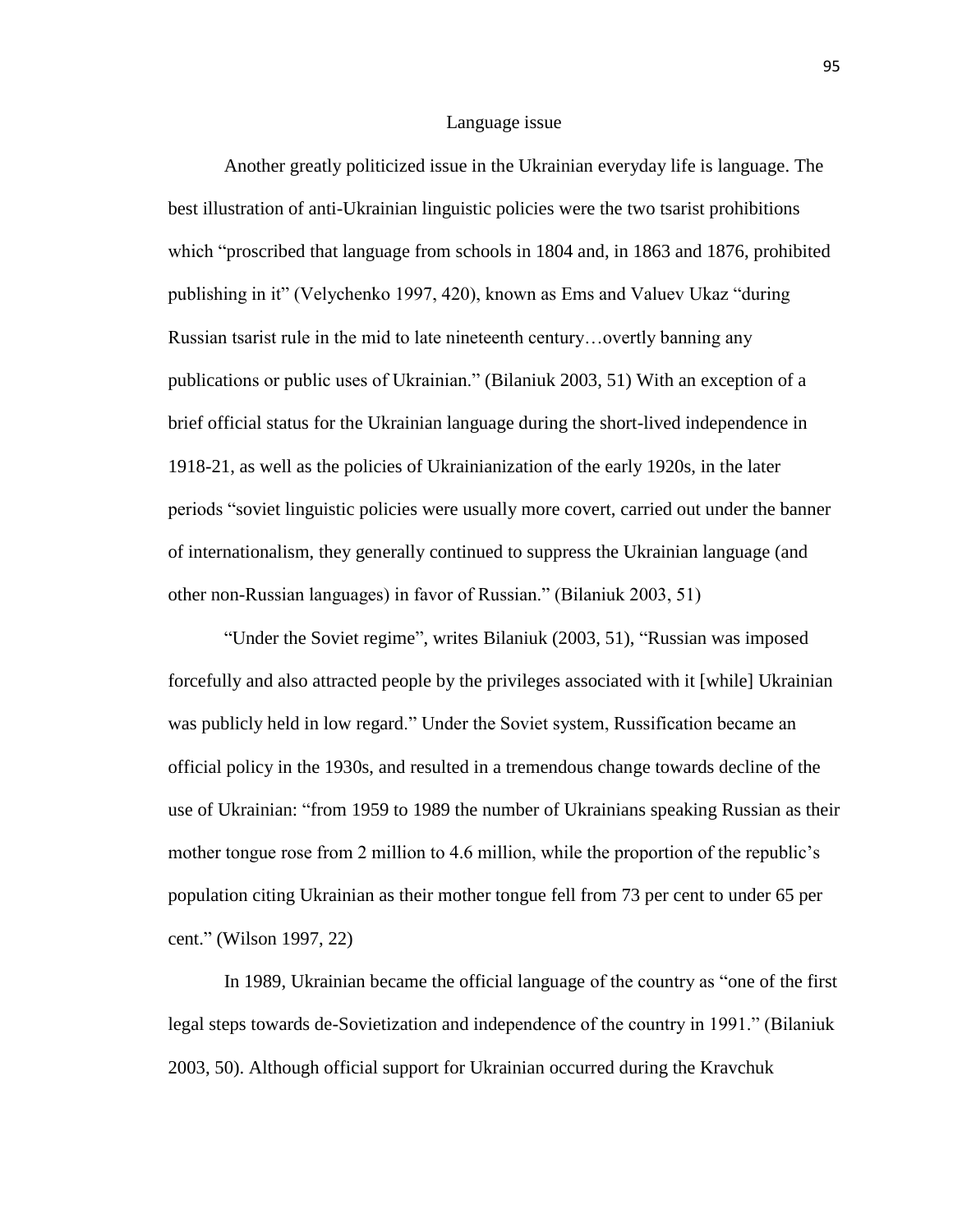#### Language issue

Another greatly politicized issue in the Ukrainian everyday life is language. The best illustration of anti-Ukrainian linguistic policies were the two tsarist prohibitions which "proscribed that language from schools in 1804 and, in 1863 and 1876, prohibited publishing in it" (Velychenko 1997, 420), known as Ems and Valuev Ukaz "during Russian tsarist rule in the mid to late nineteenth century…overtly banning any publications or public uses of Ukrainian." (Bilaniuk 2003, 51) With an exception of a brief official status for the Ukrainian language during the short-lived independence in 1918-21, as well as the policies of Ukrainianization of the early 1920s, in the later periods "soviet linguistic policies were usually more covert, carried out under the banner of internationalism, they generally continued to suppress the Ukrainian language (and other non-Russian languages) in favor of Russian." (Bilaniuk 2003, 51)

"Under the Soviet regime", writes Bilaniuk (2003, 51), "Russian was imposed forcefully and also attracted people by the privileges associated with it [while] Ukrainian was publicly held in low regard." Under the Soviet system, Russification became an official policy in the 1930s, and resulted in a tremendous change towards decline of the use of Ukrainian: "from 1959 to 1989 the number of Ukrainians speaking Russian as their mother tongue rose from 2 million to 4.6 million, while the proportion of the republic's population citing Ukrainian as their mother tongue fell from 73 per cent to under 65 per cent." (Wilson 1997, 22)

In 1989, Ukrainian became the official language of the country as "one of the first legal steps towards de-Sovietization and independence of the country in 1991." (Bilaniuk 2003, 50). Although official support for Ukrainian occurred during the Kravchuk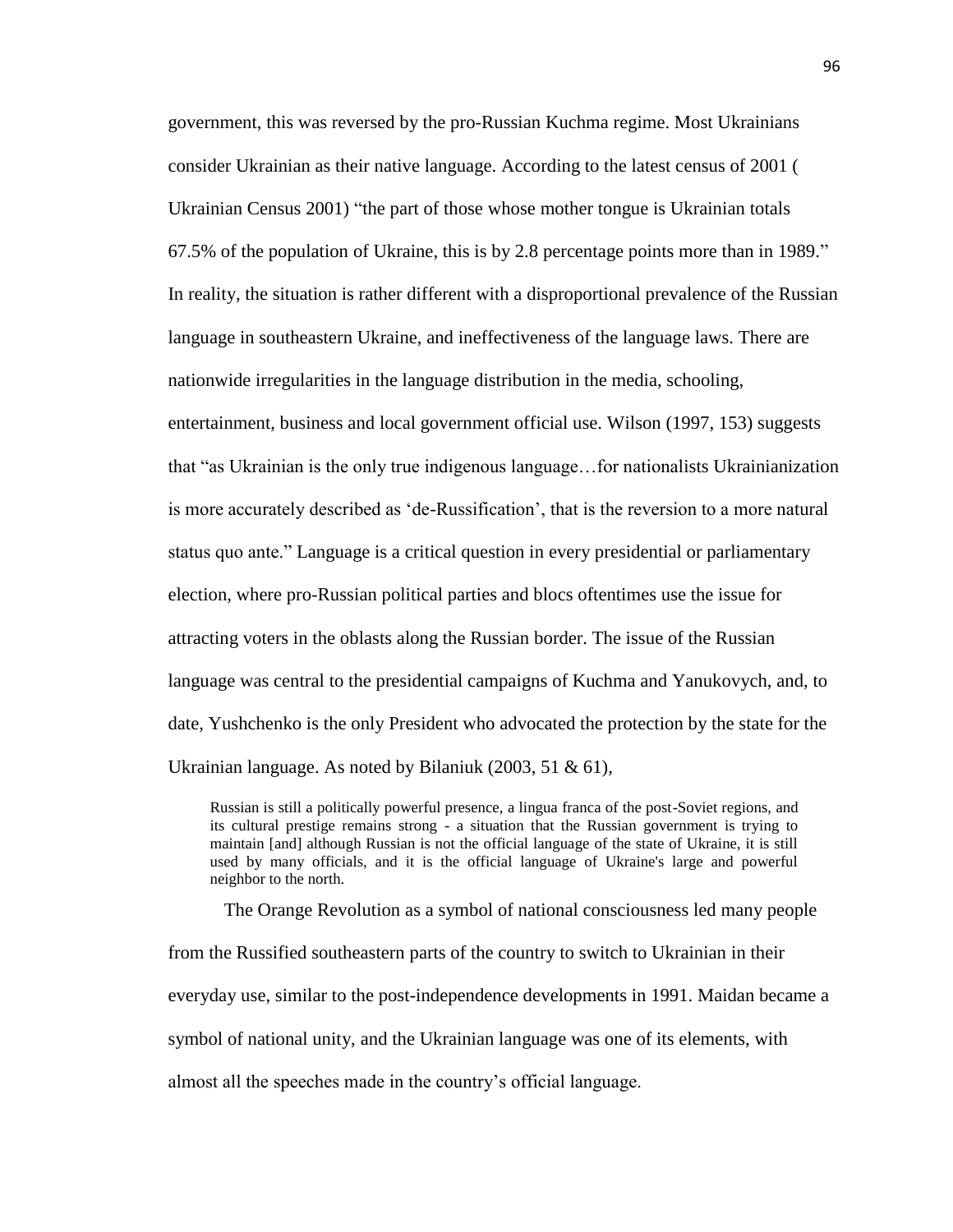government, this was reversed by the pro-Russian Kuchma regime. Most Ukrainians consider Ukrainian as their native language. According to the latest census of 2001 ( Ukrainian Census 2001) "the part of those whose mother tongue is Ukrainian totals 67.5% of the population of Ukraine, this is by 2.8 percentage points more than in 1989." In reality, the situation is rather different with a disproportional prevalence of the Russian language in southeastern Ukraine, and ineffectiveness of the language laws. There are nationwide irregularities in the language distribution in the media, schooling, entertainment, business and local government official use. Wilson (1997, 153) suggests that "as Ukrainian is the only true indigenous language…for nationalists Ukrainianization is more accurately described as 'de-Russification', that is the reversion to a more natural status quo ante." Language is a critical question in every presidential or parliamentary election, where pro-Russian political parties and blocs oftentimes use the issue for attracting voters in the oblasts along the Russian border. The issue of the Russian language was central to the presidential campaigns of Kuchma and Yanukovych, and, to date, Yushchenko is the only President who advocated the protection by the state for the Ukrainian language. As noted by Bilaniuk (2003, 51 & 61),

Russian is still a politically powerful presence, a lingua franca of the post-Soviet regions, and its cultural prestige remains strong - a situation that the Russian government is trying to maintain [and] although Russian is not the official language of the state of Ukraine, it is still used by many officials, and it is the official language of Ukraine's large and powerful neighbor to the north.

The Orange Revolution as a symbol of national consciousness led many people from the Russified southeastern parts of the country to switch to Ukrainian in their everyday use, similar to the post-independence developments in 1991. Maidan became a symbol of national unity, and the Ukrainian language was one of its elements, with almost all the speeches made in the country's official language.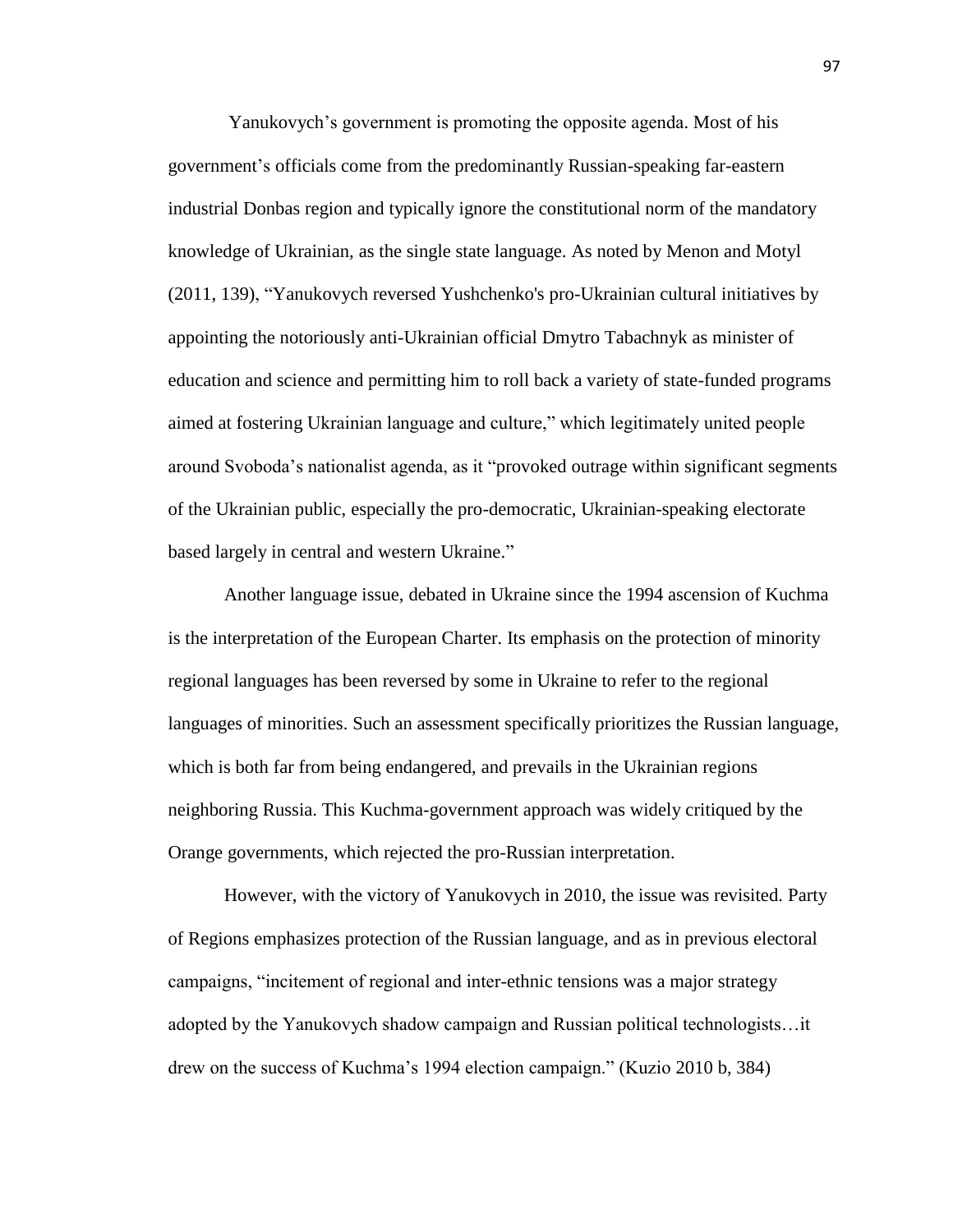Yanukovych's government is promoting the opposite agenda. Most of his government's officials come from the predominantly Russian-speaking far-eastern industrial Donbas region and typically ignore the constitutional norm of the mandatory knowledge of Ukrainian, as the single state language. As noted by Menon and Motyl (2011, 139), "Yanukovych reversed Yushchenko's pro-Ukrainian cultural initiatives by appointing the notoriously anti-Ukrainian official Dmytro Tabachnyk as minister of education and science and permitting him to roll back a variety of state-funded programs aimed at fostering Ukrainian language and culture," which legitimately united people around Svoboda's nationalist agenda, as it "provoked outrage within significant segments of the Ukrainian public, especially the pro-democratic, Ukrainian-speaking electorate based largely in central and western Ukraine."

Another language issue, debated in Ukraine since the 1994 ascension of Kuchma is the interpretation of the European Charter. Its emphasis on the protection of minority regional languages has been reversed by some in Ukraine to refer to the regional languages of minorities. Such an assessment specifically prioritizes the Russian language, which is both far from being endangered, and prevails in the Ukrainian regions neighboring Russia. This Kuchma-government approach was widely critiqued by the Orange governments, which rejected the pro-Russian interpretation.

However, with the victory of Yanukovych in 2010, the issue was revisited. Party of Regions emphasizes protection of the Russian language, and as in previous electoral campaigns, "incitement of regional and inter-ethnic tensions was a major strategy adopted by the Yanukovych shadow campaign and Russian political technologists…it drew on the success of Kuchma's 1994 election campaign." (Kuzio 2010 b, 384)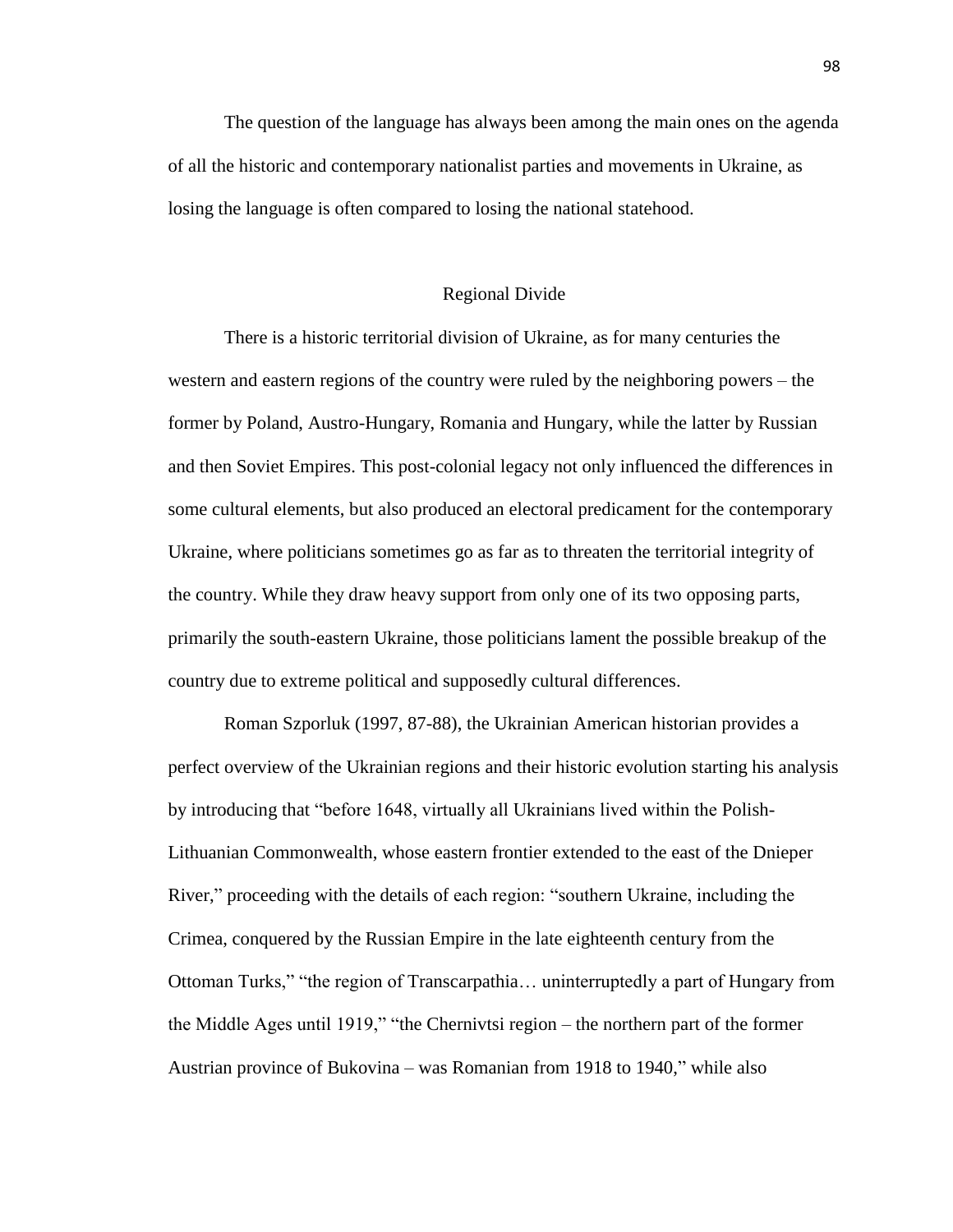The question of the language has always been among the main ones on the agenda of all the historic and contemporary nationalist parties and movements in Ukraine, as losing the language is often compared to losing the national statehood.

### Regional Divide

There is a historic territorial division of Ukraine, as for many centuries the western and eastern regions of the country were ruled by the neighboring powers – the former by Poland, Austro-Hungary, Romania and Hungary, while the latter by Russian and then Soviet Empires. This post-colonial legacy not only influenced the differences in some cultural elements, but also produced an electoral predicament for the contemporary Ukraine, where politicians sometimes go as far as to threaten the territorial integrity of the country. While they draw heavy support from only one of its two opposing parts, primarily the south-eastern Ukraine, those politicians lament the possible breakup of the country due to extreme political and supposedly cultural differences.

Roman Szporluk (1997, 87-88), the Ukrainian American historian provides a perfect overview of the Ukrainian regions and their historic evolution starting his analysis by introducing that "before 1648, virtually all Ukrainians lived within the Polish-Lithuanian Commonwealth, whose eastern frontier extended to the east of the Dnieper River," proceeding with the details of each region: "southern Ukraine, including the Crimea, conquered by the Russian Empire in the late eighteenth century from the Ottoman Turks," "the region of Transcarpathia… uninterruptedly a part of Hungary from the Middle Ages until 1919," "the Chernivtsi region – the northern part of the former Austrian province of Bukovina – was Romanian from 1918 to 1940," while also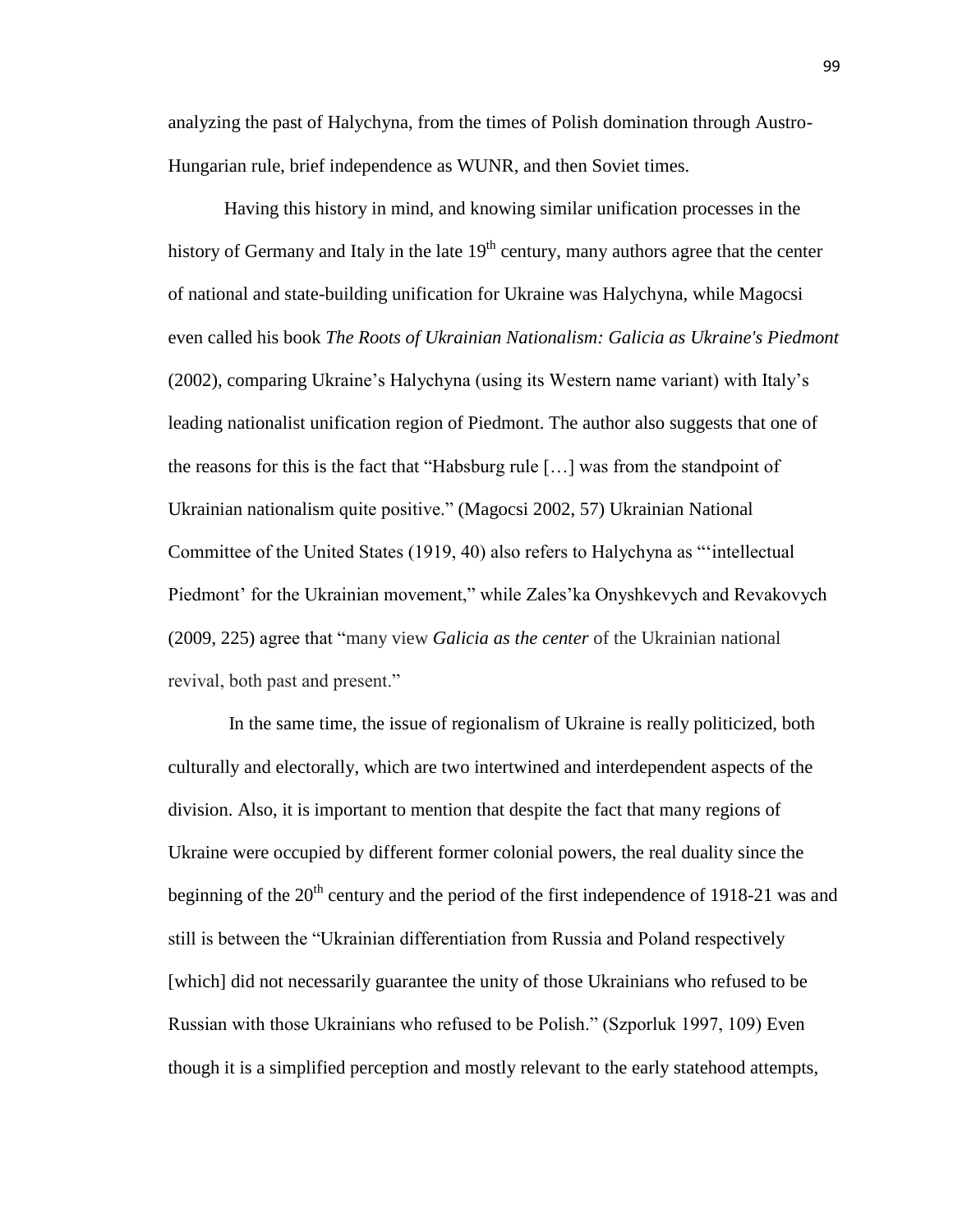analyzing the past of Halychyna, from the times of Polish domination through Austro-Hungarian rule, brief independence as WUNR, and then Soviet times.

Having this history in mind, and knowing similar unification processes in the history of Germany and Italy in the late  $19<sup>th</sup>$  century, many authors agree that the center of national and state-building unification for Ukraine was Halychyna, while Magocsi even called his book *The Roots of Ukrainian Nationalism: Galicia as Ukraine's Piedmont* (2002), comparing Ukraine's Halychyna (using its Western name variant) with Italy's leading nationalist unification region of Piedmont. The author also suggests that one of the reasons for this is the fact that "Habsburg rule […] was from the standpoint of Ukrainian nationalism quite positive." (Magocsi 2002, 57) Ukrainian National Committee of the United States (1919, 40) also refers to Halychyna as "'intellectual Piedmont' for the Ukrainian movement," while Zales'ka Onyshkevych and Revakovych (2009, 225) agree that "many view *Galicia as the center* of the Ukrainian national revival, both past and present."

In the same time, the issue of regionalism of Ukraine is really politicized, both culturally and electorally, which are two intertwined and interdependent aspects of the division. Also, it is important to mention that despite the fact that many regions of Ukraine were occupied by different former colonial powers, the real duality since the beginning of the  $20<sup>th</sup>$  century and the period of the first independence of 1918-21 was and still is between the "Ukrainian differentiation from Russia and Poland respectively [which] did not necessarily guarantee the unity of those Ukrainians who refused to be Russian with those Ukrainians who refused to be Polish." (Szporluk 1997, 109) Even though it is a simplified perception and mostly relevant to the early statehood attempts,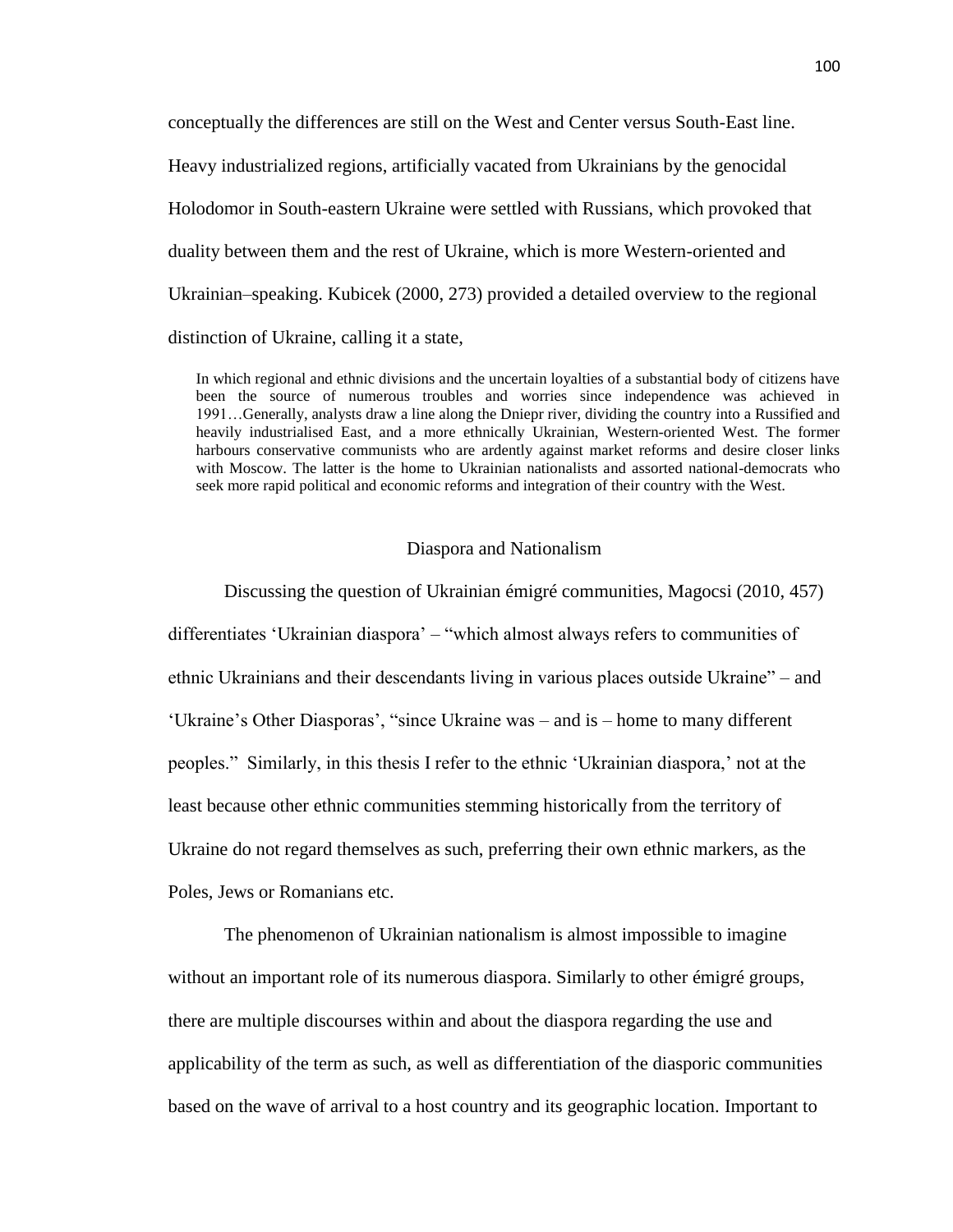conceptually the differences are still on the West and Center versus South-East line. Heavy industrialized regions, artificially vacated from Ukrainians by the genocidal Holodomor in South-eastern Ukraine were settled with Russians, which provoked that duality between them and the rest of Ukraine, which is more Western-oriented and Ukrainian–speaking. Kubicek (2000, 273) provided a detailed overview to the regional distinction of Ukraine, calling it a state,

In which regional and ethnic divisions and the uncertain loyalties of a substantial body of citizens have been the source of numerous troubles and worries since independence was achieved in 1991…Generally, analysts draw a line along the Dniepr river, dividing the country into a Russified and heavily industrialised East, and a more ethnically Ukrainian, Western-oriented West. The former harbours conservative communists who are ardently against market reforms and desire closer links with Moscow. The latter is the home to Ukrainian nationalists and assorted national-democrats who seek more rapid political and economic reforms and integration of their country with the West.

### Diaspora and Nationalism

Discussing the question of Ukrainian émigré communities, Magocsi (2010, 457) differentiates 'Ukrainian diaspora' – "which almost always refers to communities of ethnic Ukrainians and their descendants living in various places outside Ukraine" – and 'Ukraine's Other Diasporas', "since Ukraine was – and is – home to many different peoples." Similarly, in this thesis I refer to the ethnic 'Ukrainian diaspora,' not at the least because other ethnic communities stemming historically from the territory of Ukraine do not regard themselves as such, preferring their own ethnic markers, as the Poles, Jews or Romanians etc.

The phenomenon of Ukrainian nationalism is almost impossible to imagine without an important role of its numerous diaspora. Similarly to other émigré groups, there are multiple discourses within and about the diaspora regarding the use and applicability of the term as such, as well as differentiation of the diasporic communities based on the wave of arrival to a host country and its geographic location. Important to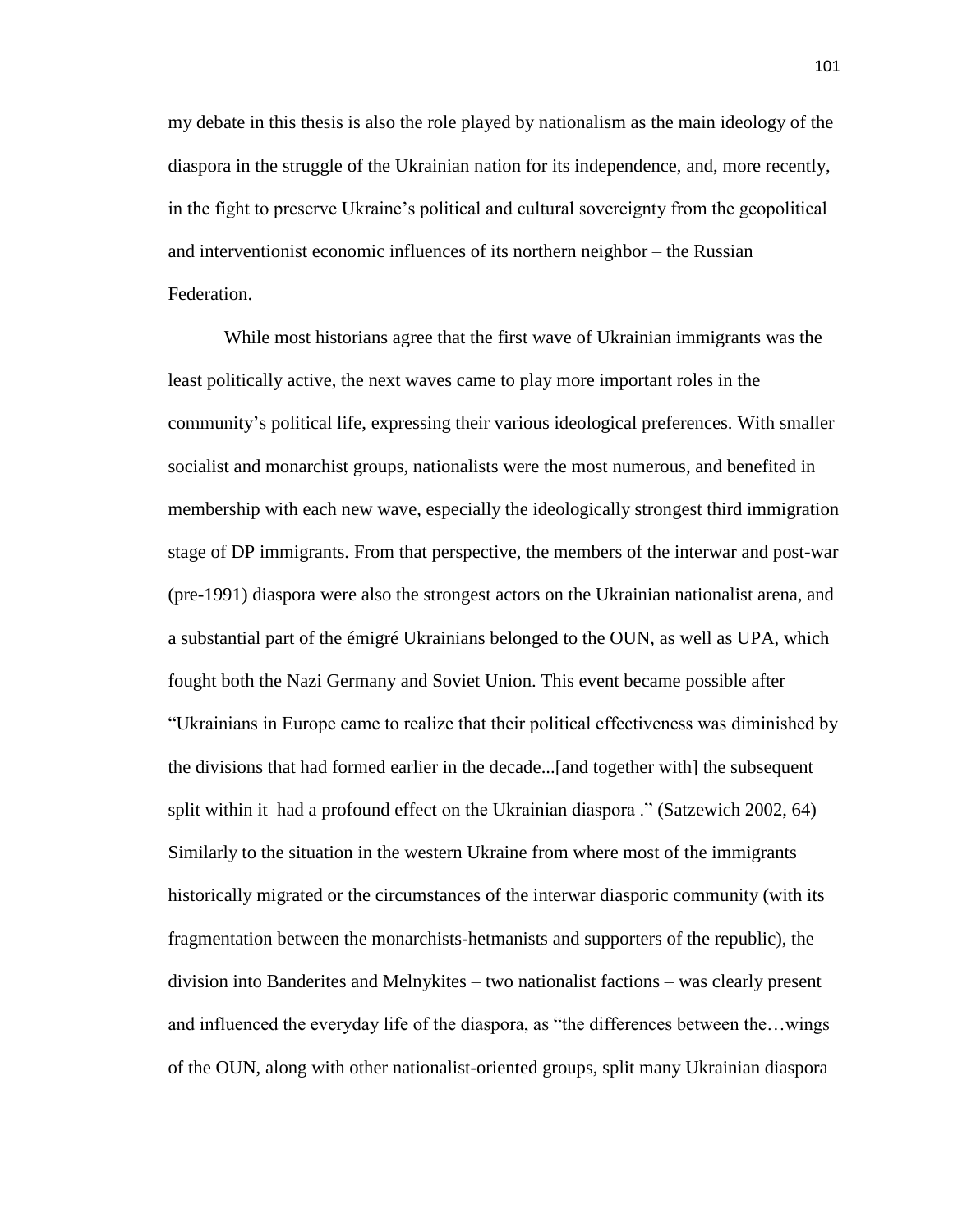my debate in this thesis is also the role played by nationalism as the main ideology of the diaspora in the struggle of the Ukrainian nation for its independence, and, more recently, in the fight to preserve Ukraine's political and cultural sovereignty from the geopolitical and interventionist economic influences of its northern neighbor – the Russian Federation.

While most historians agree that the first wave of Ukrainian immigrants was the least politically active, the next waves came to play more important roles in the community's political life, expressing their various ideological preferences. With smaller socialist and monarchist groups, nationalists were the most numerous, and benefited in membership with each new wave, especially the ideologically strongest third immigration stage of DP immigrants. From that perspective, the members of the interwar and post-war (pre-1991) diaspora were also the strongest actors on the Ukrainian nationalist arena, and a substantial part of the émigré Ukrainians belonged to the OUN, as well as UPA, which fought both the Nazi Germany and Soviet Union. This event became possible after "Ukrainians in Europe came to realize that their political effectiveness was diminished by the divisions that had formed earlier in the decade...[and together with] the subsequent split within it had a profound effect on the Ukrainian diaspora ." (Satzewich 2002, 64) Similarly to the situation in the western Ukraine from where most of the immigrants historically migrated or the circumstances of the interwar diasporic community (with its fragmentation between the monarchists-hetmanists and supporters of the republic), the division into Banderites and Melnykites – two nationalist factions – was clearly present and influenced the everyday life of the diaspora, as "the differences between the…wings of the OUN, along with other nationalist-oriented groups, split many Ukrainian diaspora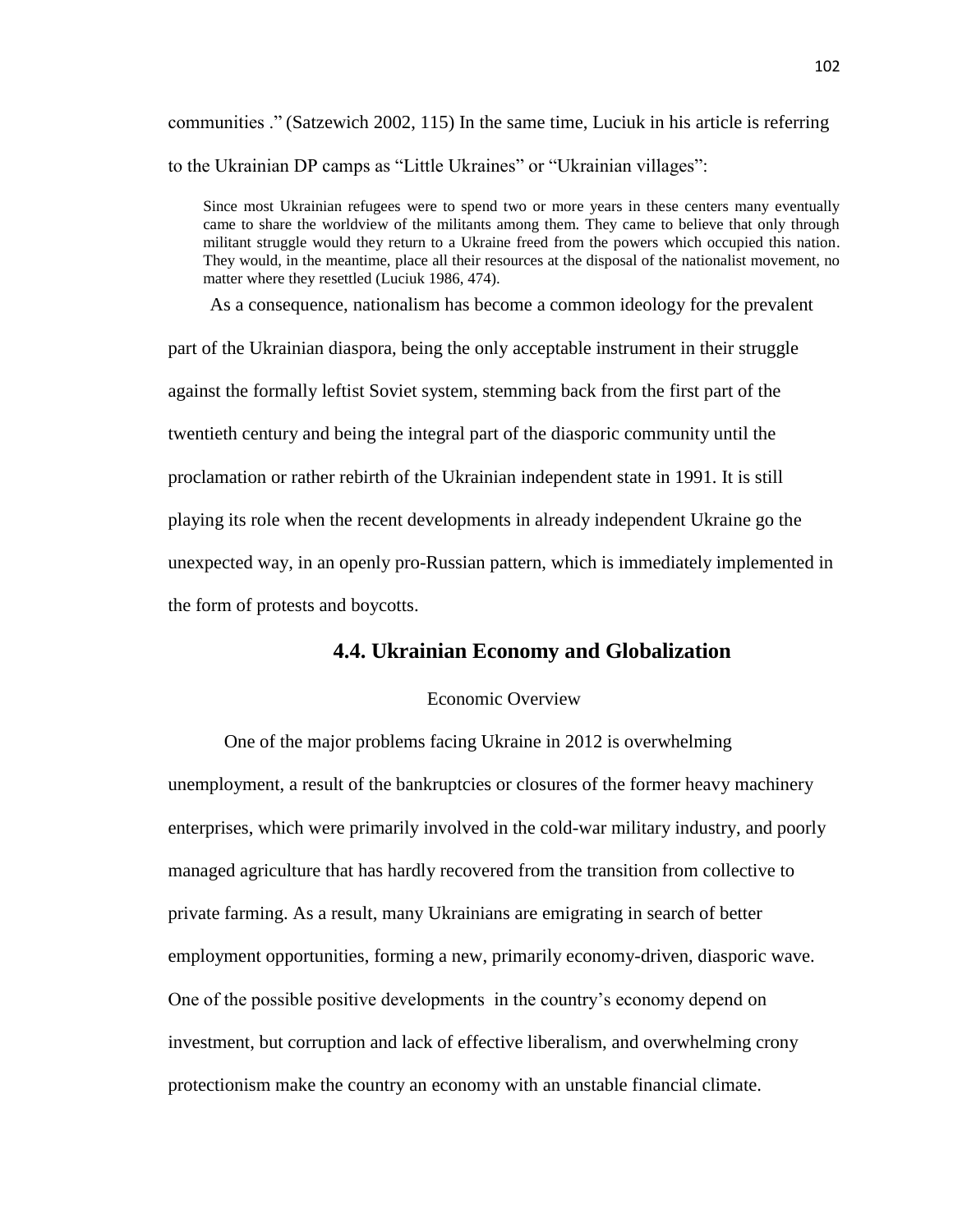communities ." (Satzewich 2002, 115) In the same time, Luciuk in his article is referring to the Ukrainian DP camps as "Little Ukraines" or "Ukrainian villages":

Since most Ukrainian refugees were to spend two or more years in these centers many eventually came to share the worldview of the militants among them. They came to believe that only through militant struggle would they return to a Ukraine freed from the powers which occupied this nation. They would, in the meantime, place all their resources at the disposal of the nationalist movement, no matter where they resettled (Luciuk 1986, 474).

As a consequence, nationalism has become a common ideology for the prevalent

part of the Ukrainian diaspora, being the only acceptable instrument in their struggle against the formally leftist Soviet system, stemming back from the first part of the twentieth century and being the integral part of the diasporic community until the proclamation or rather rebirth of the Ukrainian independent state in 1991. It is still playing its role when the recent developments in already independent Ukraine go the unexpected way, in an openly pro-Russian pattern, which is immediately implemented in the form of protests and boycotts.

# **4.4. Ukrainian Economy and Globalization**

# Economic Overview

One of the major problems facing Ukraine in 2012 is overwhelming unemployment, a result of the bankruptcies or closures of the former heavy machinery enterprises, which were primarily involved in the cold-war military industry, and poorly managed agriculture that has hardly recovered from the transition from collective to private farming. As a result, many Ukrainians are emigrating in search of better employment opportunities, forming a new, primarily economy-driven, diasporic wave. One of the possible positive developments in the country's economy depend on investment, but corruption and lack of effective liberalism, and overwhelming crony protectionism make the country an economy with an unstable financial climate.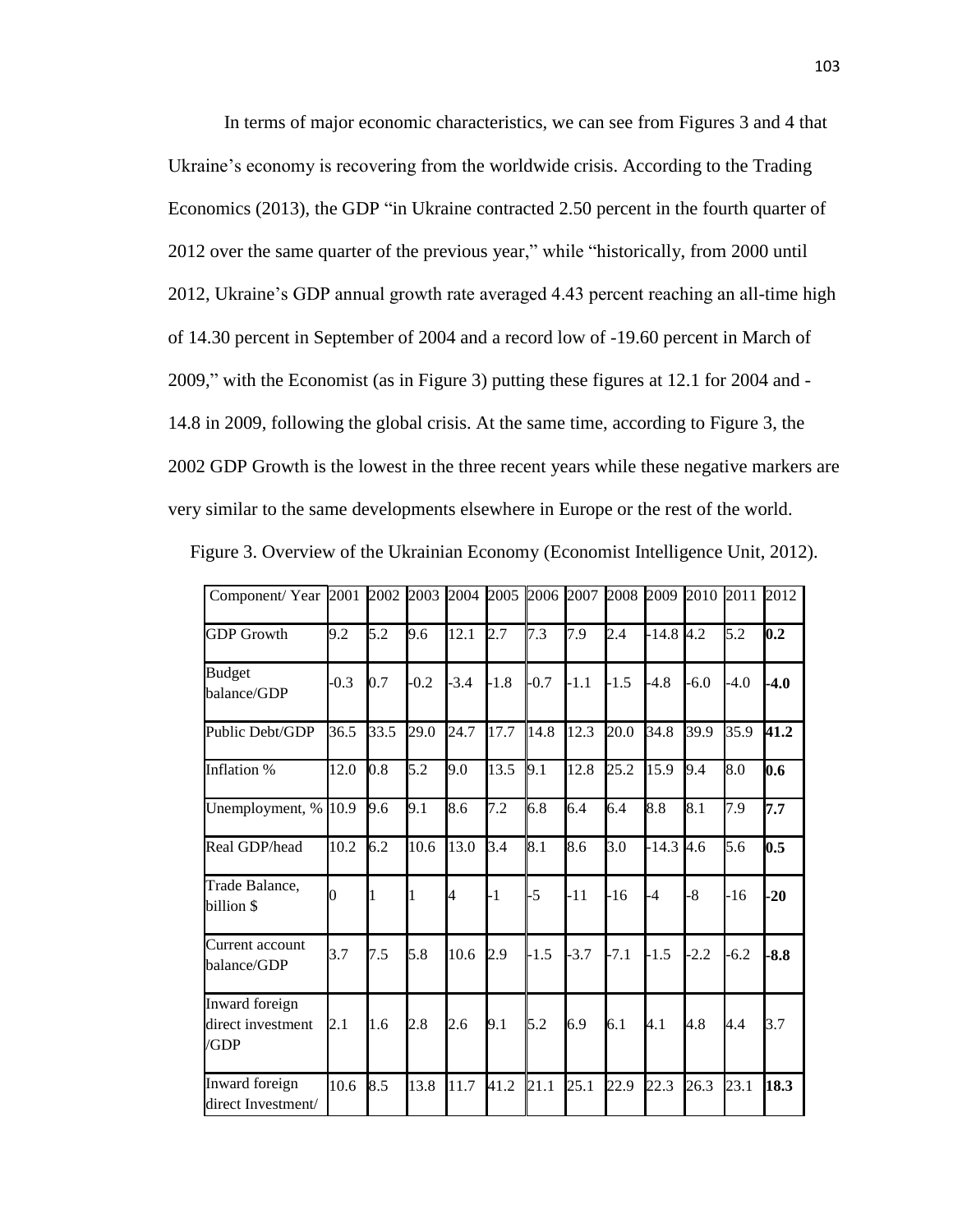In terms of major economic characteristics, we can see from Figures 3 and 4 that Ukraine's economy is recovering from the worldwide crisis. According to the Trading Economics (2013), the GDP "in Ukraine contracted 2.50 percent in the fourth quarter of 2012 over the same quarter of the previous year," while "historically, from 2000 until 2012, Ukraine's GDP annual growth rate averaged 4.43 percent reaching an all-time high of 14.30 percent in September of 2004 and a record low of -19.60 percent in March of 2009," with the Economist (as in Figure 3) putting these figures at 12.1 for 2004 and - 14.8 in 2009, following the global crisis. At the same time, according to Figure 3, the 2002 GDP Growth is the lowest in the three recent years while these negative markers are very similar to the same developments elsewhere in Europe or the rest of the world.

|  |  |  | Figure 3. Overview of the Ukrainian Economy (Economist Intelligence Unit, 2012). |  |
|--|--|--|----------------------------------------------------------------------------------|--|
|  |  |  |                                                                                  |  |

| Component/Year 2001                         |        | 2002 2003 |        | 2004 2005 |        |                  |        | 2006 2007 2008 2009 |             | 2010 2011 |        | 2012   |
|---------------------------------------------|--------|-----------|--------|-----------|--------|------------------|--------|---------------------|-------------|-----------|--------|--------|
| <b>GDP</b> Growth                           | 9.2    | 5.2       | 9.6    | 12.1      | 2.7    | $7.\overline{3}$ | 7.9    | 2.4                 | $-14.8$ 4.2 |           | 5.2    | 0.2    |
| <b>Budget</b><br>balance/GDP                | $-0.3$ | 0.7       | $-0.2$ | $-3.4$    | $-1.8$ | $-0.7$           | $-1.1$ | $-1.5$              | $-4.8$      | $-6.0$    | $-4.0$ | $-4.0$ |
| Public Debt/GDP                             | 36.5   | 33.5      | 29.0   | 24.7      | 17.7   | 14.8             | 12.3   | 20.0                | 34.8        | 39.9      | 35.9   | 41.2   |
| Inflation %                                 | 12.0   | 0.8       | 5.2    | 9.0       | 13.5   | 9.1              | 12.8   | 25.2                | 15.9        | 9.4       | 8.0    | 0.6    |
| Unemployment, % 10.9                        |        | 9.6       | 9.1    | 8.6       | 7.2    | 6.8              | 6.4    | 6.4                 | 8.8         | 8.1       | 7.9    | 7.7    |
| Real GDP/head                               | 10.2   | 6.2       | 10.6   | 13.0      | 3.4    | 8.1              | 8.6    | 3.0                 | $-14.3$ 4.6 |           | 5.6    | 0.5    |
| Trade Balance,<br>billion \$                | 0      | 1         | 1      | 4         | $-1$   | $-5$             | $-11$  | $-16$               | $-4$        | $-8$      | $-16$  | $-20$  |
| Current account<br>balance/GDP              | 3.7    | 7.5       | 5.8    | 10.6      | 2.9    | $-1.5$           | $-3.7$ | $-7.1$              | $-1.5$      | $-2.2$    | $-6.2$ | $-8.8$ |
| Inward foreign<br>direct investment<br>/GDP | 2.1    | 1.6       | 2.8    | 2.6       | 9.1    | 5.2              | 6.9    | 6.1                 | 4.1         | 4.8       | 4.4    | 3.7    |
| Inward foreign<br>direct Investment/        | 10.6   | 8.5       | 13.8   | 11.7      | 41.2   | 21.1             | 25.1   | 22.9                | 22.3        | 26.3      | 23.1   | 18.3   |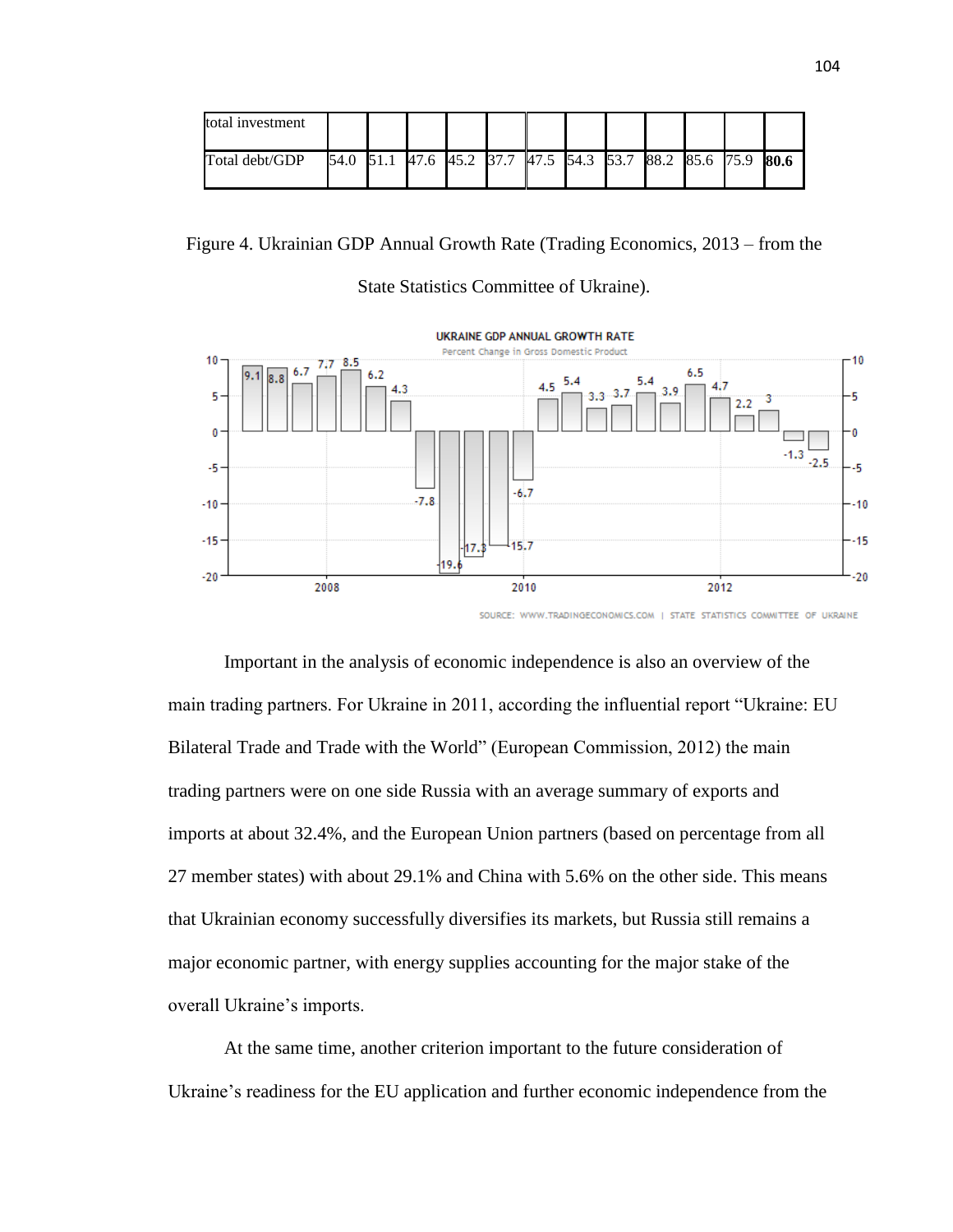| total investment |  |  |  |                                                        |  |  |      |
|------------------|--|--|--|--------------------------------------------------------|--|--|------|
| Total debt/GDP   |  |  |  | 54.0 51.1 47.6 45.2 37.7 47.5 54.3 53.7 88.2 85.6 75.9 |  |  | 80.6 |

Figure 4. Ukrainian GDP Annual Growth Rate (Trading Economics, 2013 – from the

# State Statistics Committee of Ukraine).



SOURCE: WWW.TRADINGECONOMICS.COM | STATE STATISTICS COMMITTEE OF UKRAINE

Important in the analysis of economic independence is also an overview of the main trading partners. For Ukraine in 2011, according the influential report "Ukraine: EU Bilateral Trade and Trade with the World" (European Commission, 2012) the main trading partners were on one side Russia with an average summary of exports and imports at about 32.4%, and the European Union partners (based on percentage from all 27 member states) with about 29.1% and China with 5.6% on the other side. This means that Ukrainian economy successfully diversifies its markets, but Russia still remains a major economic partner, with energy supplies accounting for the major stake of the overall Ukraine's imports.

At the same time, another criterion important to the future consideration of Ukraine's readiness for the EU application and further economic independence from the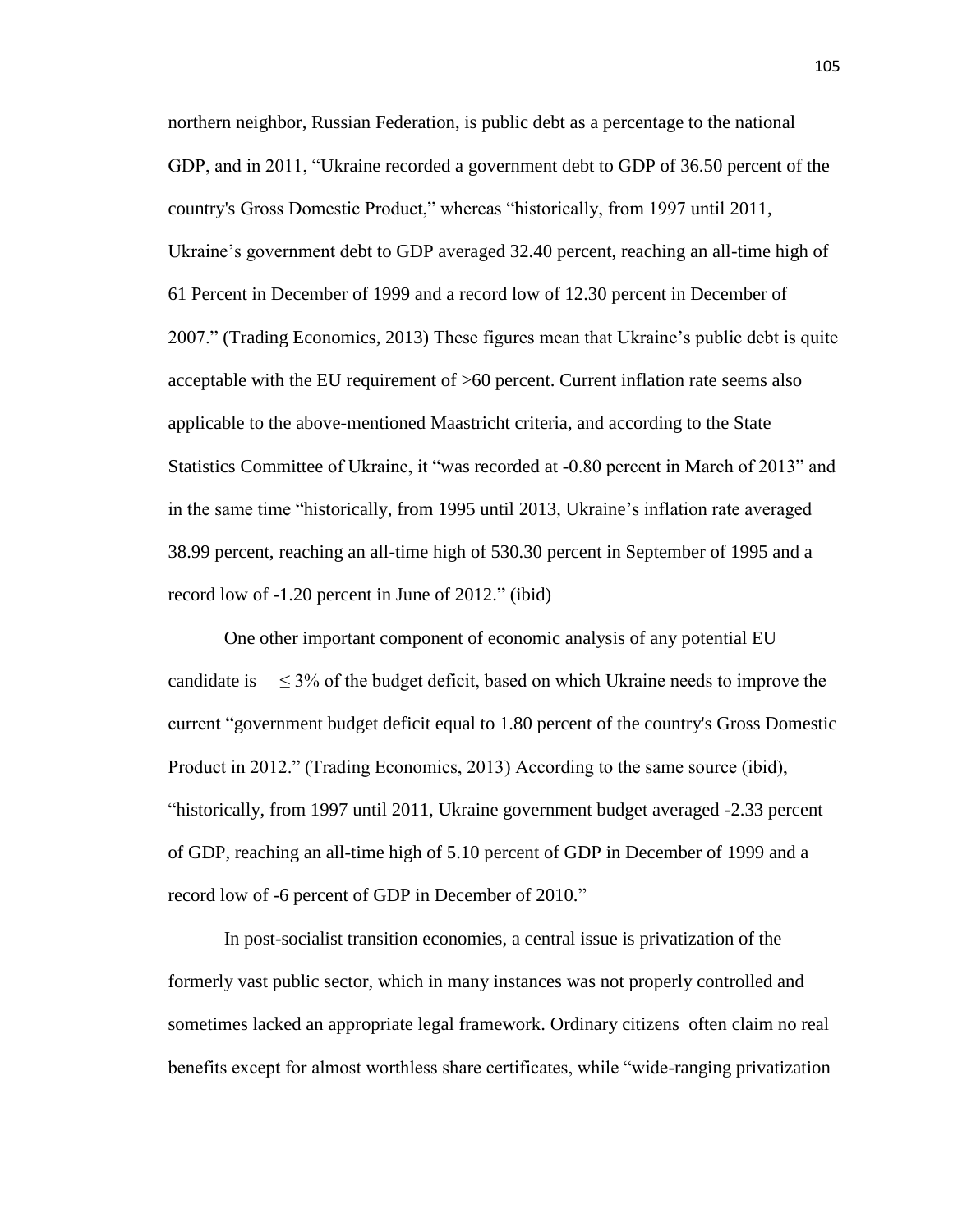northern neighbor, Russian Federation, is public debt as a percentage to the national GDP, and in 2011, "Ukraine recorded a government debt to GDP of 36.50 percent of the country's Gross Domestic Product," whereas "historically, from 1997 until 2011, Ukraine's government debt to GDP averaged 32.40 percent, reaching an all-time high of 61 Percent in December of 1999 and a record low of 12.30 percent in December of 2007." (Trading Economics, 2013) These figures mean that Ukraine's public debt is quite acceptable with the EU requirement of >60 percent. Current inflation rate seems also applicable to the above-mentioned Maastricht criteria, and according to the State Statistics Committee of Ukraine, it "was recorded at -0.80 percent in March of 2013" and in the same time "historically, from 1995 until 2013, Ukraine's inflation rate averaged 38.99 percent, reaching an all-time high of 530.30 percent in September of 1995 and a record low of -1.20 percent in June of 2012." (ibid)

One other important component of economic analysis of any potential EU candidate is  $\leq 3\%$  of the budget deficit, based on which Ukraine needs to improve the current "government budget deficit equal to 1.80 percent of the country's Gross Domestic Product in 2012." (Trading Economics, 2013) According to the same source (ibid), "historically, from 1997 until 2011, Ukraine government budget averaged -2.33 percent of GDP, reaching an all-time high of 5.10 percent of GDP in December of 1999 and a record low of -6 percent of GDP in December of 2010."

In post-socialist transition economies, a central issue is privatization of the formerly vast public sector, which in many instances was not properly controlled and sometimes lacked an appropriate legal framework. Ordinary citizens often claim no real benefits except for almost worthless share certificates, while "wide-ranging privatization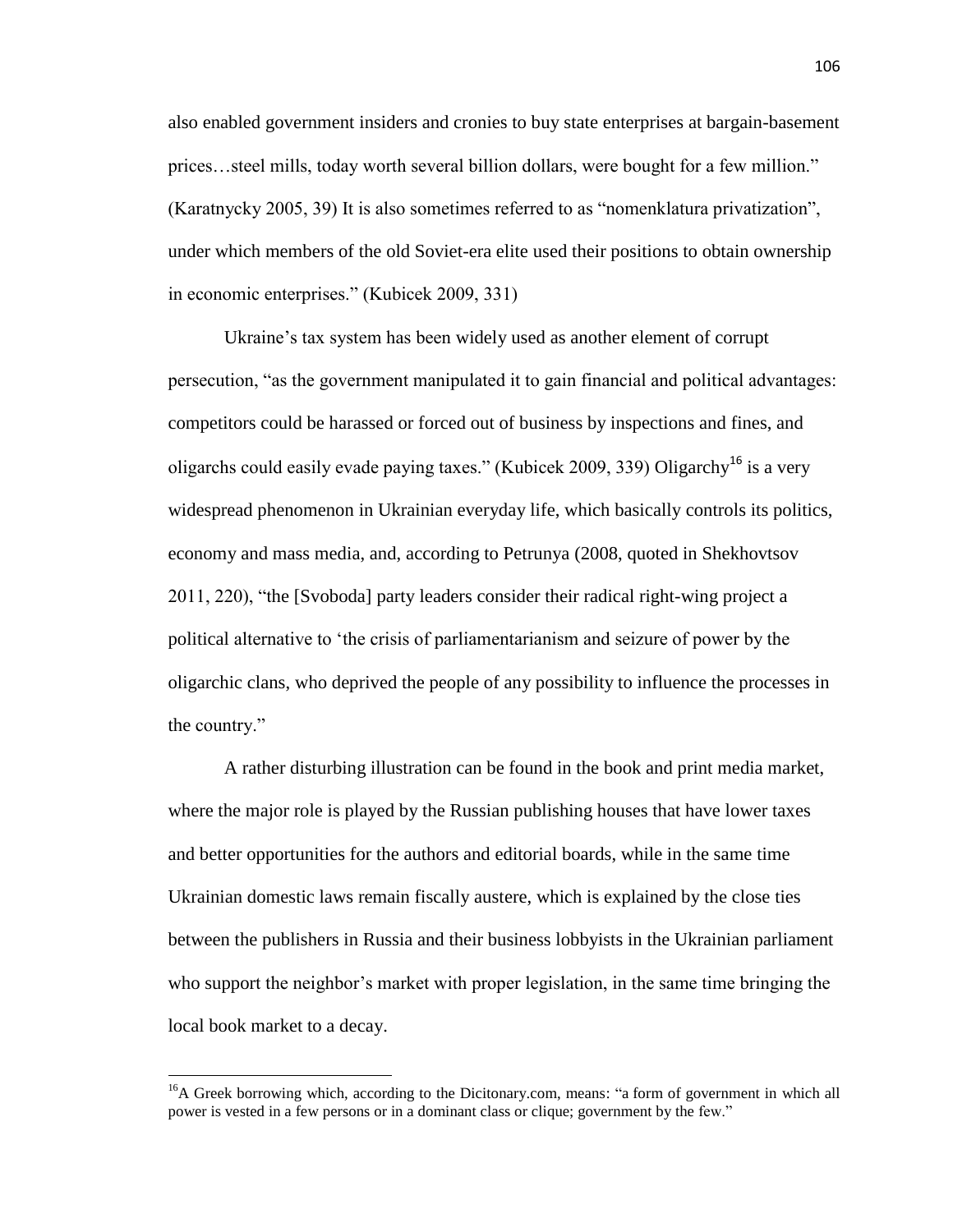also enabled government insiders and cronies to buy state enterprises at bargain-basement prices…steel mills, today worth several billion dollars, were bought for a few million." (Karatnycky 2005, 39) It is also sometimes referred to as "nomenklatura privatization", under which members of the old Soviet-era elite used their positions to obtain ownership in economic enterprises." (Kubicek 2009, 331)

Ukraine's tax system has been widely used as another element of corrupt persecution, "as the government manipulated it to gain financial and political advantages: competitors could be harassed or forced out of business by inspections and fines, and oligarchs could easily evade paying taxes." (Kubicek 2009, 339) Oligarchy<sup>16</sup> is a very widespread phenomenon in Ukrainian everyday life, which basically controls its politics, economy and mass media, and, according to Petrunya (2008, quoted in Shekhovtsov 2011, 220), "the [Svoboda] party leaders consider their radical right-wing project a political alternative to 'the crisis of parliamentarianism and seizure of power by the oligarchic clans, who deprived the people of any possibility to influence the processes in the country."

A rather disturbing illustration can be found in the book and print media market, where the major role is played by the Russian publishing houses that have lower taxes and better opportunities for the authors and editorial boards, while in the same time Ukrainian domestic laws remain fiscally austere, which is explained by the close ties between the publishers in Russia and their business lobbyists in the Ukrainian parliament who support the neighbor's market with proper legislation, in the same time bringing the local book market to a decay.

 $\overline{\phantom{a}}$ 

<sup>&</sup>lt;sup>16</sup>A Greek borrowing [which](http://dictionary.reference.com/browse/which), according to the Dicitonary.com, means: "a form of government in which all power is vested in a few persons or in a dominant class or clique; government by the few."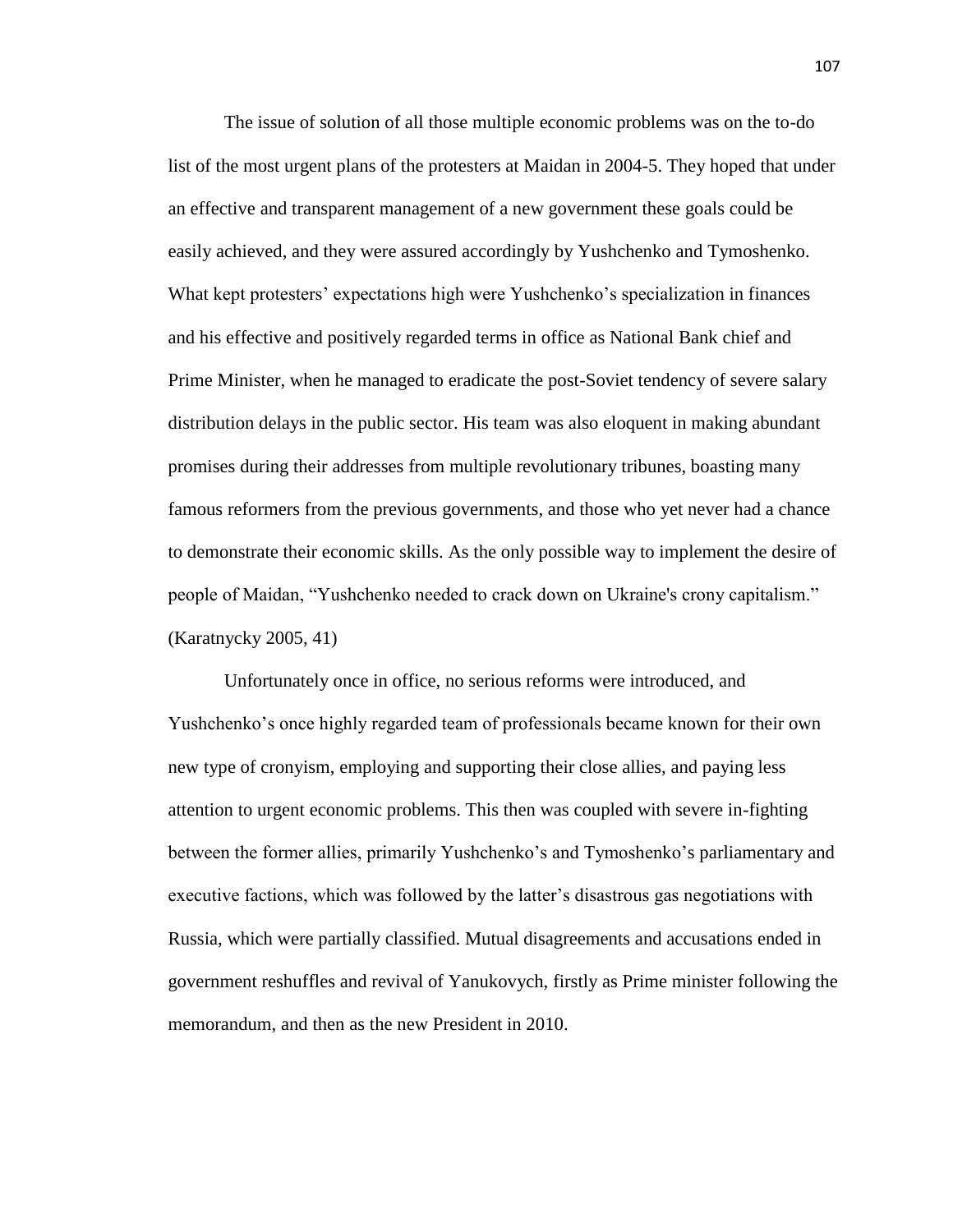The issue of solution of all those multiple economic problems was on the to-do list of the most urgent plans of the protesters at Maidan in 2004-5. They hoped that under an effective and transparent management of a new government these goals could be easily achieved, and they were assured accordingly by Yushchenko and Tymoshenko. What kept protesters' expectations high were Yushchenko's specialization in finances and his effective and positively regarded terms in office as National Bank chief and Prime Minister, when he managed to eradicate the post-Soviet tendency of severe salary distribution delays in the public sector. His team was also eloquent in making abundant promises during their addresses from multiple revolutionary tribunes, boasting many famous reformers from the previous governments, and those who yet never had a chance to demonstrate their economic skills. As the only possible way to implement the desire of people of Maidan, "Yushchenko needed to crack down on Ukraine's crony capitalism." (Karatnycky 2005, 41)

Unfortunately once in office, no serious reforms were introduced, and Yushchenko's once highly regarded team of professionals became known for their own new type of cronyism, employing and supporting their close allies, and paying less attention to urgent economic problems. This then was coupled with severe in-fighting between the former allies, primarily Yushchenko's and Tymoshenko's parliamentary and executive factions, which was followed by the latter's disastrous gas negotiations with Russia, which were partially classified. Mutual disagreements and accusations ended in government reshuffles and revival of Yanukovych, firstly as Prime minister following the memorandum, and then as the new President in 2010.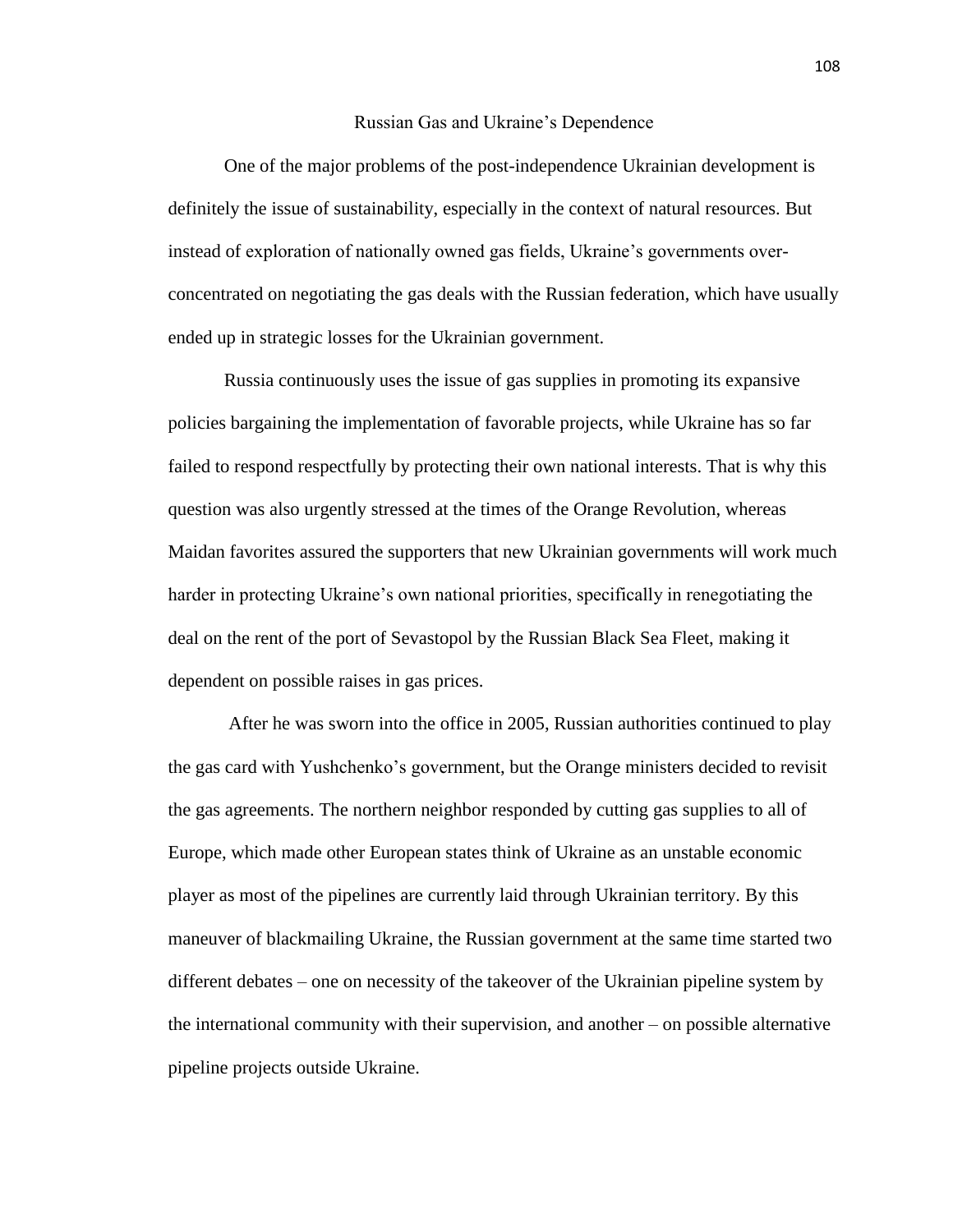#### Russian Gas and Ukraine's Dependence

One of the major problems of the post-independence Ukrainian development is definitely the issue of sustainability, especially in the context of natural resources. But instead of exploration of nationally owned gas fields, Ukraine's governments overconcentrated on negotiating the gas deals with the Russian federation, which have usually ended up in strategic losses for the Ukrainian government.

Russia continuously uses the issue of gas supplies in promoting its expansive policies bargaining the implementation of favorable projects, while Ukraine has so far failed to respond respectfully by protecting their own national interests. That is why this question was also urgently stressed at the times of the Orange Revolution, whereas Maidan favorites assured the supporters that new Ukrainian governments will work much harder in protecting Ukraine's own national priorities, specifically in renegotiating the deal on the rent of the port of Sevastopol by the Russian Black Sea Fleet, making it dependent on possible raises in gas prices.

After he was sworn into the office in 2005, Russian authorities continued to play the gas card with Yushchenko's government, but the Orange ministers decided to revisit the gas agreements. The northern neighbor responded by cutting gas supplies to all of Europe, which made other European states think of Ukraine as an unstable economic player as most of the pipelines are currently laid through Ukrainian territory. By this maneuver of blackmailing Ukraine, the Russian government at the same time started two different debates – one on necessity of the takeover of the Ukrainian pipeline system by the international community with their supervision, and another – on possible alternative pipeline projects outside Ukraine.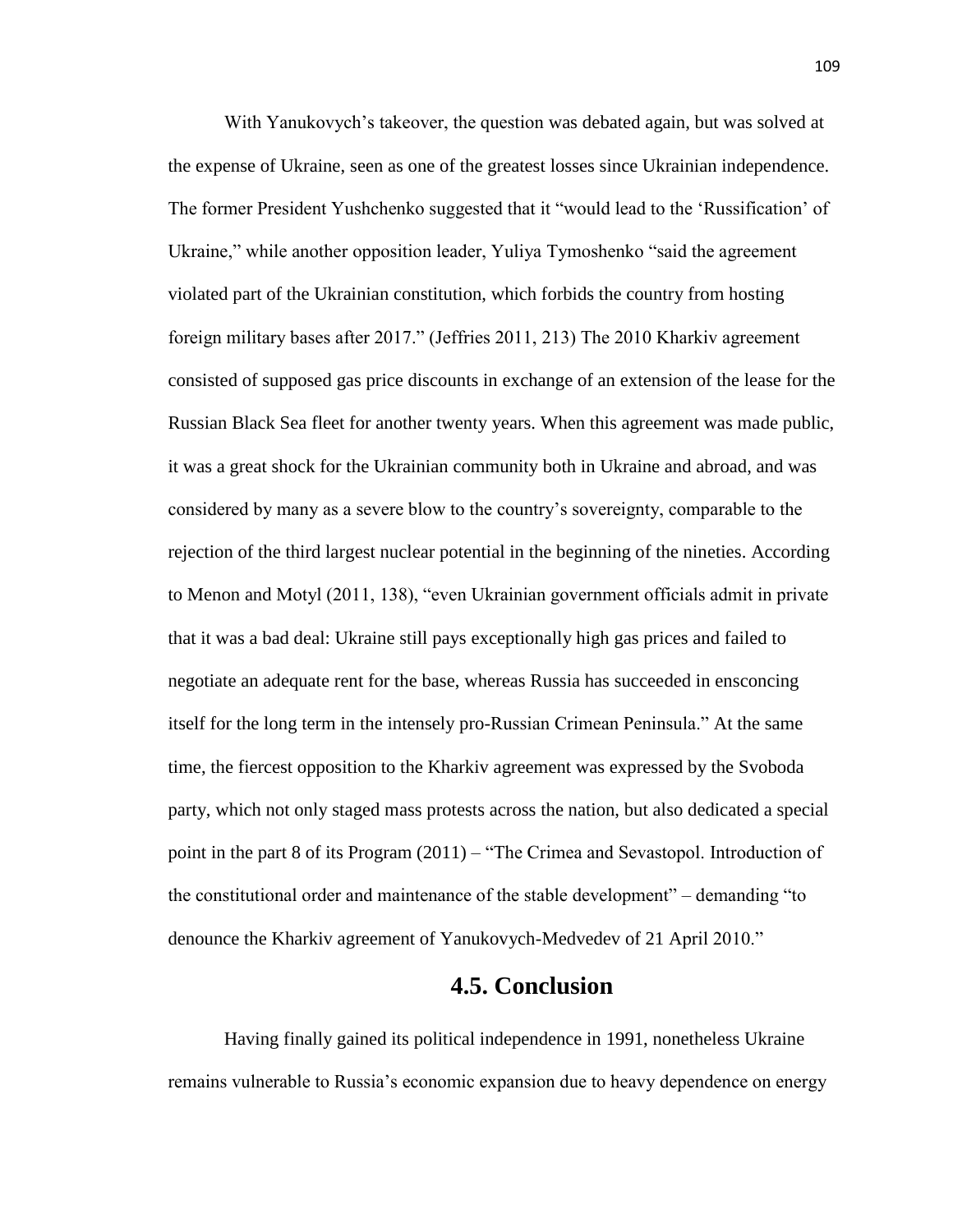With Yanukovych's takeover, the question was debated again, but was solved at the expense of Ukraine, seen as one of the greatest losses since Ukrainian independence. The former President Yushchenko suggested that it "would lead to the 'Russification' of Ukraine," while another opposition leader, Yuliya Tymoshenko "said the agreement violated part of the Ukrainian constitution, which forbids the country from hosting foreign military bases after 2017." (Jeffries 2011, 213) The 2010 Kharkiv agreement consisted of supposed gas price discounts in exchange of an extension of the lease for the Russian Black Sea fleet for another twenty years. When this agreement was made public, it was a great shock for the Ukrainian community both in Ukraine and abroad, and was considered by many as a severe blow to the country's sovereignty, comparable to the rejection of the third largest nuclear potential in the beginning of the nineties. According to Menon and Motyl (2011, 138), "even Ukrainian government officials admit in private that it was a bad deal: Ukraine still pays exceptionally high gas prices and failed to negotiate an adequate rent for the base, whereas Russia has succeeded in ensconcing itself for the long term in the intensely pro-Russian Crimean Peninsula." At the same time, the fiercest opposition to the Kharkiv agreement was expressed by the Svoboda party, which not only staged mass protests across the nation, but also dedicated a special point in the part 8 of its Program (2011) – "The Crimea and Sevastopol. Introduction of the constitutional order and maintenance of the stable development" – demanding "to denounce the Kharkiv agreement of Yanukovych-Medvedev of 21 April 2010."

# **4.5. Conclusion**

Having finally gained its political independence in 1991, nonetheless Ukraine remains vulnerable to Russia's economic expansion due to heavy dependence on energy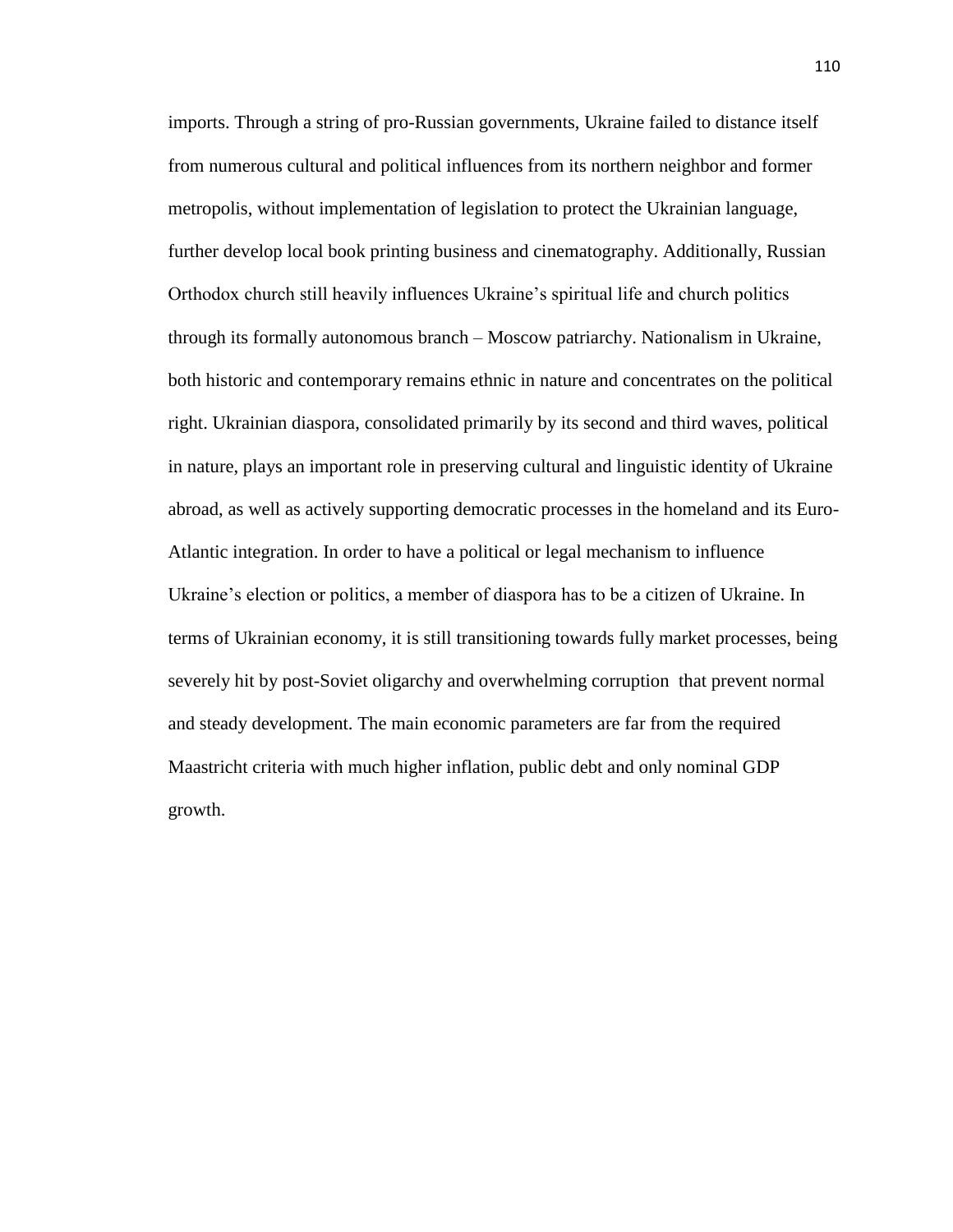imports. Through a string of pro-Russian governments, Ukraine failed to distance itself from numerous cultural and political influences from its northern neighbor and former metropolis, without implementation of legislation to protect the Ukrainian language, further develop local book printing business and cinematography. Additionally, Russian Orthodox church still heavily influences Ukraine's spiritual life and church politics through its formally autonomous branch – Moscow patriarchy. Nationalism in Ukraine, both historic and contemporary remains ethnic in nature and concentrates on the political right. Ukrainian diaspora, consolidated primarily by its second and third waves, political in nature, plays an important role in preserving cultural and linguistic identity of Ukraine abroad, as well as actively supporting democratic processes in the homeland and its Euro-Atlantic integration. In order to have a political or legal mechanism to influence Ukraine's election or politics, a member of diaspora has to be a citizen of Ukraine. In terms of Ukrainian economy, it is still transitioning towards fully market processes, being severely hit by post-Soviet oligarchy and overwhelming corruption that prevent normal and steady development. The main economic parameters are far from the required Maastricht criteria with much higher inflation, public debt and only nominal GDP growth.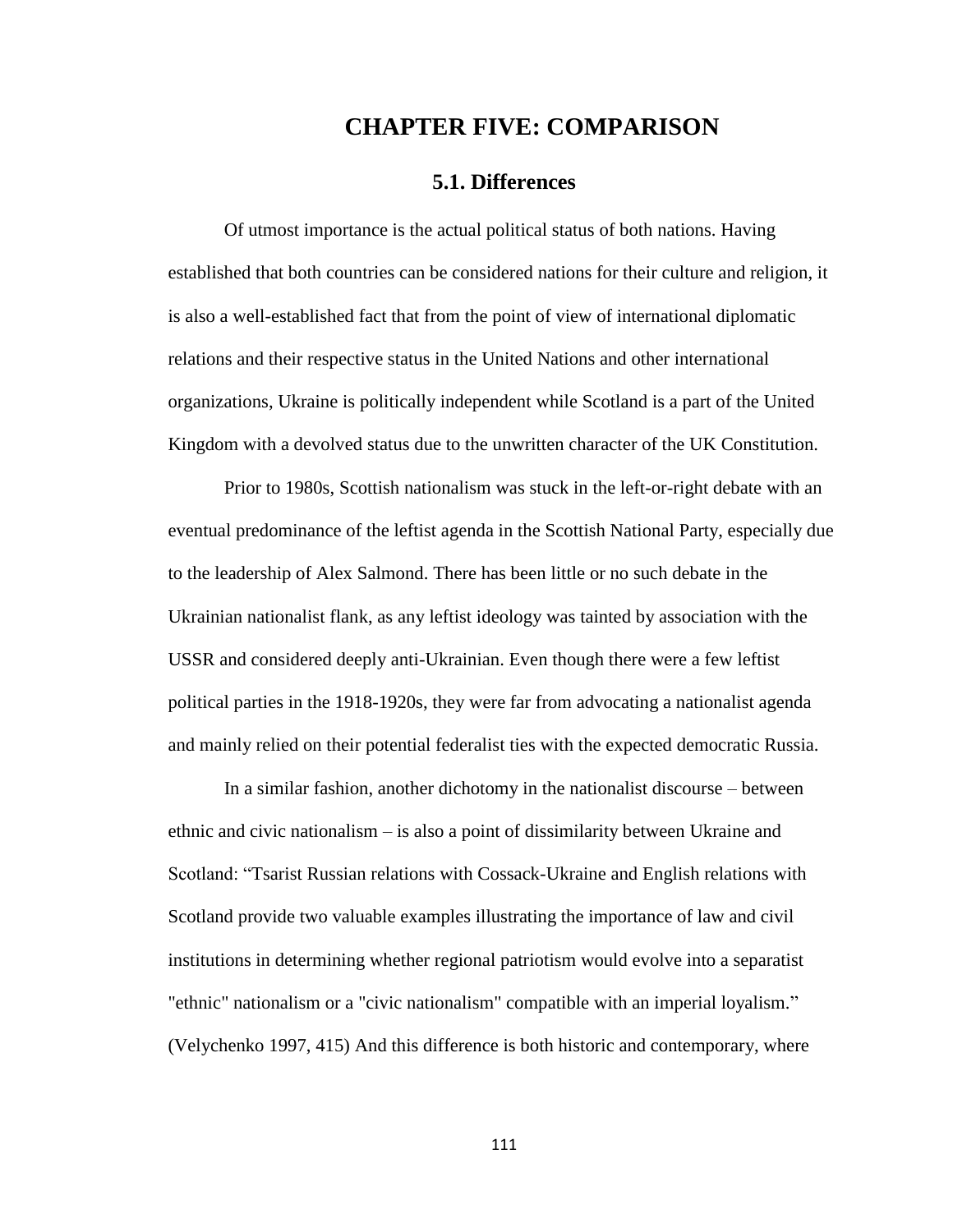# **CHAPTER FIVE: COMPARISON**

#### **5.1. Differences**

Of utmost importance is the actual political status of both nations. Having established that both countries can be considered nations for their culture and religion, it is also a well-established fact that from the point of view of international diplomatic relations and their respective status in the United Nations and other international organizations, Ukraine is politically independent while Scotland is a part of the United Kingdom with a devolved status due to the unwritten character of the UK Constitution.

Prior to 1980s, Scottish nationalism was stuck in the left-or-right debate with an eventual predominance of the leftist agenda in the Scottish National Party, especially due to the leadership of Alex Salmond. There has been little or no such debate in the Ukrainian nationalist flank, as any leftist ideology was tainted by association with the USSR and considered deeply anti-Ukrainian. Even though there were a few leftist political parties in the 1918-1920s, they were far from advocating a nationalist agenda and mainly relied on their potential federalist ties with the expected democratic Russia.

In a similar fashion, another dichotomy in the nationalist discourse – between ethnic and civic nationalism – is also a point of dissimilarity between Ukraine and Scotland: "Tsarist Russian relations with Cossack-Ukraine and English relations with Scotland provide two valuable examples illustrating the importance of law and civil institutions in determining whether regional patriotism would evolve into a separatist "ethnic" nationalism or a "civic nationalism" compatible with an imperial loyalism." (Velychenko 1997, 415) And this difference is both historic and contemporary, where

111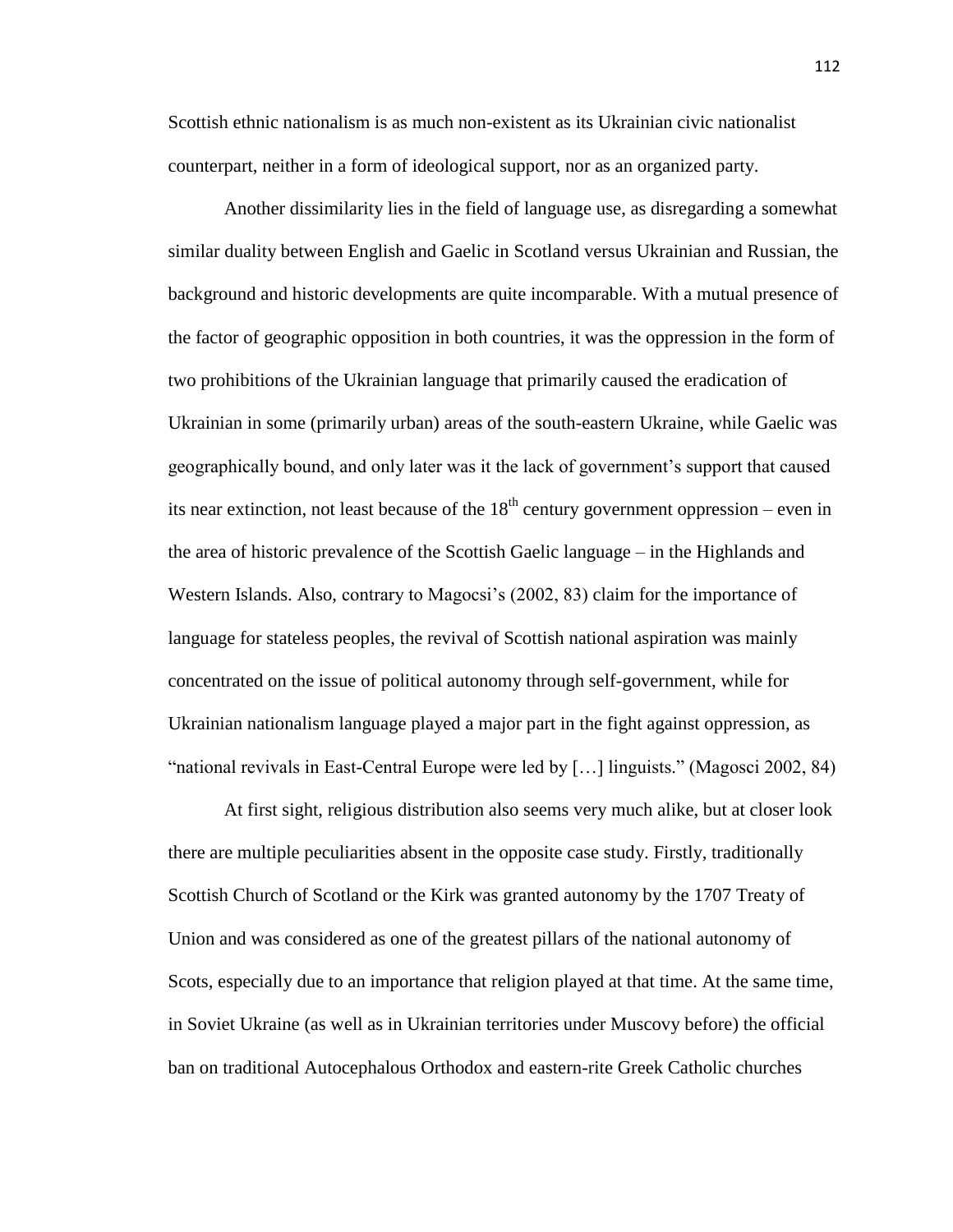Scottish ethnic nationalism is as much non-existent as its Ukrainian civic nationalist counterpart, neither in a form of ideological support, nor as an organized party.

Another dissimilarity lies in the field of language use, as disregarding a somewhat similar duality between English and Gaelic in Scotland versus Ukrainian and Russian, the background and historic developments are quite incomparable. With a mutual presence of the factor of geographic opposition in both countries, it was the oppression in the form of two prohibitions of the Ukrainian language that primarily caused the eradication of Ukrainian in some (primarily urban) areas of the south-eastern Ukraine, while Gaelic was geographically bound, and only later was it the lack of government's support that caused its near extinction, not least because of the  $18<sup>th</sup>$  century government oppression – even in the area of historic prevalence of the Scottish Gaelic language – in the Highlands and Western Islands. Also, contrary to Magocsi's (2002, 83) claim for the importance of language for stateless peoples, the revival of Scottish national aspiration was mainly concentrated on the issue of political autonomy through self-government, while for Ukrainian nationalism language played a major part in the fight against oppression, as "national revivals in East-Central Europe were led by […] linguists." (Magosci 2002, 84)

At first sight, religious distribution also seems very much alike, but at closer look there are multiple peculiarities absent in the opposite case study. Firstly, traditionally Scottish Church of Scotland or the Kirk was granted autonomy by the 1707 Treaty of Union and was considered as one of the greatest pillars of the national autonomy of Scots, especially due to an importance that religion played at that time. At the same time, in Soviet Ukraine (as well as in Ukrainian territories under Muscovy before) the official ban on traditional Autocephalous Orthodox and eastern-rite Greek Catholic churches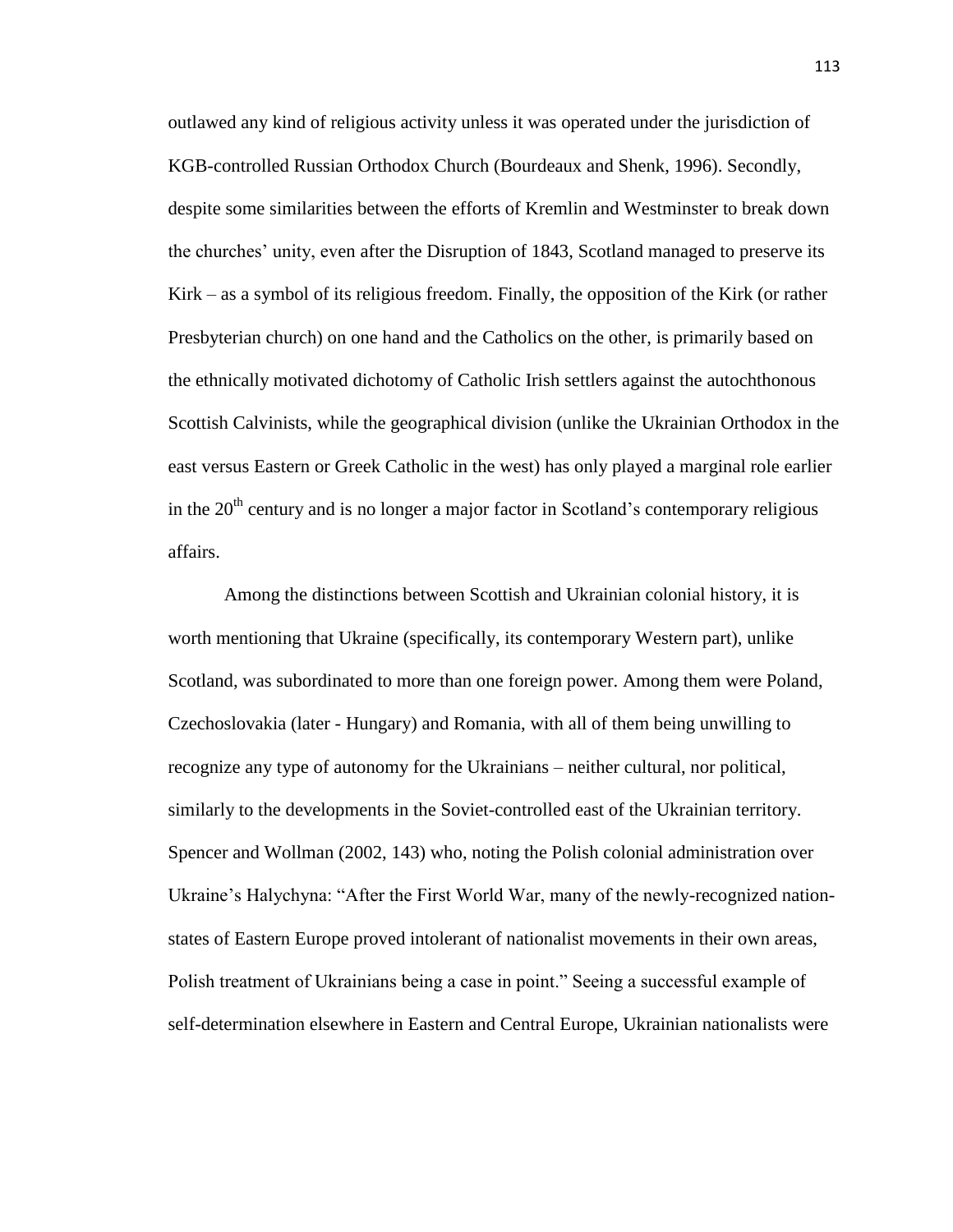outlawed any kind of religious activity unless it was operated under the jurisdiction of KGB-controlled Russian Orthodox Church (Bourdeaux and Shenk, 1996). Secondly, despite some similarities between the efforts of Kremlin and Westminster to break down the churches' unity, even after the Disruption of 1843, Scotland managed to preserve its Kirk – as a symbol of its religious freedom. Finally, the opposition of the Kirk (or rather Presbyterian church) on one hand and the Catholics on the other, is primarily based on the ethnically motivated dichotomy of Catholic Irish settlers against the autochthonous Scottish Calvinists, while the geographical division (unlike the Ukrainian Orthodox in the east versus Eastern or Greek Catholic in the west) has only played a marginal role earlier in the  $20<sup>th</sup>$  century and is no longer a major factor in Scotland's contemporary religious affairs.

Among the distinctions between Scottish and Ukrainian colonial history, it is worth mentioning that Ukraine (specifically, its contemporary Western part), unlike Scotland, was subordinated to more than one foreign power. Among them were Poland, Czechoslovakia (later - Hungary) and Romania, with all of them being unwilling to recognize any type of autonomy for the Ukrainians – neither cultural, nor political, similarly to the developments in the Soviet-controlled east of the Ukrainian territory. Spencer and Wollman (2002, 143) who, noting the Polish colonial administration over Ukraine's Halychyna: "After the First World War, many of the newly-recognized nationstates of Eastern Europe proved intolerant of nationalist movements in their own areas, Polish treatment of Ukrainians being a case in point." Seeing a successful example of self-determination elsewhere in Eastern and Central Europe, Ukrainian nationalists were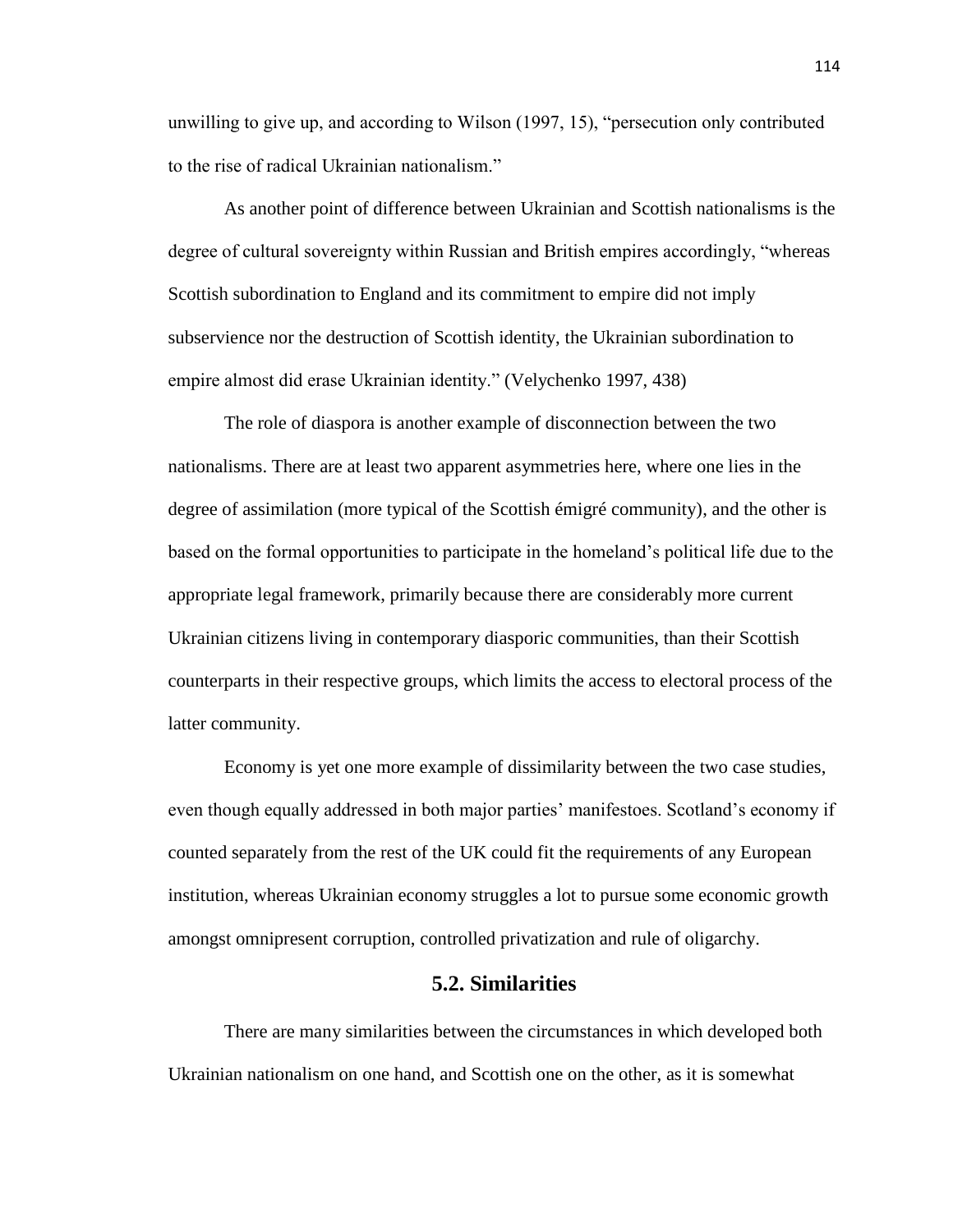unwilling to give up, and according to Wilson (1997, 15), "persecution only contributed to the rise of radical Ukrainian nationalism."

As another point of difference between Ukrainian and Scottish nationalisms is the degree of cultural sovereignty within Russian and British empires accordingly, "whereas Scottish subordination to England and its commitment to empire did not imply subservience nor the destruction of Scottish identity, the Ukrainian subordination to empire almost did erase Ukrainian identity." (Velychenko 1997, 438)

The role of diaspora is another example of disconnection between the two nationalisms. There are at least two apparent asymmetries here, where one lies in the degree of assimilation (more typical of the Scottish émigré community), and the other is based on the formal opportunities to participate in the homeland's political life due to the appropriate legal framework, primarily because there are considerably more current Ukrainian citizens living in contemporary diasporic communities, than their Scottish counterparts in their respective groups, which limits the access to electoral process of the latter community.

Economy is yet one more example of dissimilarity between the two case studies, even though equally addressed in both major parties' manifestoes. Scotland's economy if counted separately from the rest of the UK could fit the requirements of any European institution, whereas Ukrainian economy struggles a lot to pursue some economic growth amongst omnipresent corruption, controlled privatization and rule of oligarchy.

#### **5.2. Similarities**

There are many similarities between the circumstances in which developed both Ukrainian nationalism on one hand, and Scottish one on the other, as it is somewhat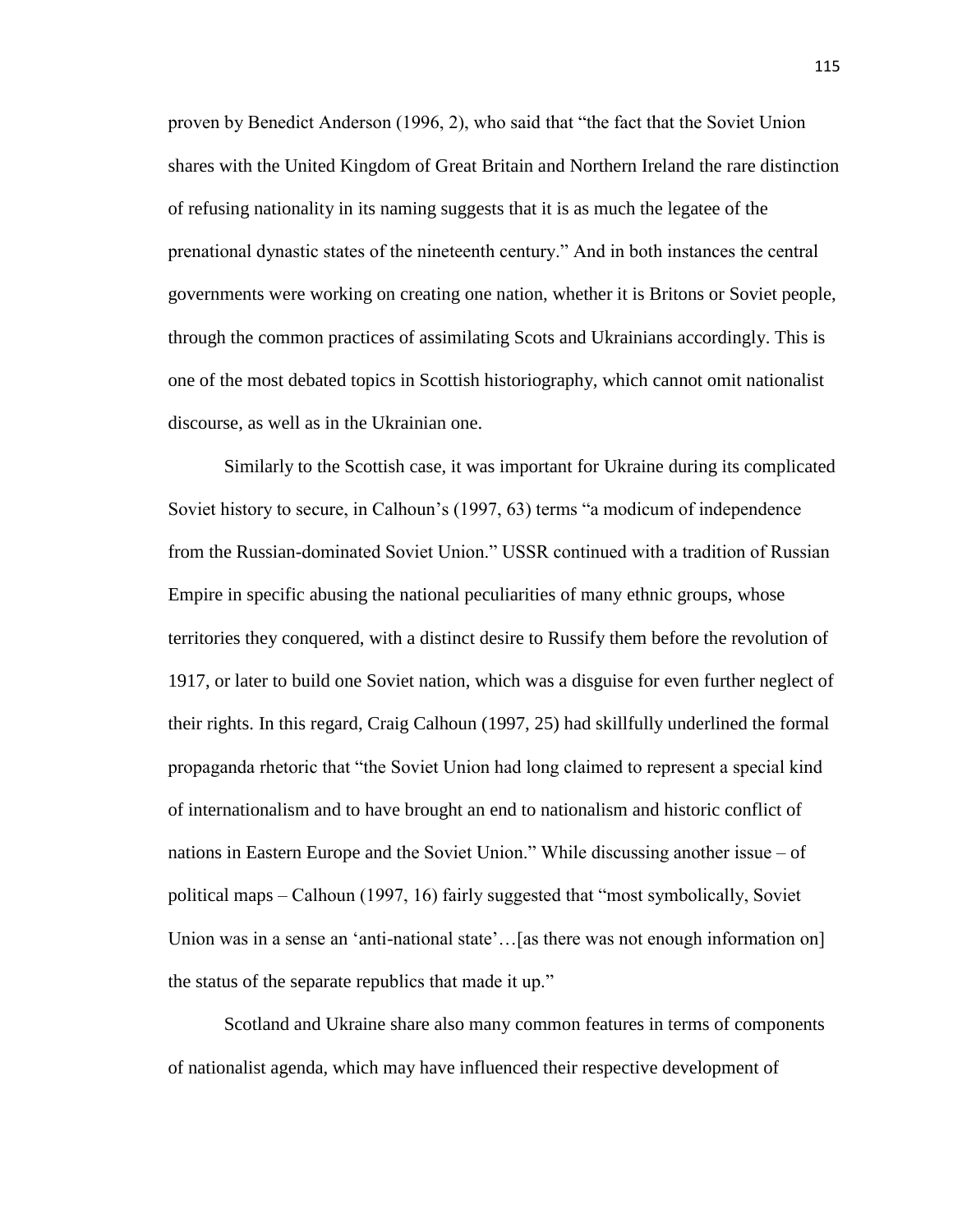proven by Benedict Anderson (1996, 2), who said that "the fact that the Soviet Union shares with the United Kingdom of Great Britain and Northern Ireland the rare distinction of refusing nationality in its naming suggests that it is as much the legatee of the prenational dynastic states of the nineteenth century." And in both instances the central governments were working on creating one nation, whether it is Britons or Soviet people, through the common practices of assimilating Scots and Ukrainians accordingly. This is one of the most debated topics in Scottish historiography, which cannot omit nationalist discourse, as well as in the Ukrainian one.

Similarly to the Scottish case, it was important for Ukraine during its complicated Soviet history to secure, in Calhoun's (1997, 63) terms "a modicum of independence from the Russian-dominated Soviet Union." USSR continued with a tradition of Russian Empire in specific abusing the national peculiarities of many ethnic groups, whose territories they conquered, with a distinct desire to Russify them before the revolution of 1917, or later to build one Soviet nation, which was a disguise for even further neglect of their rights. In this regard, Craig Calhoun (1997, 25) had skillfully underlined the formal propaganda rhetoric that "the Soviet Union had long claimed to represent a special kind of internationalism and to have brought an end to nationalism and historic conflict of nations in Eastern Europe and the Soviet Union." While discussing another issue – of political maps – Calhoun (1997, 16) fairly suggested that "most symbolically, Soviet Union was in a sense an 'anti-national state'...[as there was not enough information on] the status of the separate republics that made it up."

Scotland and Ukraine share also many common features in terms of components of nationalist agenda, which may have influenced their respective development of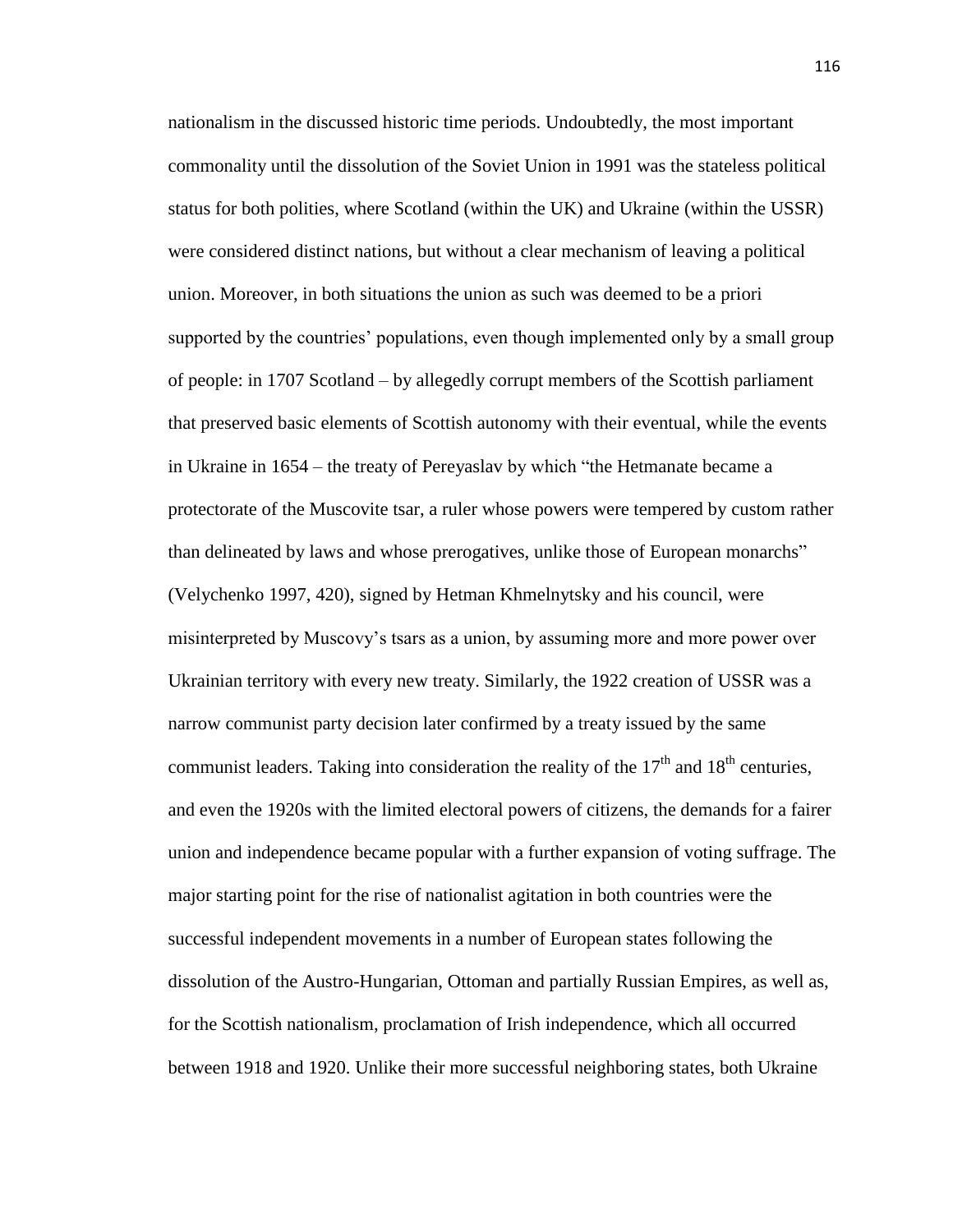nationalism in the discussed historic time periods. Undoubtedly, the most important commonality until the dissolution of the Soviet Union in 1991 was the stateless political status for both polities, where Scotland (within the UK) and Ukraine (within the USSR) were considered distinct nations, but without a clear mechanism of leaving a political union. Moreover, in both situations the union as such was deemed to be a priori supported by the countries' populations, even though implemented only by a small group of people: in 1707 Scotland – by allegedly corrupt members of the Scottish parliament that preserved basic elements of Scottish autonomy with their eventual, while the events in Ukraine in 1654 – the treaty of Pereyaslav by which "the Hetmanate became a protectorate of the Muscovite tsar, a ruler whose powers were tempered by custom rather than delineated by laws and whose prerogatives, unlike those of European monarchs" (Velychenko 1997, 420), signed by Hetman Khmelnytsky and his council, were misinterpreted by Muscovy's tsars as a union, by assuming more and more power over Ukrainian territory with every new treaty. Similarly, the 1922 creation of USSR was a narrow communist party decision later confirmed by a treaty issued by the same communist leaders. Taking into consideration the reality of the  $17<sup>th</sup>$  and  $18<sup>th</sup>$  centuries, and even the 1920s with the limited electoral powers of citizens, the demands for a fairer union and independence became popular with a further expansion of voting suffrage. The major starting point for the rise of nationalist agitation in both countries were the successful independent movements in a number of European states following the dissolution of the Austro-Hungarian, Ottoman and partially Russian Empires, as well as, for the Scottish nationalism, proclamation of Irish independence, which all occurred between 1918 and 1920. Unlike their more successful neighboring states, both Ukraine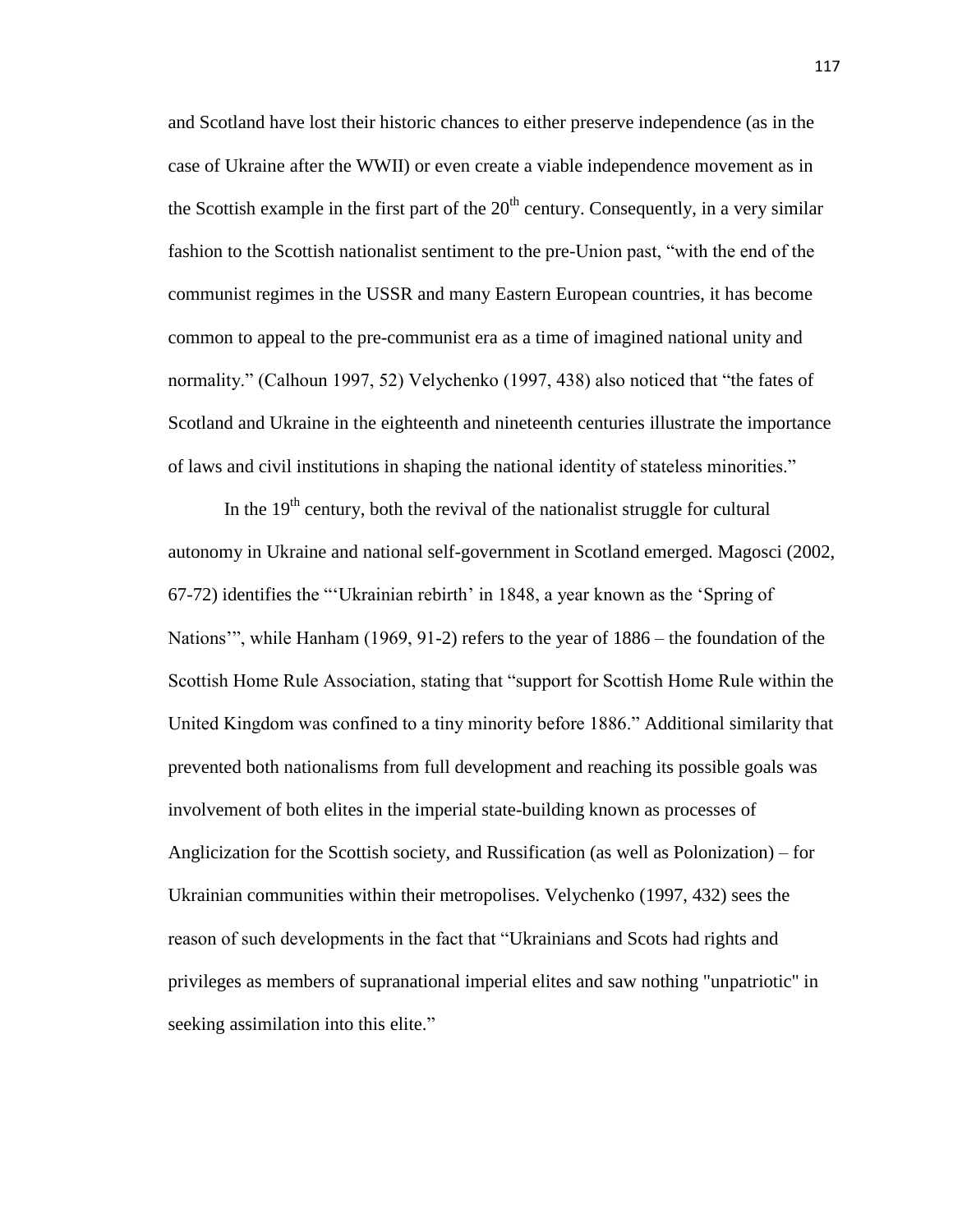and Scotland have lost their historic chances to either preserve independence (as in the case of Ukraine after the WWII) or even create a viable independence movement as in the Scottish example in the first part of the  $20<sup>th</sup>$  century. Consequently, in a very similar fashion to the Scottish nationalist sentiment to the pre-Union past, "with the end of the communist regimes in the USSR and many Eastern European countries, it has become common to appeal to the pre-communist era as a time of imagined national unity and normality." (Calhoun 1997, 52) Velychenko (1997, 438) also noticed that "the fates of Scotland and Ukraine in the eighteenth and nineteenth centuries illustrate the importance of laws and civil institutions in shaping the national identity of stateless minorities."

In the  $19<sup>th</sup>$  century, both the revival of the nationalist struggle for cultural autonomy in Ukraine and national self-government in Scotland emerged. Magosci (2002, 67-72) identifies the "'Ukrainian rebirth' in 1848, a year known as the 'Spring of Nations'", while Hanham (1969, 91-2) refers to the year of 1886 – the foundation of the Scottish Home Rule Association, stating that "support for Scottish Home Rule within the United Kingdom was confined to a tiny minority before 1886." Additional similarity that prevented both nationalisms from full development and reaching its possible goals was involvement of both elites in the imperial state-building known as processes of Anglicization for the Scottish society, and Russification (as well as Polonization) – for Ukrainian communities within their metropolises. Velychenko (1997, 432) sees the reason of such developments in the fact that "Ukrainians and Scots had rights and privileges as members of supranational imperial elites and saw nothing "unpatriotic" in seeking assimilation into this elite."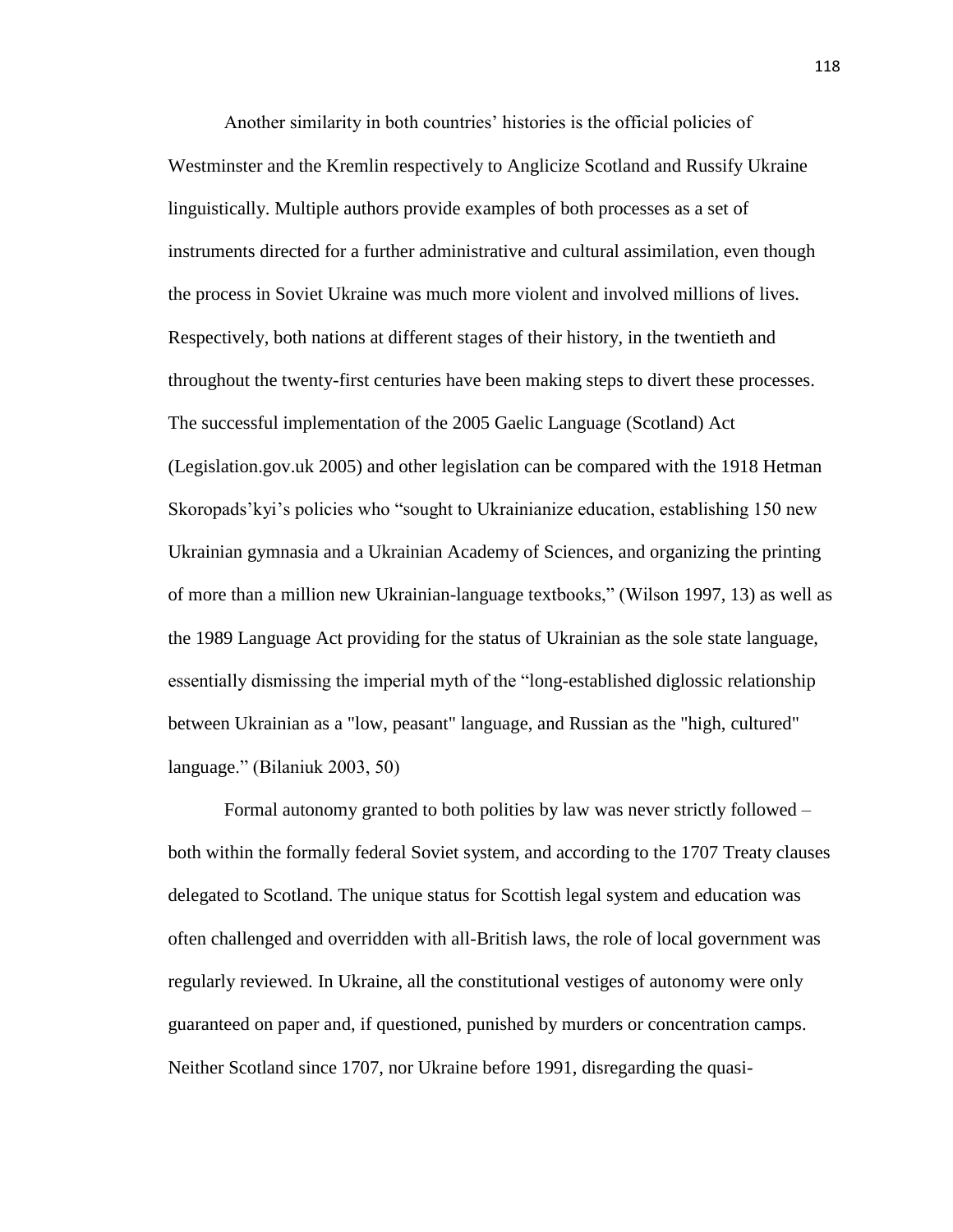Another similarity in both countries' histories is the official policies of Westminster and the Kremlin respectively to Anglicize Scotland and Russify Ukraine linguistically. Multiple authors provide examples of both processes as a set of instruments directed for a further administrative and cultural assimilation, even though the process in Soviet Ukraine was much more violent and involved millions of lives. Respectively, both nations at different stages of their history, in the twentieth and throughout the twenty-first centuries have been making steps to divert these processes. The successful implementation of the 2005 Gaelic Language (Scotland) Act (Legislation.gov.uk 2005) and other legislation can be compared with the 1918 Hetman Skoropads'kyi's policies who "sought to Ukrainianize education, establishing 150 new Ukrainian gymnasia and a Ukrainian Academy of Sciences, and organizing the printing of more than a million new Ukrainian-language textbooks," (Wilson 1997, 13) as well as the 1989 Language Act providing for the status of Ukrainian as the sole state language, essentially dismissing the imperial myth of the "long-established diglossic relationship between Ukrainian as a "low, peasant" language, and Russian as the "high, cultured" language." (Bilaniuk 2003, 50)

Formal autonomy granted to both polities by law was never strictly followed – both within the formally federal Soviet system, and according to the 1707 Treaty clauses delegated to Scotland. The unique status for Scottish legal system and education was often challenged and overridden with all-British laws, the role of local government was regularly reviewed. In Ukraine, all the constitutional vestiges of autonomy were only guaranteed on paper and, if questioned, punished by murders or concentration camps. Neither Scotland since 1707, nor Ukraine before 1991, disregarding the quasi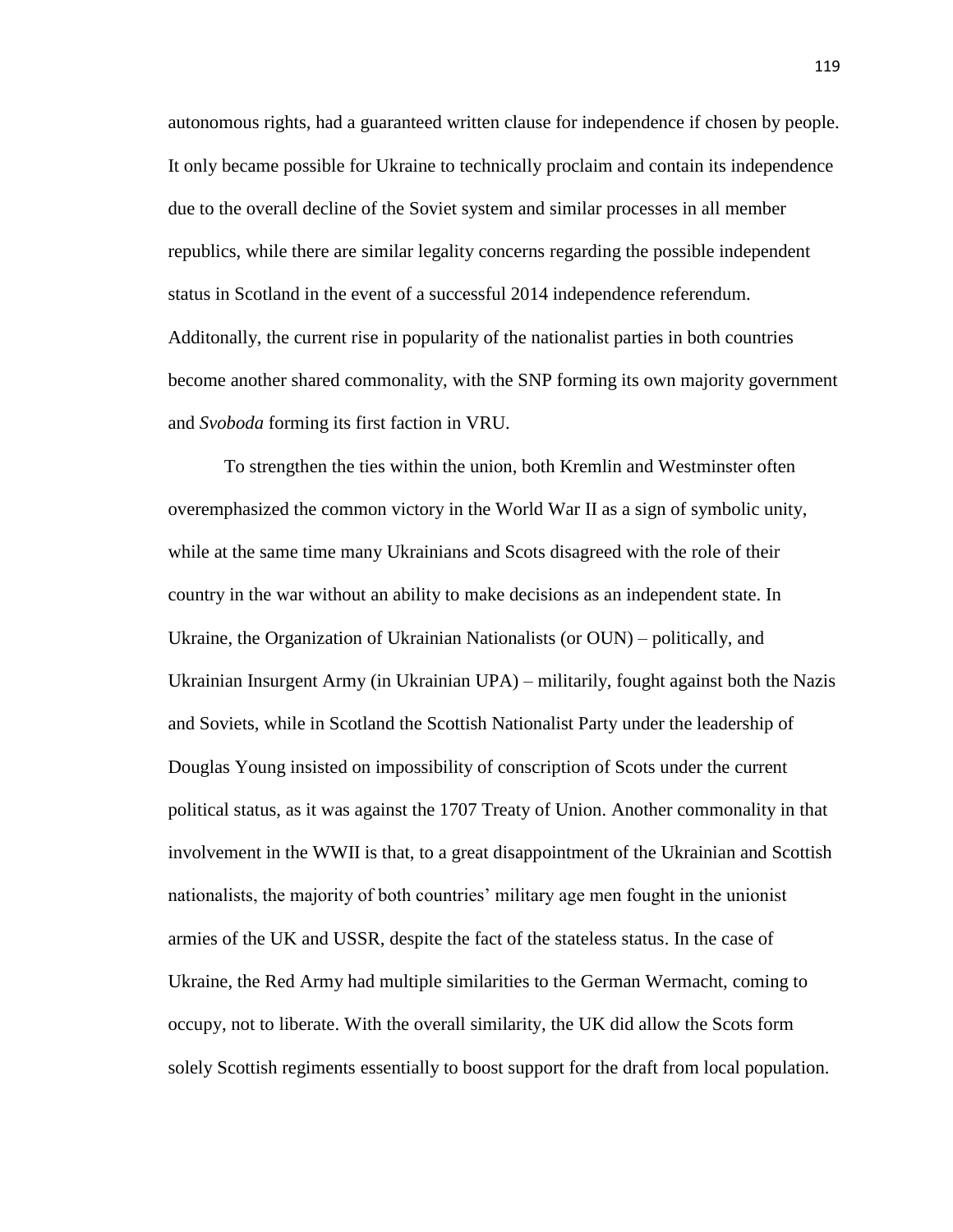autonomous rights, had a guaranteed written clause for independence if chosen by people. It only became possible for Ukraine to technically proclaim and contain its independence due to the overall decline of the Soviet system and similar processes in all member republics, while there are similar legality concerns regarding the possible independent status in Scotland in the event of a successful 2014 independence referendum. Additonally, the current rise in popularity of the nationalist parties in both countries become another shared commonality, with the SNP forming its own majority government and *Svoboda* forming its first faction in VRU.

To strengthen the ties within the union, both Kremlin and Westminster often overemphasized the common victory in the World War II as a sign of symbolic unity, while at the same time many Ukrainians and Scots disagreed with the role of their country in the war without an ability to make decisions as an independent state. In Ukraine, the Organization of Ukrainian Nationalists (or OUN) – politically, and Ukrainian Insurgent Army (in Ukrainian UPA) – militarily, fought against both the Nazis and Soviets, while in Scotland the Scottish Nationalist Party under the leadership of Douglas Young insisted on impossibility of conscription of Scots under the current political status, as it was against the 1707 Treaty of Union. Another commonality in that involvement in the WWII is that, to a great disappointment of the Ukrainian and Scottish nationalists, the majority of both countries' military age men fought in the unionist armies of the UK and USSR, despite the fact of the stateless status. In the case of Ukraine, the Red Army had multiple similarities to the German Wermacht, coming to occupy, not to liberate. With the overall similarity, the UK did allow the Scots form solely Scottish regiments essentially to boost support for the draft from local population.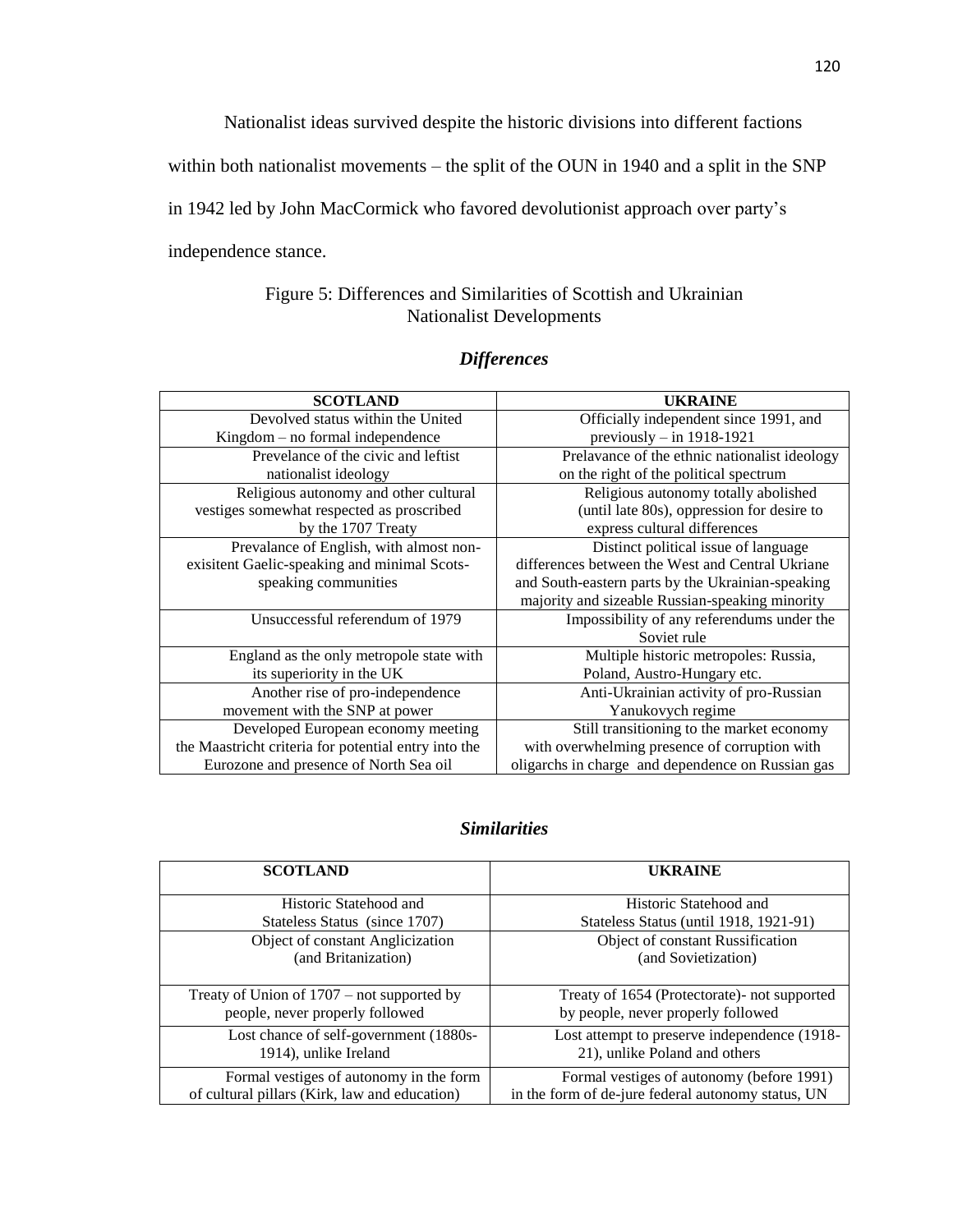Nationalist ideas survived despite the historic divisions into different factions

within both nationalist movements – the split of the OUN in 1940 and a split in the SNP

in 1942 led by John MacCormick who favored devolutionist approach over party's

independence stance.

#### Figure 5: Differences and Similarities of Scottish and Ukrainian Nationalist Developments

### *Differences*

| <b>SCOTLAND</b>                                      | <b>UKRAINE</b>                                    |
|------------------------------------------------------|---------------------------------------------------|
| Devolved status within the United                    | Officially independent since 1991, and            |
| $Kingdom - no formal independence$                   | previously $-$ in 1918-1921                       |
| Prevelance of the civic and leftist                  | Prelavance of the ethnic nationalist ideology     |
| nationalist ideology                                 | on the right of the political spectrum            |
| Religious autonomy and other cultural                | Religious autonomy totally abolished              |
| vestiges somewhat respected as proscribed            | (until late 80s), oppression for desire to        |
| by the 1707 Treaty                                   | express cultural differences                      |
| Prevalance of English, with almost non-              | Distinct political issue of language              |
| exisitent Gaelic-speaking and minimal Scots-         | differences between the West and Central Ukriane  |
| speaking communities                                 | and South-eastern parts by the Ukrainian-speaking |
|                                                      | majority and sizeable Russian-speaking minority   |
| Unsuccessful referendum of 1979                      | Impossibility of any referendums under the        |
|                                                      | Soviet rule                                       |
| England as the only metropole state with             | Multiple historic metropoles: Russia,             |
| its superiority in the UK                            | Poland, Austro-Hungary etc.                       |
| Another rise of pro-independence                     | Anti-Ukrainian activity of pro-Russian            |
| movement with the SNP at power                       | Yanukovych regime                                 |
| Developed European economy meeting                   | Still transitioning to the market economy         |
| the Maastricht criteria for potential entry into the | with overwhelming presence of corruption with     |
| Eurozone and presence of North Sea oil               | oligarchs in charge and dependence on Russian gas |

#### *Similarities*

| <b>SCOTLAND</b>                               | <b>UKRAINE</b>                                     |
|-----------------------------------------------|----------------------------------------------------|
| Historic Statehood and                        | Historic Statehood and                             |
| Stateless Status (since 1707)                 | Stateless Status (until 1918, 1921-91)             |
| Object of constant Anglicization              | Object of constant Russification                   |
| (and Britanization)                           | (and Sovietization)                                |
|                                               |                                                    |
| Treaty of Union of $1707$ – not supported by  | Treaty of 1654 (Protectorate)- not supported       |
| people, never properly followed               | by people, never properly followed                 |
| Lost chance of self-government (1880s-        | Lost attempt to preserve independence (1918-       |
| 1914), unlike Ireland                         | 21), unlike Poland and others                      |
| Formal vestiges of autonomy in the form       | Formal vestiges of autonomy (before 1991)          |
| of cultural pillars (Kirk, law and education) | in the form of de-jure federal autonomy status, UN |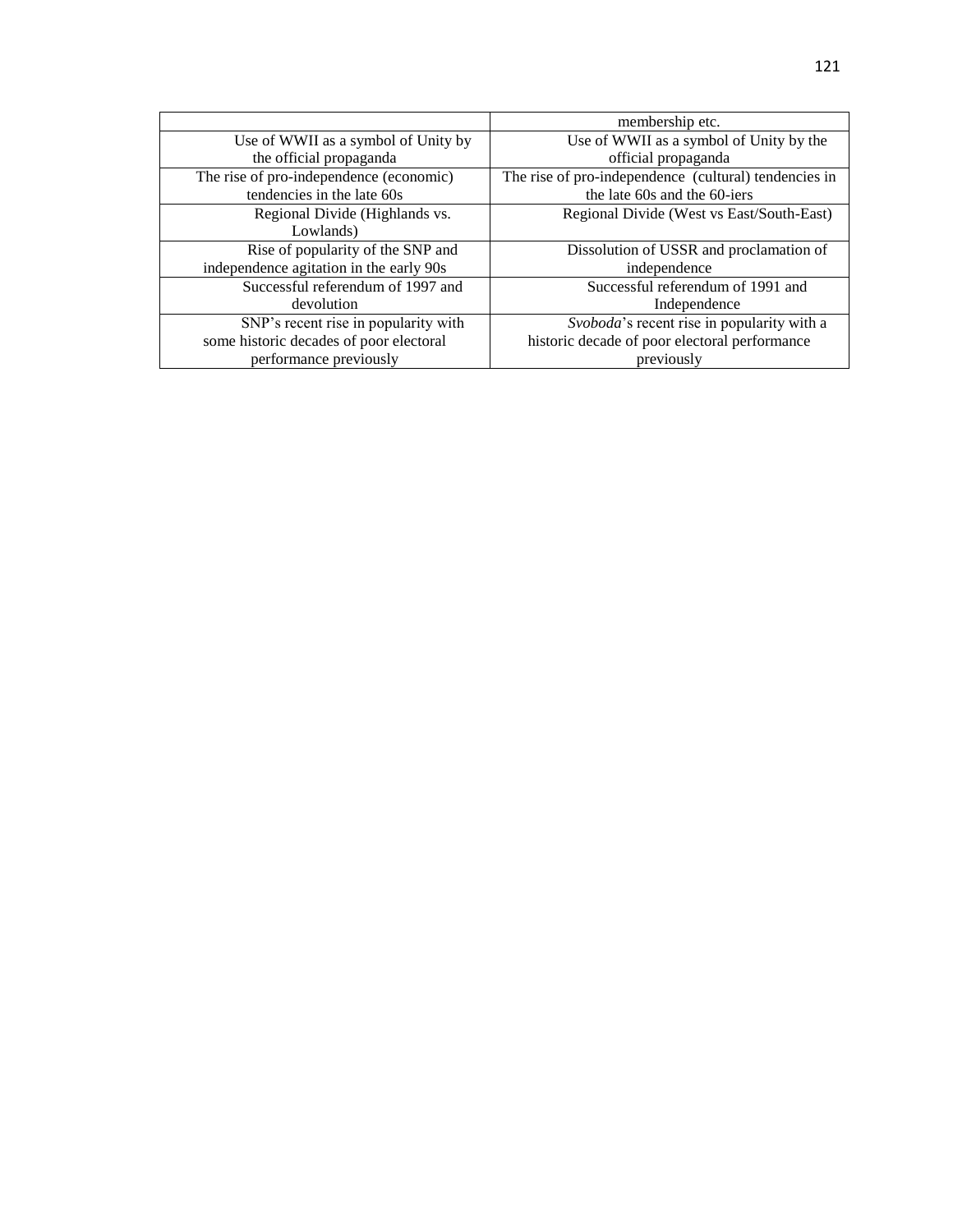|                                         | membership etc.                                       |
|-----------------------------------------|-------------------------------------------------------|
| Use of WWII as a symbol of Unity by     | Use of WWII as a symbol of Unity by the               |
| the official propaganda                 | official propaganda                                   |
| The rise of pro-independence (economic) | The rise of pro-independence (cultural) tendencies in |
| tendencies in the late 60s              | the late 60s and the 60-jers                          |
| Regional Divide (Highlands vs.          | Regional Divide (West vs East/South-East)             |
| Lowlands)                               |                                                       |
| Rise of popularity of the SNP and       | Dissolution of USSR and proclamation of               |
| independence agitation in the early 90s | independence                                          |
| Successful referendum of 1997 and       | Successful referendum of 1991 and                     |
| devolution                              | Independence                                          |
| SNP's recent rise in popularity with    | Svoboda's recent rise in popularity with a            |
| some historic decades of poor electoral | historic decade of poor electoral performance         |
| performance previously                  | previously                                            |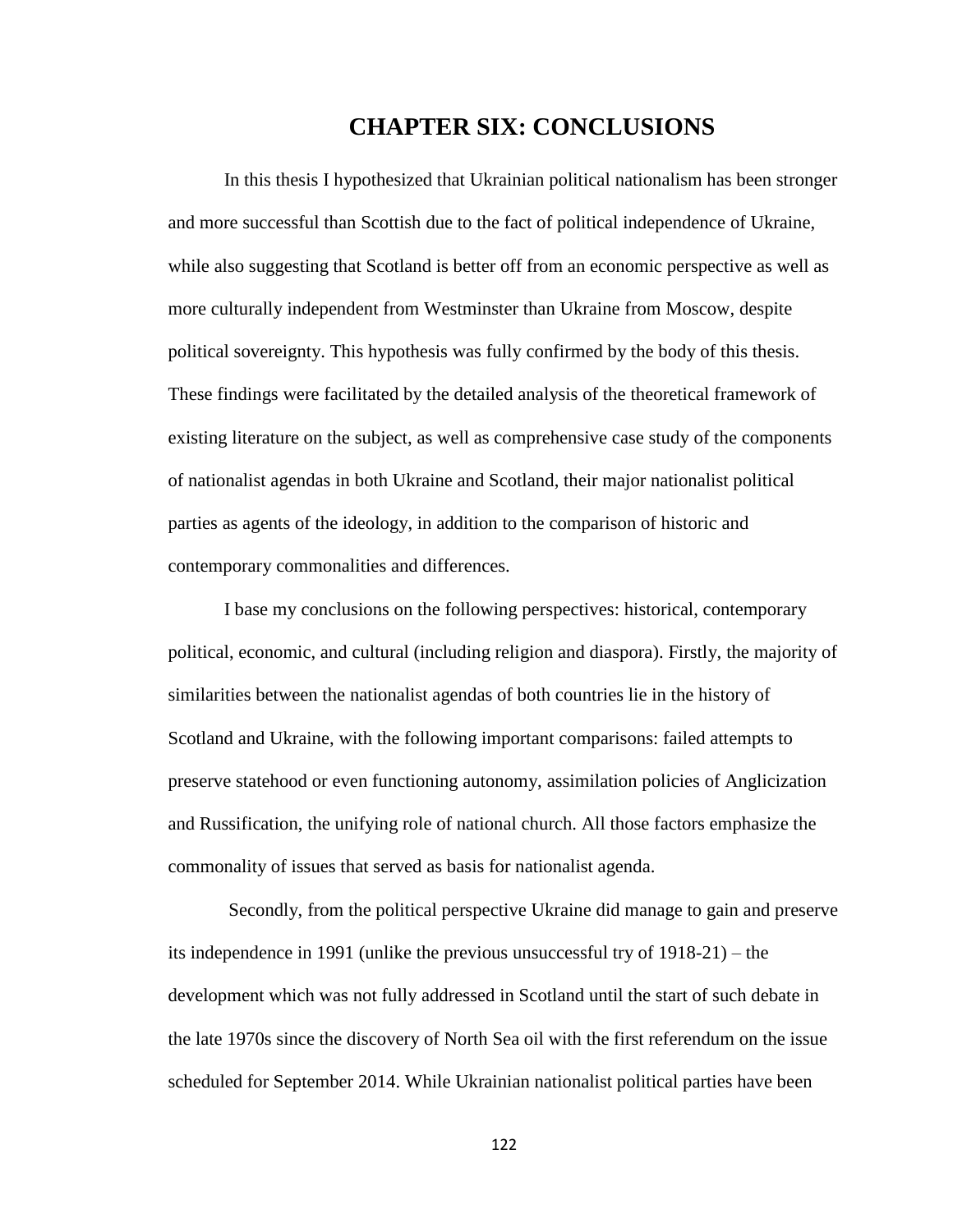# **CHAPTER SIX: CONCLUSIONS**

In this thesis I hypothesized that Ukrainian political nationalism has been stronger and more successful than Scottish due to the fact of political independence of Ukraine, while also suggesting that Scotland is better off from an economic perspective as well as more culturally independent from Westminster than Ukraine from Moscow, despite political sovereignty. This hypothesis was fully confirmed by the body of this thesis. These findings were facilitated by the detailed analysis of the theoretical framework of existing literature on the subject, as well as comprehensive case study of the components of nationalist agendas in both Ukraine and Scotland, their major nationalist political parties as agents of the ideology, in addition to the comparison of historic and contemporary commonalities and differences.

I base my conclusions on the following perspectives: historical, contemporary political, economic, and cultural (including religion and diaspora). Firstly, the majority of similarities between the nationalist agendas of both countries lie in the history of Scotland and Ukraine, with the following important comparisons: failed attempts to preserve statehood or even functioning autonomy, assimilation policies of Anglicization and Russification, the unifying role of national church. All those factors emphasize the commonality of issues that served as basis for nationalist agenda.

Secondly, from the political perspective Ukraine did manage to gain and preserve its independence in 1991 (unlike the previous unsuccessful try of 1918-21) – the development which was not fully addressed in Scotland until the start of such debate in the late 1970s since the discovery of North Sea oil with the first referendum on the issue scheduled for September 2014. While Ukrainian nationalist political parties have been

122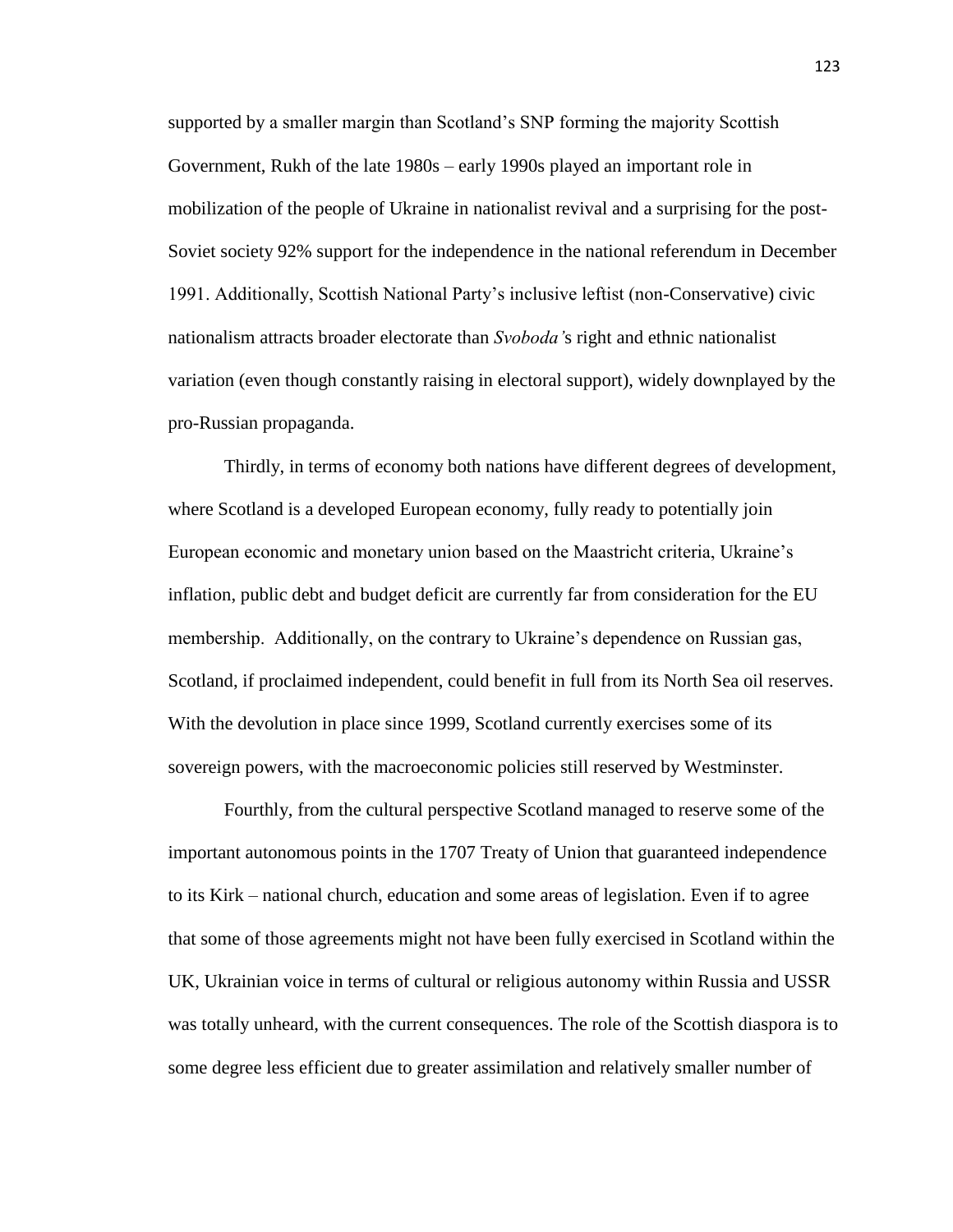supported by a smaller margin than Scotland's SNP forming the majority Scottish Government, Rukh of the late 1980s – early 1990s played an important role in mobilization of the people of Ukraine in nationalist revival and a surprising for the post-Soviet society 92% support for the independence in the national referendum in December 1991. Additionally, Scottish National Party's inclusive leftist (non-Conservative) civic nationalism attracts broader electorate than *Svoboda'*s right and ethnic nationalist variation (even though constantly raising in electoral support), widely downplayed by the pro-Russian propaganda.

Thirdly, in terms of economy both nations have different degrees of development, where Scotland is a developed European economy, fully ready to potentially join European economic and monetary union based on the Maastricht criteria, Ukraine's inflation, public debt and budget deficit are currently far from consideration for the EU membership. Additionally, on the contrary to Ukraine's dependence on Russian gas, Scotland, if proclaimed independent, could benefit in full from its North Sea oil reserves. With the devolution in place since 1999, Scotland currently exercises some of its sovereign powers, with the macroeconomic policies still reserved by Westminster.

Fourthly, from the cultural perspective Scotland managed to reserve some of the important autonomous points in the 1707 Treaty of Union that guaranteed independence to its Kirk – national church, education and some areas of legislation. Even if to agree that some of those agreements might not have been fully exercised in Scotland within the UK, Ukrainian voice in terms of cultural or religious autonomy within Russia and USSR was totally unheard, with the current consequences. The role of the Scottish diaspora is to some degree less efficient due to greater assimilation and relatively smaller number of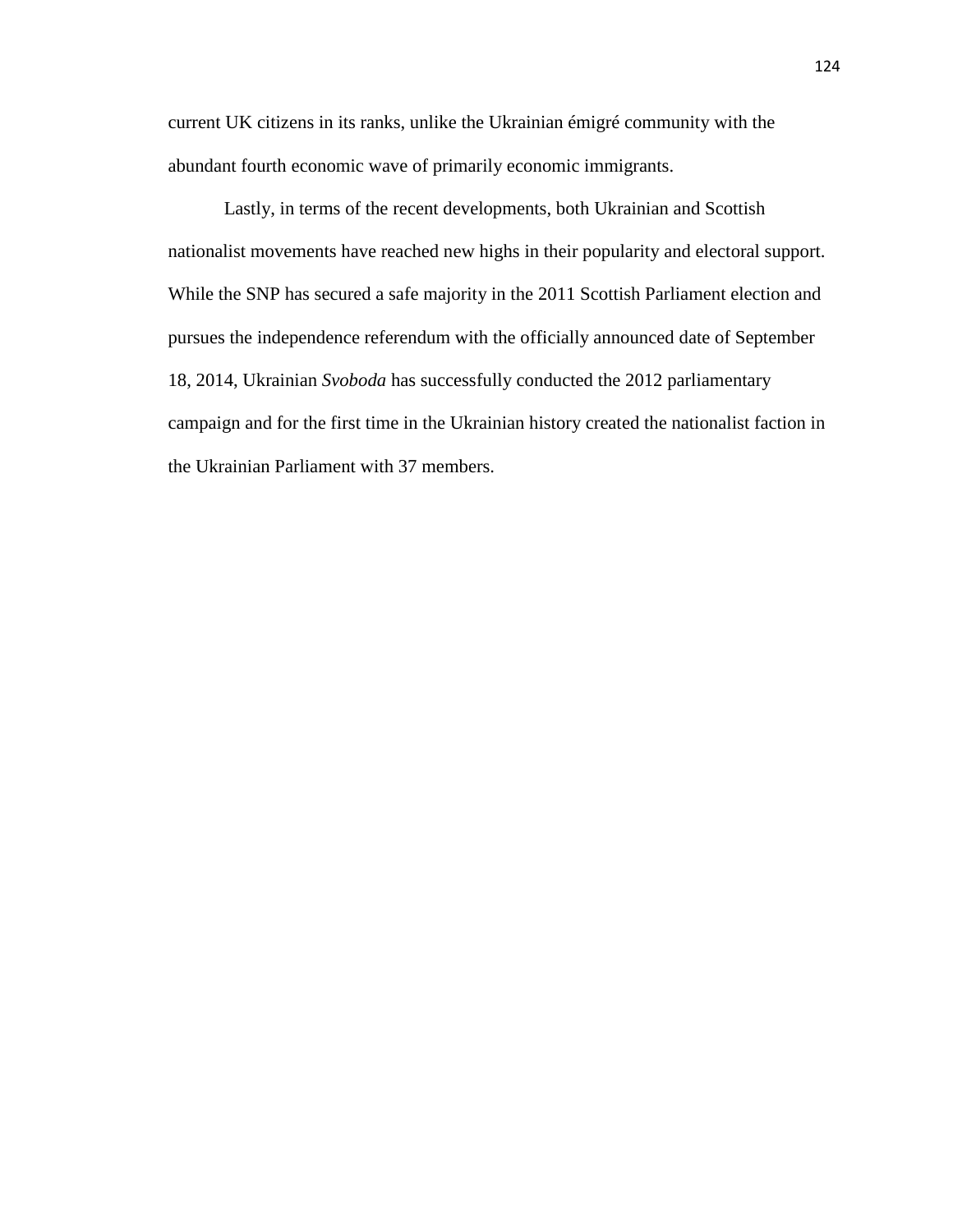current UK citizens in its ranks, unlike the Ukrainian émigré community with the abundant fourth economic wave of primarily economic immigrants.

Lastly, in terms of the recent developments, both Ukrainian and Scottish nationalist movements have reached new highs in their popularity and electoral support. While the SNP has secured a safe majority in the 2011 Scottish Parliament election and pursues the independence referendum with the officially announced date of September 18, 2014, Ukrainian *Svoboda* has successfully conducted the 2012 parliamentary campaign and for the first time in the Ukrainian history created the nationalist faction in the Ukrainian Parliament with 37 members.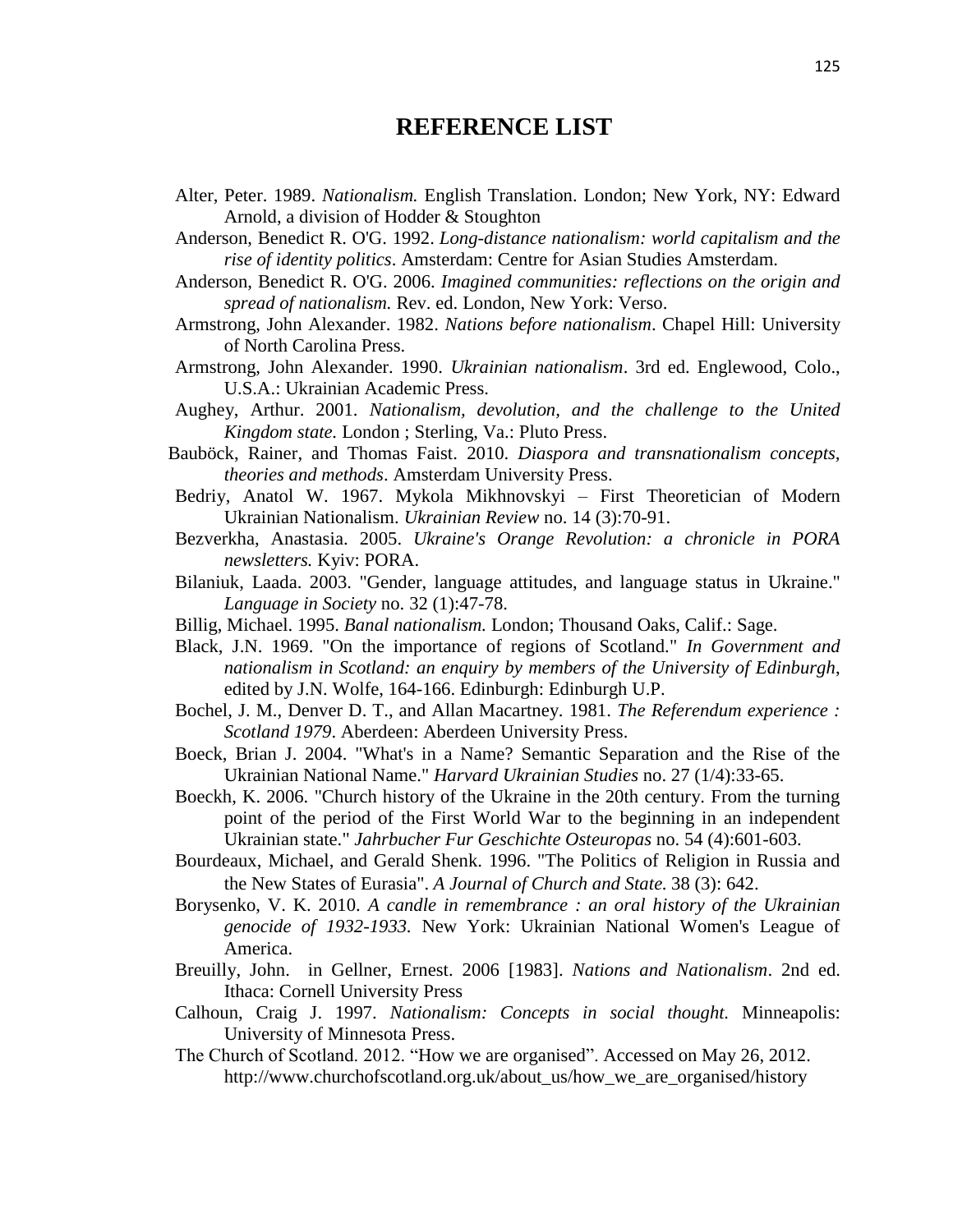## **REFERENCE LIST**

- Alter, Peter. 1989. *Nationalism.* English Translation. London; New York, NY: Edward Arnold, a division of Hodder & Stoughton
- Anderson, Benedict R. O'G. 1992. *Long-distance nationalism: world capitalism and the rise of identity politics*. Amsterdam: Centre for Asian Studies Amsterdam.
- Anderson, Benedict R. O'G. 2006. *Imagined communities: reflections on the origin and spread of nationalism.* Rev. ed. London, New York: Verso.
- Armstrong, John Alexander. 1982. *Nations before nationalism*. Chapel Hill: University of North Carolina Press.
- Armstrong, John Alexander. 1990. *Ukrainian nationalism*. 3rd ed. Englewood, Colo., U.S.A.: Ukrainian Academic Press.
- Aughey, Arthur. 2001. *Nationalism, devolution, and the challenge to the United Kingdom state.* London ; Sterling, Va.: Pluto Press.
- Bauböck, Rainer, and Thomas Faist. 2010. *Diaspora and transnationalism concepts, theories and methods*. Amsterdam University Press.
- Bedriy, Anatol W. 1967. Mykola Mikhnovskyi First Theoretician of Modern Ukrainian Nationalism. *Ukrainian Review* no. 14 (3):70-91.
- Bezverkha, Anastasia. 2005. *Ukraine's Orange Revolution: a chronicle in PORA newsletters.* Kyiv: PORA.
- Bilaniuk, Laada. 2003. "Gender, language attitudes, and language status in Ukraine." *Language in Society* no. 32 (1):47-78.
- Billig, Michael. 1995. *Banal nationalism.* London; Thousand Oaks, Calif.: Sage.
- Black, J.N. 1969. "On the importance of regions of Scotland." *In Government and nationalism in Scotland: an enquiry by members of the University of Edinburgh*, edited by J.N. Wolfe, 164-166. Edinburgh: Edinburgh U.P.
- Bochel, J. M., Denver D. T., and Allan Macartney. 1981. *The Referendum experience : Scotland 1979*. Aberdeen: Aberdeen University Press.
- Boeck, Brian J. 2004. "What's in a Name? Semantic Separation and the Rise of the Ukrainian National Name." *Harvard Ukrainian Studies* no. 27 (1/4):33-65.
- Boeckh, K. 2006. "Church history of the Ukraine in the 20th century. From the turning point of the period of the First World War to the beginning in an independent Ukrainian state." *Jahrbucher Fur Geschichte Osteuropas* no. 54 (4):601-603.
- Bourdeaux, Michael, and Gerald Shenk. 1996. "The Politics of Religion in Russia and the New States of Eurasia". *A Journal of Church and State.* 38 (3): 642.
- Borysenko, V. K. 2010. *A candle in remembrance : an oral history of the Ukrainian genocide of 1932-1933.* New York: Ukrainian National Women's League of America.
- Breuilly, John. in Gellner, Ernest. 2006 [1983]. *Nations and Nationalism*. 2nd ed. Ithaca: Cornell University Press
- Calhoun, Craig J. 1997. *Nationalism: Concepts in social thought.* Minneapolis: University of Minnesota Press.
- The Church of Scotland. 2012. "How we are organised". Accessed on May 26, 2012. http://www.churchofscotland.org.uk/about\_us/how\_we\_are\_organised/history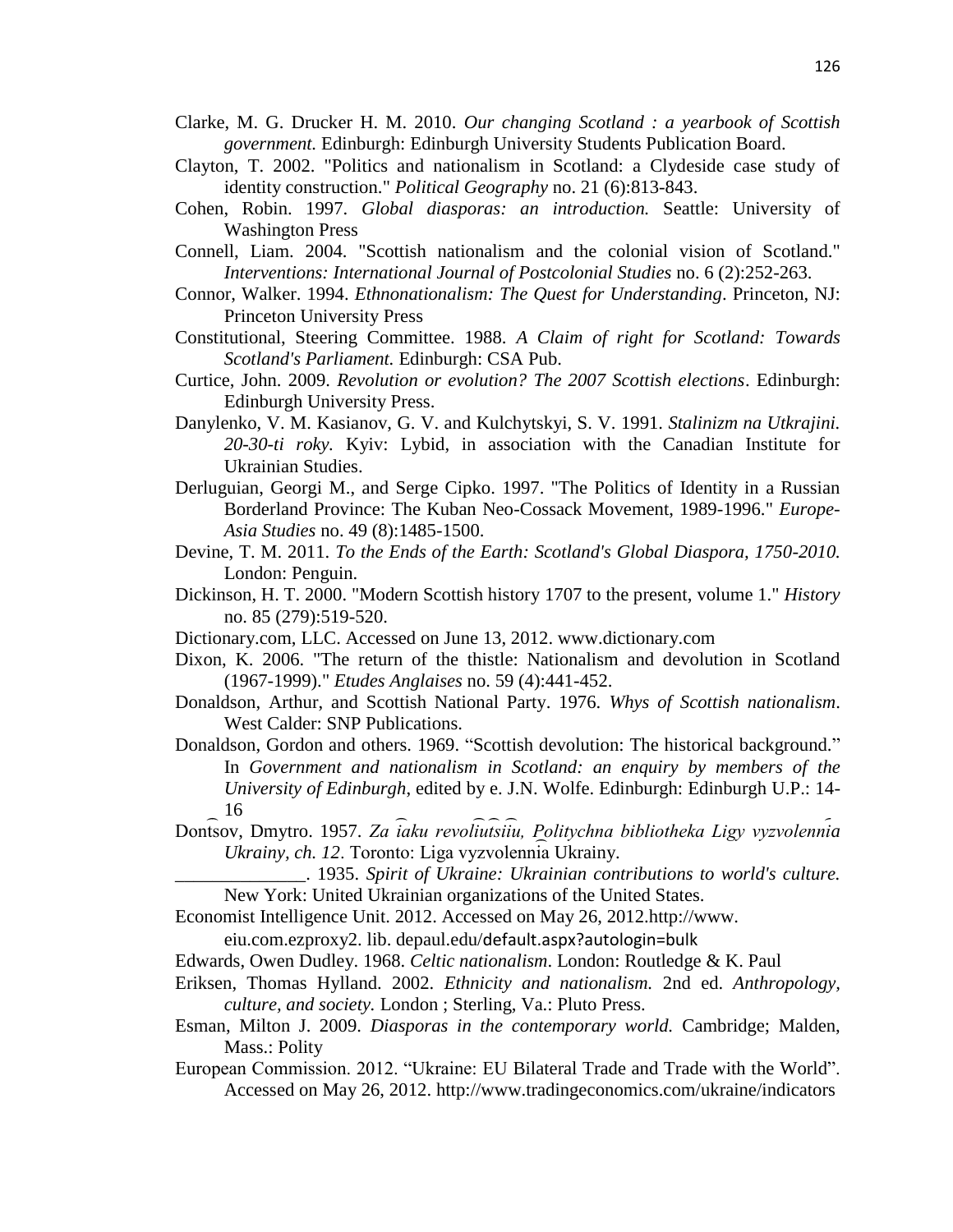- Clarke, M. G. Drucker H. M. 2010. *Our changing Scotland : a yearbook of Scottish government.* Edinburgh: Edinburgh University Students Publication Board.
- Clayton, T. 2002. "Politics and nationalism in Scotland: a Clydeside case study of identity construction." *Political Geography* no. 21 (6):813-843.
- Cohen, Robin. 1997. *Global diasporas: an introduction.* Seattle: University of Washington Press
- Connell, Liam. 2004. "Scottish nationalism and the colonial vision of Scotland." *Interventions: International Journal of Postcolonial Studies* no. 6 (2):252-263.
- Connor, Walker. 1994. *Ethnonationalism: The Quest for Understanding*. Princeton, NJ: Princeton University Press
- Constitutional, Steering Committee. 1988. *A Claim of right for Scotland: Towards Scotland's Parliament.* Edinburgh: CSA Pub.
- Curtice, John. 2009. *Revolution or evolution? The 2007 Scottish elections*. Edinburgh: Edinburgh University Press.
- Danylenko, V. M. Kasianov, G. V. and Kulchytskyi, S. V. 1991. *Stalinizm na Utkrajini. 20-30-ti roky.* Kyiv: Lybid, in association with the Canadian Institute for Ukrainian Studies.
- Derluguian, Georgi M., and Serge Cipko. 1997. "The Politics of Identity in a Russian Borderland Province: The Kuban Neo-Cossack Movement, 1989-1996." *Europe-Asia Studies* no. 49 (8):1485-1500.
- Devine, T. M. 2011. *To the Ends of the Earth: Scotland's Global Diaspora, 1750-2010.* London: Penguin.
- Dickinson, H. T. 2000. "Modern Scottish history 1707 to the present, volume 1." *History* no. 85 (279):519-520.
- Dictionary.com, LLC. Accessed on June 13, 2012. www.dictionary.com
- Dixon, K. 2006. "The return of the thistle: Nationalism and devolution in Scotland (1967-1999)." *Etudes Anglaises* no. 59 (4):441-452.
- Donaldson, Arthur, and Scottish National Party. 1976. *Whys of Scottish nationalism*. West Calder: SNP Publications.
- Donaldson, Gordon and others. 1969. "Scottish devolution: The historical background." In *Government and nationalism in Scotland: an enquiry by members of the University of Edinburgh*, edited by e. J.N. Wolfe. Edinburgh: Edinburgh U.P.: 14- 16
- Dontsov, Dmytro. 1957. Za taku revoliutsitu, Politychna bibliotheka Ligy vyzvolennia Ukrainy, ch. 12. Toronto: Liga vyzvolennia Ukrainy.
	- \_\_\_\_\_\_\_\_\_\_\_\_\_\_. 1935. *Spirit of Ukraine: Ukrainian contributions to world's culture.*  New York: United Ukrainian organizations of the United States.
- Economist Intelligence Unit. 2012. Accessed on May 26, 2012.http://www.

eiu.com.ezproxy2. lib. depaul.edu/[default.aspx?autologin=bulk](http://www.eiu.com.ezproxy2.lib.depaul.edu/default.aspx?autologin=bulk)

- Edwards, Owen Dudley. 1968. *Celtic nationalism*. London: Routledge & K. Paul
- Eriksen, Thomas Hylland. 2002. *Ethnicity and nationalism.* 2nd ed. *Anthropology, culture, and society.* London ; Sterling, Va.: Pluto Press.
- Esman, Milton J. 2009. *Diasporas in the contemporary world.* Cambridge; Malden, Mass.: Polity
- European Commission. 2012. "Ukraine: EU Bilateral Trade and Trade with the World". Accessed on May 26, 2012. [http://www.tradingeconomics.com/u](http://www.tradingeconomics.com/)kraine[/indicators](http://www.tradingeconomics.com/ukraine/indicators)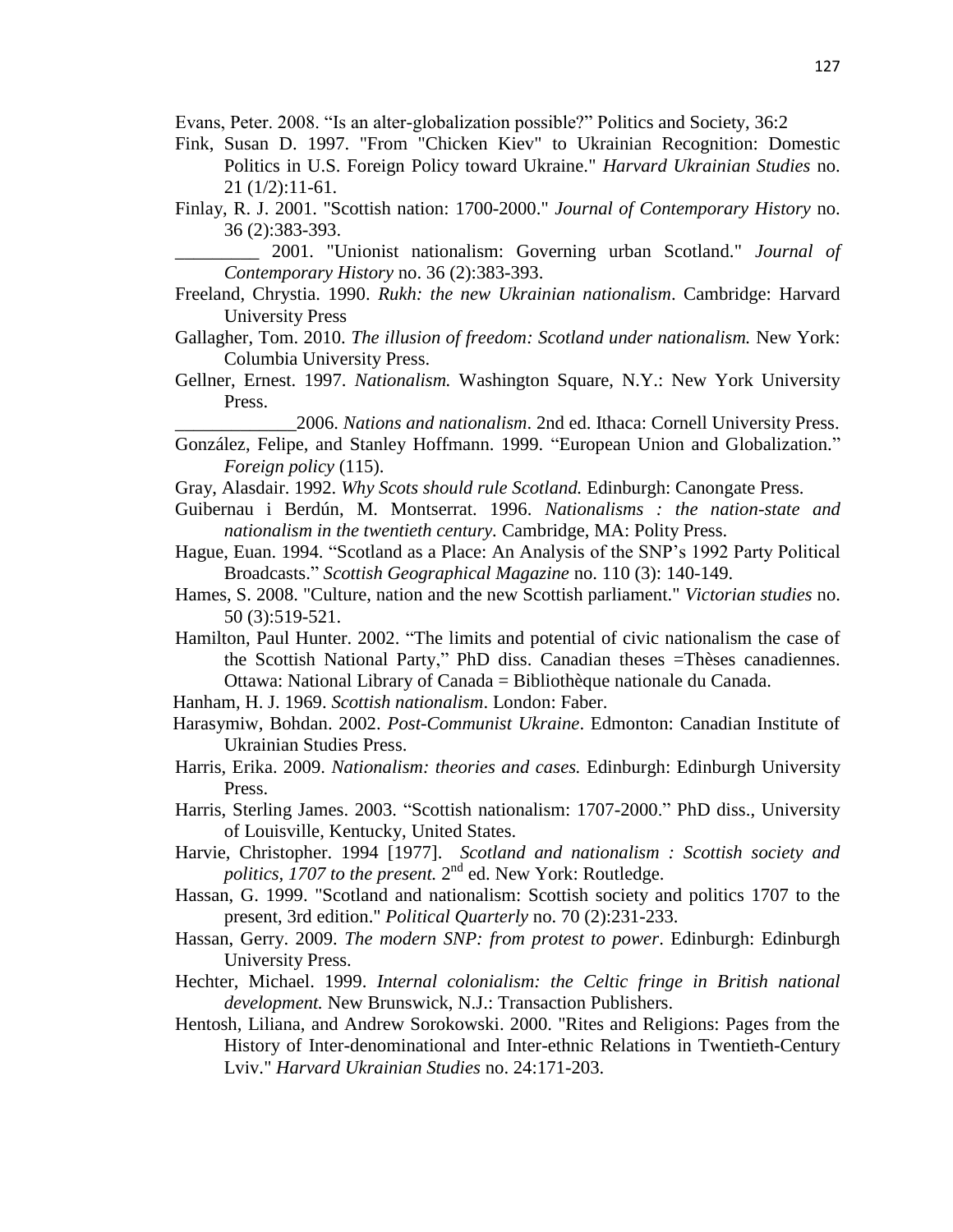Evans, Peter. 2008. "Is an alter-globalization possible?" Politics and Society, 36:2

- Fink, Susan D. 1997. "From "Chicken Kiev" to Ukrainian Recognition: Domestic Politics in U.S. Foreign Policy toward Ukraine." *Harvard Ukrainian Studies* no. 21 (1/2):11-61.
- Finlay, R. J. 2001. "Scottish nation: 1700-2000." *Journal of Contemporary History* no. 36 (2):383-393.

\_\_\_\_\_\_\_\_\_ 2001. "Unionist nationalism: Governing urban Scotland." *Journal of Contemporary History* no. 36 (2):383-393.

- Freeland, Chrystia. 1990. *Rukh: the new Ukrainian nationalism*. Cambridge: Harvard University Press
- Gallagher, Tom. 2010. *The illusion of freedom: Scotland under nationalism.* New York: Columbia University Press.
- Gellner, Ernest. 1997. *Nationalism.* Washington Square, N.Y.: New York University Press.

\_\_\_\_\_\_\_\_\_\_\_\_\_2006. *Nations and nationalism*. 2nd ed. Ithaca: Cornell University Press.

- González, Felipe, and Stanley Hoffmann. 1999. "European Union and Globalization." *Foreign policy* (115).
- Gray, Alasdair. 1992. *Why Scots should rule Scotland.* Edinburgh: Canongate Press.
- Guibernau i Berdún, M. Montserrat. 1996. *Nationalisms : the nation-state and nationalism in the twentieth century.* Cambridge, MA: Polity Press.
- Hague, Euan. 1994. "Scotland as a Place: An Analysis of the SNP's 1992 Party Political Broadcasts." *Scottish Geographical Magazine* no. 110 (3): 140-149.
- Hames, S. 2008. "Culture, nation and the new Scottish parliament." *Victorian studies* no. 50 (3):519-521.
- Hamilton, Paul Hunter. 2002. "The limits and potential of civic nationalism the case of the Scottish National Party," PhD diss. Canadian theses =Thèses canadiennes. Ottawa: National Library of Canada = Bibliothèque nationale du Canada.
- Hanham, H. J. 1969. *Scottish nationalism*. London: Faber.
- Harasymiw, Bohdan. 2002. *Post-Communist Ukraine*. Edmonton: Canadian Institute of Ukrainian Studies Press.
- Harris, Erika. 2009. *Nationalism: theories and cases.* Edinburgh: Edinburgh University Press.
- Harris, Sterling James. 2003. "Scottish nationalism: 1707-2000." PhD diss., University of Louisville, Kentucky, United States.
- Harvie, Christopher. 1994 [1977]. *Scotland and nationalism : Scottish society and*  politics, 1707 to the present. 2<sup>nd</sup> ed. New York: Routledge.
- Hassan, G. 1999. "Scotland and nationalism: Scottish society and politics 1707 to the present, 3rd edition." *Political Quarterly* no. 70 (2):231-233.
- Hassan, Gerry. 2009. *The modern SNP: from protest to power*. Edinburgh: Edinburgh University Press.
- Hechter, Michael. 1999. *Internal colonialism: the Celtic fringe in British national development.* New Brunswick, N.J.: Transaction Publishers.
- Hentosh, Liliana, and Andrew Sorokowski. 2000. "Rites and Religions: Pages from the History of Inter-denominational and Inter-ethnic Relations in Twentieth-Century Lviv." *Harvard Ukrainian Studies* no. 24:171-203.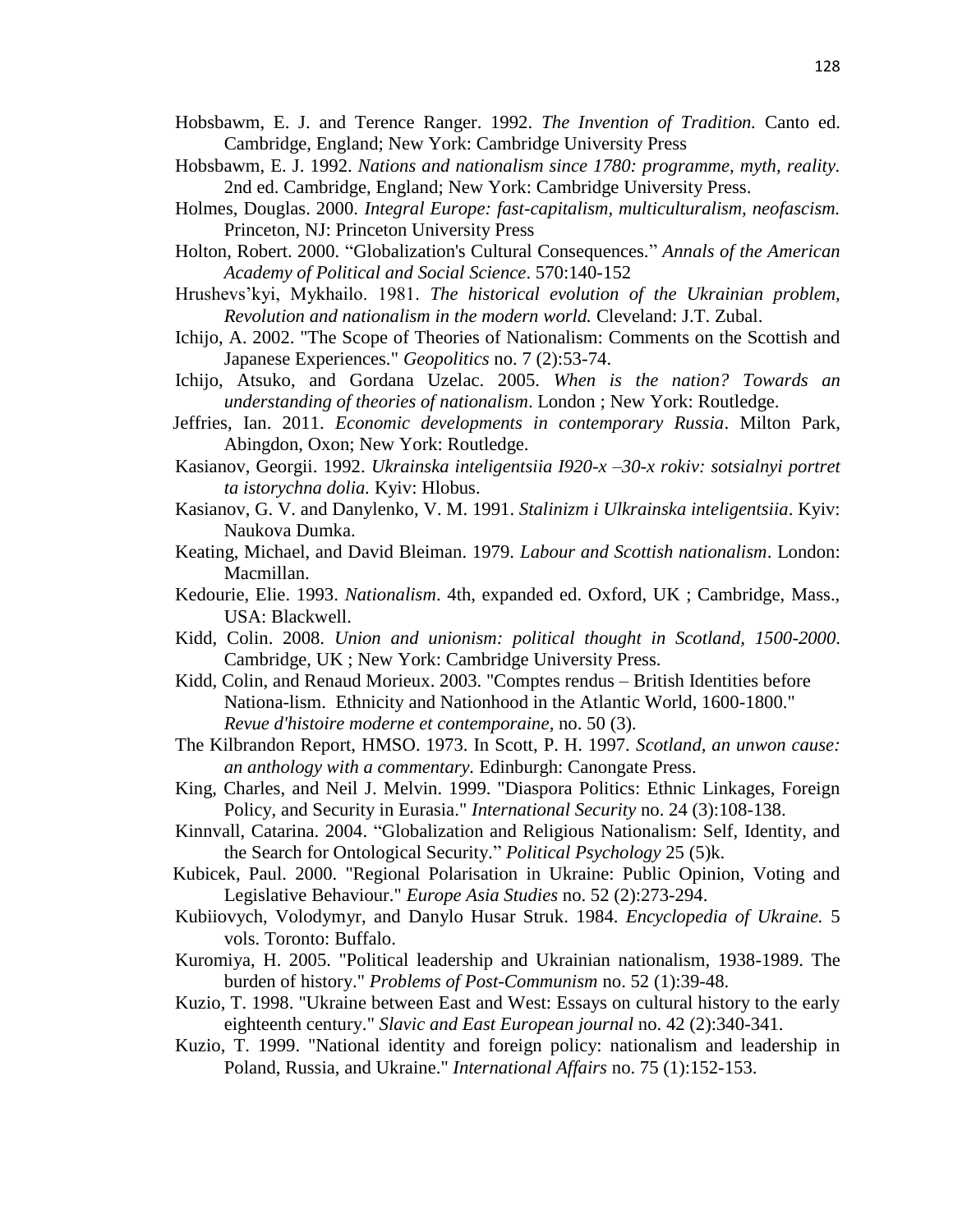- Hobsbawm, E. J. and Terence Ranger. 1992. *The Invention of Tradition.* Canto ed. Cambridge, England; New York: Cambridge University Press
- Hobsbawm, E. J. 1992. *Nations and nationalism since 1780: programme, myth, reality.* 2nd ed. Cambridge, England; New York: Cambridge University Press.
- Holmes, Douglas. 2000. *Integral Europe: fast-capitalism, multiculturalism, neofascism.* Princeton, NJ: Princeton University Press
- Holton, Robert. 2000. "Globalization's Cultural Consequences." *Annals of the American Academy of Political and Social Science*. 570:140-152
- Hrushevs'kyi, Mykhailo. 1981. *The historical evolution of the Ukrainian problem, Revolution and nationalism in the modern world.* Cleveland: J.T. Zubal.
- Ichijo, A. 2002. "The Scope of Theories of Nationalism: Comments on the Scottish and Japanese Experiences." *Geopolitics* no. 7 (2):53-74.
- Ichijo, Atsuko, and Gordana Uzelac. 2005. *When is the nation? Towards an understanding of theories of nationalism*. London ; New York: Routledge.
- Jeffries, Ian. 2011. *Economic developments in contemporary Russia*. Milton Park, Abingdon, Oxon; New York: Routledge.
- Kasianov, Georgii. 1992. *Ukrainska inteligentsiia I920-x –30-x rokiv: sotsialnyi portret ta istorychna dolia.* Kyiv: Hlobus.
- Kasianov, G. V. and Danylenko, V. M. 1991. *Stalinizm i Ulkrainska inteligentsiia*. Kyiv: Naukova Dumka.
- Keating, Michael, and David Bleiman. 1979. *Labour and Scottish nationalism*. London: Macmillan.
- Kedourie, Elie. 1993. *Nationalism*. 4th, expanded ed. Oxford, UK ; Cambridge, Mass., USA: Blackwell.
- Kidd, Colin. 2008. *Union and unionism: political thought in Scotland, 1500-2000*. Cambridge, UK ; New York: Cambridge University Press.
- Kidd, Colin, and Renaud Morieux. 2003. "Comptes rendus British Identities before Nationa-lism. Ethnicity and Nationhood in the Atlantic World, 1600-1800." *Revue d'histoire moderne et contemporaine,* no. 50 (3).
- The Kilbrandon Report, HMSO. 1973. In Scott, P. H. 1997*. Scotland, an unwon cause: an anthology with a commentary.* Edinburgh: Canongate Press.
- King, Charles, and Neil J. Melvin. 1999. "Diaspora Politics: Ethnic Linkages, Foreign Policy, and Security in Eurasia." *International Security* no. 24 (3):108-138.
- Kinnvall, Catarina. 2004. "Globalization and Religious Nationalism: Self, Identity, and the Search for Ontological Security." *Political Psychology* 25 (5)k.
- Kubicek, Paul. 2000. "Regional Polarisation in Ukraine: Public Opinion, Voting and Legislative Behaviour." *Europe Asia Studies* no. 52 (2):273-294.
- Kubiiovych, Volodymyr, and Danylo Husar Struk. 1984. *Encyclopedia of Ukraine.* 5 vols. Toronto: Buffalo.
- Kuromiya, H. 2005. "Political leadership and Ukrainian nationalism, 1938-1989. The burden of history." *Problems of Post-Communism* no. 52 (1):39-48.
- Kuzio, T. 1998. "Ukraine between East and West: Essays on cultural history to the early eighteenth century." *Slavic and East European journal* no. 42 (2):340-341.
- Kuzio, T. 1999. "National identity and foreign policy: nationalism and leadership in Poland, Russia, and Ukraine." *International Affairs* no. 75 (1):152-153.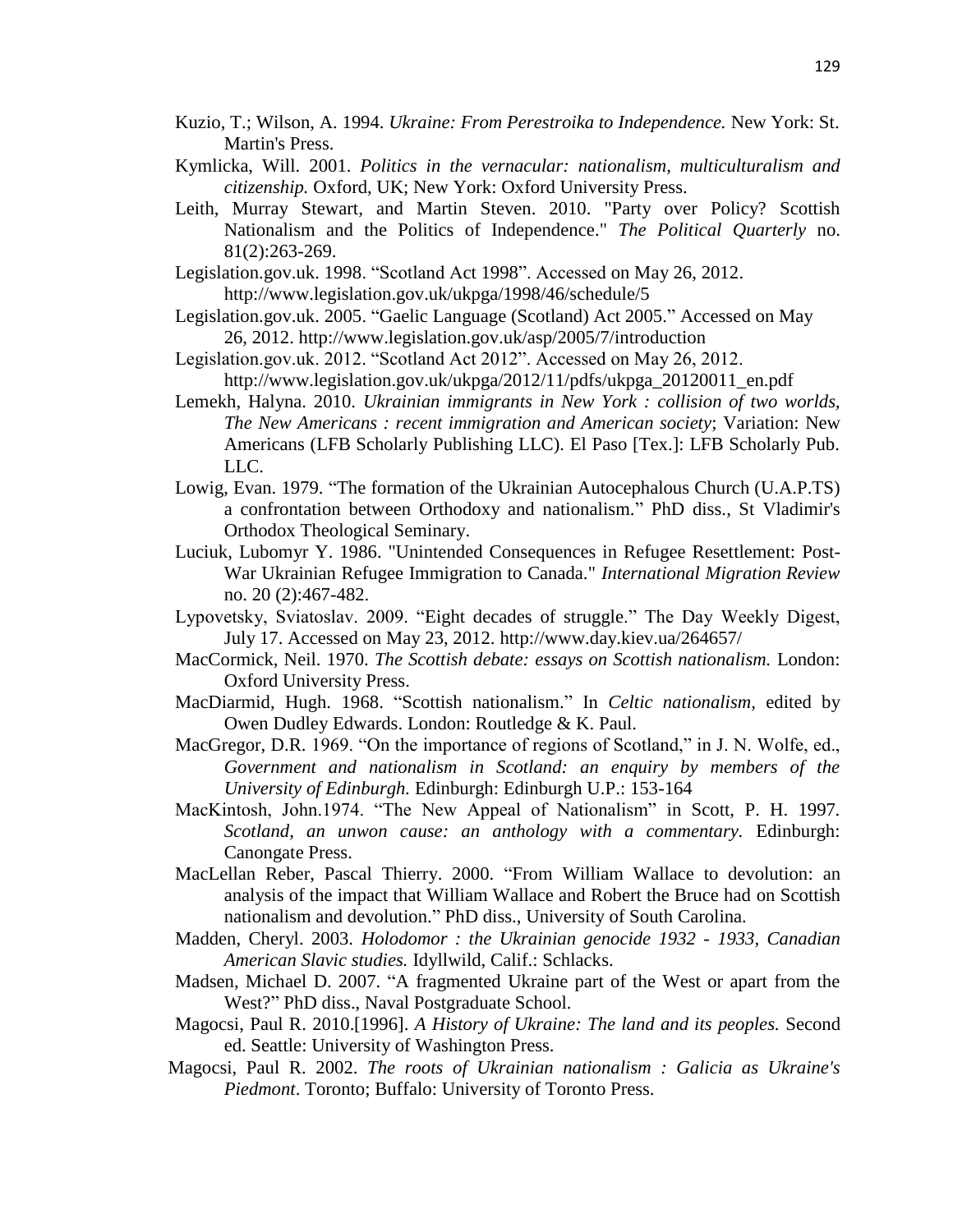- Kuzio, T.; Wilson, A. 1994. *Ukraine: From Perestroika to Independence.* New York: St. Martin's Press.
- Kymlicka, Will. 2001. *Politics in the vernacular: nationalism, multiculturalism and citizenship.* Oxford, UK; New York: Oxford University Press.
- Leith, Murray Stewart, and Martin Steven. 2010. "Party over Policy? Scottish Nationalism and the Politics of Independence." *The Political Quarterly* no. 81(2):263-269.
- Legislation.gov.uk. 1998. "Scotland Act 1998". Accessed on May 26, 2012. <http://www.legislation.gov.uk/ukpga/1998/46/schedule/5>
- Legislation.gov.uk. 2005. "Gaelic Language (Scotland) Act 2005." Accessed on May 26, 2012.<http://www.legislation.gov.uk/asp/2005/7/introduction>
- Legislation.gov.uk. 2012. "Scotland Act 2012". Accessed on May 26, 2012. http://www.legislation.gov.uk/ukpga/2012/11/pdfs/ukpga\_20120011\_en.pdf
- Lemekh, Halyna. 2010. *Ukrainian immigrants in New York : collision of two worlds, The New Americans : recent immigration and American society*; Variation: New Americans (LFB Scholarly Publishing LLC). El Paso [Tex.]: LFB Scholarly Pub. LLC.
- Lowig, Evan. 1979. "The formation of the Ukrainian Autocephalous Church (U.A.P.TS) a confrontation between Orthodoxy and nationalism." PhD diss., St Vladimir's Orthodox Theological Seminary.
- Luciuk, Lubomyr Y. 1986. "Unintended Consequences in Refugee Resettlement: Post-War Ukrainian Refugee Immigration to Canada." *International Migration Review* no. 20 (2):467-482.
- Lypovetsky, Sviatoslav. 2009. "Eight decades of struggle." The Day Weekly Digest, July 17. Accessed on May 23, 2012. http://www.day.kiev.ua/264657/
- MacCormick, Neil. 1970. *The Scottish debate: essays on Scottish nationalism.* London: Oxford University Press.
- MacDiarmid, Hugh. 1968. "Scottish nationalism." In *Celtic nationalism,* edited by Owen Dudley Edwards. London: Routledge & K. Paul.
- MacGregor, D.R. 1969. "On the importance of regions of Scotland," in J. N. Wolfe, ed., *Government and nationalism in Scotland: an enquiry by members of the University of Edinburgh.* Edinburgh: Edinburgh U.P.: 153-164
- MacKintosh, John.1974. "The New Appeal of Nationalism" in Scott, P. H. 1997*. Scotland, an unwon cause: an anthology with a commentary.* Edinburgh: Canongate Press.
- MacLellan Reber, Pascal Thierry. 2000. "From William Wallace to devolution: an analysis of the impact that William Wallace and Robert the Bruce had on Scottish nationalism and devolution." PhD diss., University of South Carolina.
- Madden, Cheryl. 2003. *Holodomor : the Ukrainian genocide 1932 - 1933, Canadian American Slavic studies.* Idyllwild, Calif.: Schlacks.
- Madsen, Michael D. 2007. "A fragmented Ukraine part of the West or apart from the West?" PhD diss., Naval Postgraduate School.
- Magocsi, Paul R. 2010.[1996]. *A History of Ukraine: The land and its peoples.* Second ed. Seattle: University of Washington Press.
- Magocsi, Paul R. 2002. *The roots of Ukrainian nationalism : Galicia as Ukraine's Piedmont*. Toronto; Buffalo: University of Toronto Press.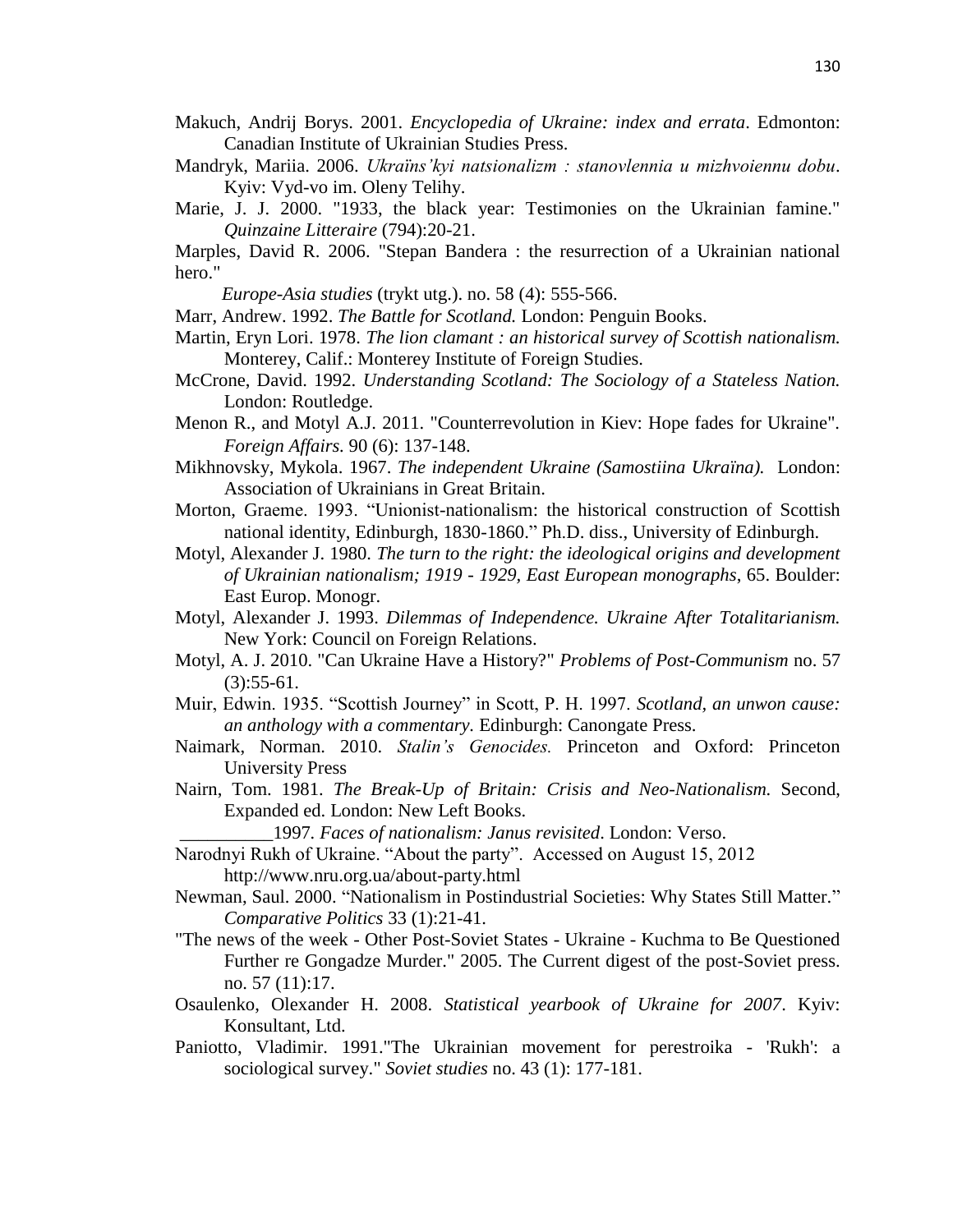- Makuch, Andrij Borys. 2001. *Encyclopedia of Ukraine: index and errata*. Edmonton: Canadian Institute of Ukrainian Studies Press.
- Mandryk, Mariia. 2006. *Ukraïns' kyi natsionalizm : stanovlennia u mizhvoiennu dobu.* Kyiv: Vyd-vo im. Oleny Telihy.
- Marie, J. J. 2000. "1933, the black year: Testimonies on the Ukrainian famine." *Quinzaine Litteraire* (794):20-21.

Marples, David R. 2006. "Stepan Bandera : the resurrection of a Ukrainian national hero."

*Europe-Asia studies* (trykt utg.). no. 58 (4): 555-566.

- Marr, Andrew. 1992. *The Battle for Scotland.* London: Penguin Books.
- Martin, Eryn Lori. 1978. *The lion clamant : an historical survey of Scottish nationalism.* Monterey, Calif.: Monterey Institute of Foreign Studies.
- McCrone, David. 1992. *Understanding Scotland: The Sociology of a Stateless Nation.* London: Routledge.
- Menon R., and Motyl A.J. 2011. "Counterrevolution in Kiev: Hope fades for Ukraine". *Foreign Affairs.* 90 (6): 137-148.
- Mikhnovsky, Mykola. 1967. *The independent Ukraine (Samostiina Ukraïna).* London: Association of Ukrainians in Great Britain.
- Morton, Graeme. 1993. "Unionist-nationalism: the historical construction of Scottish national identity, Edinburgh, 1830-1860." Ph.D. diss., University of Edinburgh.
- Motyl, Alexander J. 1980. *The turn to the right: the ideological origins and development of Ukrainian nationalism; 1919 - 1929, East European monographs*, 65. Boulder: East Europ. Monogr.
- Motyl, Alexander J. 1993. *Dilemmas of Independence. Ukraine After Totalitarianism.* New York: Council on Foreign Relations.
- Motyl, A. J. 2010. "Can Ukraine Have a History?" *Problems of Post-Communism* no. 57  $(3):$ 55-61.
- Muir, Edwin. 1935. "Scottish Journey" in Scott, P. H. 1997. *Scotland, an unwon cause: an anthology with a commentary.* Edinburgh: Canongate Press.
- Naimark, Norman. 2010. *Stalin's Genocides.* Princeton and Oxford: Princeton University Press
- Nairn, Tom. 1981. *The Break-Up of Britain: Crisis and Neo-Nationalism.* Second, Expanded ed. London: New Left Books.

\_\_\_\_\_\_\_\_\_\_1997*. Faces of nationalism: Janus revisited*. London: Verso.

- Narodnyi Rukh of Ukraine. "About the party". Accessed on August 15, 2012 http://www.nru.org.ua/about-party.html
- Newman, Saul. 2000. "Nationalism in Postindustrial Societies: Why States Still Matter." *Comparative Politics* 33 (1):21-41.
- "The news of the week Other Post-Soviet States Ukraine Kuchma to Be Questioned Further re Gongadze Murder." 2005. The Current digest of the post-Soviet press. no. 57 (11):17.
- Osaulenko, Olexander H. 2008. *Statistical yearbook of Ukraine for 2007*. Kyiv: Konsultant, Ltd.
- Paniotto, Vladimir. 1991."The Ukrainian movement for perestroika 'Rukh': a sociological survey." *Soviet studies* no. 43 (1): 177-181.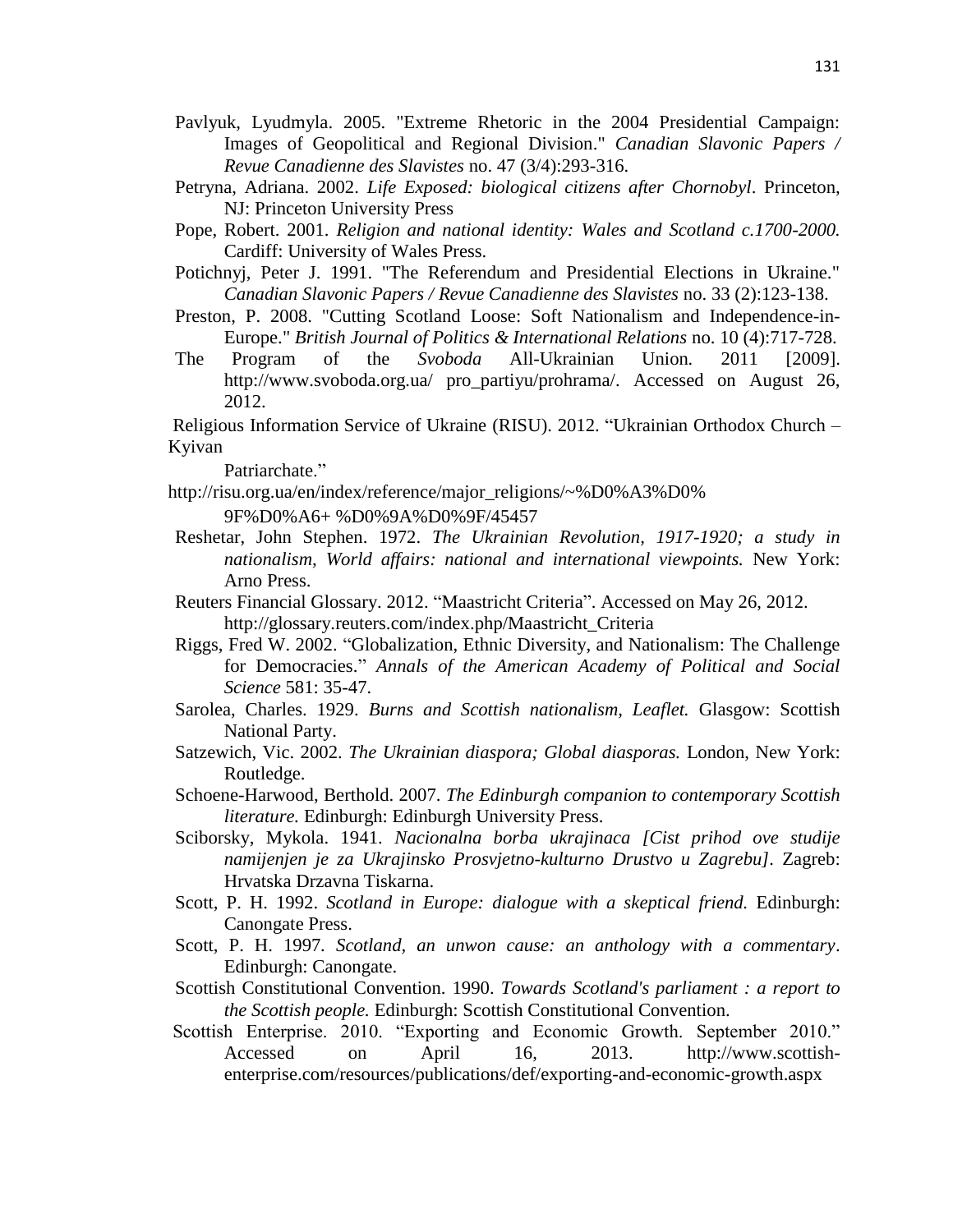- Pavlyuk, Lyudmyla. 2005. "Extreme Rhetoric in the 2004 Presidential Campaign: Images of Geopolitical and Regional Division." *Canadian Slavonic Papers / Revue Canadienne des Slavistes* no. 47 (3/4):293-316.
- Petryna, Adriana. 2002. *Life Exposed: biological citizens after Chornobyl*. Princeton, NJ: Princeton University Press
- Pope, Robert. 2001. *Religion and national identity: Wales and Scotland c.1700-2000.* Cardiff: University of Wales Press.
- Potichnyj, Peter J. 1991. "The Referendum and Presidential Elections in Ukraine." *Canadian Slavonic Papers / Revue Canadienne des Slavistes* no. 33 (2):123-138.
- Preston, P. 2008. "Cutting Scotland Loose: Soft Nationalism and Independence-in-Europe." *British Journal of Politics & International Relations* no. 10 (4):717-728.
- The Program of the *Svoboda* All-Ukrainian Union*.* 2011 [2009]. [http://www.svoboda.org.ua/ pro\\_partiyu/prohrama/.](http://www.svoboda.org.ua/%20pro_partiyu/prohrama/) Accessed on August 26, 2012.

Religious Information Service of Ukraine (RISU). 2012. "Ukrainian Orthodox Church – Kyivan

Patriarchate."

[http://risu.org.ua/en/index/reference/major\\_religions/~%D0%A3%D0%](http://risu.org.ua/en/index/reference/major_religions/~%D0%A3%D0%25%20%20%20%0d%20%20%20%20%20%20%20%20%20%20%20%209F%D0%A6) 

 [9F%D0%A6+](http://risu.org.ua/en/index/reference/major_religions/~%D0%A3%D0%25%20%20%20%0d%20%20%20%20%20%20%20%20%20%20%20%209F%D0%A6) %D0%9A%D0%9F/45457

- Reshetar, John Stephen. 1972. *The Ukrainian Revolution, 1917-1920; a study in nationalism, World affairs: national and international viewpoints.* New York: Arno Press.
- Reuters Financial Glossary. 2012. "Maastricht Criteria". Accessed on May 26, 2012. http://glossary.reuters.com/index.php/Maastricht\_Criteria
- Riggs, Fred W. 2002. "Globalization, Ethnic Diversity, and Nationalism: The Challenge for Democracies." *Annals of the American Academy of Political and Social Science* 581: 35-47.
- Sarolea, Charles. 1929. *Burns and Scottish nationalism, Leaflet.* Glasgow: Scottish National Party.
- Satzewich, Vic. 2002. *The Ukrainian diaspora; Global diasporas.* London, New York: Routledge.
- Schoene-Harwood, Berthold. 2007. *The Edinburgh companion to contemporary Scottish literature.* Edinburgh: Edinburgh University Press.
- Sciborsky, Mykola. 1941. *Nacionalna borba ukrajinaca [Cist prihod ove studije namijenjen je za Ukrajinsko Prosvjetno-kulturno Drustvo u Zagrebu].* Zagreb: Hrvatska Drzavna Tiskarna.
- Scott, P. H. 1992. *Scotland in Europe: dialogue with a skeptical friend.* Edinburgh: Canongate Press.
- Scott, P. H. 1997*. Scotland, an unwon cause: an anthology with a commentary*. Edinburgh: Canongate.
- Scottish Constitutional Convention. 1990. *Towards Scotland's parliament : a report to the Scottish people.* Edinburgh: Scottish Constitutional Convention.
- Scottish Enterprise. 2010. "Exporting and Economic Growth. September 2010." Accessed on April 16, 2013. [http://www.scottish](http://www.scottish-enterprise.com/resources/publications/def/exporting-and-economic-growth.aspx)[enterprise.com/resources/publications/def/exporting-and-economic-growth.aspx](http://www.scottish-enterprise.com/resources/publications/def/exporting-and-economic-growth.aspx)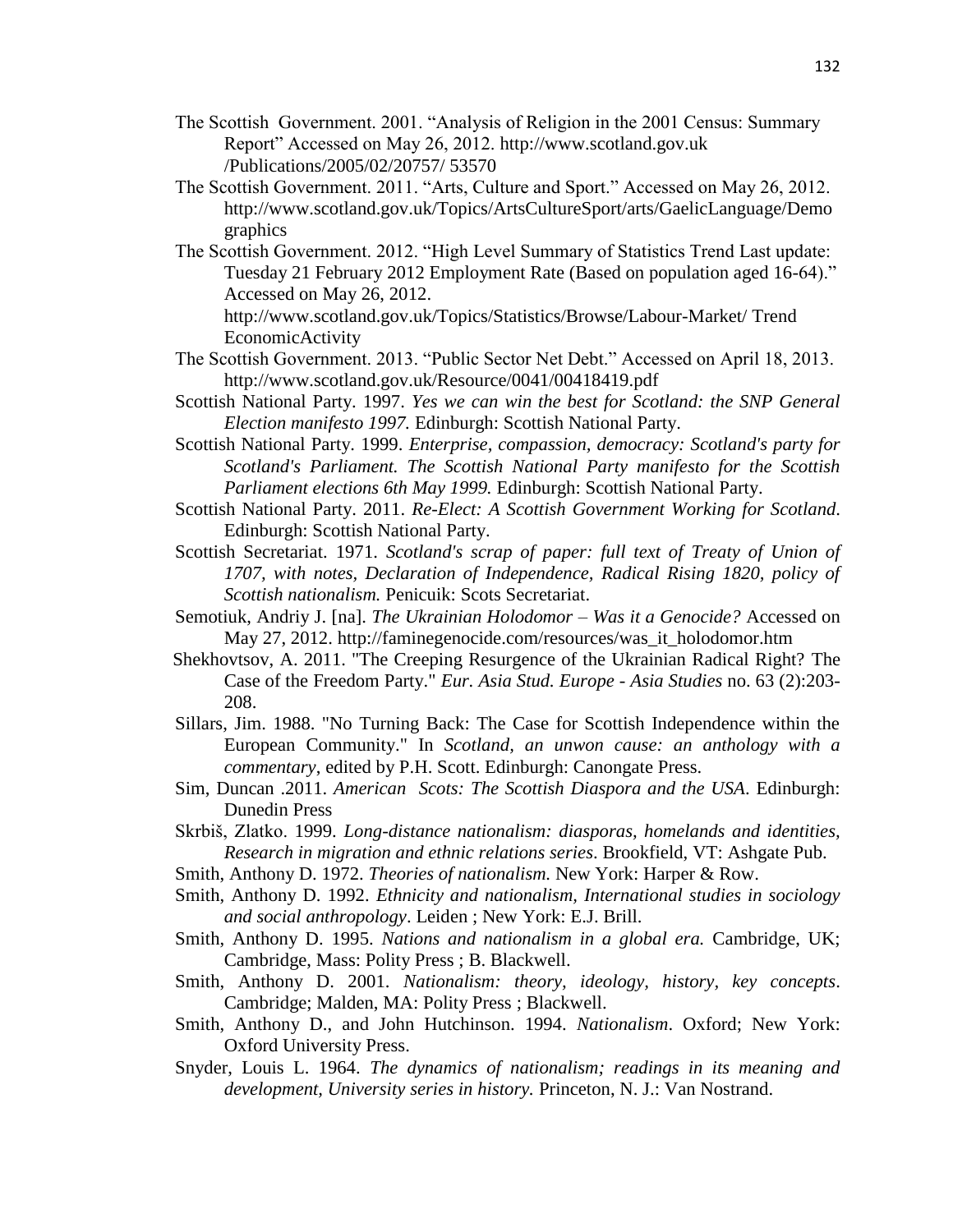- The Scottish Government. 2001. "Analysis of Religion in the 2001 Census: Summary Report" Accessed on May 26, 2012. [http://www.scotland.gov.uk](http://www.scotland.gov.uk/) /Publications/2005/02/20757/ 53570
- The Scottish Government. 2011. "Arts, Culture and Sport." Accessed on May 26, 2012. http://www.scotland.gov.uk/Topics/ArtsCultureSport/arts/GaelicLanguage/Demo graphics
- The Scottish Government. 2012. "High Level Summary of Statistics Trend Last update: Tuesday 21 February 2012 Employment Rate (Based on population aged 16-64)." Accessed on May 26, 2012.

<http://www.scotland.gov.uk/Topics/Statistics/Browse/Labour-Market/> Trend EconomicActivity

- The Scottish Government. 2013. "Public Sector Net Debt." Accessed on April 18, 2013. <http://www.scotland.gov.uk/Resource/0041/00418419.pdf>
- Scottish National Party. 1997. *Yes we can win the best for Scotland: the SNP General Election manifesto 1997.* Edinburgh: Scottish National Party.
- Scottish National Party. 1999. *Enterprise, compassion, democracy: Scotland's party for Scotland's Parliament. The Scottish National Party manifesto for the Scottish Parliament elections 6th May 1999.* Edinburgh: Scottish National Party.
- Scottish National Party. 2011. *Re-Elect: A Scottish Government Working for Scotland*. Edinburgh: Scottish National Party.
- Scottish Secretariat. 1971. *Scotland's scrap of paper: full text of Treaty of Union of*  1707, with notes, Declaration of Independence, Radical Rising 1820, policy of *Scottish nationalism.* Penicuik: Scots Secretariat.
- Semotiuk, Andriy J. [na]. *The Ukrainian Holodomor – Was it a Genocide?* Accessed on May 27, 2012. http://faminegenocide.com/resources/was\_it\_holodomor.htm
- Shekhovtsov, A. 2011. "The Creeping Resurgence of the Ukrainian Radical Right? The Case of the Freedom Party." *Eur. Asia Stud. Europe - Asia Studies* no. 63 (2):203- 208.
- Sillars, Jim. 1988. "No Turning Back: The Case for Scottish Independence within the European Community." In *Scotland, an unwon cause: an anthology with a commentary*, edited by P.H. Scott. Edinburgh: Canongate Press.
- Sim, Duncan .2011. *American Scots: The Scottish Diaspora and the USA*. Edinburgh: Dunedin Press
- Skrbiš, Zlatko. 1999. *Long-distance nationalism: diasporas, homelands and identities, Research in migration and ethnic relations series*. Brookfield, VT: Ashgate Pub.
- Smith, Anthony D. 1972. *Theories of nationalism.* New York: Harper & Row.
- Smith, Anthony D. 1992. *Ethnicity and nationalism, International studies in sociology and social anthropology*. Leiden ; New York: E.J. Brill.
- Smith, Anthony D. 1995. *Nations and nationalism in a global era.* Cambridge, UK; Cambridge, Mass: Polity Press ; B. Blackwell.
- Smith, Anthony D. 2001. *Nationalism: theory, ideology, history, key concepts*. Cambridge; Malden, MA: Polity Press ; Blackwell.
- Smith, Anthony D., and John Hutchinson. 1994. *Nationalism*. Oxford; New York: Oxford University Press.
- Snyder, Louis L. 1964. *The dynamics of nationalism; readings in its meaning and development, University series in history.* Princeton, N. J.: Van Nostrand.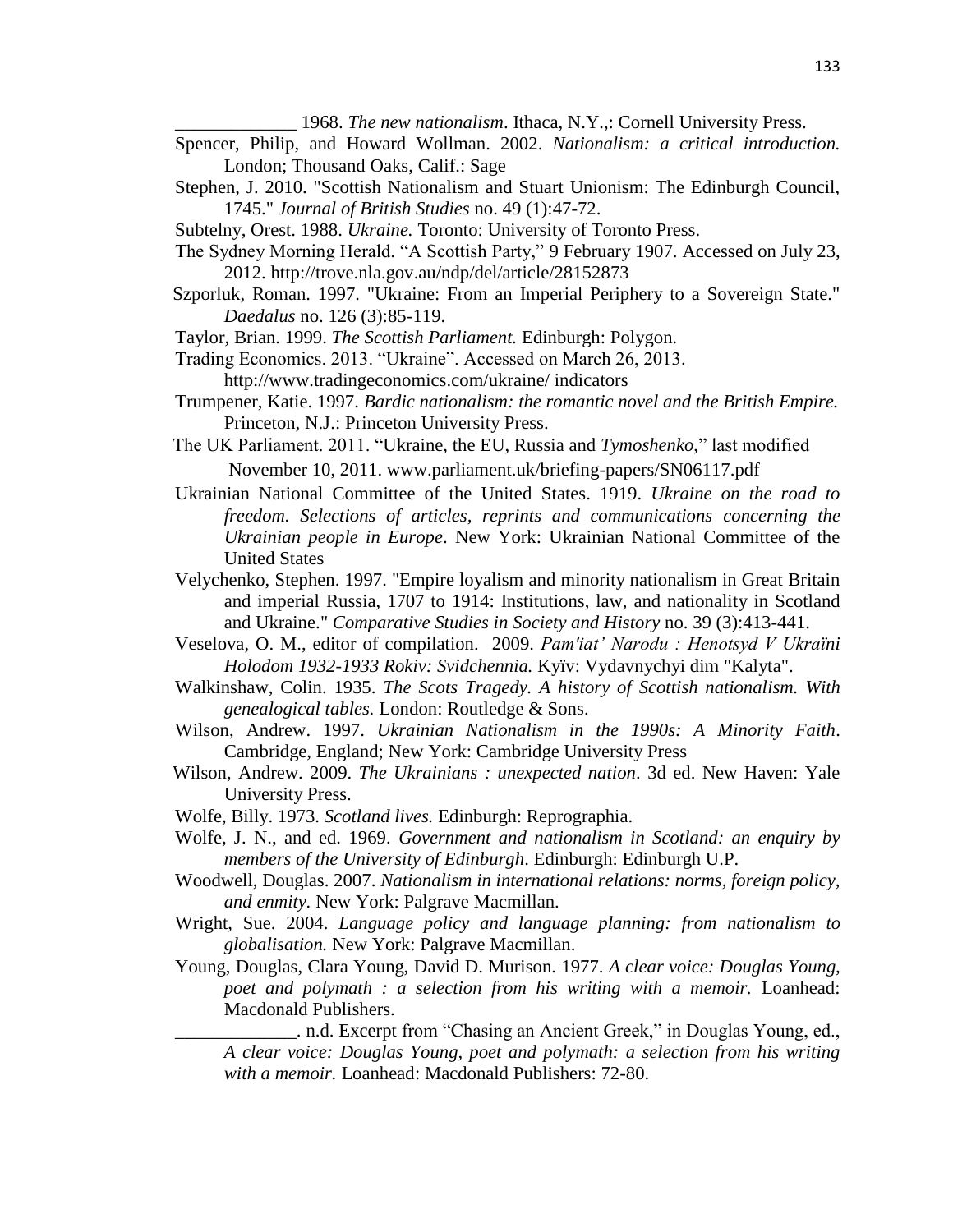1968. *The new nationalism*. Ithaca, N.Y.,: Cornell University Press.

- Spencer, Philip, and Howard Wollman. 2002. *Nationalism: a critical introduction.* London; Thousand Oaks, Calif.: Sage
- Stephen, J. 2010. "Scottish Nationalism and Stuart Unionism: The Edinburgh Council, 1745." *Journal of British Studies* no. 49 (1):47-72.
- Subtelny, Orest. 1988. *Ukraine.* Toronto: University of Toronto Press.
- The Sydney Morning Herald. "A Scottish Party," 9 February 1907. Accessed on July 23, 2012. http://trove.nla.gov.au/ndp/del/article/28152873
- Szporluk, Roman. 1997. "Ukraine: From an Imperial Periphery to a Sovereign State." *Daedalus* no. 126 (3):85-119.
- Taylor, Brian. 1999. *The Scottish Parliament.* Edinburgh: Polygon.
- Trading Economics. 2013. "Ukraine". Accessed on March 26, 2013. http://www.tradingeconomics[.com/u](http://www.tradingeconomics.com/)kraine/ [indicators](http://www.tradingeconomics.com/ukraine/indicators)
- Trumpener, Katie. 1997. *Bardic nationalism: the romantic novel and the British Empire.* Princeton, N.J.: Princeton University Press.
- The UK Parliament. 2011. ["Ukraine, the EU, Russia and](http://www.parliament.uk/briefing-papers/SN06117.pdf) *Tymoshenko*," last modified November 10, 2011. www.parliament.uk/briefing-papers/SN06117.pdf
- Ukrainian National Committee of the United States. 1919. *Ukraine on the road to freedom. Selections of articles, reprints and communications concerning the Ukrainian people in Europe*. New York: Ukrainian National Committee of the United States
- Velychenko, Stephen. 1997. "Empire loyalism and minority nationalism in Great Britain and imperial Russia, 1707 to 1914: Institutions, law, and nationality in Scotland and Ukraine." *Comparative Studies in Society and History* no. 39 (3):413-441.
- Veselova, O. M., editor of compilation. 2009. *Pam'iat' Narodu : Henotsyd V Ukraïni Holodom 1932-1933 Rokiv: Svidchennia.* Kyïv: Vydavnychyi dim "Kalyta".
- Walkinshaw, Colin. 1935. *The Scots Tragedy. A history of Scottish nationalism. With genealogical tables.* London: Routledge & Sons.
- Wilson, Andrew. 1997. *Ukrainian Nationalism in the 1990s: A Minority Faith*. Cambridge, England; New York: Cambridge University Press
- Wilson, Andrew. 2009. *The Ukrainians : unexpected nation*. 3d ed. New Haven: Yale University Press.
- Wolfe, Billy. 1973. *Scotland lives.* Edinburgh: Reprographia.
- Wolfe, J. N., and ed. 1969. *Government and nationalism in Scotland: an enquiry by members of the University of Edinburgh*. Edinburgh: Edinburgh U.P.
- Woodwell, Douglas. 2007. *Nationalism in international relations: norms, foreign policy, and enmity.* New York: Palgrave Macmillan.
- Wright, Sue. 2004. *Language policy and language planning: from nationalism to globalisation.* New York: Palgrave Macmillan.
- Young, Douglas, Clara Young, David D. Murison. 1977. *A clear voice: Douglas Young, poet and polymath : a selection from his writing with a memoir.* Loanhead: Macdonald Publishers.

\_\_\_\_\_\_\_\_\_\_\_\_\_. n.d. Excerpt from "Chasing an Ancient Greek," in Douglas Young, ed., *A clear voice: Douglas Young, poet and polymath: a selection from his writing with a memoir.* Loanhead: Macdonald Publishers: 72-80.